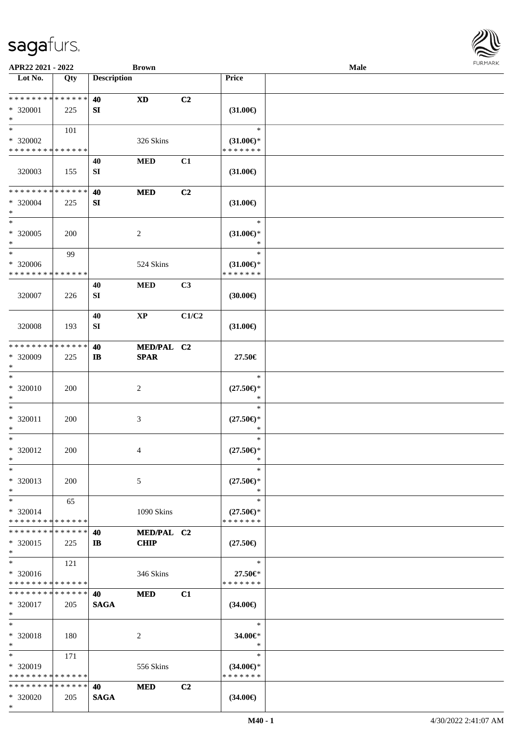

| APR22 2021 - 2022                          |            |                    | <b>Brown</b>           |                |                     | Male |  |
|--------------------------------------------|------------|--------------------|------------------------|----------------|---------------------|------|--|
| Lot No.                                    | Qty        | <b>Description</b> |                        |                | Price               |      |  |
|                                            |            |                    |                        |                |                     |      |  |
| **************                             |            | 40                 | <b>XD</b>              | C2             |                     |      |  |
| * 320001                                   | 225        | SI                 |                        |                | $(31.00\epsilon)$   |      |  |
| $\ast$                                     |            |                    |                        |                |                     |      |  |
| $\ast$                                     | 101        |                    |                        |                | $\ast$              |      |  |
| $*320002$                                  |            |                    | 326 Skins              |                | $(31.00\epsilon)$ * |      |  |
| * * * * * * * * * * * * * *                |            |                    |                        |                | * * * * * * *       |      |  |
|                                            |            | 40                 | <b>MED</b>             | C1             |                     |      |  |
| 320003                                     | 155        | SI                 |                        |                | $(31.00\epsilon)$   |      |  |
|                                            |            |                    |                        |                |                     |      |  |
| * * * * * * * * * * * * * *                |            | 40                 | <b>MED</b>             | C <sub>2</sub> |                     |      |  |
| $*320004$                                  | 225        | SI                 |                        |                | $(31.00\epsilon)$   |      |  |
| $\ast$                                     |            |                    |                        |                |                     |      |  |
| $\ast$                                     |            |                    |                        |                | $\ast$              |      |  |
| $* 320005$                                 | 200        |                    | $\overline{2}$         |                | $(31.00\epsilon)$ * |      |  |
| $\ast$                                     |            |                    |                        |                | $\ast$              |      |  |
| $\ast$                                     | 99         |                    |                        |                | $\ast$              |      |  |
| $*320006$                                  |            |                    | 524 Skins              |                | $(31.00\epsilon)$ * |      |  |
| * * * * * * * * * * * * * *                |            |                    |                        |                | * * * * * * *       |      |  |
|                                            |            | 40                 | <b>MED</b>             | C3             |                     |      |  |
| 320007                                     | 226        | SI                 |                        |                | (30.00)             |      |  |
|                                            |            |                    |                        |                |                     |      |  |
|                                            |            | 40                 | $\mathbf{X}\mathbf{P}$ | C1/C2          |                     |      |  |
| 320008                                     | 193        | SI                 |                        |                | $(31.00\epsilon)$   |      |  |
|                                            |            |                    |                        |                |                     |      |  |
| * * * * * * * * * * * * * *                |            | 40                 | MED/PAL C2             |                |                     |      |  |
| * 320009                                   | 225        | $\mathbf{I}$       | <b>SPAR</b>            |                | 27.50€              |      |  |
| $\ast$                                     |            |                    |                        |                |                     |      |  |
| $\ast$                                     |            |                    |                        |                | $\ast$              |      |  |
| * 320010                                   | 200        |                    | $\overline{c}$         |                | $(27.50\epsilon)$ * |      |  |
| $\ast$                                     |            |                    |                        |                | $\ast$              |      |  |
| $\ast$                                     |            |                    |                        |                | $\ast$              |      |  |
| * 320011                                   | 200        |                    | $\mathfrak{Z}$         |                | $(27.50\epsilon)$ * |      |  |
| $\ast$                                     |            |                    |                        |                | $\ast$              |      |  |
| $\ast$                                     |            |                    |                        |                | $\ast$              |      |  |
| * 320012                                   | 200        |                    | 4                      |                | $(27.50\epsilon)$ * |      |  |
| $*$                                        |            |                    |                        |                | $\ast$              |      |  |
| $\ast$                                     |            |                    |                        |                | $\ast$              |      |  |
| * 320013                                   | <b>200</b> |                    | 5                      |                | $(27.50\epsilon)$ * |      |  |
| $\ast$                                     |            |                    |                        |                | $\ast$              |      |  |
| $\ast$                                     | 65         |                    |                        |                | $\ast$              |      |  |
| * 320014                                   |            |                    | 1090 Skins             |                | $(27.50\epsilon)$ * |      |  |
| * * * * * * * * <mark>* * * * * * *</mark> |            |                    |                        |                | * * * * * * *       |      |  |
| * * * * * * * * * * * * * *                |            | 40                 | MED/PAL C2             |                |                     |      |  |
| * 320015                                   | 225        | $\mathbf{I}$       | <b>CHIP</b>            |                | $(27.50\epsilon)$   |      |  |
| $*$                                        |            |                    |                        |                |                     |      |  |
| $\ast$                                     | 121        |                    |                        |                | $\ast$              |      |  |
| * 320016                                   |            |                    | 346 Skins              |                | 27.50€*             |      |  |
| * * * * * * * * * * * * * *                |            |                    |                        |                | * * * * * * *       |      |  |
| * * * * * * * * * * * * * * *              |            | 40                 | <b>MED</b>             | C1             |                     |      |  |
| * 320017                                   | 205        | <b>SAGA</b>        |                        |                | $(34.00\epsilon)$   |      |  |
| $*$                                        |            |                    |                        |                |                     |      |  |
| $\ast$                                     |            |                    |                        |                | $\ast$              |      |  |
| * 320018                                   | 180        |                    | $\overline{c}$         |                | 34.00€*             |      |  |
| $\ast$                                     |            |                    |                        |                | $\ast$              |      |  |
| $\ast$                                     | 171        |                    |                        |                | $\ast$              |      |  |
| * 320019                                   |            |                    | 556 Skins              |                | $(34.00\epsilon)$ * |      |  |
| * * * * * * * * * * * * * *                |            |                    |                        |                | * * * * * * *       |      |  |
| * * * * * * * * * * * * * *                |            | 40                 | <b>MED</b>             | C2             |                     |      |  |
| * 320020                                   | 205        | <b>SAGA</b>        |                        |                | $(34.00\epsilon)$   |      |  |
| $*$                                        |            |                    |                        |                |                     |      |  |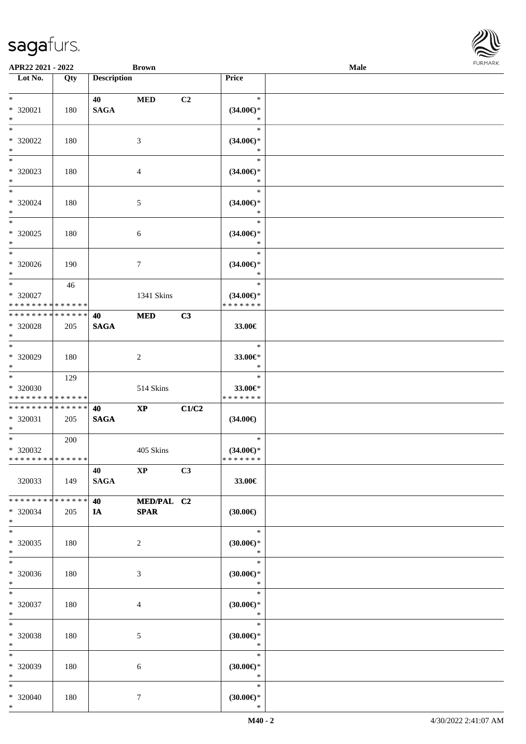| <b>FURMARK</b> |  |
|----------------|--|
|                |  |
|                |  |
|                |  |
|                |  |
|                |  |
|                |  |

| $* 320021$<br>$\ast$                             | 180           | 40<br><b>SAGA</b>     | <b>MED</b>                | C <sub>2</sub> | $\ast$<br>$(34.00\epsilon)$ *<br>$\ast$        |  |
|--------------------------------------------------|---------------|-----------------------|---------------------------|----------------|------------------------------------------------|--|
| $*$<br>$* 320022$<br>$*$                         | 180           |                       | 3                         |                | $\ast$<br>$(34.00\epsilon)$ *<br>$\ast$        |  |
| $\overline{\phantom{0}}$<br>$*320023$<br>$*$     | 180           |                       | 4                         |                | $\ast$<br>$(34.00\epsilon)$ *<br>$\ast$        |  |
| $*$<br>$* 320024$<br>$*$                         | 180           |                       | 5                         |                | $\ast$<br>$(34.00\epsilon)$ *<br>$\ast$        |  |
| $*$<br>$*320025$<br>$*$                          | 180           |                       | 6                         |                | $\ast$<br>$(34.00\epsilon)$ *<br>$\ast$        |  |
| $\ast$<br>$* 320026$<br>$*$                      | 190           |                       | $\tau$                    |                | $\ast$<br>$(34.00\epsilon)$ *<br>$\ast$        |  |
| $*$<br>$* 320027$<br>* * * * * * * * * * * * * * | 46            |                       | 1341 Skins                |                | $\ast$<br>$(34.00\epsilon)$ *<br>* * * * * * * |  |
| * * * * * * * *<br>* 320028<br>$*$               | ******<br>205 | 40<br><b>SAGA</b>     | <b>MED</b>                | C3             | 33.00€                                         |  |
| $*$<br>$* 320029$<br>$*$                         | 180           |                       | 2                         |                | $\ast$<br>33.00€*<br>$\ast$                    |  |
| $*$<br>$* 320030$<br>* * * * * * * * * * * * * * | 129           |                       | 514 Skins                 |                | $\ast$<br>33.00€*<br>* * * * * * *             |  |
| * * * * * * * * * * * * * * *<br>* 320031        | 205           | 40<br>$\mathbf{SAGA}$ | $\mathbf{XP}$             | C1/C2          | $(34.00\epsilon)$                              |  |
| $*$ $-$                                          |               |                       |                           |                |                                                |  |
| $*$<br>* 320032<br>* * * * * * * * * * * * * *   | 200           |                       | 405 Skins                 |                | $\ast$<br>$(34.00\epsilon)$ *<br>* * * * * * * |  |
| 320033                                           | 149           | 40<br><b>SAGA</b>     | $\mathbf{XP}$             | C3             | 33.00€                                         |  |
| * * * * * * * * * * * * * * *<br>* 320034<br>$*$ | 205           | 40<br>IA              | MED/PAL C2<br><b>SPAR</b> |                | $(30.00\epsilon)$                              |  |
| $*$<br>$*320035$<br>$*$                          | 180           |                       | $\overline{c}$            |                | $\ast$<br>$(30.00\in)^\ast$<br>$\ast$          |  |
| $*$<br>* 320036<br>$*$                           | 180           |                       | 3                         |                | $\ast$<br>$(30.00\epsilon)$ *<br>$\ast$        |  |
| $*$<br>* 320037<br>$*$                           | 180           |                       | 4                         |                | $\ast$<br>$(30.00\epsilon)$ *<br>$\ast$        |  |
| $*$<br>* 320038<br>$*$                           | 180           |                       | 5                         |                | $\ast$<br>$(30.00\epsilon)$ *<br>$\ast$        |  |
| $\ast$<br>* 320039<br>$*$                        | 180           |                       | 6                         |                | $\ast$<br>$(30.00\epsilon)$ *<br>$\ast$        |  |

**APR22 2021 - 2022 Brown Male**

**Lot No. Qty Description Price**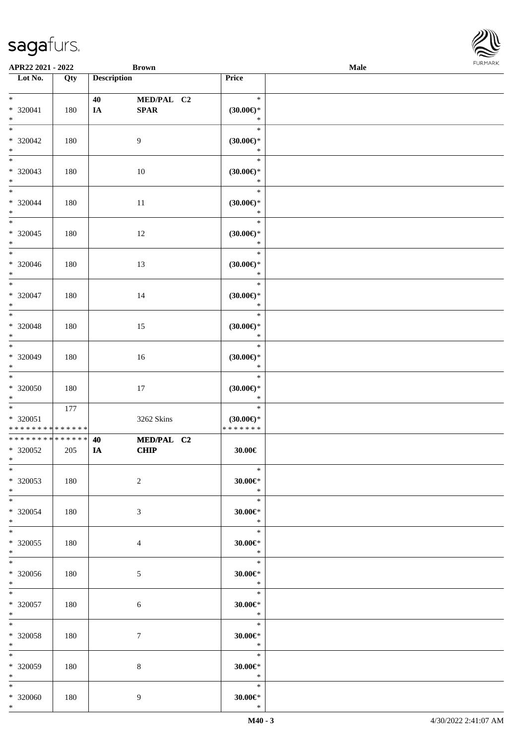| APR22 2021 - 2022                                    |     |                    | <b>Brown</b>              |                                                | Male | <b>FURMARK</b> |
|------------------------------------------------------|-----|--------------------|---------------------------|------------------------------------------------|------|----------------|
| $\overline{\phantom{1}}$ Lot No.                     | Qty | <b>Description</b> |                           | Price                                          |      |                |
| $*$<br>$* 320041$                                    | 180 | 40<br>IA           | MED/PAL C2<br><b>SPAR</b> | $\ast$<br>$(30.00\epsilon)$ *                  |      |                |
| $*$<br>$\overline{\ }$<br>$*320042$                  | 180 |                    | 9                         | $\ast$<br>$\ast$<br>$(30.00\epsilon)$ *        |      |                |
| $*$<br>$\overline{\phantom{0}}$                      |     |                    |                           | $\ast$<br>$\ast$                               |      |                |
| $* 320043$<br>$*$                                    | 180 |                    | 10                        | $(30.00\epsilon)$ *<br>$\ast$                  |      |                |
| $*$<br>$* 320044$<br>$*$                             | 180 |                    | $11\,$                    | $\ast$<br>$(30.00\epsilon)$ *<br>$\ast$        |      |                |
| $*$<br>$*320045$<br>$*$                              | 180 |                    | 12                        | $\ast$<br>$(30.00\epsilon)$ *<br>$\ast$        |      |                |
| $* 320046$<br>$*$                                    | 180 |                    | 13                        | $\ast$<br>$(30.00\epsilon)$ *<br>$\ast$        |      |                |
| $*$<br>* 320047<br>$\ast$                            | 180 |                    | 14                        | $\ast$<br>$(30.00\epsilon)$ *<br>$\ast$        |      |                |
| $*$<br>$* 320048$<br>$*$                             | 180 |                    | 15                        | $\ast$<br>$(30.00\epsilon)$ *<br>$\ast$        |      |                |
| $* 320049$<br>$*$                                    | 180 |                    | $16\,$                    | $\ast$<br>$(30.00\epsilon)$ *<br>$\ast$        |      |                |
| $\overline{\ast}$<br>* 320050<br>$*$                 | 180 |                    | $17\,$                    | $\ast$<br>$(30.00\epsilon)$ *<br>$\ast$        |      |                |
| $*$<br>$* 320051$<br>* * * * * * * * * * * * * *     | 177 |                    | 3262 Skins                | $\ast$<br>$(30.00\epsilon)$ *<br>* * * * * * * |      |                |
| ******** <mark>******</mark><br>$* 320052$<br>$\ast$ | 205 | 40<br>IA           | MED/PAL C2<br><b>CHIP</b> | $30.00 \in$                                    |      |                |
| $\ast$<br>* 320053<br>$*$                            | 180 |                    | $\overline{c}$            | $\ast$<br>$30.00 \in$ *<br>$\ast$              |      |                |
| $*$<br>* 320054<br>$*$                               | 180 |                    | 3                         | $\ast$<br>$30.00 \in$ *<br>$\ast$              |      |                |
| $*$<br>$*320055$<br>$*$                              | 180 |                    | $\overline{4}$            | $\ast$<br>$30.00 \in$ *<br>$\ast$              |      |                |
| $*$<br>$* 320056$<br>$*$                             | 180 |                    | 5                         | $\ast$<br>$30.00 \in$ *<br>$\ast$              |      |                |
| $*$<br>$* 320057$<br>$*$                             | 180 |                    | 6                         | $\ast$<br>$30.00 \in$ *<br>$\ast$              |      |                |
| $*$<br>* 320058<br>$*$                               | 180 |                    | $\tau$                    | $\ast$<br>$30.00 \in$ *<br>$\ast$              |      |                |
| $*$<br>* 320059<br>$*$                               | 180 |                    | 8                         | $\ast$<br>$30.00 \in$ *<br>$\ast$              |      |                |
| $*$<br>$*320060$<br>$*$                              | 180 |                    | 9                         | $\ast$<br>$30.00 \text{eV}$<br>$\ast$          |      |                |

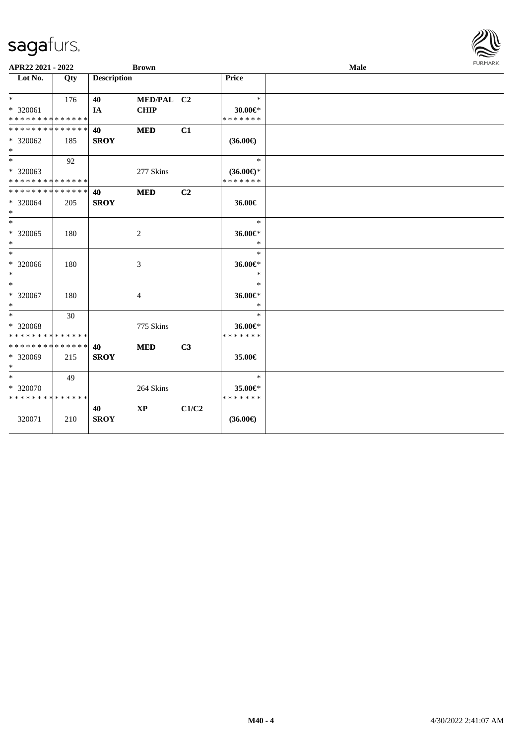| APR22 2021 - 2022                                  |     |                    | <b>Brown</b>              |                |                                             | Male | <b>FURMARK</b> |
|----------------------------------------------------|-----|--------------------|---------------------------|----------------|---------------------------------------------|------|----------------|
| Lot No.                                            | Qty | <b>Description</b> |                           |                | <b>Price</b>                                |      |                |
| $*$ $*$<br>* 320061<br>* * * * * * * * * * * * * * | 176 | 40<br>IA           | MED/PAL C2<br><b>CHIP</b> |                | $\ast$<br>30.00€*<br>* * * * * * *          |      |                |
| * * * * * * * * * * * * * *<br>* 320062<br>$*$     | 185 | 40<br><b>SROY</b>  | <b>MED</b>                | C1             | $(36.00\epsilon)$                           |      |                |
| $*$<br>* 320063<br>* * * * * * * * * * * * * *     | 92  |                    | 277 Skins                 |                | $\ast$<br>$(36.00 \in )$ *<br>* * * * * * * |      |                |
| * * * * * * * * * * * * * *<br>* 320064<br>$*$     | 205 | 40<br><b>SROY</b>  | <b>MED</b>                | C <sub>2</sub> | 36.00€                                      |      |                |
| $*$<br>* 320065<br>$*$                             | 180 |                    | $\overline{c}$            |                | $\ast$<br>36.00€*<br>$\ast$                 |      |                |
| $\ast$<br>$* 320066$<br>$*$                        | 180 |                    | 3                         |                | $\ast$<br>36.00€*<br>$\ast$                 |      |                |
| $*$<br>* 320067<br>$*$                             | 180 |                    | 4                         |                | $\ast$<br>36.00€*<br>$\ast$                 |      |                |
| $*$<br>* 320068<br>* * * * * * * * * * * * * *     | 30  |                    | 775 Skins                 |                | $\ast$<br>36.00€*<br>* * * * * * *          |      |                |
| * * * * * * * * * * * * * *<br>* 320069<br>$*$     | 215 | 40<br><b>SROY</b>  | <b>MED</b>                | C3             | 35.00€                                      |      |                |
| $*$<br>* 320070<br>* * * * * * * * * * * * * *     | 49  |                    | 264 Skins                 |                | $\ast$<br>35.00€*<br>* * * * * * *          |      |                |
| 320071                                             | 210 | 40<br><b>SROY</b>  | $\bold{XP}$               | C1/C2          | $(36.00\epsilon)$                           |      |                |

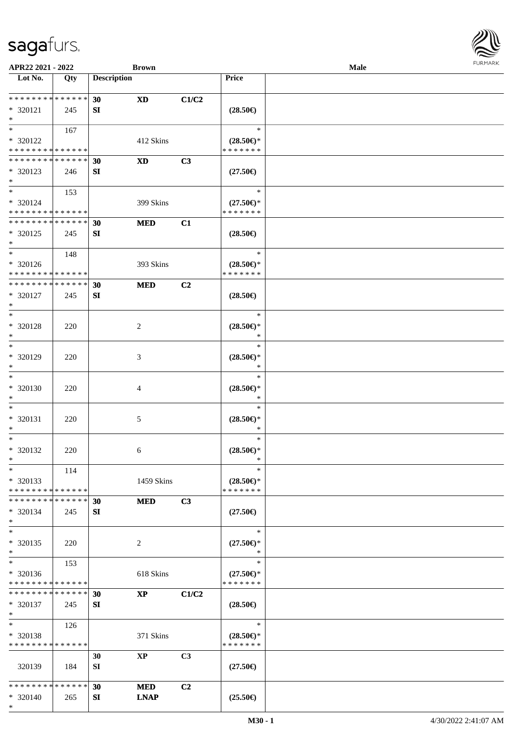

| APR22 2021 - 2022                          |     |                    | <b>Brown</b>   |       |                                      | Male |  |
|--------------------------------------------|-----|--------------------|----------------|-------|--------------------------------------|------|--|
| Lot No.                                    | Qty | <b>Description</b> |                |       | Price                                |      |  |
|                                            |     |                    |                |       |                                      |      |  |
| **************                             |     | 30                 | <b>XD</b>      | C1/C2 |                                      |      |  |
| * 320121                                   | 245 | SI                 |                |       | $(28.50\epsilon)$                    |      |  |
| $\ast$                                     |     |                    |                |       |                                      |      |  |
| $*$                                        | 167 |                    |                |       | $\ast$                               |      |  |
|                                            |     |                    |                |       |                                      |      |  |
| * 320122                                   |     |                    | 412 Skins      |       | $(28.50\epsilon)$ *                  |      |  |
| * * * * * * * * <mark>* * * * * * *</mark> |     |                    |                |       | * * * * * * *                        |      |  |
| * * * * * * * * * * * * * *                |     | 30                 | <b>XD</b>      | C3    |                                      |      |  |
| * 320123                                   | 246 | SI                 |                |       | $(27.50\epsilon)$                    |      |  |
| $*$                                        |     |                    |                |       |                                      |      |  |
| $*$                                        | 153 |                    |                |       | $\ast$                               |      |  |
| * 320124                                   |     |                    | 399 Skins      |       | $(27.50\epsilon)$ *                  |      |  |
| * * * * * * * * * * * * * *                |     |                    |                |       | * * * * * * *                        |      |  |
| **************                             |     | 30                 | <b>MED</b>     | C1    |                                      |      |  |
| * 320125                                   | 245 | <b>SI</b>          |                |       | $(28.50\epsilon)$                    |      |  |
| $\ast$                                     |     |                    |                |       |                                      |      |  |
| $\ast$                                     |     |                    |                |       | $\ast$                               |      |  |
|                                            | 148 |                    |                |       |                                      |      |  |
| * 320126                                   |     |                    | 393 Skins      |       | $(28.50\epsilon)$ *                  |      |  |
| * * * * * * * * * * * * * *                |     |                    |                |       | * * * * * * *                        |      |  |
| * * * * * * * * * * * * * *                |     | 30                 | <b>MED</b>     | C2    |                                      |      |  |
| $* 320127$                                 | 245 | SI                 |                |       | $(28.50\epsilon)$                    |      |  |
| $\ast$                                     |     |                    |                |       |                                      |      |  |
| $\ast$                                     |     |                    |                |       | $\ast$                               |      |  |
| * 320128                                   | 220 |                    | $\overline{2}$ |       | $(28.50\epsilon)$ *                  |      |  |
| $\ast$                                     |     |                    |                |       | $\ast$                               |      |  |
| $\ast$                                     |     |                    |                |       | $\ast$                               |      |  |
| * 320129                                   |     |                    |                |       |                                      |      |  |
| $\ast$                                     | 220 |                    | 3              |       | $(28.50\epsilon)$ *<br>$\ast$        |      |  |
| $\ast$                                     |     |                    |                |       |                                      |      |  |
|                                            |     |                    |                |       | $\ast$                               |      |  |
| * 320130                                   | 220 |                    | 4              |       | $(28.50\epsilon)$ *                  |      |  |
| $\ast$                                     |     |                    |                |       | $\ast$                               |      |  |
| $\ast$                                     |     |                    |                |       | $\ast$                               |      |  |
| * 320131                                   | 220 |                    | $\mathfrak{S}$ |       | $(28.50\epsilon)$ *                  |      |  |
| $\ast$                                     |     |                    |                |       | $\ast$                               |      |  |
| $\ast$                                     |     |                    |                |       | $\ast$                               |      |  |
| * 320132                                   | 220 |                    | 6              |       | $(28.50\epsilon)$ *                  |      |  |
| $*$                                        |     |                    |                |       | $\ast$                               |      |  |
| $*$                                        | 114 |                    |                |       | $\ast$                               |      |  |
| * 320133                                   |     |                    | 1459 Skins     |       | $(28.50\epsilon)$ *                  |      |  |
| * * * * * * * * * * * * * *                |     |                    |                |       | * * * * * * *                        |      |  |
| * * * * * * * * * * * * * *                |     |                    |                |       |                                      |      |  |
|                                            |     | 30                 | <b>MED</b>     | C3    |                                      |      |  |
| * 320134                                   | 245 | <b>SI</b>          |                |       | $(27.50\epsilon)$                    |      |  |
| $\ast$                                     |     |                    |                |       |                                      |      |  |
| $\ast$                                     |     |                    |                |       | $\ast$                               |      |  |
| $* 320135$                                 | 220 |                    | 2              |       | $(27.50\epsilon)$ *                  |      |  |
| $\ast$                                     |     |                    |                |       | $\ast$                               |      |  |
| $\ast$                                     | 153 |                    |                |       | $\ast$                               |      |  |
| * 320136                                   |     |                    | 618 Skins      |       | $(27.50\epsilon)$ *                  |      |  |
| * * * * * * * * <mark>* * * * * * *</mark> |     |                    |                |       | * * * * * * *                        |      |  |
| * * * * * * * * * * * * * *                |     | 30                 | <b>XP</b>      | C1/C2 |                                      |      |  |
| * 320137                                   | 245 | <b>SI</b>          |                |       | $(28.50\epsilon)$                    |      |  |
| $*$                                        |     |                    |                |       |                                      |      |  |
| $\ast$                                     | 126 |                    |                |       | $\ast$                               |      |  |
|                                            |     |                    |                |       |                                      |      |  |
| * 320138<br>* * * * * * * * * * * * * *    |     |                    | 371 Skins      |       | $(28.50\epsilon)$ *<br>* * * * * * * |      |  |
|                                            |     |                    |                |       |                                      |      |  |
|                                            |     | 30                 | <b>XP</b>      | C3    |                                      |      |  |
| 320139                                     | 184 | SI                 |                |       | $(27.50\epsilon)$                    |      |  |
|                                            |     |                    |                |       |                                      |      |  |
| * * * * * * * * * * * * * *                |     | 30                 | <b>MED</b>     | C2    |                                      |      |  |
| * 320140                                   | 265 | SI                 | <b>LNAP</b>    |       | $(25.50\epsilon)$                    |      |  |
| $*$                                        |     |                    |                |       |                                      |      |  |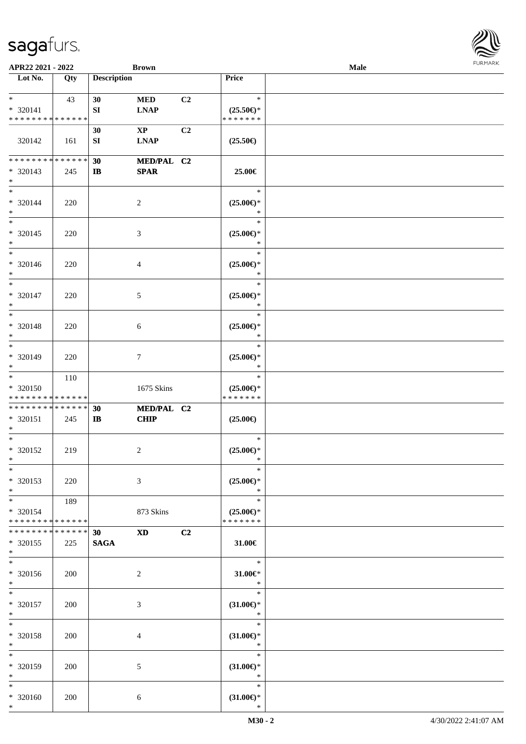| APR22 2021 - 2022                                             |     |                    | <b>Brown</b>                          |                |                                                 | Male |  |
|---------------------------------------------------------------|-----|--------------------|---------------------------------------|----------------|-------------------------------------------------|------|--|
| Lot No.                                                       | Qty | <b>Description</b> |                                       |                | Price                                           |      |  |
| $*$<br>* 320141<br>* * * * * * * * * * * * * *                | 43  | 30<br>SI           | <b>MED</b><br><b>LNAP</b>             | C2             | $\ast$<br>$(25.50\epsilon)$ *<br>* * * * * * *  |      |  |
| 320142                                                        | 161 | 30<br>SI           | $\mathbf{X}\mathbf{P}$<br><b>LNAP</b> | C2             | $(25.50\epsilon)$                               |      |  |
| * * * * * * * * * * * * * *<br>* 320143<br>$*$                | 245 | 30<br>$\bf{IB}$    | MED/PAL C2<br><b>SPAR</b>             |                | 25.00€                                          |      |  |
| $*$<br>* 320144<br>$*$                                        | 220 | $\overline{c}$     |                                       |                | $\ast$<br>$(25.00\epsilon)$ *<br>$\ast$         |      |  |
| $*$<br>* 320145<br>$\ast$                                     | 220 | 3                  |                                       |                | $\ast$<br>$(25.00\epsilon)$ *<br>$\ast$         |      |  |
| $*$<br>* 320146<br>$\ast$                                     | 220 | 4                  |                                       |                | $\ast$<br>$(25.00\epsilon)$ *<br>$\ast$         |      |  |
| $*$<br>* 320147<br>$*$                                        | 220 | 5                  |                                       |                | $\ast$<br>$(25.00\epsilon)$ *<br>$\ast$         |      |  |
| $*$<br>* 320148<br>$\ast$                                     | 220 | 6                  |                                       |                | $\ast$<br>$(25.00\epsilon)$ *<br>$\ast$         |      |  |
| $*$<br>* 320149<br>$\ast$                                     | 220 | 7                  |                                       |                | $\ast$<br>$(25.00\epsilon)$ *<br>$\ast$         |      |  |
| $*$<br>* 320150<br>* * * * * * * * * * * * * *                | 110 |                    | 1675 Skins                            |                | $\ast$<br>$(25.00\epsilon)$ *<br>* * * * * * *  |      |  |
| * * * * * * * * * * * * * *<br>* 320151<br>$\ast$             | 245 | 30<br>$\mathbf{I}$ | MED/PAL C2<br><b>CHIP</b>             |                | $(25.00\epsilon)$                               |      |  |
| $*$<br>* 320152<br>$*$ $-$                                    | 219 | 2                  |                                       |                | $\ast$<br>$(25.00\epsilon)$ *<br>$\ast$         |      |  |
| $*$<br>* 320153<br>$*$                                        | 220 | 3                  |                                       |                | $\ast$<br>$(25.00\epsilon)$ *<br>$\ast$         |      |  |
| $*$<br>* 320154<br>* * * * * * * * <mark>* * * * * * *</mark> | 189 |                    | 873 Skins                             |                | $\ast$<br>$(25.00\epsilon)$ *<br>* * * * * * *  |      |  |
| * * * * * * * * * * * * * * *<br>* 320155<br>$*$              | 225 | 30<br><b>SAGA</b>  | <b>XD</b>                             | C <sub>2</sub> | 31.00€                                          |      |  |
| $*$<br>* 320156<br>$*$                                        | 200 | 2                  |                                       |                | $\ast$<br>$31.00 \in$<br>$\ast$                 |      |  |
| $*$ $-$<br>* 320157<br>$*$                                    | 200 | 3                  |                                       |                | $\ast$<br>$(31.00\epsilon)$ *<br>$\mathbb{R}^n$ |      |  |
| $*$ $-$<br>* 320158<br>$*$                                    | 200 | 4                  |                                       |                | $\ast$<br>$(31.00\epsilon)$ *<br>$\ast$         |      |  |
| $*$<br>* 320159<br>$*$                                        | 200 | 5                  |                                       |                | $\ast$<br>$(31.00\epsilon)$ *<br>$\ast$         |      |  |
| $*$<br>* 320160<br>$*$                                        | 200 | 6                  |                                       |                | $\ast$<br>$(31.00\epsilon)$ *<br>$\ast$         |      |  |

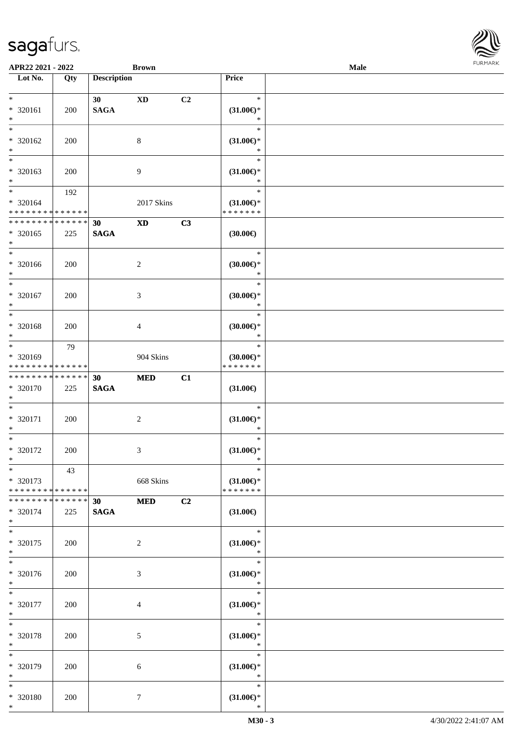|                                         | APR22 2021 - 2022<br><b>Brown</b> |                    |                        |                | Male                                 | <b>FURMARI</b> |  |
|-----------------------------------------|-----------------------------------|--------------------|------------------------|----------------|--------------------------------------|----------------|--|
| $\overline{\phantom{1}}$ Lot No.        | Qty                               | <b>Description</b> |                        |                | Price                                |                |  |
| $*$                                     |                                   | 30                 | $\mathbf{X}\mathbf{D}$ | C2             | $\ast$                               |                |  |
| $* 320161$                              | 200                               | <b>SAGA</b>        |                        |                | $(31.00\epsilon)$ *                  |                |  |
| $\ast$                                  |                                   |                    |                        |                | $\ast$                               |                |  |
| $\ast$                                  |                                   |                    |                        |                | $\ast$                               |                |  |
| $* 320162$                              | 200                               |                    | $8\,$                  |                | $(31.00\epsilon)$ *                  |                |  |
| $\ast$                                  |                                   |                    |                        |                | $\ast$                               |                |  |
| $\overline{\ast}$                       |                                   |                    |                        |                | $\ast$                               |                |  |
| $* 320163$                              | 200                               |                    | $\overline{9}$         |                | $(31.00\epsilon)$ *                  |                |  |
| $\ast$                                  |                                   |                    |                        |                | $\ast$                               |                |  |
| $\ast$                                  | 192                               |                    |                        |                | $\ast$                               |                |  |
| * 320164                                |                                   |                    | 2017 Skins             |                | $(31.00\epsilon)$ *                  |                |  |
| * * * * * * * * * * * * * *             |                                   |                    |                        |                | * * * * * * *                        |                |  |
| **************                          |                                   | 30                 | <b>XD</b>              | C3             |                                      |                |  |
| $* 320165$                              | 225                               | $\mathbf{SAGA}$    |                        |                | (30.00)                              |                |  |
| $\ast$                                  |                                   |                    |                        |                |                                      |                |  |
| $\ast$                                  |                                   |                    |                        |                | $\ast$                               |                |  |
| $* 320166$<br>$\ast$                    | 200                               |                    | $\sqrt{2}$             |                | (30.00)<br>$\ast$                    |                |  |
| $\ast$                                  |                                   |                    |                        |                | $\ast$                               |                |  |
| * 320167                                |                                   |                    |                        |                |                                      |                |  |
| $\ast$                                  | 200                               |                    | 3                      |                | $(30.00\epsilon)$ *<br>$\ast$        |                |  |
| $\ast$                                  |                                   |                    |                        |                | $\ast$                               |                |  |
| * 320168                                | 200                               |                    | $\overline{4}$         |                | (30.00)                              |                |  |
| $\ast$                                  |                                   |                    |                        |                | $\ast$                               |                |  |
| $\ast$                                  | 79                                |                    |                        |                | $\ast$                               |                |  |
| * 320169                                |                                   |                    | 904 Skins              |                | $(30.00\epsilon)$ *                  |                |  |
| * * * * * * * * * * * * * *             |                                   |                    |                        |                | * * * * * * *                        |                |  |
| **************                          |                                   | 30                 | <b>MED</b>             | C1             |                                      |                |  |
| * 320170                                | 225                               | <b>SAGA</b>        |                        |                | $(31.00\epsilon)$                    |                |  |
| $\ast$                                  |                                   |                    |                        |                |                                      |                |  |
| $\ast$                                  |                                   |                    |                        |                | $\ast$                               |                |  |
| * 320171                                | 200                               |                    | $\sqrt{2}$             |                | $(31.00\epsilon)$ *                  |                |  |
| $\ast$                                  |                                   |                    |                        |                | $\ast$                               |                |  |
| $\overline{\ast}$                       |                                   |                    |                        |                | $\ast$                               |                |  |
| * 320172                                | 200                               |                    | $\mathfrak{Z}$         |                | $(31.00\epsilon)$ *                  |                |  |
| $\ast$                                  |                                   |                    |                        |                | $\ast$                               |                |  |
| $\ast$                                  | 43                                |                    |                        |                | $\ast$                               |                |  |
| * 320173<br>* * * * * * * * * * * * * * |                                   |                    | 668 Skins              |                | $(31.00\epsilon)$ *<br>* * * * * * * |                |  |
| * * * * * * * * * * * * * *             |                                   |                    |                        |                |                                      |                |  |
| * 320174                                | 225                               | 30<br><b>SAGA</b>  | <b>MED</b>             | C <sub>2</sub> | $(31.00\epsilon)$                    |                |  |
| $\ast$                                  |                                   |                    |                        |                |                                      |                |  |
| $\ast$                                  |                                   |                    |                        |                | $\ast$                               |                |  |
| * 320175                                | 200                               |                    | $\overline{c}$         |                | $(31.00\epsilon)$ *                  |                |  |
| $\ast$                                  |                                   |                    |                        |                | ∗                                    |                |  |
| $\overline{\phantom{1}}$                |                                   |                    |                        |                | $\ast$                               |                |  |
| * 320176                                | 200                               |                    | 3                      |                | $(31.00\mathnormal{\infty})^*$       |                |  |
| $\ast$                                  |                                   |                    |                        |                | $\ast$                               |                |  |
| $\ast$                                  |                                   |                    |                        |                | $\ast$                               |                |  |
| * 320177                                | 200                               |                    | $\overline{4}$         |                | $(31.00\epsilon)$ *                  |                |  |
| $\ast$                                  |                                   |                    |                        |                | $\ast$                               |                |  |
| $\ast$                                  |                                   |                    |                        |                | $\ast$                               |                |  |
| * 320178                                | 200                               |                    | $5\,$                  |                | $(31.00\epsilon)$ *                  |                |  |
| $\ast$                                  |                                   |                    |                        |                | $\ast$                               |                |  |
| $\overline{\phantom{a}}$                |                                   |                    |                        |                | $\ast$                               |                |  |
| * 320179                                | 200                               |                    | 6                      |                | $(31.00\epsilon)$ *                  |                |  |
| $\ast$                                  |                                   |                    |                        |                | $\ast$                               |                |  |
| $\ast$                                  |                                   |                    |                        |                | $\ast$                               |                |  |
| * 320180                                | 200                               |                    | $\tau$                 |                | $(31.00\in)\!\!^*$                   |                |  |
| $\ast$                                  |                                   |                    |                        |                | $\ast$                               |                |  |

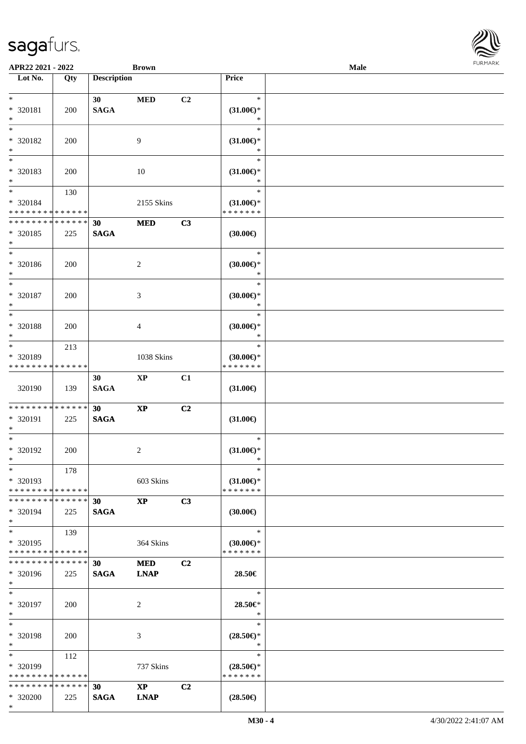\*

| APR22 2021 - 2022                       |     |                    | <b>Brown</b>           |                |                                      | Male | 10111111111 |
|-----------------------------------------|-----|--------------------|------------------------|----------------|--------------------------------------|------|-------------|
| $\overline{\phantom{1}}$ Lot No.        | Qty | <b>Description</b> |                        |                | Price                                |      |             |
|                                         |     |                    |                        |                |                                      |      |             |
| $*$                                     |     | 30 <sup>°</sup>    | <b>MED</b>             | C2             | $\ast$                               |      |             |
| * 320181                                | 200 | <b>SAGA</b>        |                        |                | $(31.00\epsilon)$ *                  |      |             |
| $*$                                     |     |                    |                        |                | $\ast$                               |      |             |
| $*$                                     |     |                    |                        |                | $\ast$                               |      |             |
| * 320182                                | 200 |                    | 9                      |                | $(31.00\epsilon)$ *                  |      |             |
| $*$                                     |     |                    |                        |                | $\ast$                               |      |             |
| $\overline{\ast}$                       |     |                    |                        |                | $\ast$                               |      |             |
| * 320183                                | 200 |                    | 10                     |                | $(31.00\epsilon)$ *                  |      |             |
| $*$                                     |     |                    |                        |                | $\ast$                               |      |             |
| $*$                                     | 130 |                    |                        |                | $\ast$                               |      |             |
| $* 320184$                              |     |                    | 2155 Skins             |                | $(31.00\epsilon)$ *                  |      |             |
| * * * * * * * * * * * * * *             |     |                    |                        |                | * * * * * * *                        |      |             |
| * * * * * * * * * * * * * *             |     | 30                 | <b>MED</b>             | C3             |                                      |      |             |
| * 320185                                | 225 | <b>SAGA</b>        |                        |                | $(30.00\epsilon)$                    |      |             |
| $*$                                     |     |                    |                        |                |                                      |      |             |
| $*$                                     |     |                    |                        |                | $\ast$                               |      |             |
| * 320186                                | 200 |                    | $\overline{c}$         |                | $(30.00\epsilon)$ *                  |      |             |
| $*$                                     |     |                    |                        |                | $\ast$                               |      |             |
| $\ast$                                  |     |                    |                        |                | $\ast$                               |      |             |
| * 320187                                | 200 |                    | $\mathfrak{Z}$         |                | $(30.00\varepsilon)$ *               |      |             |
| $*$                                     |     |                    |                        |                | $\ast$                               |      |             |
| $*$                                     |     |                    |                        |                | $\ast$                               |      |             |
| $* 320188$                              | 200 |                    | $\overline{4}$         |                | $(30.00\varepsilon)$ *               |      |             |
| $*$                                     |     |                    |                        |                | $\ast$                               |      |             |
| $*$                                     | 213 |                    |                        |                | $\ast$                               |      |             |
| * 320189                                |     |                    | 1038 Skins             |                | $(30.00\epsilon)$ *                  |      |             |
| * * * * * * * * * * * * * *             |     |                    |                        |                | * * * * * * *                        |      |             |
|                                         |     | 30                 | $\mathbf{XP}$          | C1             |                                      |      |             |
| 320190                                  | 139 | <b>SAGA</b>        |                        |                | $(31.00\epsilon)$                    |      |             |
|                                         |     |                    |                        |                |                                      |      |             |
| * * * * * * * * * * * * * *             |     | 30                 | $\bold{XP}$            | C2             |                                      |      |             |
| * 320191                                | 225 | <b>SAGA</b>        |                        |                | $(31.00\epsilon)$                    |      |             |
| $*$                                     |     |                    |                        |                |                                      |      |             |
| $*$                                     |     |                    |                        |                | $\ast$                               |      |             |
| $* 320192$                              | 200 |                    |                        |                | $(31.00\epsilon)$ *                  |      |             |
| $*$                                     |     |                    | $\overline{c}$         |                | $*$                                  |      |             |
| $*$                                     | 178 |                    |                        |                | $\ast$                               |      |             |
| * 320193                                |     |                    |                        |                |                                      |      |             |
| * * * * * * * * * * * * * *             |     |                    | 603 Skins              |                | $(31.00\epsilon)$ *<br>* * * * * * * |      |             |
| * * * * * * * * * * * * * *             |     |                    |                        |                |                                      |      |             |
|                                         |     | 30                 | $\mathbf{XP}$          | C3             |                                      |      |             |
| * 320194<br>$*$                         | 225 | <b>SAGA</b>        |                        |                | $(30.00\epsilon)$                    |      |             |
| $*$ $*$                                 |     |                    |                        |                | $\ast$                               |      |             |
|                                         | 139 |                    |                        |                |                                      |      |             |
| * 320195<br>* * * * * * * * * * * * * * |     |                    | 364 Skins              |                | $(30.00\epsilon)$ *<br>* * * * * * * |      |             |
|                                         |     |                    |                        |                |                                      |      |             |
| * * * * * * * * * * * * * * *           |     | 30                 | <b>MED</b>             | C2             |                                      |      |             |
| * 320196                                | 225 | <b>SAGA</b>        | <b>LNAP</b>            |                | 28.50€                               |      |             |
| $*$                                     |     |                    |                        |                |                                      |      |             |
| $*$                                     |     |                    |                        |                | $\ast$                               |      |             |
| * 320197                                | 200 |                    | 2                      |                | 28.50€*                              |      |             |
| $*$                                     |     |                    |                        |                | $\ast$                               |      |             |
| $*$                                     |     |                    |                        |                | $\ast$                               |      |             |
| * 320198                                | 200 |                    | 3                      |                | $(28.50\epsilon)$ *                  |      |             |
| $*$                                     |     |                    |                        |                | $\ast$                               |      |             |
| $*$ $*$                                 | 112 |                    |                        |                | $\ast$                               |      |             |
| * 320199                                |     |                    | 737 Skins              |                | $(28.50\epsilon)$ *                  |      |             |
| * * * * * * * * * * * * * *             |     |                    |                        |                | * * * * * * *                        |      |             |
| * * * * * * * * * * * * * *             |     | 30                 | $\mathbf{X}\mathbf{P}$ | C <sub>2</sub> |                                      |      |             |
| * 320200                                | 225 | <b>SAGA</b>        | <b>LNAP</b>            |                | $(28.50\epsilon)$                    |      |             |

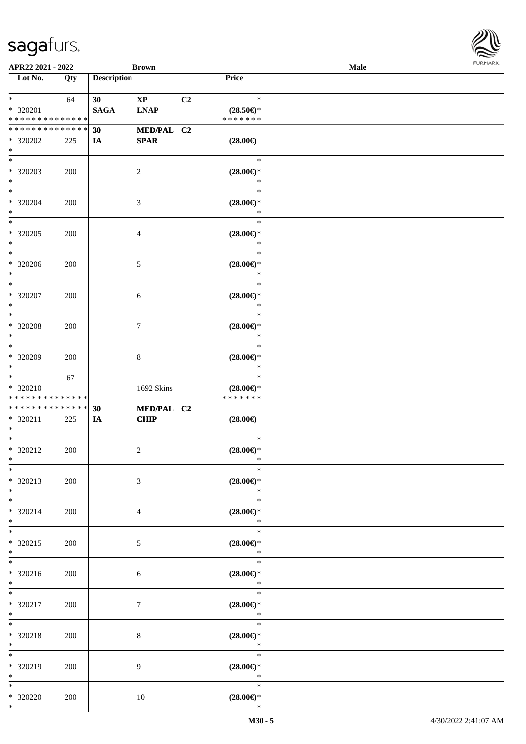| APR22 2021 - 2022                                                |     |                                | <b>Brown</b>                          |    |                                                | <b>Male</b> |  |
|------------------------------------------------------------------|-----|--------------------------------|---------------------------------------|----|------------------------------------------------|-------------|--|
| Lot No.                                                          | Qty | <b>Description</b>             |                                       |    | Price                                          |             |  |
| $*$<br>* 320201<br>* * * * * * * * <mark>* * * * * * *</mark>    | 64  | 30 <sup>°</sup><br><b>SAGA</b> | $\mathbf{X}\mathbf{P}$<br><b>LNAP</b> | C2 | $\ast$<br>$(28.50\epsilon)$ *<br>* * * * * * * |             |  |
| * * * * * * * * <mark>* * * * * *</mark><br>* 320202<br>$\ast$   | 225 | 30<br><b>IA</b>                | MED/PAL C2<br><b>SPAR</b>             |    | $(28.00\in)$                                   |             |  |
| * 320203<br>$\ast$                                               | 200 |                                | 2                                     |    | $\ast$<br>$(28.00\epsilon)$ *<br>$\ast$        |             |  |
| $\ddot{x}$<br>* 320204<br>$*$                                    | 200 |                                | 3                                     |    | $\ast$<br>$(28.00\epsilon)$ *<br>$\ast$        |             |  |
| * 320205<br>$\ast$                                               | 200 |                                | 4                                     |    | $\ast$<br>$(28.00\epsilon)$ *<br>$\ast$        |             |  |
| * 320206<br>$\ast$                                               | 200 |                                | $\mathfrak{S}$                        |    | $\ast$<br>$(28.00\epsilon)$ *<br>$\ast$        |             |  |
| $\overline{\ast}$<br>* 320207<br>$\ast$                          | 200 |                                | 6                                     |    | $\ast$<br>$(28.00\epsilon)$ *<br>$\ast$        |             |  |
| $\ddot{x}$<br>* 320208<br>$\ast$                                 | 200 |                                | $\tau$                                |    | $\ast$<br>$(28.00\epsilon)$ *<br>$\ast$        |             |  |
| $\overline{\ast}$<br>* 320209<br>$\ast$                          | 200 |                                | 8                                     |    | $\ast$<br>$(28.00\epsilon)$ *<br>$\ast$        |             |  |
| $*$<br>* 320210<br>* * * * * * * * * * * * * *                   | 67  |                                | 1692 Skins                            |    | $\ast$<br>$(28.00\epsilon)$ *<br>* * * * * * * |             |  |
| * * * * * * * * <mark>* * * * * *</mark><br>$* 320211$<br>$\ast$ | 225 | 30<br>IA                       | MED/PAL C2<br><b>CHIP</b>             |    | $(28.00\epsilon)$                              |             |  |
| $*$<br>* 320212<br>$*$ $-$                                       | 200 |                                | 2                                     |    | $\ast$<br>$(28.00\epsilon)$ *<br>$\ast$        |             |  |
| $*$<br>* 320213<br>$*$                                           | 200 |                                | 3                                     |    | $\ast$<br>$(28.00\epsilon)$ *<br>$\ast$        |             |  |
| $*$ $-$<br>$* 320214$<br>$\ast$                                  | 200 |                                | 4                                     |    | $\ast$<br>$(28.00\epsilon)$ *<br>$\star$       |             |  |
| $*$<br>* 320215<br>$*$                                           | 200 |                                | 5                                     |    | $\ast$<br>$(28.00\in)\!\!^*$<br>$\ast$         |             |  |
| $*$<br>$* 320216$<br>$*$                                         | 200 |                                | 6                                     |    | $\ast$<br>$(28.00\epsilon)$ *<br>$\ast$        |             |  |
| $\overline{\ast}$<br>* 320217<br>$*$                             | 200 |                                | 7                                     |    | $\ast$<br>$(28.00\epsilon)$ *<br>$\ast$        |             |  |
| $\ast$<br>* 320218<br>$*$                                        | 200 |                                | 8                                     |    | $\ast$<br>$(28.00\epsilon)$ *<br>$\ast$        |             |  |
| $\ast$<br>* 320219<br>$*$                                        | 200 |                                | 9                                     |    | $\ast$<br>$(28.00\epsilon)$ *<br>$\ast$        |             |  |
| $\ast$<br>* 320220<br>$\ast$                                     | 200 |                                | 10                                    |    | $\ast$<br>$(28.00\epsilon)$ *<br>$\ast$        |             |  |

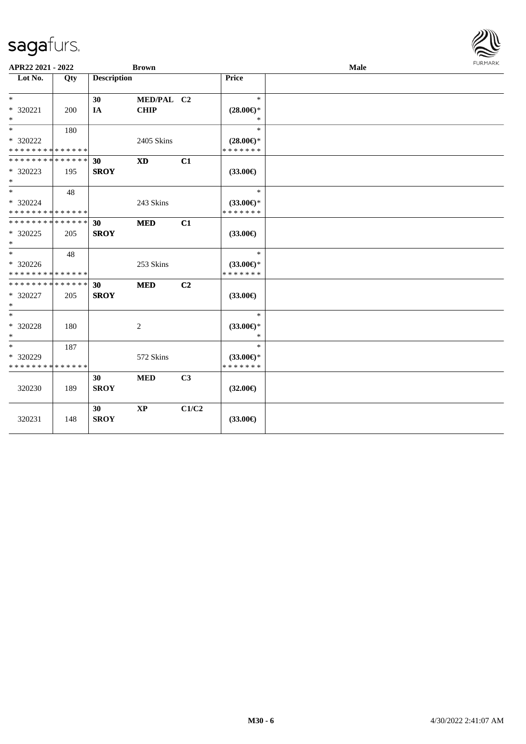| APR22 2021 - 2022                          |     |                    | <b>Brown</b> |                |                     | Male | <b>FURMARK</b> |
|--------------------------------------------|-----|--------------------|--------------|----------------|---------------------|------|----------------|
| Lot No.                                    | Qty | <b>Description</b> |              |                | Price               |      |                |
|                                            |     |                    |              |                |                     |      |                |
| $*$                                        |     | 30                 | MED/PAL C2   |                | $\ast$              |      |                |
| * 320221                                   | 200 | IA                 | <b>CHIP</b>  |                | $(28.00\epsilon)$ * |      |                |
| $*$<br>$\ast$                              |     |                    |              |                | $\ast$              |      |                |
|                                            | 180 |                    |              |                | $\ast$              |      |                |
| * 320222                                   |     |                    | 2405 Skins   |                | $(28.00\epsilon)$ * |      |                |
| * * * * * * * * * * * * * *                |     |                    |              |                | * * * * * * *       |      |                |
| * * * * * * * * * * * * * * *              |     | 30                 | <b>XD</b>    | C1             |                     |      |                |
| * 320223                                   | 195 | <b>SROY</b>        |              |                | $(33.00\epsilon)$   |      |                |
| $*$                                        |     |                    |              |                |                     |      |                |
| $*$                                        | 48  |                    |              |                | $\ast$              |      |                |
| * 320224                                   |     |                    | 243 Skins    |                | $(33.00\epsilon)$ * |      |                |
| * * * * * * * * * * * * * *                |     |                    |              |                | * * * * * * *       |      |                |
| * * * * * * * * <mark>* * * * * *</mark>   |     | 30                 | <b>MED</b>   | C1             |                     |      |                |
| * 320225                                   | 205 | <b>SROY</b>        |              |                | $(33.00\epsilon)$   |      |                |
| $*$                                        |     |                    |              |                |                     |      |                |
| $*$                                        | 48  |                    |              |                | $\ast$              |      |                |
| * 320226                                   |     |                    | 253 Skins    |                | $(33.00\epsilon)$ * |      |                |
| * * * * * * * * * * * * * *                |     |                    |              |                | * * * * * * *       |      |                |
| * * * * * * * * <mark>* * * * * * *</mark> |     | 30                 | <b>MED</b>   | C2             |                     |      |                |
| * 320227                                   | 205 | <b>SROY</b>        |              |                | $(33.00\epsilon)$   |      |                |
| $*$                                        |     |                    |              |                |                     |      |                |
| $*$                                        |     |                    |              |                | $\ast$              |      |                |
| * 320228                                   | 180 |                    | 2            |                | $(33.00\epsilon)$ * |      |                |
| $\ast$                                     |     |                    |              |                | $\ast$              |      |                |
| $\ast$                                     | 187 |                    |              |                | $\ast$              |      |                |
| * 320229                                   |     |                    | 572 Skins    |                | $(33.00\epsilon)$ * |      |                |
| * * * * * * * * * * * * * *                |     |                    |              |                | * * * * * * *       |      |                |
|                                            |     | 30                 | <b>MED</b>   | C <sub>3</sub> |                     |      |                |
| 320230                                     | 189 | <b>SROY</b>        |              |                | $(32.00\epsilon)$   |      |                |
|                                            |     |                    |              |                |                     |      |                |
|                                            |     | 30                 | $\bold{XP}$  | C1/C2          |                     |      |                |
| 320231                                     | 148 | <b>SROY</b>        |              |                | $(33.00\epsilon)$   |      |                |
|                                            |     |                    |              |                |                     |      |                |

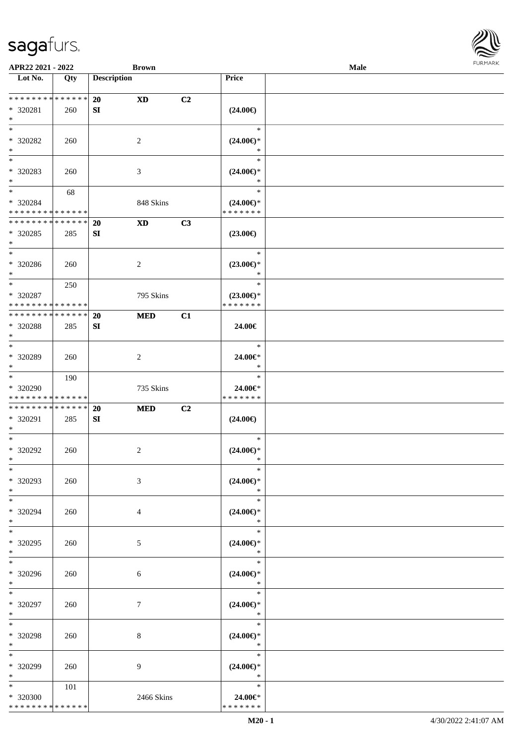

| APR22 2021 - 2022                                                       |     | <b>Brown</b>           |    |                                                | Male |  |
|-------------------------------------------------------------------------|-----|------------------------|----|------------------------------------------------|------|--|
| Lot No.                                                                 | Qty | <b>Description</b>     |    | Price                                          |      |  |
| * * * * * * * * * * * * * *<br>* 320281<br>$\ast$                       | 260 | 20<br><b>XD</b><br>SI  | C2 | $(24.00\epsilon)$                              |      |  |
| $\ast$<br>* 320282<br>$\ast$                                            | 260 | 2                      |    | $\ast$<br>$(24.00\epsilon)$ *<br>$\ast$        |      |  |
| $_{\ast}^{-}$<br>$* 320283$<br>$\ast$                                   | 260 | 3                      |    | $\ast$<br>$(24.00\epsilon)$ *<br>$\ast$        |      |  |
| $\overline{\phantom{a}^*}$<br>* 320284<br>* * * * * * * * * * * * * * * | 68  | 848 Skins              |    | $\ast$<br>$(24.00\epsilon)$ *<br>* * * * * * * |      |  |
| * * * * * * * * * * * * * *<br>$*320285$<br>$\ast$                      | 285 | 20<br><b>XD</b><br>SI  | C3 | $(23.00\epsilon)$                              |      |  |
| $\ast$<br>$* 320286$<br>$\ast$                                          | 260 | 2                      |    | $\ast$<br>$(23.00\epsilon)$ *<br>$\ast$        |      |  |
| $\ast$<br>* 320287<br>* * * * * * * * * * * * * *                       | 250 | 795 Skins              |    | $\ast$<br>$(23.00\epsilon)$ *<br>* * * * * * * |      |  |
| * * * * * * * * * * * * * *<br>* 320288<br>$\ast$                       | 285 | 20<br><b>MED</b><br>SI | C1 | 24.00€                                         |      |  |
| $\overline{\phantom{a}^*}$<br>* 320289<br>$\ast$                        | 260 | $\overline{2}$         |    | $\ast$<br>24.00€*<br>$\ast$                    |      |  |
| $\ast$<br>* 320290<br>* * * * * * * * * * * * * *                       | 190 | 735 Skins              |    | $\ast$<br>24.00€*<br>* * * * * * *             |      |  |
| * * * * * * * * * * * * * *<br>* 320291<br>$*$                          | 285 | 20<br><b>MED</b><br>SI | C2 | $(24.00\epsilon)$                              |      |  |
| $\ast$<br>$* 320292$<br>$*$                                             | 260 | $\overline{c}$         |    | $\ast$<br>$(24.00\epsilon)$ *<br>$\ast$        |      |  |
| $*$<br>* 320293<br>$\ast$                                               | 260 | 3                      |    | $\ast$<br>$(24.00\epsilon)$ *<br>$\ast$        |      |  |
| $*$<br>* 320294<br>$*$                                                  | 260 | 4                      |    | $\ast$<br>$(24.00\epsilon)$ *<br>$\ast$        |      |  |
| $\ast$<br>* 320295<br>$*$                                               | 260 | 5                      |    | $\ast$<br>$(24.00\mathbb{E})^*$<br>$\ast$      |      |  |
| $\ast$<br>* 320296<br>$*$                                               | 260 | 6                      |    | $\ast$<br>$(24.00\epsilon)$ *<br>$\rightarrow$ |      |  |
| $*$<br>* 320297<br>$*$                                                  | 260 | $\tau$                 |    | $\ast$<br>$(24.00\epsilon)$ *<br>$\ast$        |      |  |
| $\ast$<br>* 320298<br>$*$                                               | 260 | 8                      |    | $\ast$<br>$(24.00\epsilon)$ *<br>$\ast$        |      |  |
| $\ast$<br>* 320299<br>$*$                                               | 260 | 9                      |    | $\ast$<br>$(24.00\epsilon)$ *<br>$\ast$        |      |  |
| $*$<br>* 320300<br>* * * * * * * * * * * * * *                          | 101 | 2466 Skins             |    | $\ast$<br>24.00€*<br>* * * * * * *             |      |  |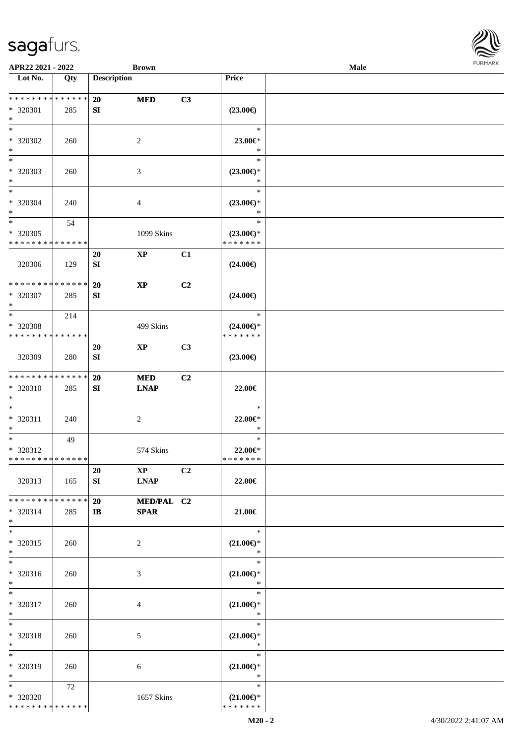| Lot No.                                                             | Qty | <b>Description</b>                                        | <b>Price</b>                                   |  |
|---------------------------------------------------------------------|-----|-----------------------------------------------------------|------------------------------------------------|--|
| **************<br>* 320301<br>$\ast$                                | 285 | C3<br><b>MED</b><br>20<br>SI                              | $(23.00\epsilon)$                              |  |
| $\overline{\ast}$<br>* 320302<br>$\ast$                             | 260 | 2                                                         | $\ast$<br>23.00€*<br>$\ast$                    |  |
| $*$<br>* 320303<br>$\ast$                                           | 260 | $\mathfrak{Z}$                                            | $\ast$<br>$(23.00\epsilon)$ *<br>$\ast$        |  |
| $\overline{\phantom{a}^*}$<br>* 320304<br>$\ast$                    | 240 | $\overline{4}$                                            | $\ast$<br>$(23.00\epsilon)$ *<br>$\ast$        |  |
| $\overline{\phantom{a}}$<br>* 320305<br>* * * * * * * * * * * * * * | 54  | 1099 Skins                                                | $\ast$<br>$(23.00\epsilon)$ *<br>* * * * * * * |  |
| 320306                                                              | 129 | C1<br>$\mathbf{XP}$<br>20<br>SI                           | $(24.00\epsilon)$                              |  |
| * * * * * * * * * * * * * *<br>* 320307<br>$\ast$                   | 285 | $\bold{XP}$<br>C2<br>20<br>SI                             | $(24.00\epsilon)$                              |  |
| $\ast$<br>* 320308<br>* * * * * * * * * * * * * *                   | 214 | 499 Skins                                                 | $\ast$<br>$(24.00\epsilon)$ *<br>* * * * * * * |  |
| 320309                                                              | 280 | $\mathbf{X}\mathbf{P}$<br>C3<br>20<br>SI                  | $(23.00\epsilon)$                              |  |
| * * * * * * * * * * * * * *<br>* 320310<br>$\ast$                   | 285 | 20<br><b>MED</b><br>C2<br><b>LNAP</b><br>${\bf S}{\bf I}$ | 22.00€                                         |  |
| $\ast$<br>* 320311<br>$\ast$                                        | 240 | $\overline{2}$                                            | $\ast$<br>22.00€*<br>$\ast$                    |  |
| $*$<br>* 320312<br>* * * * * * * * * * * * * * *                    | 49  | 574 Skins                                                 | $\ast$<br>22.00€*<br>* * * * * * *             |  |
| 320313                                                              | 165 | 20<br>$\mathbf{X}\mathbf{P}$<br>C2<br>SI<br><b>LNAP</b>   | 22.00€                                         |  |
| ******** <mark>******</mark><br>* 320314<br>$\ast$                  | 285 | MED/PAL C2<br>20<br><b>SPAR</b><br>$\mathbf{I}$           | 21.00€                                         |  |
| $*$<br>$* 320315$<br>$\ast$                                         | 260 | 2                                                         | $\ast$<br>$(21.00\mathbb{E})^*$<br>$\ast$      |  |
| $\ast$<br>$* 320316$<br>$*$                                         | 260 | $\mathfrak{Z}$                                            | $\ast$<br>$(21.00\epsilon)$ *<br>$\ast$        |  |
| $\ast$<br>* 320317<br>$*$                                           | 260 | $\overline{4}$                                            | $\ast$<br>$(21.00\in)\!\!^*$<br>$\ast$         |  |
| $\ast$<br>* 320318<br>$\ast$                                        | 260 | $5\,$                                                     | $\ast$<br>$(21.00\epsilon)$ *<br>$\ast$        |  |
| $\ast$<br>* 320319<br>$*$                                           | 260 | 6                                                         | $\ast$<br>$(21.00\epsilon)$ *<br>$\ast$        |  |
| $\ast$<br>* 320320<br>* * * * * * * * * * * * * *                   | 72  | 1657 Skins                                                | $\ast$<br>$(21.00\epsilon)$ *<br>* * * * * * * |  |

**APR22 2021 - 2022 Brown Male**

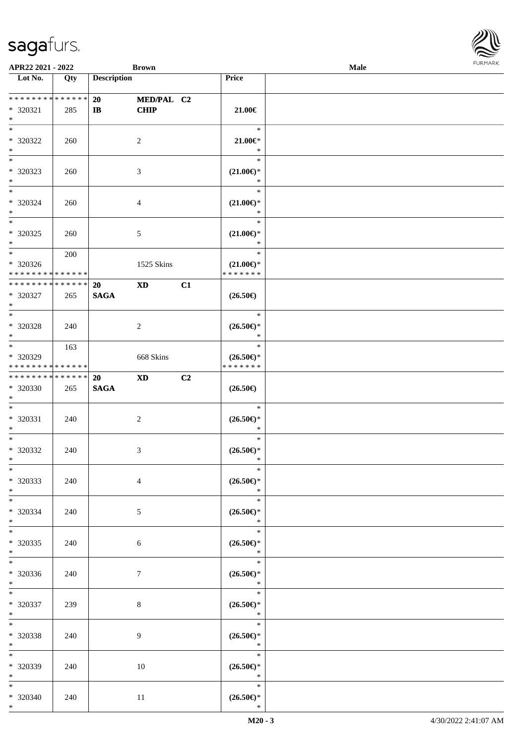| APR22 2021 - 2022                                                         |     |                    | <b>Brown</b>   |    |                                                    | Male |  |
|---------------------------------------------------------------------------|-----|--------------------|----------------|----|----------------------------------------------------|------|--|
| Lot No.                                                                   | Qty | <b>Description</b> |                |    | Price                                              |      |  |
|                                                                           |     |                    |                |    |                                                    |      |  |
| * * * * * * * * * * * * * * <mark>*</mark>                                |     | 20                 | MED/PAL C2     |    |                                                    |      |  |
| * 320321                                                                  | 285 | $\mathbf{I}$       | <b>CHIP</b>    |    | 21.00€                                             |      |  |
| $*$                                                                       |     |                    |                |    |                                                    |      |  |
| $\ast$                                                                    |     |                    |                |    | $\ast$                                             |      |  |
| * 320322                                                                  | 260 |                    | 2              |    | $21.00 \in$                                        |      |  |
| $\ast$                                                                    |     |                    |                |    | $\ast$                                             |      |  |
| $*$                                                                       |     |                    |                |    | $\ast$                                             |      |  |
| * 320323                                                                  | 260 |                    | 3              |    | $(21.00\epsilon)$ *                                |      |  |
| $\ast$                                                                    |     |                    |                |    | $\ast$                                             |      |  |
| $*$                                                                       |     |                    |                |    | $\ast$                                             |      |  |
| * 320324                                                                  | 260 |                    | $\overline{4}$ |    | $(21.00\epsilon)$ *                                |      |  |
| $*$                                                                       |     |                    |                |    | $\ast$                                             |      |  |
| $\overline{\ast}$                                                         |     |                    |                |    | $\ast$                                             |      |  |
| * 320325                                                                  | 260 |                    | $\mathfrak{S}$ |    | $(21.00\epsilon)$ *                                |      |  |
| $\ast$<br>$*$                                                             |     |                    |                |    | $\ast$                                             |      |  |
|                                                                           | 200 |                    |                |    | $\ast$                                             |      |  |
| * 320326                                                                  |     |                    | 1525 Skins     |    | $(21.00\epsilon)$ *                                |      |  |
| * * * * * * * * <mark>* * * * * * *</mark><br>* * * * * * * * * * * * * * |     |                    |                |    | * * * * * * *                                      |      |  |
|                                                                           |     | 20                 | <b>XD</b>      | C1 |                                                    |      |  |
| * 320327                                                                  | 265 | <b>SAGA</b>        |                |    | $(26.50\epsilon)$                                  |      |  |
| $\ast$<br>$\overline{\ast}$                                               |     |                    |                |    | $\ast$                                             |      |  |
|                                                                           |     |                    |                |    |                                                    |      |  |
| * 320328                                                                  | 240 |                    | 2              |    | $(26.50\epsilon)$ *<br>$\ast$                      |      |  |
| $\ast$<br>$*$                                                             |     |                    |                |    | $\ast$                                             |      |  |
|                                                                           | 163 |                    |                |    |                                                    |      |  |
| * 320329<br>* * * * * * * * * * * * * *                                   |     |                    | 668 Skins      |    | $(26.50\epsilon)$ *<br>* * * * * * *               |      |  |
| ******** <mark>******</mark>                                              |     | <b>20</b>          | <b>XD</b>      | C2 |                                                    |      |  |
| * 320330                                                                  | 265 | <b>SAGA</b>        |                |    | $(26.50\epsilon)$                                  |      |  |
| $*$                                                                       |     |                    |                |    |                                                    |      |  |
| $\ddot{x}$                                                                |     |                    |                |    | $\ast$                                             |      |  |
| * 320331                                                                  | 240 |                    | 2              |    | $(26.50\epsilon)$ *                                |      |  |
| $\ast$                                                                    |     |                    |                |    | $\ast$                                             |      |  |
| $\ddot{x}$                                                                |     |                    |                |    | $\ast$                                             |      |  |
| * 320332                                                                  | 240 |                    | 3              |    | $(26.50\epsilon)$ *                                |      |  |
| $*$ $-$                                                                   |     |                    |                |    | $\ast$                                             |      |  |
| $*$                                                                       |     |                    |                |    | $\ast$                                             |      |  |
| * 320333                                                                  | 240 |                    | $\overline{4}$ |    | $(26.50\epsilon)$ *                                |      |  |
| $*$                                                                       |     |                    |                |    | $\ast$                                             |      |  |
| $*$ $-$                                                                   |     |                    |                |    | $\ast$                                             |      |  |
| * 320334                                                                  | 240 |                    | 5              |    | $(26.50\epsilon)$ *                                |      |  |
| $*$                                                                       |     |                    |                |    | $\star$                                            |      |  |
| $*$                                                                       |     |                    |                |    | $\ast$                                             |      |  |
| * 320335                                                                  | 240 |                    | 6              |    | $(26.50\mathnormal{\in}\mathcal{)^{\! \! \times}}$ |      |  |
| $*$                                                                       |     |                    |                |    | $\bullet$ $\bullet$                                |      |  |
| $\ddot{x}$                                                                |     |                    |                |    | $\overline{\phantom{a}}$ $\ast$                    |      |  |
| * 320336                                                                  | 240 |                    | 7              |    | $(26.50\epsilon)$ *                                |      |  |
| $*$                                                                       |     |                    |                |    | $\ast$                                             |      |  |
| $*$                                                                       |     |                    |                |    | $\ast$                                             |      |  |
| * 320337                                                                  | 239 |                    | 8              |    | $(26.50\epsilon)$ *                                |      |  |
| $*$                                                                       |     |                    |                |    | $\ast$                                             |      |  |
| $*$                                                                       |     |                    |                |    | $\ast$                                             |      |  |
| * 320338                                                                  | 240 |                    | 9              |    | $(26.50\epsilon)$ *                                |      |  |
| $\ast$<br>$*$                                                             |     |                    |                |    | $\ast$<br>$\ast$                                   |      |  |
|                                                                           |     |                    |                |    |                                                    |      |  |
| * 320339                                                                  | 240 |                    | 10             |    | $(26.50\epsilon)$ *<br>$\ast$                      |      |  |
| $*$ $-$<br>$*$ $-$                                                        |     |                    |                |    | $\ast$                                             |      |  |
| * 320340                                                                  | 240 |                    | 11             |    | $(26.50\epsilon)$ *                                |      |  |
| $*$                                                                       |     |                    |                |    | $\ast$                                             |      |  |
|                                                                           |     |                    |                |    |                                                    |      |  |

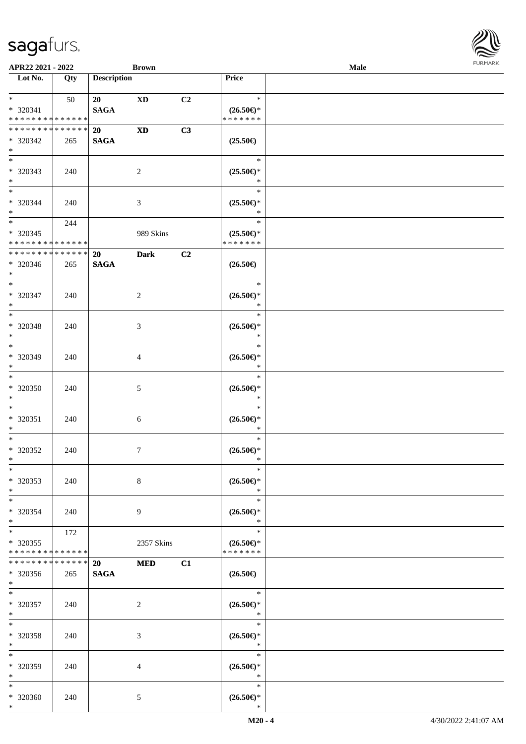\*

| APR22 2021 - 2022                                                                 |                      |                          | <b>Brown</b>   |    |                                                | Male |  |
|-----------------------------------------------------------------------------------|----------------------|--------------------------|----------------|----|------------------------------------------------|------|--|
| Lot No.                                                                           | Qty                  | <b>Description</b>       |                |    | Price                                          |      |  |
| $\ddot{x}$<br>* 320341<br>* * * * * * * * <mark>* * * * * * *</mark>              | 50                   | 20<br><b>SAGA</b>        | XD             | C2 | $\ast$<br>$(26.50\epsilon)$ *<br>* * * * * * * |      |  |
| * * * * * * * * <mark>* * * * * *</mark><br>* 320342<br>$\ast$                    | 265                  | 20<br><b>SAGA</b>        | <b>XD</b>      | C3 | $(25.50\epsilon)$                              |      |  |
| $\overline{\phantom{0}}$<br>* 320343<br>$\ast$                                    | 240                  |                          | 2              |    | $\ast$<br>$(25.50\epsilon)$ *<br>$\ast$        |      |  |
| $*$<br>* 320344<br>$*$                                                            | 240                  |                          | 3              |    | $\ast$<br>$(25.50\epsilon)$ *<br>$\ast$        |      |  |
| $\overline{\mathbf{r}}$<br>* 320345<br>* * * * * * * * <mark>* * * * * * *</mark> | 244                  |                          | 989 Skins      |    | $\ast$<br>$(25.50\epsilon)$ *<br>* * * * * * * |      |  |
| * * * * * * * * * * * * * *<br>* 320346<br>$\ast$                                 | 265                  | 20<br><b>SAGA</b>        | <b>Dark</b>    | C2 | $(26.50\epsilon)$                              |      |  |
| $*$<br>$* 320347$<br>$*$                                                          | 240                  |                          | $\overline{2}$ |    | $\ast$<br>$(26.50\epsilon)$ *<br>$\ast$        |      |  |
| * 320348<br>$\ast$                                                                | 240                  |                          | 3              |    | $\ast$<br>$(26.50\epsilon)$ *<br>$\ast$        |      |  |
| $*$<br>* 320349<br>$\ast$                                                         | 240                  |                          | 4              |    | $\ast$<br>$(26.50\epsilon)$ *<br>$\ast$        |      |  |
| $\ast$<br>* 320350<br>$*$                                                         | 240                  |                          | 5              |    | $\ast$<br>$(26.50\epsilon)$ *<br>$\ast$        |      |  |
| $\ddot{x}$<br>* 320351<br>$\ast$                                                  | 240                  |                          | 6              |    | $\ast$<br>$(26.50\epsilon)$ *<br>$\ast$        |      |  |
| $\ddot{x}$<br>* 320352<br>$\ast$                                                  | 240                  |                          | $\tau$         |    | $\ast$<br>$(26.50\epsilon)$ *<br>$*$           |      |  |
| $\ast$<br>* 320353<br>$*$                                                         | 240                  |                          | 8              |    | $\ast$<br>$(26.50\epsilon)$ *<br>$\ast$        |      |  |
| $*$ $-$<br>* 320354<br>$\ast$                                                     | 240                  |                          | 9              |    | $\ast$<br>$(26.50\epsilon)$ *<br>$\ast$        |      |  |
| $*$<br>* 320355<br>* * * * * * * * <mark>* * * * * * *</mark>                     | 172                  |                          | 2357 Skins     |    | $\ast$<br>$(26.50\epsilon)$ *<br>* * * * * * * |      |  |
| * * * * * * * *<br>* 320356<br>$*$ $\qquad$                                       | * * * * * *  <br>265 | <b>20</b><br><b>SAGA</b> | <b>MED</b>     | C1 | $(26.50\epsilon)$                              |      |  |
| $\ddot{x}$<br>* 320357<br>$*$                                                     | 240                  |                          | $\overline{2}$ |    | $ *$<br>$(26.50\epsilon)$ *<br>$\ast$          |      |  |
| $*$ $-$<br>* 320358<br>$\ast$                                                     | 240                  |                          | 3              |    | $\ast$<br>$(26.50\epsilon)$ *<br>$\ast$        |      |  |
| $\ast$<br>* 320359<br>$*$                                                         | 240                  |                          | 4              |    | $\ast$<br>$(26.50\epsilon)$ *<br>$\ast$        |      |  |
| $*$<br>* 320360<br>$\ast$                                                         | 240                  |                          | $\mathfrak{S}$ |    | $\ast$<br>$(26.50\epsilon)$ *<br>$\ast$        |      |  |

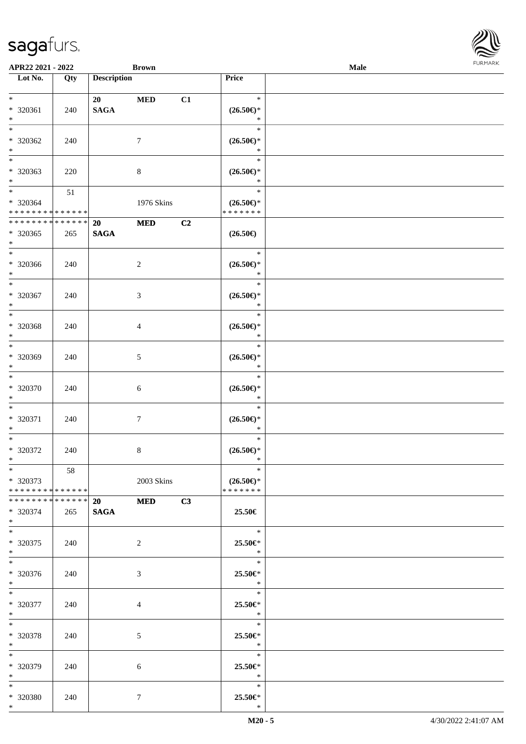| APR22 2021 - 2022                          |     |                    | <b>Brown</b>   |                |                                                    | Male | <b>FURMARK</b> |
|--------------------------------------------|-----|--------------------|----------------|----------------|----------------------------------------------------|------|----------------|
| Lot No.                                    | Qty | <b>Description</b> |                |                | Price                                              |      |                |
| $*$                                        |     | 20                 | <b>MED</b>     | C1             | $\ast$                                             |      |                |
| $* 320361$                                 | 240 | <b>SAGA</b>        |                |                | $(26.50\epsilon)$ *                                |      |                |
| $*$                                        |     |                    |                |                | $\ast$                                             |      |                |
| $*$                                        |     |                    |                |                | $\ast$                                             |      |                |
| $* 320362$                                 | 240 |                    | $\tau$         |                | $(26.50\epsilon)$ *                                |      |                |
| $*$                                        |     |                    |                |                | $\ast$                                             |      |                |
| $\overline{\phantom{0}}$                   |     |                    |                |                | $\ast$                                             |      |                |
| * 320363                                   | 220 |                    | $8\,$          |                | $(26.50\mathnormal{\in}\mathcal{)^{\! \! \times}}$ |      |                |
| $*$                                        |     |                    |                |                | $\ast$                                             |      |                |
| $*$                                        | 51  |                    |                |                | $\ast$                                             |      |                |
| * 320364                                   |     |                    | 1976 Skins     |                | $(26.50\epsilon)$ *                                |      |                |
| * * * * * * * * * * * * * *                |     |                    |                |                | * * * * * * *                                      |      |                |
| * * * * * * * * * * * * * *                |     | <b>20</b>          | <b>MED</b>     | C <sub>2</sub> |                                                    |      |                |
| $*320365$                                  | 265 | <b>SAGA</b>        |                |                | $(26.50\epsilon)$                                  |      |                |
| $*$                                        |     |                    |                |                |                                                    |      |                |
| $*$                                        |     |                    |                |                | $\ast$                                             |      |                |
| $* 320366$                                 | 240 |                    | $\sqrt{2}$     |                | $(26.50\mathnormal{\in}\mathcal{)^{\! \! \times}}$ |      |                |
| $*$                                        |     |                    |                |                | $\ast$                                             |      |                |
| $*$                                        |     |                    |                |                | $\ast$                                             |      |                |
| * 320367                                   | 240 |                    | $\mathfrak{Z}$ |                | $(26.50\epsilon)$ *                                |      |                |
| $*$                                        |     |                    |                |                | $\ast$                                             |      |                |
| $*$                                        |     |                    |                |                | $\ast$                                             |      |                |
| * 320368                                   |     |                    |                |                | $(26.50\epsilon)$ *                                |      |                |
| $*$                                        | 240 |                    | $\overline{4}$ |                | $\ast$                                             |      |                |
| $*$                                        |     |                    |                |                | $\ast$                                             |      |                |
| * 320369                                   |     |                    | $\mathfrak{S}$ |                | $(26.50\mathnormal{\in}\mathcal{)^{\! \! \times}}$ |      |                |
| $*$                                        | 240 |                    |                |                | $\ast$                                             |      |                |
| $\overline{\phantom{0}}$                   |     |                    |                |                | $\ast$                                             |      |                |
| $* 320370$                                 |     |                    |                |                |                                                    |      |                |
| $*$                                        | 240 |                    | 6              |                | $(26.50\epsilon)$ *<br>$\ast$                      |      |                |
| $*$                                        |     |                    |                |                | $\ast$                                             |      |                |
|                                            |     |                    |                |                |                                                    |      |                |
| $* 320371$                                 | 240 |                    | $\tau$         |                | $(26.50\epsilon)$ *<br>$\ast$                      |      |                |
| $*$<br>$*$                                 |     |                    |                |                | $\ast$                                             |      |                |
|                                            |     |                    |                |                |                                                    |      |                |
| $* 320372$                                 | 240 |                    | 8              |                | $(26.50\epsilon)$ *                                |      |                |
| $*$                                        |     |                    |                |                | $\ast$                                             |      |                |
| $\ast$                                     | 58  |                    |                |                | $\ast$                                             |      |                |
| * 320373                                   |     |                    | 2003 Skins     |                | $(26.50\epsilon)$ *                                |      |                |
| * * * * * * * * <mark>* * * * * * *</mark> |     |                    |                |                | * * * * * * *                                      |      |                |
| * * * * * * * * * * * * * *                |     | 20                 | <b>MED</b>     | C3             |                                                    |      |                |
| * 320374                                   | 265 | <b>SAGA</b>        |                |                | 25.50€                                             |      |                |
| $*$                                        |     |                    |                |                |                                                    |      |                |
| $*$                                        |     |                    |                |                | $\ast$                                             |      |                |
| * 320375                                   | 240 |                    | $\overline{2}$ |                | 25.50€*                                            |      |                |
| $*$                                        |     |                    |                |                | $\ast$                                             |      |                |
| $*$                                        |     |                    |                |                | $\ast$                                             |      |                |
| * 320376                                   | 240 |                    | $\mathfrak{Z}$ |                | 25.50€*                                            |      |                |
| $*$                                        |     |                    |                |                | $\ast$                                             |      |                |
| $*$                                        |     |                    |                |                | $\ast$                                             |      |                |
| * 320377                                   | 240 |                    | 4              |                | 25.50€*                                            |      |                |
| $*$                                        |     |                    |                |                | $\ast$                                             |      |                |
| $*$                                        |     |                    |                |                | $\ast$                                             |      |                |
| * 320378                                   | 240 |                    | 5              |                | 25.50€*                                            |      |                |
| $*$                                        |     |                    |                |                | $\ast$                                             |      |                |
| $*$                                        |     |                    |                |                | $\ast$                                             |      |                |
| * 320379                                   | 240 |                    | 6              |                | 25.50€*                                            |      |                |
| $*$                                        |     |                    |                |                | $\ast$                                             |      |                |
| $*$                                        |     |                    |                |                | $\ast$                                             |      |                |
| * 320380                                   | 240 |                    | $\tau$         |                | 25.50€*                                            |      |                |
| $*$                                        |     |                    |                |                | $\ast$                                             |      |                |

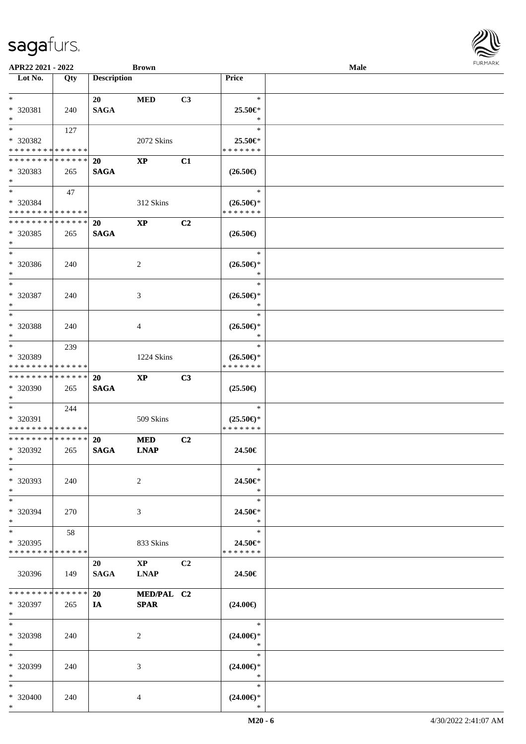| APR22 2021 - 2022                                                 |                    |                          | <b>Brown</b>                          |                |                                                | Male |  |
|-------------------------------------------------------------------|--------------------|--------------------------|---------------------------------------|----------------|------------------------------------------------|------|--|
| Lot No.                                                           | Qty                | <b>Description</b>       |                                       |                | Price                                          |      |  |
| $*$<br>* 320381<br>$*$                                            | 240                | 20<br><b>SAGA</b>        | <b>MED</b>                            | C3             | $\ast$<br>25.50€*<br>$\ast$                    |      |  |
| $*$<br>* 320382<br>* * * * * * * * * * * * * *                    | 127                |                          | 2072 Skins                            |                | $\ast$<br>25.50€*<br>* * * * * * *             |      |  |
| * * * * * * * * * * * * * * *<br>* 320383<br>$\ast$               | 265                | <b>20</b><br><b>SAGA</b> | $\mathbf{XP}$                         | C1             | $(26.50\epsilon)$                              |      |  |
| $*$ $*$<br>* 320384<br>* * * * * * * * <mark>* * * * * * *</mark> | 47                 |                          | 312 Skins                             |                | $\ast$<br>$(26.50\epsilon)$ *<br>* * * * * * * |      |  |
| * * * * * * * * <mark>* * * * * * *</mark><br>* 320385<br>$\ast$  | 265                | 20<br><b>SAGA</b>        | $\mathbf{X}\mathbf{P}$                | C2             | $(26.50\epsilon)$                              |      |  |
| $\ddot{x}$<br>* 320386<br>$*$<br>$\overline{\ast}$                | 240                |                          | 2                                     |                | $\ast$<br>$(26.50\epsilon)$ *<br>$\ast$        |      |  |
| * 320387<br>$\ast$                                                | 240                |                          | 3                                     |                | $\ast$<br>$(26.50\epsilon)$ *<br>$\ast$        |      |  |
| $\ast$<br>* 320388<br>$\ast$<br>$*$                               | 240                |                          | 4                                     |                | $\ast$<br>$(26.50\epsilon)$ *<br>$\ast$        |      |  |
| * 320389<br>* * * * * * * * <mark>* * * * * * *</mark>            | 239                |                          | 1224 Skins                            |                | $\ast$<br>$(26.50\epsilon)$ *<br>* * * * * * * |      |  |
| * * * * * * * * * * * * * * *<br>* 320390<br>$*$                  | 265                | 20<br><b>SAGA</b>        | <b>XP</b>                             | C3             | $(25.50\epsilon)$                              |      |  |
| $*$<br>* 320391<br>* * * * * * * * * * * * * *                    | 244                |                          | 509 Skins                             |                | $\ast$<br>$(25.50\epsilon)$ *<br>* * * * * * * |      |  |
| * * * * * * * * * * * * * * <mark>*</mark><br>* 320392<br>$\ast$  | 265                | <b>20</b><br><b>SAGA</b> | <b>MED</b><br><b>LNAP</b>             | C <sub>2</sub> | 24.50€                                         |      |  |
| $\ast$<br>* 320393<br>$*$                                         | 240                |                          | 2                                     |                | $\ast$<br>24.50€*<br>$\ast$                    |      |  |
| $\ast$<br>* 320394<br>$\ast$                                      | 270                |                          | 3                                     |                | $\ast$<br>24.50€*<br>$\ast$                    |      |  |
| $\ast$<br>* 320395<br>* * * * * * * * <mark>* * * * * *</mark>    | 58                 |                          | 833 Skins                             |                | $\ast$<br>24.50€*<br>* * * * * * *             |      |  |
| 320396                                                            | 149                | 20<br><b>SAGA</b>        | $\mathbf{X}\mathbf{P}$<br><b>LNAP</b> | C <sub>2</sub> | 24.50€                                         |      |  |
| * * * * * * * *<br>* 320397<br>$\ast$                             | * * * * * *<br>265 | 20<br><b>IA</b>          | MED/PAL C2<br><b>SPAR</b>             |                | $(24.00\epsilon)$                              |      |  |
| $\ast$<br>* 320398<br>$\ast$                                      | 240                |                          | 2                                     |                | $\rightarrow$<br>$(24.00\epsilon)$ *<br>$\ast$ |      |  |
| $\ast$<br>* 320399<br>$\ast$                                      | 240                |                          | 3                                     |                | $\ast$<br>$(24.00\epsilon)$ *<br>$\ast$        |      |  |
| $\ast$<br>* 320400<br>$*$ $-$                                     | 240                |                          | 4                                     |                | $\ast$<br>$(24.00\epsilon)$ *<br>$\ast$        |      |  |

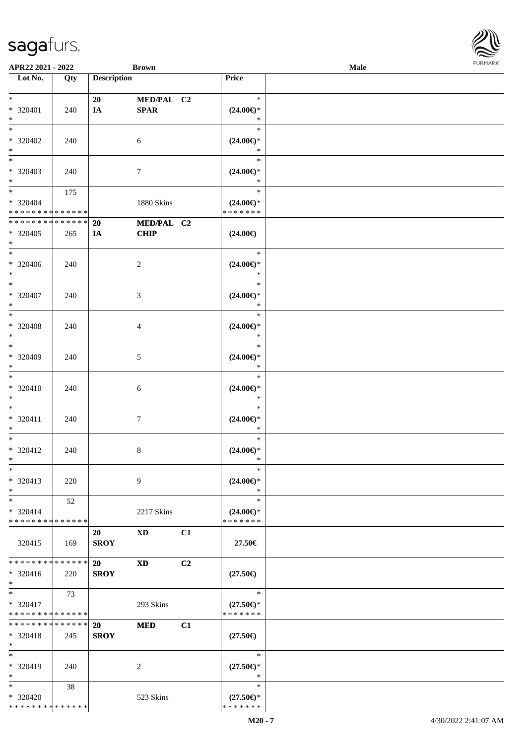| APR22 2021 - 2022           |       |                    | <b>Brown</b>     |                |                     | <b>Male</b> |  |
|-----------------------------|-------|--------------------|------------------|----------------|---------------------|-------------|--|
| Lot No.                     | Qty   | <b>Description</b> |                  |                | Price               |             |  |
|                             |       |                    |                  |                |                     |             |  |
| $*$                         |       | 20                 | MED/PAL C2       |                | $\ast$              |             |  |
| $* 320401$                  | 240   | IA                 | SPAR             |                | $(24.00\epsilon)$ * |             |  |
| $*$                         |       |                    |                  |                | $\ast$              |             |  |
| $*$                         |       |                    |                  |                |                     |             |  |
|                             |       |                    |                  |                | $\ast$              |             |  |
| $* 320402$                  | 240   |                    | 6                |                | $(24.00\epsilon)$ * |             |  |
| $*$                         |       |                    |                  |                | $\ast$              |             |  |
| $\overline{\phantom{0}}$    |       |                    |                  |                | $\ast$              |             |  |
| * 320403                    | 240   |                    | $\tau$           |                | $(24.00\epsilon)$ * |             |  |
| $*$                         |       |                    |                  |                | $\ast$              |             |  |
| $*$                         |       |                    |                  |                | $\ast$              |             |  |
|                             | 175   |                    |                  |                |                     |             |  |
| $* 320404$                  |       |                    | 1880 Skins       |                | $(24.00\epsilon)$ * |             |  |
| * * * * * * * * * * * * * * |       |                    |                  |                | * * * * * * *       |             |  |
| * * * * * * * * * * * * * * |       | 20                 | MED/PAL C2       |                |                     |             |  |
| * 320405                    | 265   | IA                 | <b>CHIP</b>      |                | $(24.00\epsilon)$   |             |  |
| $*$                         |       |                    |                  |                |                     |             |  |
| $*$                         |       |                    |                  |                | $\ast$              |             |  |
| * 320406                    | 240   |                    | $\overline{2}$   |                | $(24.00\epsilon)$ * |             |  |
| $*$                         |       |                    |                  |                | $\ast$              |             |  |
|                             |       |                    |                  |                |                     |             |  |
| $*$                         |       |                    |                  |                | $\ast$              |             |  |
| $* 320407$                  | 240   |                    | 3                |                | $(24.00\epsilon)$ * |             |  |
| $*$                         |       |                    |                  |                | $\ast$              |             |  |
| $*$                         |       |                    |                  |                | $\ast$              |             |  |
| $* 320408$                  | 240   |                    | 4                |                | $(24.00\epsilon)$ * |             |  |
| $*$                         |       |                    |                  |                | $\ast$              |             |  |
| $*$                         |       |                    |                  |                | $\ast$              |             |  |
|                             |       |                    |                  |                |                     |             |  |
| $* 320409$                  | 240   |                    | $5\phantom{.0}$  |                | $(24.00\epsilon)$ * |             |  |
| $*$                         |       |                    |                  |                | $\ast$              |             |  |
| $*$                         |       |                    |                  |                | $\ast$              |             |  |
| $* 320410$                  | 240   |                    | $\sqrt{6}$       |                | $(24.00\epsilon)$ * |             |  |
| $*$                         |       |                    |                  |                | $\ast$              |             |  |
| $*$                         |       |                    |                  |                | $\ast$              |             |  |
|                             |       |                    |                  |                |                     |             |  |
| $* 320411$                  | 240   |                    | $\boldsymbol{7}$ |                | $(24.00\epsilon)$ * |             |  |
| $*$                         |       |                    |                  |                | $\ast$              |             |  |
| $*$                         |       |                    |                  |                | $\ast$              |             |  |
| * 320412                    | 240   |                    | 8                |                | $(24.00\epsilon)$ * |             |  |
| $*$                         |       |                    |                  |                | $*$                 |             |  |
| $\ast$                      |       |                    |                  |                | $\ast$              |             |  |
| * 320413                    | 220   |                    | 9                |                | $(24.00\epsilon)$ * |             |  |
| $*$                         |       |                    |                  |                | $\ast$              |             |  |
|                             |       |                    |                  |                |                     |             |  |
| $*$                         | 52    |                    |                  |                | $\ast$              |             |  |
| $* 320414$                  |       |                    | 2217 Skins       |                | $(24.00\epsilon)$ * |             |  |
| * * * * * * * * * * * * * * |       |                    |                  |                | * * * * * * *       |             |  |
|                             |       | 20                 | XD.              | C1             |                     |             |  |
| 320415                      | - 169 | <b>SROY</b>        |                  |                | 27.50€              |             |  |
|                             |       |                    |                  |                |                     |             |  |
| * * * * * * * * * * * * * * |       | 20                 | XD               | C <sub>2</sub> |                     |             |  |
|                             |       |                    |                  |                |                     |             |  |
| $* 320416$                  | 220   | <b>SROY</b>        |                  |                | $(27.50\epsilon)$   |             |  |
| $*$                         |       |                    |                  |                |                     |             |  |
| $*$                         | 73    |                    |                  |                | $\ast$              |             |  |
| * 320417                    |       |                    | 293 Skins        |                | $(27.50\epsilon)$ * |             |  |
| * * * * * * * * * * * * * * |       |                    |                  |                | * * * * * * *       |             |  |
| * * * * * * * * * * * * * * |       | 20                 | <b>MED</b>       | C1             |                     |             |  |
| * 320418                    | 245   | <b>SROY</b>        |                  |                | $(27.50\epsilon)$   |             |  |
| $*$                         |       |                    |                  |                |                     |             |  |
| $*$                         |       |                    |                  |                | $\ast$              |             |  |
|                             |       |                    |                  |                |                     |             |  |
| * 320419                    | 240   |                    | 2                |                | $(27.50\epsilon)$ * |             |  |
| $*$                         |       |                    |                  |                | $\ast$              |             |  |
| $*$                         | 38    |                    |                  |                | $\ast$              |             |  |
| * 320420                    |       |                    | 523 Skins        |                | $(27.50\epsilon)$ * |             |  |
| * * * * * * * * * * * * * * |       |                    |                  |                | * * * * * * *       |             |  |
|                             |       |                    |                  |                |                     |             |  |

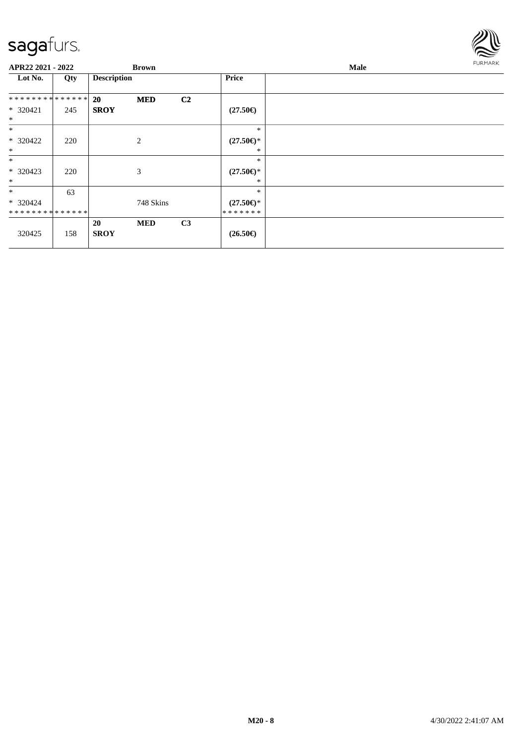

| APR22 2021 - 2022 |     |                    | <b>Brown</b> |                |                     | Male | FURMARK |
|-------------------|-----|--------------------|--------------|----------------|---------------------|------|---------|
| Lot No.           | Qty | <b>Description</b> |              |                | <b>Price</b>        |      |         |
| **************    |     | <b>20</b>          | <b>MED</b>   | C <sub>2</sub> |                     |      |         |
| $* 320421$        | 245 | <b>SROY</b>        |              |                | $(27.50\epsilon)$   |      |         |
| $\ast$            |     |                    |              |                |                     |      |         |
| $\ast$            |     |                    |              |                | $\ast$              |      |         |
| * 320422          | 220 | 2                  |              |                | $(27.50\epsilon)$ * |      |         |
| $*$               |     |                    |              |                | *                   |      |         |
| $\ast$            |     |                    |              |                | $\ast$              |      |         |
| * 320423          | 220 | 3                  |              |                | $(27.50\epsilon)$ * |      |         |
| $\ast$            |     |                    |              |                | ∗                   |      |         |
| $\ast$            | 63  |                    |              |                | $\ast$              |      |         |
| $* 320424$        |     |                    | 748 Skins    |                | $(27.50\epsilon)$ * |      |         |
| **************    |     |                    |              |                | *******             |      |         |
|                   |     | 20                 | <b>MED</b>   | C3             |                     |      |         |
| 320425            | 158 | <b>SROY</b>        |              |                | $(26.50\epsilon)$   |      |         |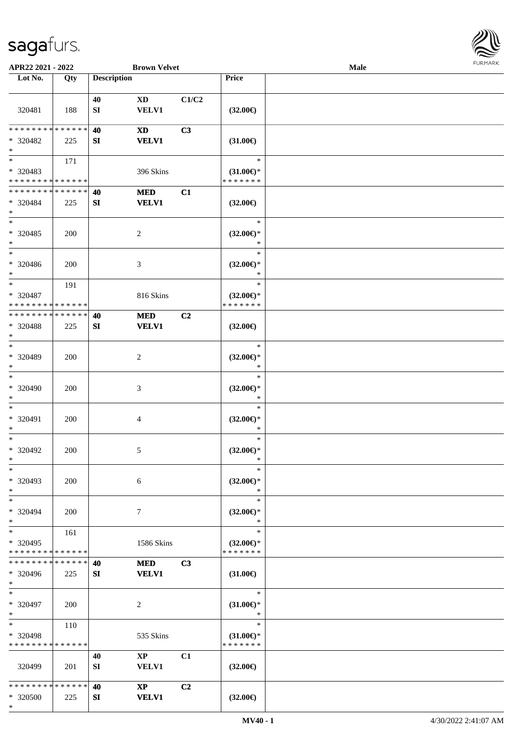

| APR22 2021 - 2022                                 |     |                    | <b>Brown Velvet</b>                    |                |                                                | Male |  |
|---------------------------------------------------|-----|--------------------|----------------------------------------|----------------|------------------------------------------------|------|--|
| Lot No.                                           | Qty | <b>Description</b> |                                        |                | Price                                          |      |  |
|                                                   |     |                    |                                        |                |                                                |      |  |
| 320481                                            | 188 | 40<br>SI           | <b>XD</b><br><b>VELV1</b>              | C1/C2          | $(32.00\epsilon)$                              |      |  |
| * * * * * * * * * * * * * *                       |     |                    |                                        |                |                                                |      |  |
| * 320482<br>$\ast$                                | 225 | 40<br>SI           | <b>XD</b><br><b>VELV1</b>              | C3             | $(31.00\epsilon)$                              |      |  |
| $\overline{\ast}$                                 | 171 |                    |                                        |                | $\ast$                                         |      |  |
| * 320483<br>* * * * * * * * * * * * * *           |     |                    | 396 Skins                              |                | $(31.00\epsilon)$ *<br>* * * * * * *           |      |  |
| * * * * * * * * * * * * * *                       |     | 40                 | $\bf MED$                              | C1             |                                                |      |  |
| * 320484<br>$\ast$                                | 225 | SI                 | <b>VELV1</b>                           |                | $(32.00\epsilon)$                              |      |  |
| $\ast$<br>$* 320485$<br>$\ast$                    | 200 |                    | $\sqrt{2}$                             |                | $\ast$<br>$(32.00\epsilon)$ *<br>$\ast$        |      |  |
| $\ast$<br>$* 320486$<br>$\ast$                    | 200 |                    | 3                                      |                | $\ast$<br>$(32.00\epsilon)$ *<br>*             |      |  |
| $\ast$                                            | 191 |                    |                                        |                | $\ast$                                         |      |  |
| * 320487<br>* * * * * * * * * * * * * *           |     |                    | 816 Skins                              |                | $(32.00\epsilon)$ *<br>* * * * * * *           |      |  |
| * * * * * * * * * * * * * *                       |     | 40                 | <b>MED</b>                             | C <sub>2</sub> |                                                |      |  |
| * 320488<br>$\ast$                                | 225 | SI                 | <b>VELV1</b>                           |                | $(32.00\epsilon)$                              |      |  |
| $\ast$<br>* 320489<br>$\ast$                      | 200 |                    | $\overline{c}$                         |                | $\ast$<br>$(32.00\in)\!\!^*$<br>$\ast$         |      |  |
| $\ast$<br>* 320490<br>$\ast$                      | 200 |                    | $\mathfrak{Z}$                         |                | $\ast$<br>$(32.00\epsilon)$ *<br>$\ast$        |      |  |
| $\ast$<br>* 320491<br>$\ast$                      | 200 |                    | 4                                      |                | $\ast$<br>$(32.00\epsilon)$ *<br>$\ast$        |      |  |
| $\ast$<br>$* 320492$<br>$*$                       | 200 |                    | 5                                      |                | $\ast$<br>$(32.00\epsilon)$ *<br>$\ast$        |      |  |
| $\ast$<br>* 320493<br>$\ast$                      | 200 |                    | $\sqrt{6}$                             |                | $\ast$<br>$(32.00\epsilon)$ *<br>$\ast$        |      |  |
| $\ast$<br>* 320494<br>$\ast$                      | 200 |                    | $\tau$                                 |                | $\ast$<br>$(32.00\epsilon)$ *<br>$\ast$        |      |  |
| $\ast$<br>* 320495<br>* * * * * * * * * * * * * * | 161 |                    | 1586 Skins                             |                | $\ast$<br>$(32.00\epsilon)$ *<br>* * * * * * * |      |  |
| * * * * * * * * * * * * * *                       |     | 40                 | <b>MED</b>                             | C3             |                                                |      |  |
| * 320496<br>$*$                                   | 225 | SI                 | <b>VELV1</b>                           |                | $(31.00\epsilon)$                              |      |  |
| $\ast$<br>* 320497<br>$\ast$                      | 200 |                    | $\sqrt{2}$                             |                | $\ast$<br>$(31.00\epsilon)$ *<br>$\ast$        |      |  |
| $\ast$<br>* 320498<br>* * * * * * * * * * * * * * | 110 |                    | 535 Skins                              |                | $\ast$<br>$(31.00\epsilon)$ *<br>* * * * * * * |      |  |
| 320499                                            | 201 | 40<br>SI           | $\mathbf{XP}$<br>VELV1                 | C1             | $(32.00\epsilon)$                              |      |  |
| * * * * * * * * * * * * * *<br>* 320500<br>$\ast$ | 225 | 40<br>SI           | $\mathbf{X}\mathbf{P}$<br><b>VELV1</b> | C2             | $(32.00\epsilon)$                              |      |  |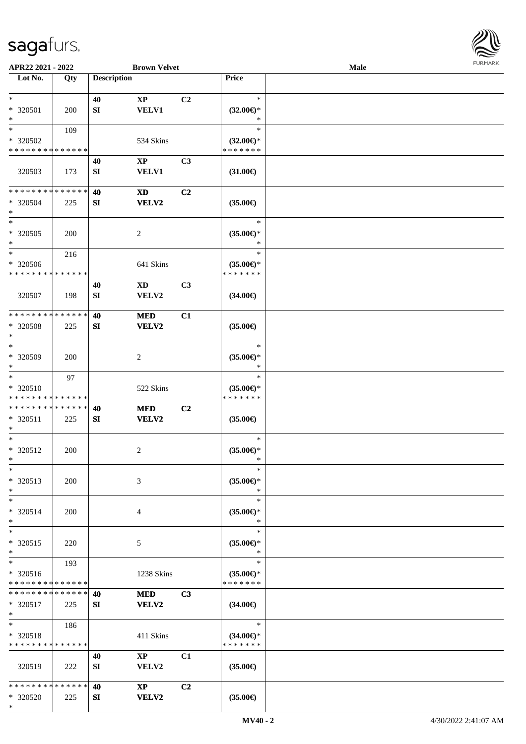

| APR22 2021 - 2022           |             |                    | <b>Brown Velvet</b>    |                |                                      | <b>Male</b> |  |
|-----------------------------|-------------|--------------------|------------------------|----------------|--------------------------------------|-------------|--|
| Lot No.                     | Qty         | <b>Description</b> |                        |                | Price                                |             |  |
|                             |             |                    |                        |                |                                      |             |  |
| $*$                         |             | 40                 | $\mathbf{XP}$          | C2             | $\ast$                               |             |  |
| * 320501                    | 200         | SI                 | <b>VELV1</b>           |                | $(32.00\epsilon)$ *                  |             |  |
| $\ast$                      |             |                    |                        |                | $\ast$                               |             |  |
| $*$                         | 109         |                    |                        |                | $\ast$                               |             |  |
| * 320502                    |             |                    | 534 Skins              |                | $(32.00\epsilon)$ *                  |             |  |
| * * * * * * * * * * * * * * |             |                    |                        |                | * * * * * * *                        |             |  |
|                             |             | 40                 | $\mathbf{XP}$          | C <sub>3</sub> |                                      |             |  |
| 320503                      | 173         | ${\bf SI}$         | <b>VELV1</b>           |                | $(31.00\epsilon)$                    |             |  |
|                             |             |                    |                        |                |                                      |             |  |
| * * * * * * * * * * * * * * |             |                    |                        |                |                                      |             |  |
|                             |             | 40                 | <b>XD</b>              | C2             |                                      |             |  |
| * 320504                    | 225         | SI                 | <b>VELV2</b>           |                | $(35.00\epsilon)$                    |             |  |
| $*$<br>$*$                  |             |                    |                        |                |                                      |             |  |
|                             |             |                    |                        |                | $\ast$                               |             |  |
| $*320505$                   | 200         |                    | $\overline{c}$         |                | $(35.00\epsilon)$ *                  |             |  |
| $*$                         |             |                    |                        |                | $\ast$                               |             |  |
| $\ast$                      | 216         |                    |                        |                | $\ast$                               |             |  |
| * 320506                    |             |                    | 641 Skins              |                | $(35.00\epsilon)$ *                  |             |  |
| * * * * * * * * * * * * * * |             |                    |                        |                | * * * * * * *                        |             |  |
|                             |             | 40                 | <b>XD</b>              | C3             |                                      |             |  |
| 320507                      | 198         | ${\bf SI}$         | VELV2                  |                | $(34.00\epsilon)$                    |             |  |
|                             |             |                    |                        |                |                                      |             |  |
| * * * * * * * *             | * * * * * * | 40                 | <b>MED</b>             | C1             |                                      |             |  |
| * 320508                    | 225         | SI                 | <b>VELV2</b>           |                | $(35.00\epsilon)$                    |             |  |
| $\ast$                      |             |                    |                        |                |                                      |             |  |
| $*$                         |             |                    |                        |                | $\ast$                               |             |  |
| $* 320509$                  | 200         |                    | $\overline{2}$         |                | $(35.00\epsilon)$ *                  |             |  |
| $*$                         |             |                    |                        |                | $\ast$                               |             |  |
| $\ast$                      | 97          |                    |                        |                | $\ast$                               |             |  |
| * 320510                    |             |                    |                        |                |                                      |             |  |
| * * * * * * * * * * * * * * |             |                    | 522 Skins              |                | $(35.00\epsilon)$ *<br>* * * * * * * |             |  |
| * * * * * * * * * * * * * * |             |                    |                        |                |                                      |             |  |
|                             |             | 40                 | <b>MED</b>             | C2             |                                      |             |  |
| * 320511                    | 225         | SI                 | <b>VELV2</b>           |                | $(35.00\epsilon)$                    |             |  |
| $*$                         |             |                    |                        |                |                                      |             |  |
| $*$                         |             |                    |                        |                | $\ast$                               |             |  |
| $* 320512$                  | 200         |                    | 2                      |                | $(35.00\epsilon)$ *                  |             |  |
| $*$                         |             |                    |                        |                | $\ast$                               |             |  |
| $\ast$                      |             |                    |                        |                | $\ast$                               |             |  |
| * 320513                    | 200         |                    | 3                      |                | $(35.00\epsilon)$ *                  |             |  |
| $*$                         |             |                    |                        |                | $\ast$                               |             |  |
| $*$                         |             |                    |                        |                | $\ast$                               |             |  |
| * 320514                    | 200         |                    | 4                      |                | $(35.00\epsilon)$ *                  |             |  |
| $*$                         |             |                    |                        |                | $\ast$                               |             |  |
| $*$                         |             |                    |                        |                | $\ast$                               |             |  |
| $* 320515$                  | 220         |                    | 5                      |                | $(35.00\epsilon)$ *                  |             |  |
| $*$                         |             |                    |                        |                | $\ast$                               |             |  |
| $*$                         | 193         |                    |                        |                | $\ast$                               |             |  |
| * 320516                    |             |                    | 1238 Skins             |                | $(35.00\epsilon)$ *                  |             |  |
| * * * * * * * * * * * * * * |             |                    |                        |                | * * * * * * *                        |             |  |
| * * * * * * * * * * * * * * |             | 40                 | <b>MED</b>             | C <sub>3</sub> |                                      |             |  |
|                             |             |                    |                        |                |                                      |             |  |
| * 320517                    | 225         | SI                 | VELV2                  |                | $(34.00\epsilon)$                    |             |  |
| $*$<br>$*$ $-$              |             |                    |                        |                | $\ast$                               |             |  |
|                             | 186         |                    |                        |                |                                      |             |  |
| * 320518                    |             |                    | 411 Skins              |                | $(34.00\epsilon)$ *                  |             |  |
| * * * * * * * * * * * * * * |             |                    |                        |                | * * * * * * *                        |             |  |
|                             |             | 40                 | $\mathbf{XP}$          | C1             |                                      |             |  |
| 320519                      | 222         | SI                 | VELV2                  |                | $(35.00\epsilon)$                    |             |  |
|                             |             |                    |                        |                |                                      |             |  |
| * * * * * * * * * * * * * * |             | 40                 | $\mathbf{X}\mathbf{P}$ | C2             |                                      |             |  |
| * 320520                    | 225         | SI                 | <b>VELV2</b>           |                | $(35.00\epsilon)$                    |             |  |
| $*$                         |             |                    |                        |                |                                      |             |  |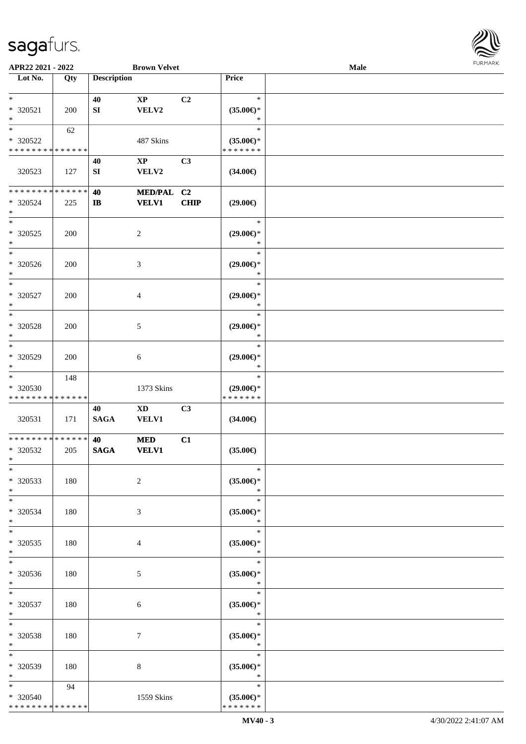

| APR22 2021 - 2022                                            |     |                        | <b>Brown Velvet</b>                    |             |                                                   | Male |  |
|--------------------------------------------------------------|-----|------------------------|----------------------------------------|-------------|---------------------------------------------------|------|--|
| Lot No.                                                      | Qty | <b>Description</b>     |                                        |             | Price                                             |      |  |
| $\ast$<br>* 320521<br>$\ast$                                 | 200 | 40<br>${\bf S}{\bf I}$ | $\mathbf{X}\mathbf{P}$<br>VELV2        | C2          | $\ast$<br>$(35.00\epsilon)$ *<br>$\ast$           |      |  |
| $\overline{\ast}$<br>* 320522<br>* * * * * * * * * * * * * * | 62  |                        | 487 Skins                              |             | $\ast$<br>$(35.00\epsilon)$ *<br>* * * * * * *    |      |  |
| 320523                                                       | 127 | 40<br>SI               | $\mathbf{X}\mathbf{P}$<br>VELV2        | C3          | $(34.00\epsilon)$                                 |      |  |
| * * * * * * * * * * * * * *<br>* 320524<br>$\ast$            | 225 | 40<br>$\mathbf{I}$     | MED/PAL C2<br><b>VELV1</b>             | <b>CHIP</b> | $(29.00\epsilon)$                                 |      |  |
| $\ast$<br>$*320525$<br>$\ast$                                | 200 |                        | $\sqrt{2}$                             |             | $\ast$<br>$(29.00\epsilon)$ *<br>$\ast$           |      |  |
| $\overline{\phantom{1}}$<br>$* 320526$<br>$\ast$             | 200 |                        | $\mathfrak{Z}$                         |             | $\ast$<br>$(29.00\epsilon)$ *<br>$\ast$           |      |  |
| $\ast$<br>* 320527<br>$\ast$<br>$\ast$                       | 200 |                        | $\overline{4}$                         |             | $\ast$<br>$(29.00\epsilon)$ *<br>$\ast$<br>$\ast$ |      |  |
| $* 320528$<br>$\ast$<br>$\ast$                               | 200 |                        | 5                                      |             | $(29.00\epsilon)$ *<br>$\ast$                     |      |  |
| $* 320529$<br>$\ast$<br>$\overline{\phantom{1}}$             | 200 |                        | 6                                      |             | $\ast$<br>$(29.00\epsilon)$ *<br>$\ast$<br>$\ast$ |      |  |
| * 320530<br>* * * * * * * * * * * * * *                      | 148 |                        | 1373 Skins                             |             | $(29.00\epsilon)$ *<br>* * * * * * *              |      |  |
| 320531<br>**************                                     | 171 | 40<br><b>SAGA</b>      | $\mathbf{X}\mathbf{D}$<br><b>VELV1</b> | C3          | $(34.00\epsilon)$                                 |      |  |
| $*320532$<br>$*$<br>$*$                                      | 205 | 40<br><b>SAGA</b>      | $\bf MED$<br><b>VELV1</b>              | C1          | $(35.00\epsilon)$<br>$\ast$                       |      |  |
| * 320533<br>$\ast$<br>$*$                                    | 180 |                        | $\sqrt{2}$                             |             | $(35.00\epsilon)$ *<br>$\ast$<br>$\ast$           |      |  |
| * 320534<br>$\ast$<br>$\ast$                                 | 180 |                        | 3                                      |             | $(35.00\epsilon)$ *<br>$\ast$<br>$\ast$           |      |  |
| * 320535<br>$*$<br>$\ast$                                    | 180 |                        | 4                                      |             | $(35.00\epsilon)$ *<br>$\ast$<br>$\ast$           |      |  |
| * 320536<br>$*$<br>$*$                                       | 180 |                        | 5                                      |             | $(35.00\epsilon)$ *<br>$\ast$<br>$\ast$           |      |  |
| * 320537<br>$*$<br>$\ast$                                    | 180 |                        | 6                                      |             | $(35.00\epsilon)$ *<br>$\ast$<br>$\ast$           |      |  |
| * 320538<br>$*$<br>$\ast$                                    | 180 |                        | $\tau$                                 |             | $(35.00\epsilon)$ *<br>$\ast$<br>$\ast$           |      |  |
| * 320539<br>$*$<br>$\ast$                                    | 180 |                        | 8                                      |             | $(35.00\epsilon)$ *<br>$\ast$<br>$\ast$           |      |  |
| * 320540<br>* * * * * * * * * * * * * *                      | 94  |                        | 1559 Skins                             |             | $(35.00\epsilon)$ *<br>* * * * * * *              |      |  |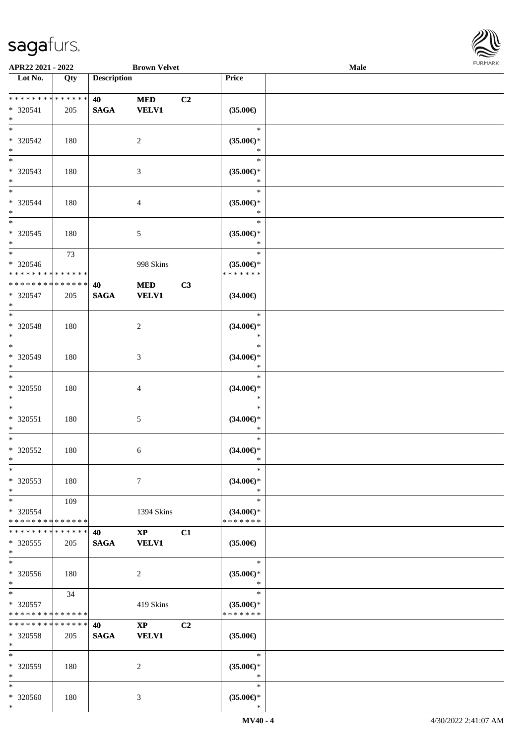

| APR22 2021 - 2022                                   |                    |                    | <b>Brown Velvet</b>                    |    |                                                | Male |  |
|-----------------------------------------------------|--------------------|--------------------|----------------------------------------|----|------------------------------------------------|------|--|
| Lot No.                                             | $\overline{Q}$ ty  | <b>Description</b> |                                        |    | Price                                          |      |  |
|                                                     |                    |                    |                                        |    |                                                |      |  |
| ******** <mark>******</mark><br>* 320541<br>$\ast$  | 205                | 40<br><b>SAGA</b>  | <b>MED</b><br><b>VELV1</b>             | C2 | $(35.00\in)$                                   |      |  |
| $*$<br>$* 320542$<br>$\ast$                         | 180                |                    | $\overline{2}$                         |    | $\ast$<br>$(35.00\epsilon)$ *<br>∗             |      |  |
| $\overline{\phantom{0}}$<br>* 320543<br>$*$         | 180                |                    | 3                                      |    | $\ast$<br>$(35.00\epsilon)$ *<br>*             |      |  |
| $*$<br>* 320544<br>$*$                              | 180                |                    | $\overline{4}$                         |    | $\ast$<br>$(35.00\epsilon)$ *<br>$\ast$        |      |  |
| $*$<br>$* 320545$<br>$*$                            | 180                |                    | $5\,$                                  |    | $\ast$<br>$(35.00\epsilon)$ *<br>$\ast$        |      |  |
| $\ast$<br>$* 320546$<br>* * * * * * * * * * * * * * | 73                 |                    | 998 Skins                              |    | $\ast$<br>$(35.00\epsilon)$ *<br>* * * * * * * |      |  |
| * * * * * * * * * * * * * *<br>$* 320547$<br>$*$    | 205                | 40<br><b>SAGA</b>  | $\bf MED$<br><b>VELV1</b>              | C3 | $(34.00\epsilon)$                              |      |  |
| $*$<br>* 320548<br>$\ast$                           | 180                |                    | $\sqrt{2}$                             |    | $\ast$<br>$(34.00\epsilon)$ *<br>$\ast$        |      |  |
| $*$<br>* 320549<br>$*$                              | 180                |                    | 3                                      |    | $\ast$<br>$(34.00\epsilon)$ *<br>$\ast$        |      |  |
| $*$<br>$* 320550$<br>$*$                            | 180                |                    | $\overline{4}$                         |    | $\ast$<br>$(34.00\epsilon)$ *<br>$\ast$        |      |  |
| $*$<br>$* 320551$<br>$*$                            | 180                |                    | $5\,$                                  |    | $\ast$<br>$(34.00\epsilon)$ *<br>$\ast$        |      |  |
| $*$<br>$* 320552$<br>$*$                            | 180                |                    | 6                                      |    | $\ast$<br>$(34.00\epsilon)$ *<br>$\ast$        |      |  |
| $*$<br>* 320553<br>$*$                              | 180                |                    | 7                                      |    | $\ast$<br>$(34.00\epsilon)$ *<br>$\ast$        |      |  |
| $*$<br>* 320554<br>* * * * * * * * * * * * * *      | 109                |                    | 1394 Skins                             |    | $\ast$<br>$(34.00\epsilon)$ *<br>* * * * * * * |      |  |
| * * * * * * * *<br>* 320555<br>$*$                  | * * * * * *<br>205 | 40<br><b>SAGA</b>  | $\mathbf{X}\mathbf{P}$<br><b>VELV1</b> | C1 | $(35.00\epsilon)$                              |      |  |
| $*$<br>$* 320556$<br>$*$                            | 180                |                    | 2                                      |    | $\ast$<br>$(35.00\epsilon)$ *<br>$\ast$        |      |  |
| $*$ $*$<br>* 320557<br>* * * * * * * * * * * * * *  | 34                 |                    | 419 Skins                              |    | $\ast$<br>$(35.00\epsilon)$ *<br>* * * * * * * |      |  |
| * * * * * * * *<br>* 320558<br>$*$                  | * * * * * *<br>205 | 40<br><b>SAGA</b>  | $\mathbf{XP}$<br><b>VELV1</b>          | C2 | $(35.00\epsilon)$                              |      |  |
| $*$<br>* 320559<br>$*$                              | 180                |                    | 2                                      |    | $\ast$<br>$(35.00\epsilon)$ *<br>$\ast$        |      |  |
| $*$<br>* 320560<br>$*$                              | 180                |                    | 3                                      |    | $\ast$<br>$(35.00\epsilon)$ *<br>$\ast$        |      |  |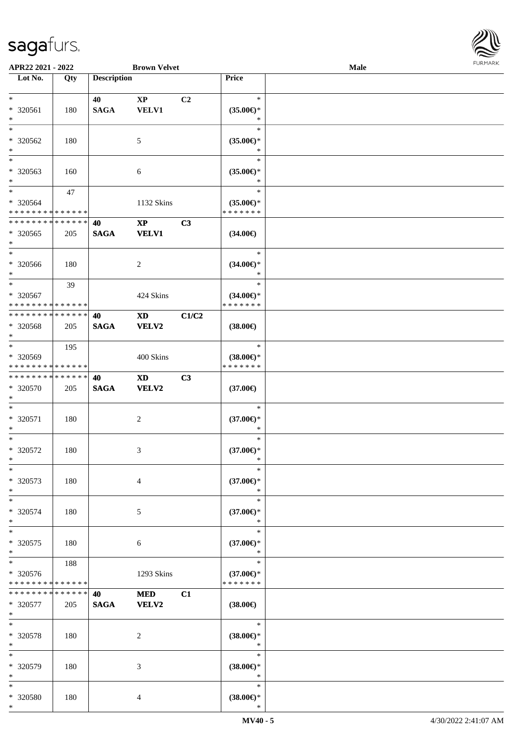

| APR22 2021 - 2022                          |     |                    | <b>Brown Velvet</b>    |                |                     | Male |  |
|--------------------------------------------|-----|--------------------|------------------------|----------------|---------------------|------|--|
| Lot No.                                    | Qty | <b>Description</b> |                        |                | Price               |      |  |
|                                            |     |                    |                        |                |                     |      |  |
| $\ast$                                     |     | 40                 | $\mathbf{X}\mathbf{P}$ | C <sub>2</sub> | $\ast$              |      |  |
| * 320561                                   | 180 | <b>SAGA</b>        | VELV1                  |                | $(35.00\epsilon)$ * |      |  |
| $\ast$                                     |     |                    |                        |                | $\ast$              |      |  |
| $*$                                        |     |                    |                        |                | $\ast$              |      |  |
|                                            |     |                    |                        |                |                     |      |  |
| * 320562                                   | 180 |                    | 5                      |                | $(35.00\epsilon)$ * |      |  |
| $\ast$                                     |     |                    |                        |                | $\ast$              |      |  |
| $\overline{\phantom{0}}$                   |     |                    |                        |                | $\ast$              |      |  |
| * 320563                                   | 160 |                    | 6                      |                | $(35.00\epsilon)$ * |      |  |
| $*$                                        |     |                    |                        |                | *                   |      |  |
| $*$                                        | 47  |                    |                        |                | $\ast$              |      |  |
| $* 320564$                                 |     |                    | 1132 Skins             |                | $(35.00\epsilon)$ * |      |  |
| * * * * * * * * * * * * * *                |     |                    |                        |                | * * * * * * *       |      |  |
| * * * * * * * * * * * * * *                |     | 40                 | $\mathbf{X}\mathbf{P}$ | C3             |                     |      |  |
| * 320565                                   | 205 | <b>SAGA</b>        | <b>VELV1</b>           |                | $(34.00\epsilon)$   |      |  |
| $*$                                        |     |                    |                        |                |                     |      |  |
| $*$                                        |     |                    |                        |                | $\ast$              |      |  |
|                                            |     |                    |                        |                |                     |      |  |
| * 320566                                   | 180 |                    | 2                      |                | $(34.00\epsilon)$ * |      |  |
| $*$                                        |     |                    |                        |                | $\ast$              |      |  |
| $*$                                        | 39  |                    |                        |                | $\ast$              |      |  |
| * 320567                                   |     |                    | 424 Skins              |                | $(34.00\epsilon)$ * |      |  |
| * * * * * * * * * * * * * * *              |     |                    |                        |                | * * * * * * *       |      |  |
| * * * * * * * * * * * * * * *              |     | 40                 | <b>XD</b>              | C1/C2          |                     |      |  |
| * 320568                                   | 205 | <b>SAGA</b>        | <b>VELV2</b>           |                | $(38.00\in)$        |      |  |
| $*$                                        |     |                    |                        |                |                     |      |  |
| $*$                                        | 195 |                    |                        |                | $\ast$              |      |  |
| * 320569                                   |     |                    | 400 Skins              |                | $(38.00\epsilon)$ * |      |  |
| * * * * * * * * * * * * * *                |     |                    |                        |                | * * * * * * *       |      |  |
| * * * * * * * * <mark>* * * * * * *</mark> |     |                    |                        |                |                     |      |  |
|                                            |     | 40                 | <b>XD</b>              | C3             |                     |      |  |
| * 320570                                   | 205 | <b>SAGA</b>        | VELV2                  |                | $(37.00\epsilon)$   |      |  |
| $*$                                        |     |                    |                        |                |                     |      |  |
| $*$                                        |     |                    |                        |                | $\ast$              |      |  |
| * 320571                                   | 180 |                    | $\overline{c}$         |                | $(37.00\epsilon)$ * |      |  |
| $*$                                        |     |                    |                        |                | $\ast$              |      |  |
| $*$                                        |     |                    |                        |                | $\ast$              |      |  |
| $* 320572$                                 | 180 |                    | 3                      |                | $(37.00\epsilon)$ * |      |  |
| $*$                                        |     |                    |                        |                | *                   |      |  |
| $\ast$                                     |     |                    |                        |                | $\ast$              |      |  |
| * 320573                                   | 180 |                    | $\overline{4}$         |                | $(37.00\epsilon)$ * |      |  |
| $*$                                        |     |                    |                        |                | $\ast$              |      |  |
| $*$                                        |     |                    |                        |                | $\ast$              |      |  |
| * 320574                                   | 180 |                    | 5                      |                | $(37.00\epsilon)$ * |      |  |
| $*$                                        |     |                    |                        |                | $\ast$              |      |  |
| $*$                                        |     |                    |                        |                | $\ast$              |      |  |
|                                            |     |                    |                        |                |                     |      |  |
| * 320575                                   | 180 |                    | 6                      |                | $(37.00\epsilon)$ * |      |  |
| $*$                                        |     |                    |                        |                | $\ast$              |      |  |
| $*$                                        | 188 |                    |                        |                | $\ast$              |      |  |
| * 320576                                   |     |                    | 1293 Skins             |                | $(37.00\epsilon)$ * |      |  |
| * * * * * * * * * * * * * *                |     |                    |                        |                | * * * * * * *       |      |  |
| * * * * * * * * * * * * * * *              |     | 40                 | <b>MED</b>             | C1             |                     |      |  |
| * 320577                                   | 205 | <b>SAGA</b>        | VELV2                  |                | $(38.00\epsilon)$   |      |  |
| $*$                                        |     |                    |                        |                |                     |      |  |
| $*$                                        |     |                    |                        |                | $\ast$              |      |  |
| * 320578                                   | 180 |                    | $\overline{c}$         |                | $(38.00\epsilon)$ * |      |  |
| $*$                                        |     |                    |                        |                | $\ast$              |      |  |
| $*$                                        |     |                    |                        |                | $\ast$              |      |  |
| * 320579                                   | 180 |                    | 3                      |                | $(38.00\epsilon)$ * |      |  |
| $*$                                        |     |                    |                        |                | $\ast$              |      |  |
| $*$                                        |     |                    |                        |                | $\ast$              |      |  |
|                                            |     |                    |                        |                |                     |      |  |
| * 320580                                   | 180 |                    | 4                      |                | $(38.00\epsilon)$ * |      |  |
| $\ast$                                     |     |                    |                        |                | $\ast$              |      |  |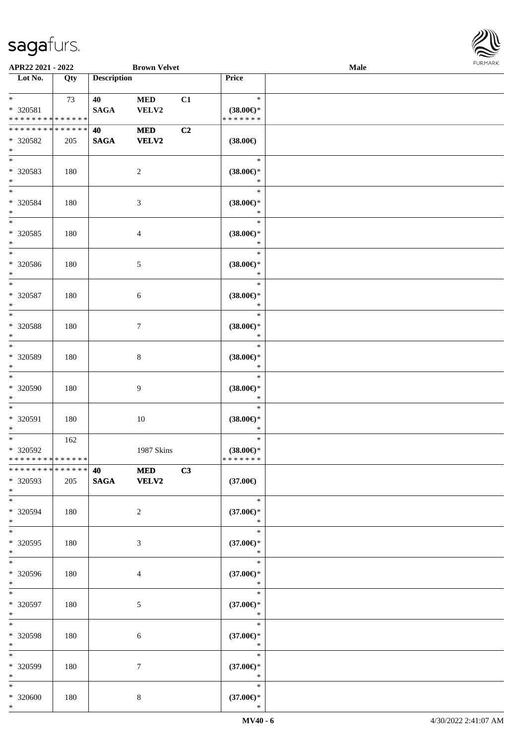

| APR22 2021 - 2022             |     |                    | <b>Brown Velvet</b> |                |                               | Male |  |
|-------------------------------|-----|--------------------|---------------------|----------------|-------------------------------|------|--|
| Lot No.                       | Qty | <b>Description</b> |                     |                | Price                         |      |  |
|                               |     |                    |                     |                |                               |      |  |
| $*$                           | 73  | 40                 | <b>MED</b>          | C1             | $\ast$                        |      |  |
| * 320581                      |     | <b>SAGA</b>        | VELV2               |                | $(38.00\epsilon)$ *           |      |  |
| * * * * * * * * * * * * * *   |     |                    |                     |                | * * * * * * *                 |      |  |
| * * * * * * * * * * * * * * * |     | 40                 | <b>MED</b>          | C <sub>2</sub> |                               |      |  |
| * 320582                      | 205 | <b>SAGA</b>        | VELV2               |                | $(38.00\epsilon)$             |      |  |
| $*$                           |     |                    |                     |                |                               |      |  |
| $*$                           |     |                    |                     |                | $\ast$                        |      |  |
| * 320583                      | 180 |                    | 2                   |                | $(38.00\epsilon)$ *           |      |  |
| $*$                           |     |                    |                     |                | $\ast$                        |      |  |
| $*$                           |     |                    |                     |                | $\ast$                        |      |  |
| * 320584                      | 180 |                    | 3                   |                | $(38.00\epsilon)$ *           |      |  |
| $*$                           |     |                    |                     |                | $\ast$                        |      |  |
| $\overline{\ast}$             |     |                    |                     |                | $\ast$                        |      |  |
| * 320585                      | 180 |                    | 4                   |                | $(38.00\epsilon)$ *           |      |  |
| $\ast$                        |     |                    |                     |                | $\ast$                        |      |  |
| $\overline{\ast}$             |     |                    |                     |                | $\ast$                        |      |  |
| * 320586                      | 180 |                    | 5                   |                | $(38.00\epsilon)$ *           |      |  |
| $*$                           |     |                    |                     |                | $\ast$                        |      |  |
| $\ast$                        |     |                    |                     |                | $\ast$                        |      |  |
| * 320587                      | 180 |                    | 6                   |                | $(38.00\epsilon)$ *           |      |  |
| $\ast$<br>$*$                 |     |                    |                     |                | $\ast$<br>$\ast$              |      |  |
|                               |     |                    |                     |                |                               |      |  |
| * 320588<br>$\ast$            | 180 |                    | 7                   |                | $(38.00\epsilon)$ *<br>$\ast$ |      |  |
| $*$                           |     |                    |                     |                | $\ast$                        |      |  |
| * 320589                      |     |                    |                     |                |                               |      |  |
| $*$                           | 180 |                    | 8                   |                | $(38.00\in)^\ast$<br>$\ast$   |      |  |
| $*$                           |     |                    |                     |                | $\ast$                        |      |  |
| * 320590                      | 180 |                    | 9                   |                | $(38.00\epsilon)$ *           |      |  |
| $*$                           |     |                    |                     |                | $\ast$                        |      |  |
| $*$                           |     |                    |                     |                | $\ast$                        |      |  |
| * 320591                      | 180 |                    | 10                  |                | $(38.00\epsilon)$ *           |      |  |
| $*$                           |     |                    |                     |                | $\ast$                        |      |  |
| $*$                           | 162 |                    |                     |                | $\ast$                        |      |  |
| * 320592                      |     |                    | 1987 Skins          |                | $(38.00\epsilon)$ *           |      |  |
| * * * * * * * * * * * * * * * |     |                    |                     |                | * * * * * * *                 |      |  |
| * * * * * * * * * * * * * * * |     | 40 — 20            | <b>MED</b>          | C3             |                               |      |  |
| * 320593                      | 205 | SAGA VELV2         |                     |                | $(37.00\epsilon)$             |      |  |
| $*$                           |     |                    |                     |                |                               |      |  |
| $*$                           |     |                    |                     |                | $\ast$                        |      |  |
| * 320594                      | 180 |                    | 2                   |                | $(37.00\epsilon)$ *           |      |  |
| $*$                           |     |                    |                     |                | $\ast$                        |      |  |
| $*$                           |     |                    |                     |                | $\ast$                        |      |  |
| * 320595                      | 180 |                    | 3                   |                | $(37.00\epsilon)$ *           |      |  |
| $*$                           |     |                    |                     |                | $\ast$                        |      |  |
| $*$                           |     |                    |                     |                | $\ast$                        |      |  |
| * 320596                      | 180 |                    | 4                   |                | $(37.00\epsilon)$ *           |      |  |
| $*$                           |     |                    |                     |                | $\ast$                        |      |  |
| $*$                           |     |                    |                     |                | $\ast$                        |      |  |
| * 320597                      | 180 |                    | 5                   |                | $(37.00\epsilon)$ *           |      |  |
| $*$<br>$*$                    |     |                    |                     |                | $\ast$<br>$\ast$              |      |  |
|                               |     |                    |                     |                |                               |      |  |
| * 320598<br>$*$               | 180 |                    | 6                   |                | $(37.00\epsilon)$ *<br>$\ast$ |      |  |
| $\ast$                        |     |                    |                     |                | $\ast$                        |      |  |
| * 320599                      |     |                    |                     |                | $(37.00\epsilon)$ *           |      |  |
| $*$                           | 180 |                    | 7                   |                | $\ast$                        |      |  |
| $*$                           |     |                    |                     |                | $\ast$                        |      |  |
| $* 320600$                    | 180 |                    | $\bf 8$             |                | $(37.00\epsilon)$ *           |      |  |
| $\ast$                        |     |                    |                     |                | $\ast$                        |      |  |
|                               |     |                    |                     |                |                               |      |  |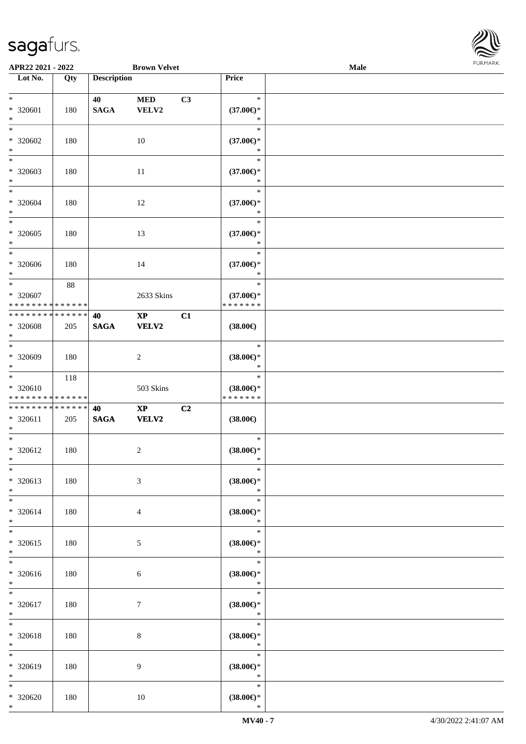

| APR22 2021 - 2022                                          |     |                    | <b>Brown Velvet</b>    |                |                                      | Male |  |
|------------------------------------------------------------|-----|--------------------|------------------------|----------------|--------------------------------------|------|--|
| Lot No.                                                    | Qty | <b>Description</b> |                        |                | Price                                |      |  |
|                                                            |     |                    |                        |                |                                      |      |  |
| $*$                                                        |     | 40                 | <b>MED</b>             | C3             | $\ast$                               |      |  |
| * 320601                                                   | 180 | <b>SAGA</b>        | VELV2                  |                | $(37.00\epsilon)$ *                  |      |  |
| $\ast$                                                     |     |                    |                        |                | $\ast$                               |      |  |
| $*$                                                        |     |                    |                        |                | $\ast$                               |      |  |
| * 320602                                                   |     |                    |                        |                |                                      |      |  |
|                                                            | 180 |                    | 10                     |                | $(37.00\epsilon)$ *                  |      |  |
| $\ast$<br>$\overline{\phantom{0}}$                         |     |                    |                        |                | $\ast$                               |      |  |
|                                                            |     |                    |                        |                | $\ast$                               |      |  |
| $* 320603$                                                 | 180 |                    | 11                     |                | $(37.00\epsilon)$ *                  |      |  |
| $*$                                                        |     |                    |                        |                | $\ast$                               |      |  |
| $*$                                                        |     |                    |                        |                | $\ast$                               |      |  |
| * 320604                                                   | 180 |                    | 12                     |                | $(37.00\epsilon)$ *                  |      |  |
| $*$                                                        |     |                    |                        |                | $\ast$                               |      |  |
| $\overline{\ast}$                                          |     |                    |                        |                | $\ast$                               |      |  |
| $*320605$                                                  | 180 |                    | 13                     |                | $(37.00\epsilon)$ *                  |      |  |
| $\ast$                                                     |     |                    |                        |                | $\ast$                               |      |  |
| $\ast$                                                     |     |                    |                        |                | $\ast$                               |      |  |
| * 320606                                                   | 180 |                    | 14                     |                | $(37.00\epsilon)$ *                  |      |  |
| $*$                                                        |     |                    |                        |                | $\ast$                               |      |  |
| $*$                                                        | 88  |                    |                        |                | $\ast$                               |      |  |
| * 320607                                                   |     |                    |                        |                |                                      |      |  |
|                                                            |     |                    | 2633 Skins             |                | $(37.00\epsilon)$ *<br>* * * * * * * |      |  |
| * * * * * * * * * * * * * *<br>* * * * * * * * * * * * * * |     |                    |                        |                |                                      |      |  |
|                                                            |     | 40                 | $\mathbf{X}\mathbf{P}$ | C1             |                                      |      |  |
| * 320608                                                   | 205 | <b>SAGA</b>        | VELV2                  |                | $(38.00\epsilon)$                    |      |  |
| $\ast$                                                     |     |                    |                        |                |                                      |      |  |
| $*$                                                        |     |                    |                        |                | $\ast$                               |      |  |
| $* 320609$                                                 | 180 |                    | $\overline{c}$         |                | $(38.00\in)\!\!^*$                   |      |  |
| $*$                                                        |     |                    |                        |                | $\ast$                               |      |  |
| $\overline{\phantom{0}}$                                   | 118 |                    |                        |                | $\ast$                               |      |  |
| $* 320610$                                                 |     |                    | 503 Skins              |                | $(38.00\epsilon)$ *                  |      |  |
| * * * * * * * * * * * * * *                                |     |                    |                        |                | * * * * * * *                        |      |  |
| * * * * * * * * * * * * * *                                |     | 40                 | $\bold{XP}$            | C <sub>2</sub> |                                      |      |  |
| * 320611                                                   | 205 | $\mathbf{SAGA}$    | VELV2                  |                | $(38.00\epsilon)$                    |      |  |
| $*$                                                        |     |                    |                        |                |                                      |      |  |
| $*$                                                        |     |                    |                        |                | $\ast$                               |      |  |
| $* 320612$                                                 | 180 |                    | 2                      |                | $(38.00\epsilon)$ *                  |      |  |
| $*$                                                        |     |                    |                        |                | $\ast$                               |      |  |
| $\ast$                                                     |     |                    |                        |                | $\ast$                               |      |  |
| * 320613                                                   | 180 |                    | 3                      |                | $(38.00\epsilon)$ *                  |      |  |
| $*$                                                        |     |                    |                        |                | $\ast$                               |      |  |
| $*$                                                        |     |                    |                        |                | $\ast$                               |      |  |
|                                                            |     |                    |                        |                |                                      |      |  |
| * 320614                                                   | 180 |                    | 4                      |                | $(38.00\epsilon)$ *                  |      |  |
| $*$                                                        |     |                    |                        |                | $\ast$                               |      |  |
| $*$                                                        |     |                    |                        |                | $\ast$                               |      |  |
| * 320615                                                   | 180 |                    | 5                      |                | $(38.00\in)\!\!^*$                   |      |  |
| $*$                                                        |     |                    |                        |                | $\ast$                               |      |  |
| $*$                                                        |     |                    |                        |                | $\ast$                               |      |  |
| * 320616                                                   | 180 |                    | 6                      |                | $(38.00\epsilon)$ *                  |      |  |
| $*$                                                        |     |                    |                        |                | $\ast$                               |      |  |
| $*$                                                        |     |                    |                        |                | $\ast$                               |      |  |
| * 320617                                                   | 180 |                    | $\tau$                 |                | $(38.00\epsilon)$ *                  |      |  |
| $*$                                                        |     |                    |                        |                | $\ast$                               |      |  |
| $\ast$                                                     |     |                    |                        |                | $\ast$                               |      |  |
| * 320618                                                   | 180 |                    | 8                      |                | $(38.00\epsilon)$ *                  |      |  |
| $*$                                                        |     |                    |                        |                | $\ast$                               |      |  |
| $\ast$                                                     |     |                    |                        |                | $\ast$                               |      |  |
| * 320619                                                   | 180 |                    | 9                      |                | $(38.00\epsilon)$ *                  |      |  |
| $*$                                                        |     |                    |                        |                | $\ast$                               |      |  |
| $*$                                                        |     |                    |                        |                | $\ast$                               |      |  |
| * 320620                                                   | 180 |                    | $10\,$                 |                | $(38.00\epsilon)$ *                  |      |  |
| $*$                                                        |     |                    |                        |                | $\ast$                               |      |  |
|                                                            |     |                    |                        |                |                                      |      |  |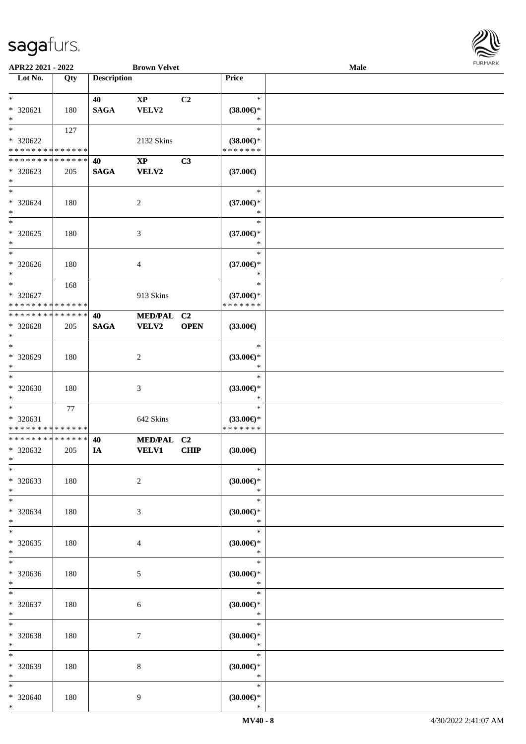

| APR22 2021 - 2022           |        |                    | <b>Brown Velvet</b>         |                |                               | Male |  |
|-----------------------------|--------|--------------------|-----------------------------|----------------|-------------------------------|------|--|
| Lot No.                     | Qty    | <b>Description</b> |                             |                | Price                         |      |  |
|                             |        |                    |                             |                |                               |      |  |
| $*$                         |        | 40                 | $\bold{XP}$                 | C <sub>2</sub> | $\ast$                        |      |  |
| * 320621                    | 180    | <b>SAGA</b>        | VELV2                       |                | $(38.00\epsilon)$ *           |      |  |
| $\ast$                      |        |                    |                             |                | $\ast$                        |      |  |
| $*$                         | 127    |                    |                             |                | $\ast$                        |      |  |
| * 320622                    |        |                    | 2132 Skins                  |                | $(38.00\epsilon)$ *           |      |  |
| * * * * * * * * * * * * * * |        |                    |                             |                | * * * * * * *                 |      |  |
| * * * * * * * * * * * * * * |        | 40                 | $\mathbf{XP}$               | C3             |                               |      |  |
| * 320623                    | 205    | <b>SAGA</b>        | <b>VELV2</b>                |                | $(37.00\epsilon)$             |      |  |
| $*$                         |        |                    |                             |                |                               |      |  |
| $*$                         |        |                    |                             |                | $\ast$                        |      |  |
|                             |        |                    |                             |                |                               |      |  |
| $* 320624$                  | 180    |                    | $\overline{c}$              |                | $(37.00\epsilon)$ *<br>$\ast$ |      |  |
| $*$<br>$\overline{\ast}$    |        |                    |                             |                | $\ast$                        |      |  |
|                             |        |                    |                             |                |                               |      |  |
| $* 320625$                  | 180    |                    | 3                           |                | $(37.00\epsilon)$ *           |      |  |
| $\ast$                      |        |                    |                             |                | $\ast$                        |      |  |
| $*$                         |        |                    |                             |                | $\ast$                        |      |  |
| $* 320626$                  | 180    |                    | 4                           |                | $(37.00\epsilon)$ *           |      |  |
| $*$                         |        |                    |                             |                | $\ast$                        |      |  |
| $*$                         | 168    |                    |                             |                | $\ast$                        |      |  |
| * 320627                    |        |                    | 913 Skins                   |                | $(37.00\epsilon)$ *           |      |  |
| * * * * * * * * * * * * * * |        |                    |                             |                | * * * * * * *                 |      |  |
| * * * * * * * *             | ****** | 40                 | <b>MED/PAL</b>              | C <sub>2</sub> |                               |      |  |
| * 320628                    | 205    | <b>SAGA</b>        | <b>VELV2</b>                | <b>OPEN</b>    | $(33.00\epsilon)$             |      |  |
| $*$                         |        |                    |                             |                |                               |      |  |
| $*$                         |        |                    |                             |                | $\ast$                        |      |  |
| $* 320629$                  | 180    |                    | 2                           |                | $(33.00\epsilon)$ *           |      |  |
| $*$                         |        |                    |                             |                | $\ast$                        |      |  |
| $\ast$                      |        |                    |                             |                | $\ast$                        |      |  |
| $* 320630$                  | 180    |                    | $\ensuremath{\mathfrak{Z}}$ |                | $(33.00\epsilon)$ *           |      |  |
| $*$                         |        |                    |                             |                | $\ast$                        |      |  |
| $*$                         | 77     |                    |                             |                | $\ast$                        |      |  |
| * 320631                    |        |                    | 642 Skins                   |                | $(33.00\epsilon)$ *           |      |  |
| * * * * * * * * * * * * * * |        |                    |                             |                | * * * * * * *                 |      |  |
| * * * * * * * * * * * * * * |        | 40                 |                             |                |                               |      |  |
|                             |        |                    | MED/PAL C2                  | <b>CHIP</b>    |                               |      |  |
| * 320632<br>$*$             | 205    | IA                 | <b>VELV1</b>                |                | (30.00)                       |      |  |
| $*$                         |        |                    |                             |                | $\ast$                        |      |  |
|                             |        |                    |                             |                |                               |      |  |
| * 320633                    | 180    |                    | $\overline{c}$              |                | (30.00)                       |      |  |
| $*$                         |        |                    |                             |                | $\ast$                        |      |  |
| $*$                         |        |                    |                             |                | $\ast$                        |      |  |
| $* 320634$                  | 180    |                    | 3                           |                | $(30.00\epsilon)$ *           |      |  |
| $*$                         |        |                    |                             |                | $\ast$                        |      |  |
| $*$                         |        |                    |                             |                | $\ast$                        |      |  |
| * 320635                    | 180    |                    | 4                           |                | $(30.00 \in )^*$              |      |  |
| $*$                         |        |                    |                             |                | $\ast$                        |      |  |
| $\ast$                      |        |                    |                             |                | $\ast$                        |      |  |
| * 320636                    | 180    |                    | 5                           |                | (30.00)                       |      |  |
| $*$                         |        |                    |                             |                | $\ast$                        |      |  |
| $*$                         |        |                    |                             |                | $\ast$                        |      |  |
| * 320637                    | 180    |                    | 6                           |                | (30.00)                       |      |  |
| $*$                         |        |                    |                             |                | $\ast$                        |      |  |
| $\ast$                      |        |                    |                             |                | $\ast$                        |      |  |
| * 320638                    | 180    |                    | 7                           |                | $(30.00\epsilon)$ *           |      |  |
| $*$                         |        |                    |                             |                | $\ast$                        |      |  |
| $\ast$                      |        |                    |                             |                | $\ast$                        |      |  |
| * 320639                    | 180    |                    | 8                           |                | $(30.00\epsilon)$ *           |      |  |
| $*$                         |        |                    |                             |                | $\ast$                        |      |  |
| $*$                         |        |                    |                             |                | $\ast$                        |      |  |
| * 320640                    | 180    |                    | 9                           |                | $(30.00\epsilon)$ *           |      |  |
| $*$                         |        |                    |                             |                | $\ast$                        |      |  |
|                             |        |                    |                             |                |                               |      |  |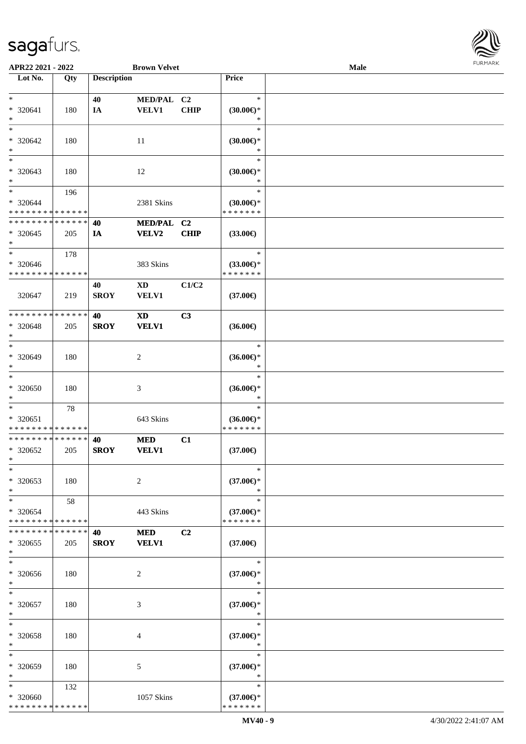

| APR22 2021 - 2022             |     |                    | <b>Brown Velvet</b> |             |                                      | <b>Male</b> |  |
|-------------------------------|-----|--------------------|---------------------|-------------|--------------------------------------|-------------|--|
| Lot No.                       | Qty | <b>Description</b> |                     |             | Price                                |             |  |
|                               |     |                    |                     |             |                                      |             |  |
| $*$                           |     | 40                 | MED/PAL C2          |             | $\ast$                               |             |  |
| * 320641                      | 180 | IA                 | <b>VELV1</b>        | <b>CHIP</b> | $(30.00\epsilon)$ *                  |             |  |
| $\ast$                        |     |                    |                     |             | $\ast$                               |             |  |
| $*$                           |     |                    |                     |             | $\ast$                               |             |  |
|                               |     |                    |                     |             |                                      |             |  |
| * 320642                      | 180 |                    | 11                  |             | $(30.00\epsilon)$ *                  |             |  |
| $\ast$                        |     |                    |                     |             | $\ast$                               |             |  |
| $\overline{\phantom{0}}$      |     |                    |                     |             | $\ast$                               |             |  |
| * 320643                      | 180 |                    | 12                  |             | $(30.00\epsilon)$ *                  |             |  |
| $*$                           |     |                    |                     |             | *                                    |             |  |
| $*$                           | 196 |                    |                     |             | $\ast$                               |             |  |
| * 320644                      |     |                    |                     |             |                                      |             |  |
|                               |     |                    | 2381 Skins          |             | $(30.00\epsilon)$ *<br>* * * * * * * |             |  |
| * * * * * * * * * * * * * *   |     |                    |                     |             |                                      |             |  |
| * * * * * * * * * * * * * *   |     | 40                 | MED/PAL C2          |             |                                      |             |  |
| $*320645$                     | 205 | IA                 | VELV2               | CHIP        | $(33.00\epsilon)$                    |             |  |
| $\ast$                        |     |                    |                     |             |                                      |             |  |
| $*$                           | 178 |                    |                     |             | $\ast$                               |             |  |
| * 320646                      |     |                    | 383 Skins           |             | $(33.00\epsilon)$ *                  |             |  |
| * * * * * * * * * * * * * *   |     |                    |                     |             | * * * * * * *                        |             |  |
|                               |     | 40                 |                     | C1/C2       |                                      |             |  |
|                               |     |                    | XD                  |             |                                      |             |  |
| 320647                        | 219 | <b>SROY</b>        | <b>VELV1</b>        |             | $(37.00\epsilon)$                    |             |  |
|                               |     |                    |                     |             |                                      |             |  |
| * * * * * * * * * * * * * *   |     | 40                 | <b>XD</b>           | C3          |                                      |             |  |
| $* 320648$                    | 205 | <b>SROY</b>        | <b>VELV1</b>        |             | $(36.00\epsilon)$                    |             |  |
| $\ast$                        |     |                    |                     |             |                                      |             |  |
| $*$                           |     |                    |                     |             | $\ast$                               |             |  |
| $* 320649$                    | 180 |                    | $\overline{c}$      |             | $(36.00\epsilon)$ *                  |             |  |
| $*$                           |     |                    |                     |             | *                                    |             |  |
| $\ast$                        |     |                    |                     |             | $\ast$                               |             |  |
|                               |     |                    |                     |             |                                      |             |  |
| * 320650                      | 180 |                    | $\mathfrak{Z}$      |             | $(36.00\epsilon)$ *                  |             |  |
| $*$                           |     |                    |                     |             | $\ast$                               |             |  |
| $*$                           | 78  |                    |                     |             | $\ast$                               |             |  |
| * 320651                      |     |                    | 643 Skins           |             | $(36.00€)$ *                         |             |  |
| * * * * * * * * * * * * * *   |     |                    |                     |             | * * * * * * *                        |             |  |
| * * * * * * * * * * * * * *   |     | 40                 | <b>MED</b>          | C1          |                                      |             |  |
| * 320652                      | 205 | <b>SROY</b>        | <b>VELV1</b>        |             | $(37.00\epsilon)$                    |             |  |
|                               |     |                    |                     |             |                                      |             |  |
| $*$                           |     |                    |                     |             |                                      |             |  |
| $\ast$                        |     |                    |                     |             | $\ast$                               |             |  |
| * 320653                      | 180 |                    | 2                   |             | $(37.00\epsilon)$ *                  |             |  |
| $*$                           |     |                    |                     |             | $\ast$                               |             |  |
| $*$                           | 58  |                    |                     |             | $\ast$                               |             |  |
| * 320654                      |     |                    | 443 Skins           |             | $(37.00\epsilon)$ *                  |             |  |
| * * * * * * * * * * * * * *   |     |                    |                     |             | * * * * * * *                        |             |  |
| * * * * * * * * * * * * * * * |     | 40                 | <b>MED</b>          | C2          |                                      |             |  |
| * 320655                      |     |                    |                     |             | $(37.00\epsilon)$                    |             |  |
|                               | 205 | <b>SROY</b>        | <b>VELV1</b>        |             |                                      |             |  |
| $*$                           |     |                    |                     |             |                                      |             |  |
| $\ast$                        |     |                    |                     |             | $\ast$                               |             |  |
| $* 320656$                    | 180 |                    | 2                   |             | $(37.00\epsilon)$ *                  |             |  |
| $*$                           |     |                    |                     |             | $\ast$                               |             |  |
| $\ast$                        |     |                    |                     |             | $\ast$                               |             |  |
| $* 320657$                    | 180 |                    | 3                   |             | $(37.00\epsilon)$ *                  |             |  |
| $*$                           |     |                    |                     |             | $\ast$                               |             |  |
| $\ast$                        |     |                    |                     |             | $\ast$                               |             |  |
|                               |     |                    |                     |             |                                      |             |  |
| $* 320658$                    | 180 |                    | 4                   |             | $(37.00\epsilon)$ *                  |             |  |
| $*$                           |     |                    |                     |             | $\ast$                               |             |  |
| $\ast$                        |     |                    |                     |             | $\ast$                               |             |  |
| * 320659                      | 180 |                    | 5                   |             | $(37.00\epsilon)$ *                  |             |  |
| $*$                           |     |                    |                     |             | $\ast$                               |             |  |
| $*$                           | 132 |                    |                     |             | $\ast$                               |             |  |
| * 320660                      |     |                    | 1057 Skins          |             | $(37.00\epsilon)$ *                  |             |  |
| * * * * * * * * * * * * * *   |     |                    |                     |             | * * * * * * *                        |             |  |
|                               |     |                    |                     |             |                                      |             |  |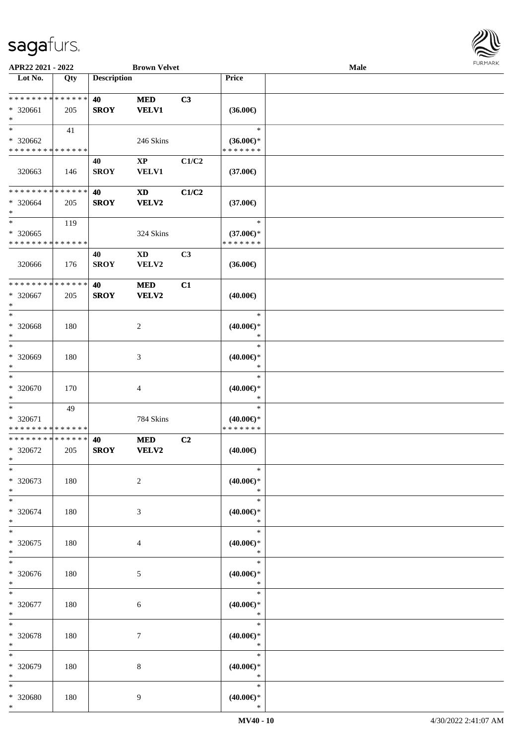

| APR22 2021 - 2022            |     |                    | <b>Brown Velvet</b>    |       |                               | Male | 101111111111 |
|------------------------------|-----|--------------------|------------------------|-------|-------------------------------|------|--------------|
| Lot No.                      | Qty | <b>Description</b> |                        |       | Price                         |      |              |
| ******** <mark>******</mark> |     | 40                 | $\bf MED$              | C3    |                               |      |              |
| * 320661                     |     | <b>SROY</b>        | <b>VELV1</b>           |       |                               |      |              |
| $\ast$                       | 205 |                    |                        |       | $(36.00\epsilon)$             |      |              |
| $\ast$                       |     |                    |                        |       | $\ast$                        |      |              |
|                              | 41  |                    |                        |       |                               |      |              |
| * 320662                     |     |                    | 246 Skins              |       | $(36.00\epsilon)$ *           |      |              |
| **************               |     |                    |                        |       | * * * * * * *                 |      |              |
|                              |     | 40                 | $\mathbf{X}\mathbf{P}$ | C1/C2 |                               |      |              |
| 320663                       | 146 | <b>SROY</b>        | <b>VELV1</b>           |       | $(37.00\epsilon)$             |      |              |
|                              |     |                    |                        |       |                               |      |              |
| **************               |     | 40                 | <b>XD</b>              | C1/C2 |                               |      |              |
| * 320664                     | 205 | <b>SROY</b>        | <b>VELV2</b>           |       | $(37.00\epsilon)$             |      |              |
| $\ast$                       |     |                    |                        |       |                               |      |              |
| $\overline{\phantom{a}}$     | 119 |                    |                        |       | $\ast$                        |      |              |
| $*320665$                    |     |                    | 324 Skins              |       | $(37.00\epsilon)$ *           |      |              |
| * * * * * * * * * * * * * *  |     |                    |                        |       | * * * * * * *                 |      |              |
|                              |     | 40                 | $\mathbf{X}\mathbf{D}$ | C3    |                               |      |              |
| 320666                       | 176 | <b>SROY</b>        | VELV2                  |       | $(36.00\epsilon)$             |      |              |
|                              |     |                    |                        |       |                               |      |              |
| ******** <mark>******</mark> |     | 40                 | $\bf MED$              | C1    |                               |      |              |
| * 320667                     | 205 | <b>SROY</b>        | <b>VELV2</b>           |       | $(40.00\epsilon)$             |      |              |
| $\ast$                       |     |                    |                        |       |                               |      |              |
| $\ast$                       |     |                    |                        |       | $\ast$                        |      |              |
| * 320668                     | 180 |                    | $\overline{c}$         |       | $(40.00\epsilon)$ *           |      |              |
| $\ast$                       |     |                    |                        |       | $\ast$                        |      |              |
| $\ast$                       |     |                    |                        |       | $\ast$                        |      |              |
| * 320669                     | 180 |                    | 3                      |       | $(40.00\epsilon)$ *           |      |              |
| $\ast$                       |     |                    |                        |       | $\ast$                        |      |              |
| $\overline{\phantom{a}}$     |     |                    |                        |       | $\ast$                        |      |              |
|                              |     |                    |                        |       |                               |      |              |
| * 320670                     | 170 |                    | 4                      |       | $(40.00\epsilon)$ *<br>$\ast$ |      |              |
| $\ast$<br>$\ast$             |     |                    |                        |       |                               |      |              |
|                              | 49  |                    |                        |       | $\ast$                        |      |              |
| * 320671                     |     |                    | 784 Skins              |       | $(40.00\epsilon)$ *           |      |              |
| **************               |     |                    |                        |       | * * * * * * *                 |      |              |
| **************               |     | 40                 | <b>MED</b>             | C2    |                               |      |              |
| * 320672                     | 205 | <b>SROY</b>        | VELV2                  |       | $(40.00\epsilon)$             |      |              |
| $*$                          |     |                    |                        |       |                               |      |              |
| $\ast$                       |     |                    |                        |       | $\ast$                        |      |              |
| * 320673                     | 180 |                    | $\overline{c}$         |       | $(40.00\epsilon)$ *           |      |              |
| $\ast$                       |     |                    |                        |       | $\ast$                        |      |              |
| $\ast$                       |     |                    |                        |       | $\ast$                        |      |              |
| * 320674                     | 180 |                    | 3                      |       | $(40.00\epsilon)$ *           |      |              |
| $\ast$                       |     |                    |                        |       | $\ast$                        |      |              |
| $*$                          |     |                    |                        |       | $\ast$                        |      |              |
| * 320675                     | 180 |                    | 4                      |       | $(40.00\epsilon)$ *           |      |              |
| $\ast$                       |     |                    |                        |       | $\ast$                        |      |              |
| $\ast$                       |     |                    |                        |       | $\ast$                        |      |              |
| * 320676                     | 180 |                    | 5                      |       | $(40.00\epsilon)$ *           |      |              |
| $\ast$                       |     |                    |                        |       | $\ast$                        |      |              |
| $\ast$                       |     |                    |                        |       | $\ast$                        |      |              |
| * 320677                     | 180 |                    | 6                      |       | $(40.00\epsilon)$ *           |      |              |
| $\ast$                       |     |                    |                        |       | $\ast$                        |      |              |
| $\ast$                       |     |                    |                        |       | $\ast$                        |      |              |
| * 320678                     | 180 |                    | $\tau$                 |       |                               |      |              |
| $\ast$                       |     |                    |                        |       | $(40.00\epsilon)$ *<br>$\ast$ |      |              |
| $\ast$                       |     |                    |                        |       | $\ast$                        |      |              |
|                              |     |                    |                        |       |                               |      |              |
| * 320679                     | 180 |                    | 8                      |       | $(40.00\epsilon)$ *           |      |              |
| $\ast$                       |     |                    |                        |       | $\ast$                        |      |              |
| $\ast$                       |     |                    |                        |       | $\ast$                        |      |              |
| * 320680                     | 180 |                    | 9                      |       | $(40.00\epsilon)$ *           |      |              |
| $*$                          |     |                    |                        |       | $\ast$                        |      |              |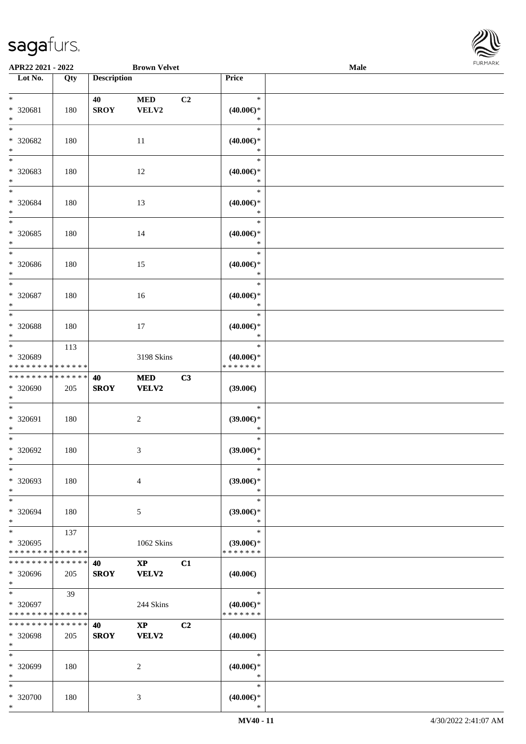| APR22 2021 - 2022                                                      |     |                    | <b>Brown Velvet</b>                    |                |                                                | Male | <b>FUNITANN</b> |
|------------------------------------------------------------------------|-----|--------------------|----------------------------------------|----------------|------------------------------------------------|------|-----------------|
| Lot No.                                                                | Qty | <b>Description</b> |                                        |                | Price                                          |      |                 |
| $\ast$<br>* 320681<br>$\ast$                                           | 180 | 40<br><b>SROY</b>  | $\bf MED$<br>VELV2                     | C <sub>2</sub> | $\ast$<br>$(40.00\epsilon)$ *<br>$\ast$        |      |                 |
| $\ast$<br>* 320682<br>$\ast$                                           | 180 |                    | 11                                     |                | $\ast$<br>$(40.00\epsilon)$ *<br>$\ast$        |      |                 |
| $\overline{\phantom{0}}$<br>* 320683<br>$\ast$                         | 180 |                    | 12                                     |                | $\ast$<br>$(40.00\epsilon)$ *<br>$\ast$        |      |                 |
| $\ast$<br>* 320684<br>$\ast$<br>$\overline{\phantom{a}^*}$             | 180 |                    | 13                                     |                | $\ast$<br>$(40.00\epsilon)$ *<br>$\ast$        |      |                 |
| * 320685<br>$\ast$<br>$\overline{\phantom{a}^*}$                       | 180 |                    | 14                                     |                | $\ast$<br>$(40.00\epsilon)$ *<br>$\ast$        |      |                 |
| * 320686<br>$\ast$                                                     | 180 |                    | 15                                     |                | $\ast$<br>$(40.00\epsilon)$ *<br>$\ast$        |      |                 |
| $\ast$<br>$* 320687$<br>$\ast$<br>$\overline{\phantom{a}^*}$           | 180 |                    | 16                                     |                | $\ast$<br>$(40.00\epsilon)$ *<br>$\ast$        |      |                 |
| * 320688<br>$\ast$                                                     | 180 |                    | 17                                     |                | $\ast$<br>$(40.00\epsilon)$ *<br>$\ast$        |      |                 |
| $\ast$<br>* 320689<br>* * * * * * * * * * * * * *                      | 113 |                    | 3198 Skins                             |                | $\ast$<br>$(40.00\epsilon)$ *<br>* * * * * * * |      |                 |
| * * * * * * * * * * * * * *<br>* 320690<br>$\ast$<br>$\ast$            | 205 | 40<br><b>SROY</b>  | <b>MED</b><br><b>VELV2</b>             | C3             | (39.00)                                        |      |                 |
| * 320691<br>$\ast$<br>$\overline{\phantom{a}^*}$                       | 180 |                    | $\boldsymbol{2}$                       |                | $\ast$<br>(39.00)<br>$\ast$<br>$\ast$          |      |                 |
| $* 320692$<br>$*$<br>$\ast$                                            | 180 |                    | $\ensuremath{\mathfrak{Z}}$            |                | $(39.00\epsilon)$ *<br>$\ast$<br>$\ast$        |      |                 |
| * 320693<br>$\ast$<br>$\ast$                                           | 180 |                    | $\overline{4}$                         |                | $(39.00€)$ *<br>$\ast$<br>$\ast$               |      |                 |
| * 320694<br>$\ast$<br>$\ast$                                           | 180 |                    | 5                                      |                | $(39.00\epsilon)$ *<br>$\ast$<br>$\ast$        |      |                 |
| * 320695<br>* * * * * * * * * * * * * *<br>* * * * * * * * * * * * * * | 137 |                    | 1062 Skins                             |                | $(39.00\epsilon)$ *<br>* * * * * * *           |      |                 |
| * 320696<br>$*$                                                        | 205 | 40<br><b>SROY</b>  | $\mathbf{X}\mathbf{P}$<br><b>VELV2</b> | C1             | $(40.00\epsilon)$                              |      |                 |
| $\ast$<br>* 320697<br>* * * * * * * * * * * * * *                      | 39  |                    | 244 Skins                              |                | $\ast$<br>$(40.00\epsilon)$ *<br>* * * * * * * |      |                 |
| * * * * * * * * * * * * * *<br>* 320698<br>$*$                         | 205 | 40<br><b>SROY</b>  | $\mathbf{X}\mathbf{P}$<br><b>VELV2</b> | C <sub>2</sub> | $(40.00\epsilon)$                              |      |                 |
| $\ast$<br>* 320699<br>$\ast$                                           | 180 |                    | 2                                      |                | $\ast$<br>$(40.00\epsilon)$ *<br>$\ast$        |      |                 |
| $\ast$<br>* 320700<br>$*$                                              | 180 |                    | 3                                      |                | $\ast$<br>$(40.00\epsilon)$ *<br>$\ast$        |      |                 |

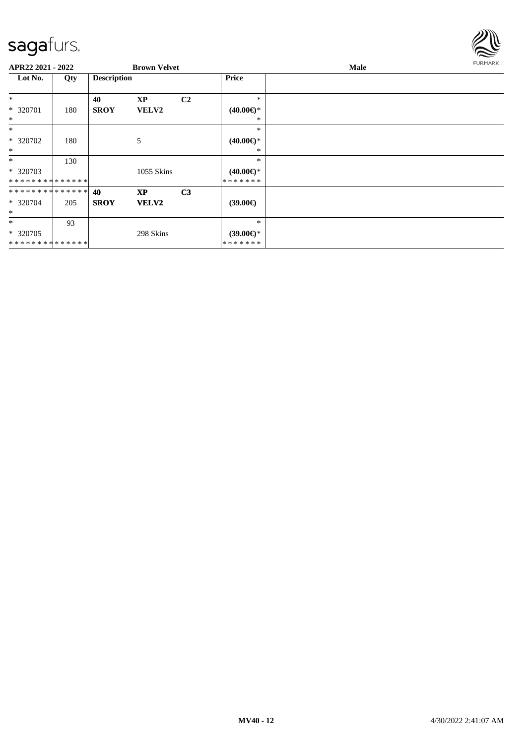

| APR22 2021 - 2022             |     |                    | <b>Brown Velvet</b> |                |                     | Male | <b>FURMARK</b> |
|-------------------------------|-----|--------------------|---------------------|----------------|---------------------|------|----------------|
| Lot No.                       | Qty | <b>Description</b> |                     |                | Price               |      |                |
| $\ast$                        |     | 40                 | <b>XP</b>           | C <sub>2</sub> | $\ast$              |      |                |
| * 320701                      | 180 | <b>SROY</b>        | <b>VELV2</b>        |                | $(40.00\epsilon)$ * |      |                |
| $\ast$                        |     |                    |                     |                | ∗                   |      |                |
| $\ast$                        |     |                    |                     |                | $\ast$              |      |                |
| * 320702                      | 180 |                    | 5                   |                | $(40.00\epsilon)$ * |      |                |
| $\ast$                        |     |                    |                     |                | ∗                   |      |                |
| $\ast$                        | 130 |                    |                     |                | $\ast$              |      |                |
| * 320703                      |     |                    | 1055 Skins          |                | $(40.00\epsilon)$ * |      |                |
| **************                |     |                    |                     |                | * * * * * * *       |      |                |
| * * * * * * * * * * * * * * * |     | 40                 | <b>XP</b>           | C <sub>3</sub> |                     |      |                |
| * 320704                      | 205 | <b>SROY</b>        | <b>VELV2</b>        |                | $(39.00\epsilon)$   |      |                |
| $\ast$                        |     |                    |                     |                |                     |      |                |
| $\ast$                        | 93  |                    |                     |                | $\ast$              |      |                |
| * 320705                      |     |                    | 298 Skins           |                | $(39.00\epsilon)$ * |      |                |
| **************                |     |                    |                     |                | *******             |      |                |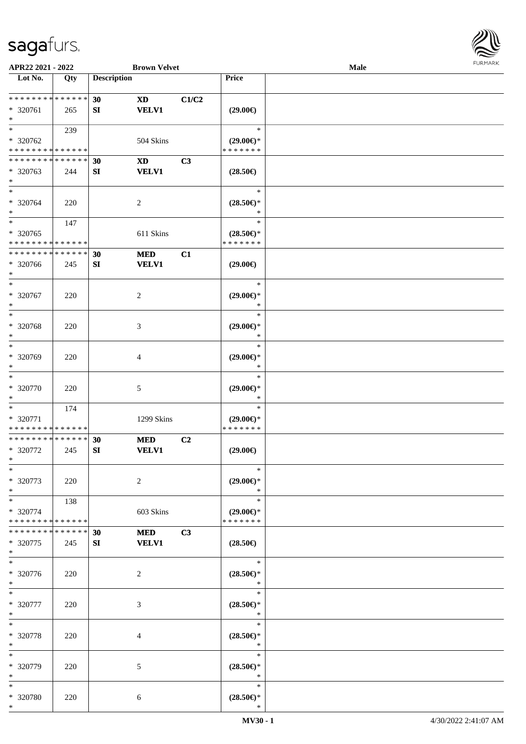

| APR22 2021 - 2022                                   |                    |                    | <b>Brown Velvet</b>        |                |                                                                        | Male |  |
|-----------------------------------------------------|--------------------|--------------------|----------------------------|----------------|------------------------------------------------------------------------|------|--|
| Lot No.                                             | $\overline{Q}$ ty  | <b>Description</b> |                            |                | Price                                                                  |      |  |
| **************<br>* 320761<br>$\ast$                | 265                | 30<br>SI           | <b>XD</b><br><b>VELV1</b>  | C1/C2          | $(29.00\epsilon)$                                                      |      |  |
| $*$<br>* 320762<br>* * * * * * * * * * * * * *      | 239                |                    | 504 Skins                  |                | $\ast$<br>$(29.00\epsilon)$ *<br>* * * * * * *                         |      |  |
| * * * * * * * * * * * * * *<br>* 320763<br>$\ast$   | 244                | 30<br>${\bf SI}$   | <b>XD</b><br><b>VELV1</b>  | C3             | $(28.50\epsilon)$                                                      |      |  |
| $\ast$<br>* 320764<br>$\ast$                        | 220                |                    | $\sqrt{2}$                 |                | $\ast$<br>$(28.50\mathnormal{\in}\mathcal{)^{\! \! \circ}}$<br>$\ast$  |      |  |
| $\ast$<br>$* 320765$<br>* * * * * * * * * * * * * * | 147                |                    | 611 Skins                  |                | $\ast$<br>$(28.50\epsilon)$ *<br>* * * * * * *                         |      |  |
| * * * * * * * * * * * * * *<br>* 320766<br>$\ast$   | 245                | 30<br>${\bf SI}$   | $\bf MED$<br><b>VELV1</b>  | C1             | $(29.00\epsilon)$                                                      |      |  |
| $\ast$<br>$* 320767$<br>$\ast$                      | 220                |                    | $\sqrt{2}$                 |                | $\ast$<br>$(29.00\epsilon)$ *<br>$\ast$                                |      |  |
| $\ast$<br>$* 320768$<br>$\ast$                      | 220                |                    | 3                          |                | $\ast$<br>$(29.00\epsilon)$ *<br>$\ast$                                |      |  |
| $\ast$<br>* 320769<br>$\ast$                        | 220                |                    | 4                          |                | $\ast$<br>$(29.00\epsilon)$ *<br>$\ast$                                |      |  |
| $\ast$<br>$* 320770$<br>$\ast$                      | 220                |                    | 5                          |                | $\ast$<br>$(29.00\epsilon)$ *<br>$\ast$                                |      |  |
| $\ast$<br>* 320771<br>* * * * * * * * * * * * * *   | 174                |                    | 1299 Skins                 |                | $\ast$<br>$(29.00\epsilon)$ *<br>* * * * * * *                         |      |  |
| * * * * * * * * * * * * * *<br>* 320772<br>$*$      | 245                | 30<br>SI           | <b>MED</b><br><b>VELV1</b> | C <sub>2</sub> | $(29.00\epsilon)$                                                      |      |  |
| $\ast$<br>* 320773<br>$\ast$                        | 220                |                    | $\overline{c}$             |                | $\ast$<br>$(29.00\epsilon)$ *<br>$\ast$                                |      |  |
| $\ast$<br>* 320774<br>* * * * * * * * * * * * * *   | 138                |                    | 603 Skins                  |                | $\ast$<br>$(29.00\epsilon)$ *<br>* * * * * * *                         |      |  |
| * * * * * * * *<br>* 320775<br>$*$                  | * * * * * *<br>245 | 30<br>SI           | <b>MED</b><br><b>VELV1</b> | C3             | $(28.50\in)$                                                           |      |  |
| $\ast$<br>$* 320776$<br>$*$                         | 220                |                    | 2                          |                | $\ast$<br>$(28.50\epsilon)$ *<br>$\ast$                                |      |  |
| $*$<br>* 320777<br>$*$                              | 220                |                    | 3                          |                | $\ast$<br>$(28.50\epsilon)$ *<br>$\ast$                                |      |  |
| $\ast$<br>* 320778<br>$\ast$                        | 220                |                    | 4                          |                | $\ast$<br>$(28.50\mathnormal{\in}\mathcal{)^{\! \! \circ}}$<br>$\ast$  |      |  |
| $\ast$<br>* 320779<br>$\ast$                        | 220                |                    | 5                          |                | $\ast$<br>$(28.50\epsilon)$ *<br>$\ast$                                |      |  |
| $\ast$<br>* 320780<br>$*$                           | 220                |                    | 6                          |                | $\ast$<br>$(28.50\mathnormal{\in}\mathcal{)^{\! \! \times}}$<br>$\ast$ |      |  |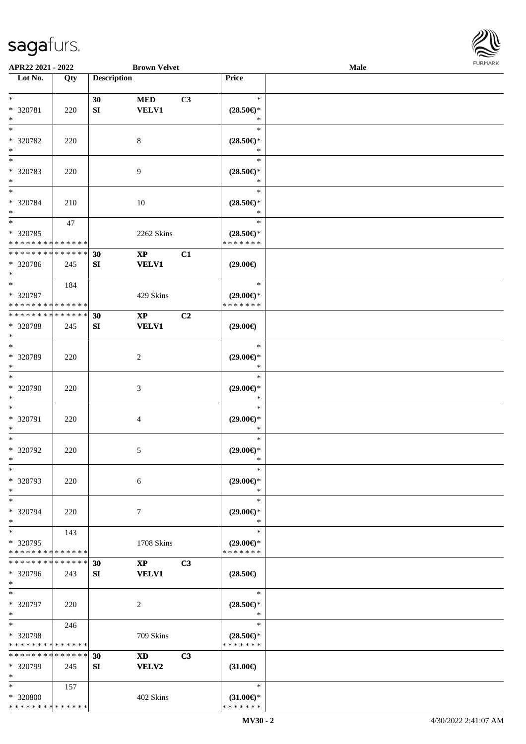

| APR22 2021 - 2022                       |             |                    | <b>Brown Velvet</b>    |    |                                      | Male |  |
|-----------------------------------------|-------------|--------------------|------------------------|----|--------------------------------------|------|--|
| Lot No.                                 | Qty         | <b>Description</b> |                        |    | Price                                |      |  |
|                                         |             |                    |                        |    |                                      |      |  |
| $*$                                     |             | 30                 | <b>MED</b>             | C3 | $\ast$                               |      |  |
| * 320781                                | 220         | ${\bf SI}$         | <b>VELV1</b>           |    | $(28.50\epsilon)$ *                  |      |  |
| $\ast$                                  |             |                    |                        |    | ∗                                    |      |  |
| $*$                                     |             |                    |                        |    | $\ast$                               |      |  |
| * 320782                                | 220         |                    | 8                      |    | $(28.50\epsilon)$ *                  |      |  |
| $\ast$                                  |             |                    |                        |    | ∗                                    |      |  |
| $\overline{\phantom{0}}$                |             |                    |                        |    | $\ast$                               |      |  |
| * 320783                                | 220         |                    | 9                      |    | $(28.50\epsilon)$ *                  |      |  |
| $*$                                     |             |                    |                        |    | $\ast$                               |      |  |
| $*$                                     |             |                    |                        |    | $\ast$                               |      |  |
|                                         |             |                    |                        |    |                                      |      |  |
| $* 320784$                              | 210         |                    | 10                     |    | $(28.50\epsilon)$ *                  |      |  |
| $*$                                     |             |                    |                        |    | $\ast$<br>$\ast$                     |      |  |
| $*$                                     | 47          |                    |                        |    |                                      |      |  |
| $* 320785$                              |             |                    | 2262 Skins             |    | $(28.50\epsilon)$ *                  |      |  |
| * * * * * * * * * * * * * *             |             |                    |                        |    | * * * * * * *                        |      |  |
| * * * * * * * * * * * * * *             |             | 30                 | $\mathbf{X}\mathbf{P}$ | C1 |                                      |      |  |
| * 320786                                | 245         | SI                 | <b>VELV1</b>           |    | $(29.00\epsilon)$                    |      |  |
| $*$                                     |             |                    |                        |    |                                      |      |  |
| $*$                                     | 184         |                    |                        |    | $\ast$                               |      |  |
| * 320787                                |             |                    | 429 Skins              |    | $(29.00\epsilon)$ *                  |      |  |
| * * * * * * * * * * * * * *             |             |                    |                        |    | * * * * * * *                        |      |  |
| * * * * * * * * * * * * * *             |             | 30                 | $\mathbf{X}\mathbf{P}$ | C2 |                                      |      |  |
| * 320788                                | 245         | SI                 | <b>VELV1</b>           |    | $(29.00\epsilon)$                    |      |  |
| $*$                                     |             |                    |                        |    |                                      |      |  |
| $*$                                     |             |                    |                        |    | $\ast$                               |      |  |
| * 320789                                | 220         |                    | 2                      |    | $(29.00\epsilon)$ *                  |      |  |
| $*$                                     |             |                    |                        |    | $\ast$                               |      |  |
| $\ast$                                  |             |                    |                        |    | $\ast$                               |      |  |
| $* 320790$                              | 220         |                    | 3                      |    | $(29.00\epsilon)$ *                  |      |  |
| $*$                                     |             |                    |                        |    | $\ast$                               |      |  |
| $*$                                     |             |                    |                        |    | $\ast$                               |      |  |
|                                         |             |                    |                        |    |                                      |      |  |
| * 320791<br>$*$                         | 220         |                    | 4                      |    | $(29.00\epsilon)$ *<br>$\ast$        |      |  |
| $*$                                     |             |                    |                        |    | $\ast$                               |      |  |
|                                         |             |                    |                        |    |                                      |      |  |
| $* 320792$                              | 220         |                    | 5                      |    | $(29.00\epsilon)$ *                  |      |  |
| $*$                                     |             |                    |                        |    | $\ast$                               |      |  |
| $\ast$                                  |             |                    |                        |    | $\ast$                               |      |  |
| * 320793                                | 220         |                    | 6                      |    | $(29.00\epsilon)$ *                  |      |  |
| $*$                                     |             |                    |                        |    | ∗                                    |      |  |
| $*$                                     |             |                    |                        |    | $\ast$                               |      |  |
| * 320794                                | 220         |                    | 7                      |    | $(29.00€)$ *                         |      |  |
| $\ast$                                  |             |                    |                        |    | $\ast$                               |      |  |
| $*$                                     | 143         |                    |                        |    | $\ast$                               |      |  |
| * 320795                                |             |                    | 1708 Skins             |    | $(29.00\epsilon)$ *                  |      |  |
| * * * * * * * * * * * * * *             |             |                    |                        |    | * * * * * * *                        |      |  |
| * * * * * * * *                         | * * * * * * | 30                 | $\mathbf{XP}$          | C3 |                                      |      |  |
| * 320796                                | 243         | SI                 | <b>VELV1</b>           |    | $(28.50\epsilon)$                    |      |  |
| $*$                                     |             |                    |                        |    |                                      |      |  |
| $*$                                     |             |                    |                        |    | $\ast$                               |      |  |
| * 320797                                | 220         |                    | 2                      |    | $(28.50\epsilon)$ *                  |      |  |
| $*$                                     |             |                    |                        |    | $\ast$                               |      |  |
| $*$                                     | 246         |                    |                        |    | $\ast$                               |      |  |
| * 320798                                |             |                    | 709 Skins              |    | $(28.50\epsilon)$ *                  |      |  |
| * * * * * * * * * * * * * *             |             |                    |                        |    | * * * * * * *                        |      |  |
| * * * * * * * * * * * * * *             |             | 30                 | <b>XD</b>              | C3 |                                      |      |  |
| * 320799                                | 245         | SI                 | VELV2                  |    | $(31.00\epsilon)$                    |      |  |
| $*$                                     |             |                    |                        |    |                                      |      |  |
| $*$                                     |             |                    |                        |    | $\ast$                               |      |  |
|                                         | 157         |                    |                        |    |                                      |      |  |
| * 320800<br>* * * * * * * * * * * * * * |             |                    | 402 Skins              |    | $(31.00\epsilon)$ *<br>* * * * * * * |      |  |
|                                         |             |                    |                        |    |                                      |      |  |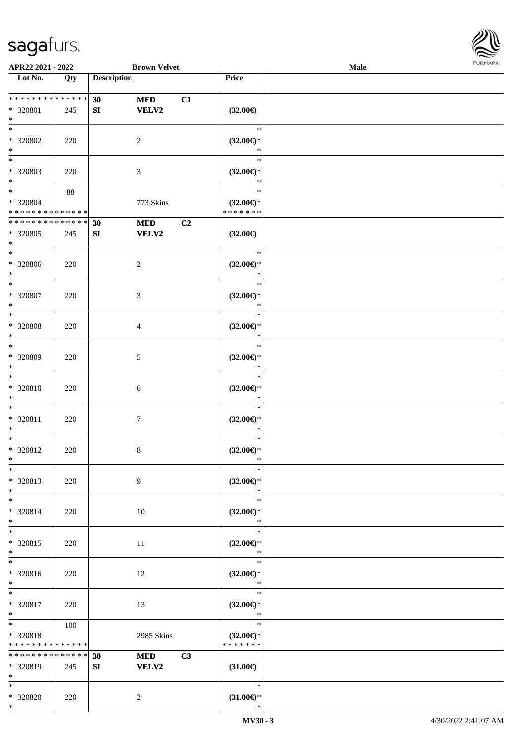\*



| APR22 2021 - 2022                               |                    |                        | <b>Brown Velvet</b>        |    |                                                | Male |  |
|-------------------------------------------------|--------------------|------------------------|----------------------------|----|------------------------------------------------|------|--|
| Lot No.                                         | Qty                | <b>Description</b>     |                            |    | Price                                          |      |  |
|                                                 |                    |                        |                            |    |                                                |      |  |
| ******** <mark>******</mark><br>* 320801<br>$*$ | 245                | 30<br>${\bf S}{\bf I}$ | <b>MED</b><br><b>VELV2</b> | C1 | $(32.00\in)$                                   |      |  |
| $*$<br>* 320802<br>$\ast$                       | 220                |                        | $\overline{2}$             |    | $\ast$<br>$(32.00\epsilon)$ *<br>$\ast$        |      |  |
| $\overline{\phantom{0}}$<br>* 320803<br>$*$     | 220                |                        | $\mathfrak{Z}$             |    | $\ast$<br>$(32.00\in)^\ast$<br>$\ast$          |      |  |
| $*$<br>* 320804<br>* * * * * * * * * * * * * *  | 88                 |                        | 773 Skins                  |    | $\ast$<br>$(32.00\epsilon)$ *<br>* * * * * * * |      |  |
| * * * * * * * *<br>* 320805<br>$\ast$           | * * * * * *<br>245 | 30<br>${\bf SI}$       | <b>MED</b><br><b>VELV2</b> | C2 | $(32.00\epsilon)$                              |      |  |
| $\ast$<br>$* 320806$<br>$*$                     | 220                |                        | $\overline{2}$             |    | $\ast$<br>$(32.00\epsilon)$ *<br>$\ast$        |      |  |
| $\ast$<br>$* 320807$<br>$\ast$                  | 220                |                        | 3                          |    | $\ast$<br>$(32.00\epsilon)$ *<br>$\ast$        |      |  |
| $*$<br>$* 320808$<br>$\ast$                     | 220                |                        | $\overline{4}$             |    | $\ast$<br>$(32.00\epsilon)$ *<br>$\ast$        |      |  |
| $*$<br>* 320809<br>$*$                          | 220                |                        | $5\phantom{.0}$            |    | $\ast$<br>$(32.00\epsilon)$ *<br>$\ast$        |      |  |
| $*$<br>$* 320810$<br>$*$                        | 220                |                        | 6                          |    | $\ast$<br>$(32.00\epsilon)$ *<br>$\ast$        |      |  |
| $*$<br>* 320811<br>$*$                          | 220                |                        | $\tau$                     |    | $\ast$<br>$(32.00\epsilon)$ *<br>$\ast$        |      |  |
| $\ast$<br>$* 320812$<br>$*$                     | 220                |                        | $\,8\,$                    |    | $\ast$<br>$(32.00\epsilon)$ *<br>$\ast$        |      |  |
| $\ast$<br>* 320813<br>$*$                       | 220                |                        | 9                          |    | $\ast$<br>$(32.00\epsilon)$ *<br>$\ast$        |      |  |
| $*$<br>* 320814<br>$*$                          | 220                |                        | 10                         |    | $\ast$<br>$(32.00\epsilon)$ *<br>$\ast$        |      |  |
| $*$<br>* 320815<br>$*$                          | 220                |                        | 11                         |    | $\ast$<br>$(32.00\epsilon)$ *<br>$\ast$        |      |  |
| $\overline{\phantom{0}}$<br>* 320816<br>$*$     | 220                |                        | 12                         |    | $\ast$<br>$(32.00\epsilon)$ *<br>$\ast$        |      |  |
| $*$<br>* 320817<br>$*$                          | 220                |                        | 13                         |    | $\ast$<br>$(32.00\epsilon)$ *<br>$\ast$        |      |  |
| $*$ $*$<br>* 320818<br>* * * * * * * *          | 100<br>* * * * * * |                        | 2985 Skins                 |    | $\ast$<br>$(32.00\epsilon)$ *<br>* * * * * * * |      |  |
| * * * * * * * *<br>* 320819<br>$*$              | * * * * * *<br>245 | 30<br>SI               | <b>MED</b><br><b>VELV2</b> | C3 | $(31.00\epsilon)$                              |      |  |
| $*$<br>* 320820<br>$*$                          | 220                |                        | $\overline{2}$             |    | $\ast$<br>$(31.00\epsilon)$ *<br>$\ast$        |      |  |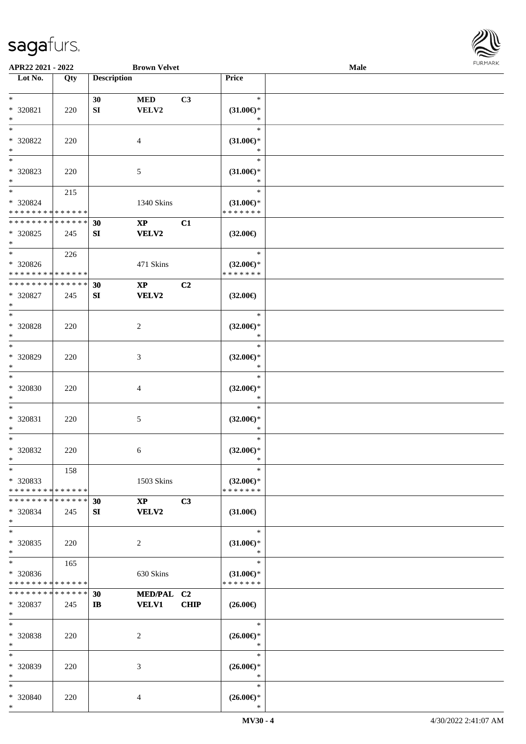

| APR22 2021 - 2022             |     |                    | <b>Brown Velvet</b>    |                |                     | <b>Male</b> |  |
|-------------------------------|-----|--------------------|------------------------|----------------|---------------------|-------------|--|
| Lot No.                       | Qty | <b>Description</b> |                        |                | Price               |             |  |
|                               |     |                    |                        |                |                     |             |  |
| $*$                           |     | 30                 | <b>MED</b>             | C3             | $\ast$              |             |  |
|                               |     |                    |                        |                |                     |             |  |
| * 320821                      | 220 | SI                 | ${\bf VELV2}$          |                | $(31.00\epsilon)$ * |             |  |
| $\ast$                        |     |                    |                        |                | $\ast$              |             |  |
| $*$                           |     |                    |                        |                | $\ast$              |             |  |
| $* 320822$                    | 220 |                    | 4                      |                | $(31.00\epsilon)$ * |             |  |
| $\ast$                        |     |                    |                        |                | $\ast$              |             |  |
| $\overline{\phantom{0}}$      |     |                    |                        |                | $\ast$              |             |  |
| * 320823                      |     |                    |                        |                |                     |             |  |
|                               | 220 |                    | 5                      |                | $(31.00\epsilon)$ * |             |  |
| $*$                           |     |                    |                        |                | *                   |             |  |
| $*$                           | 215 |                    |                        |                | $\ast$              |             |  |
| $* 320824$                    |     |                    | 1340 Skins             |                | $(31.00\epsilon)$ * |             |  |
| * * * * * * * * * * * * * *   |     |                    |                        |                | * * * * * * *       |             |  |
| * * * * * * * * * * * * * *   |     | 30                 | $\mathbf{XP}$          | C1             |                     |             |  |
| * 320825                      |     |                    |                        |                |                     |             |  |
|                               | 245 | SI                 | <b>VELV2</b>           |                | $(32.00\epsilon)$   |             |  |
| $*$                           |     |                    |                        |                |                     |             |  |
| $*$                           | 226 |                    |                        |                | $\ast$              |             |  |
| $* 320826$                    |     |                    | 471 Skins              |                | $(32.00\epsilon)$ * |             |  |
| * * * * * * * * * * * * * *   |     |                    |                        |                | * * * * * * *       |             |  |
| * * * * * * * * * * * * * *   |     | 30                 | $\mathbf{X}\mathbf{P}$ | C <sub>2</sub> |                     |             |  |
| $* 320827$                    |     |                    | VELV2                  |                |                     |             |  |
|                               | 245 | SI                 |                        |                | $(32.00\epsilon)$   |             |  |
| $*$                           |     |                    |                        |                |                     |             |  |
| $*$                           |     |                    |                        |                | $\ast$              |             |  |
| * 320828                      | 220 |                    | 2                      |                | $(32.00\epsilon)$ * |             |  |
| $*$                           |     |                    |                        |                | $\ast$              |             |  |
| $*$                           |     |                    |                        |                | $\ast$              |             |  |
| $* 320829$                    | 220 |                    | 3                      |                | $(32.00\epsilon)$ * |             |  |
|                               |     |                    |                        |                |                     |             |  |
| $*$                           |     |                    |                        |                | $\ast$              |             |  |
| $\ast$                        |     |                    |                        |                | $\ast$              |             |  |
| $* 320830$                    | 220 |                    | 4                      |                | $(32.00\epsilon)$ * |             |  |
| $*$                           |     |                    |                        |                | $\ast$              |             |  |
| $*$                           |     |                    |                        |                | $\ast$              |             |  |
| * 320831                      | 220 |                    | 5                      |                | $(32.00\epsilon)$ * |             |  |
|                               |     |                    |                        |                |                     |             |  |
| $*$                           |     |                    |                        |                | $\ast$              |             |  |
| $\ast$                        |     |                    |                        |                | $\ast$              |             |  |
| $* 320832$                    | 220 |                    | 6                      |                | $(32.00\epsilon)$ * |             |  |
| $*$                           |     |                    |                        |                | $\ast$              |             |  |
| $*$                           | 158 |                    |                        |                | $\ast$              |             |  |
| * 320833                      |     |                    | 1503 Skins             |                | $(32.00\epsilon)$ * |             |  |
|                               |     |                    |                        |                |                     |             |  |
| * * * * * * * * * * * * * * * |     |                    |                        |                | * * * * * * *       |             |  |
| * * * * * * * * * * * * * * * |     | 30                 | $\mathbf{XP}$          | C3             |                     |             |  |
| * 320834                      | 245 | SI                 | <b>VELV2</b>           |                | $(31.00\epsilon)$   |             |  |
| $*$                           |     |                    |                        |                |                     |             |  |
| $*$                           |     |                    |                        |                | $\ast$              |             |  |
| $* 320835$                    |     |                    |                        |                | $(31.00\epsilon)$ * |             |  |
| $*$                           | 220 |                    | 2                      |                | $\ast$              |             |  |
|                               |     |                    |                        |                |                     |             |  |
| $*$                           | 165 |                    |                        |                | $\ast$              |             |  |
| * 320836                      |     |                    | 630 Skins              |                | $(31.00\epsilon)$ * |             |  |
| * * * * * * * * * * * * * *   |     |                    |                        |                | * * * * * * *       |             |  |
| * * * * * * * * * * * * * *   |     | 30                 | MED/PAL C2             |                |                     |             |  |
| * 320837                      | 245 | $\mathbf{I}$       | <b>VELV1</b>           | <b>CHIP</b>    | $(26.00\epsilon)$   |             |  |
|                               |     |                    |                        |                |                     |             |  |
| $*$                           |     |                    |                        |                |                     |             |  |
| $*$                           |     |                    |                        |                | $\ast$              |             |  |
| $* 320838$                    | 220 |                    | 2                      |                | $(26.00\epsilon)$ * |             |  |
| $*$                           |     |                    |                        |                | $\ast$              |             |  |
| $*$                           |     |                    |                        |                | $\ast$              |             |  |
|                               |     |                    |                        |                |                     |             |  |
| * 320839                      | 220 |                    | 3                      |                | $(26.00\epsilon)$ * |             |  |
| $*$                           |     |                    |                        |                | $\ast$              |             |  |
| $*$                           |     |                    |                        |                | $\ast$              |             |  |
| * 320840                      | 220 |                    | 4                      |                | $(26.00\epsilon)$ * |             |  |
| $*$                           |     |                    |                        |                | $\ast$              |             |  |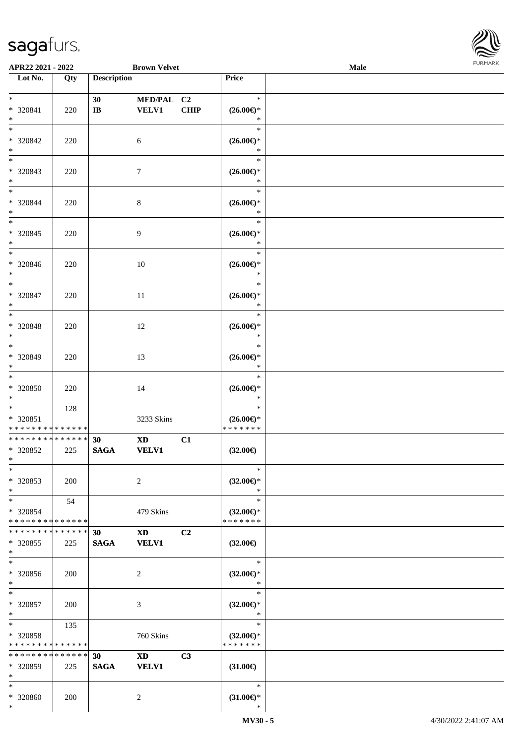

| APR22 2021 - 2022                                   |               |                             | <b>Brown Velvet</b>                                                                                                                                                                                                                            |                |                                                   | Male |  |
|-----------------------------------------------------|---------------|-----------------------------|------------------------------------------------------------------------------------------------------------------------------------------------------------------------------------------------------------------------------------------------|----------------|---------------------------------------------------|------|--|
| Lot No.                                             | Qty           | <b>Description</b>          |                                                                                                                                                                                                                                                |                | Price                                             |      |  |
| $*$<br>* 320841                                     | 220           | 30<br>$\mathbf{I}$ <b>B</b> | MED/PAL C2<br><b>VELV1</b>                                                                                                                                                                                                                     | <b>CHIP</b>    | $\ast$<br>$(26.00\epsilon)$ *                     |      |  |
| $*$<br>$*$<br>* 320842<br>$*$                       | 220           |                             | 6                                                                                                                                                                                                                                              |                | $\ast$<br>$\ast$<br>$(26.00\epsilon)$ *<br>$\ast$ |      |  |
| * 320843<br>$*$                                     | 220           |                             | $\tau$                                                                                                                                                                                                                                         |                | $\ast$<br>$(26.00\epsilon)$ *<br>$\ast$           |      |  |
| $*$<br>* 320844<br>$*$                              | 220           |                             | $\,8\,$                                                                                                                                                                                                                                        |                | $\ast$<br>$(26.00\epsilon)$ *<br>$\ast$           |      |  |
| $*$<br>* 320845<br>$*$                              | 220           |                             | 9                                                                                                                                                                                                                                              |                | $\ast$<br>$(26.00\epsilon)$ *<br>$\ast$           |      |  |
| $\overline{\phantom{0}}$<br>* 320846<br>$*$         | 220           |                             | 10                                                                                                                                                                                                                                             |                | $\ast$<br>$(26.00\epsilon)$ *<br>$\ast$           |      |  |
| $*$<br>* 320847<br>$*$                              | 220           |                             | 11                                                                                                                                                                                                                                             |                | $\ast$<br>$(26.00\epsilon)$ *<br>$\ast$           |      |  |
| $*$<br>* 320848<br>$*$<br>$\overline{\ast}$         | 220           |                             | 12                                                                                                                                                                                                                                             |                | $\ast$<br>$(26.00\epsilon)$ *<br>$\ast$           |      |  |
| * 320849<br>$*$                                     | 220           |                             | 13                                                                                                                                                                                                                                             |                | $\ast$<br>$(26.00\epsilon)$ *<br>$\ast$           |      |  |
| * 320850<br>$*$                                     | 220           |                             | 14                                                                                                                                                                                                                                             |                | $\ast$<br>$(26.00\epsilon)$ *<br>$\ast$           |      |  |
| $*$<br>* 320851<br>* * * * * * * * * * * * * *      | 128           |                             | 3233 Skins                                                                                                                                                                                                                                     |                | $\ast$<br>$(26.00\epsilon)$ *<br>* * * * * * *    |      |  |
| * * * * * * * * * * * * * *<br>* 320852<br>$*$ $-$  | 225           | 30<br><b>SAGA</b>           | XD and the set of the set of the set of the set of the set of the set of the set of the set of the set of the set of the set of the set of the set of the set of the set of the set of the set of the set of the set of the se<br><b>VELV1</b> | C1             | $(32.00\epsilon)$                                 |      |  |
| $\ast$<br>* 320853<br>$*$                           | 200           |                             | 2                                                                                                                                                                                                                                              |                | $\ast$<br>$(32.00\epsilon)$ *<br>$\ast$           |      |  |
| $*$<br>* 320854<br>* * * * * * * * * * * * * *      | 54            |                             | 479 Skins                                                                                                                                                                                                                                      |                | $\ast$<br>$(32.00\epsilon)$ *<br>* * * * * * *    |      |  |
| * * * * * * * *<br>* 320855<br>$\ast$               | ******<br>225 | 30<br><b>SAGA</b>           | <b>XD</b><br><b>VELV1</b>                                                                                                                                                                                                                      | C <sub>2</sub> | $(32.00\epsilon)$                                 |      |  |
| $\ast$<br>* 320856<br>$*$                           | 200           |                             | 2                                                                                                                                                                                                                                              |                | $\ast$<br>$(32.00\epsilon)$ *<br>$\ast$           |      |  |
| $*$<br>* 320857<br>$*$                              | 200           |                             | 3                                                                                                                                                                                                                                              |                | $\ast$<br>$(32.00\epsilon)$ *<br>$\ast$           |      |  |
| $*$ $-$<br>* 320858<br>* * * * * * * * * * * * * *  | 135           |                             | 760 Skins                                                                                                                                                                                                                                      |                | $\ast$<br>$(32.00\epsilon)$ *<br>* * * * * * *    |      |  |
| * * * * * * * * * * * * * * *<br>* 320859<br>$\ast$ | 225           | 30<br><b>SAGA</b>           | XD and the set of the set of the set of the set of the set of the set of the set of the set of the set of the set of the set of the set of the set of the set of the set of the set of the set of the set of the set of the se<br><b>VELV1</b> | C3             | $(31.00\epsilon)$                                 |      |  |
| $*$<br>* 320860<br>$*$                              | 200           |                             | 2                                                                                                                                                                                                                                              |                | $\ast$<br>$(31.00\epsilon)$ *<br>$\ast$           |      |  |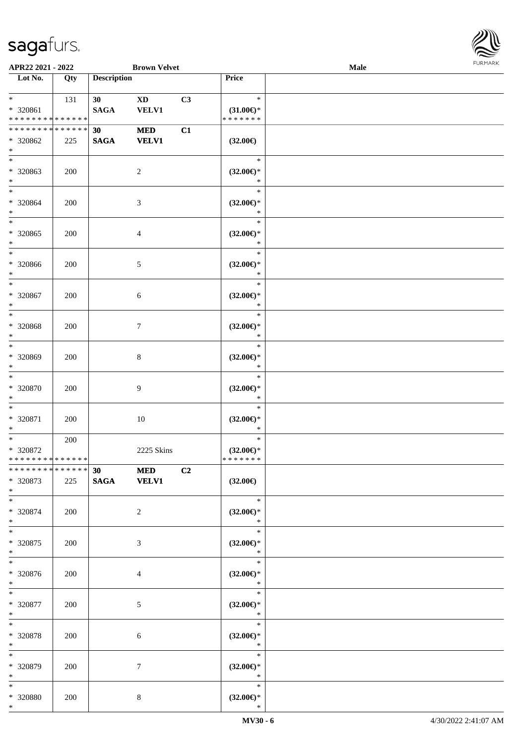

| APR22 2021 - 2022                                                       |     |                       | <b>Brown Velvet</b>        |                |                                                     | Male |  |
|-------------------------------------------------------------------------|-----|-----------------------|----------------------------|----------------|-----------------------------------------------------|------|--|
| Lot No.                                                                 | Qty | <b>Description</b>    |                            |                | Price                                               |      |  |
| $*$ $*$<br>* 320861<br>* * * * * * * * * * * * * *                      | 131 | 30<br>$\mathbf{SAGA}$ | <b>XD</b><br><b>VELV1</b>  | C3             | $\ast$<br>$(31.00\epsilon)$ *<br>* * * * * * *      |      |  |
| * * * * * * * * * * * * * *<br>* 320862<br>$*$                          | 225 | 30<br><b>SAGA</b>     | <b>MED</b><br><b>VELV1</b> | C1             | $(32.00\epsilon)$                                   |      |  |
| * 320863<br>$*$                                                         | 200 |                       | $\overline{2}$             |                | $\ast$<br>$(32.00\epsilon)$ *<br>$\ast$             |      |  |
| $*$<br>$* 320864$<br>$*$                                                | 200 |                       | 3                          |                | $\ast$<br>$(32.00\epsilon)$ *<br>$\ast$             |      |  |
| $\overline{\ast}$<br>* 320865<br>$\ast$<br>$*$                          | 200 |                       | 4                          |                | $\ast$<br>$(32.00\epsilon)$ *<br>$\ast$             |      |  |
| * 320866<br>$*$<br>$*$                                                  | 200 |                       | 5                          |                | $\ast$<br>$(32.00\epsilon)$ *<br>$\ast$             |      |  |
| * 320867<br>$*$<br>$*$                                                  | 200 |                       | 6                          |                | $\ast$<br>$(32.00\epsilon)$ *<br>$\ast$<br>$\ast$   |      |  |
| $* 320868$<br>$\ast$<br>$*$                                             | 200 |                       | $\tau$                     |                | $(32.00\epsilon)$ *<br>$\ast$<br>$\ast$             |      |  |
| * 320869<br>$*$<br>$*$                                                  | 200 |                       | 8                          |                | $(32.00\epsilon)$ *<br>$\ast$<br>$\ast$             |      |  |
| * 320870<br>$*$<br>$\ast$                                               | 200 |                       | 9                          |                | $(32.00\epsilon)$ *<br>$\ast$<br>$\ast$             |      |  |
| * 320871<br>$*$<br>$*$                                                  | 200 |                       | $10\,$                     |                | $(32.00\epsilon)$ *<br>$\ast$<br>$\ast$             |      |  |
| * 320872<br>* * * * * * * * * * * * * *<br>******** <mark>******</mark> | 200 |                       | 2225 Skins                 |                | $(32.00\epsilon)$ *<br>*******                      |      |  |
| * 320873<br>$*$                                                         | 225 | 30 MED<br>SAGA VELV1  |                            | C <sub>2</sub> | $(32.00\epsilon)$                                   |      |  |
| $*$<br>* 320874<br>$*$                                                  | 200 |                       | 2                          |                | $\ast$<br>$(32.00\epsilon)$ *<br>$\ast$<br>$\ast$   |      |  |
| $*$<br>* 320875<br>$*$<br>$*$                                           | 200 |                       | 3                          |                | $(32.00\epsilon)$ *<br>$*$                          |      |  |
| * 320876<br>$*$                                                         | 200 |                       | 4                          |                | $\ast$<br>$(32.00\epsilon)$ *<br>$\ast$<br>$\equiv$ |      |  |
| $*$<br>* 320877<br>$*$                                                  | 200 |                       | 5                          |                | $\ast$<br>$(32.00\epsilon)$ *<br>$\ast$             |      |  |
| $*$<br>* 320878<br>$*$                                                  | 200 |                       | 6                          |                | $\ast$<br>$(32.00\epsilon)$ *<br>$\ast$             |      |  |
| $\ast$<br>* 320879<br>$*$                                               | 200 |                       | 7                          |                | $\ast$<br>$(32.00\epsilon)$ *<br>$\ast$             |      |  |
| $*$<br>* 320880<br>$*$                                                  | 200 |                       | 8                          |                | $\ast$<br>$(32.00\epsilon)$ *<br>$\ast$             |      |  |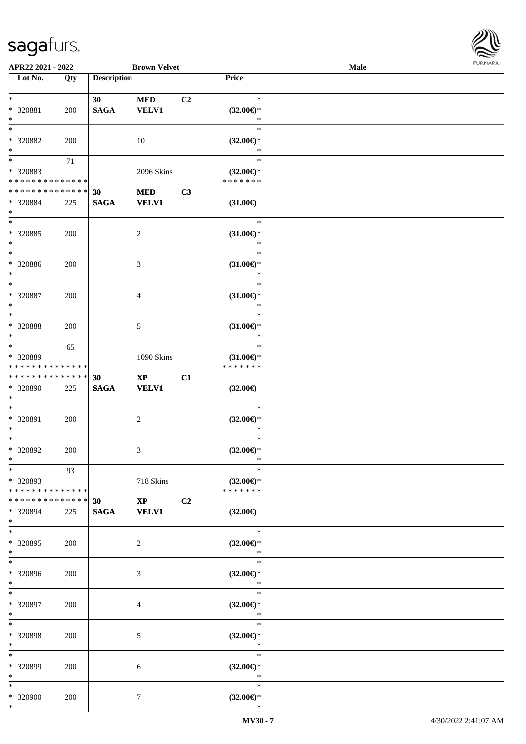

| APR22 2021 - 2022                                |        |                    | <b>Brown Velvet</b>                    |                |                                      | <b>Male</b> |  |
|--------------------------------------------------|--------|--------------------|----------------------------------------|----------------|--------------------------------------|-------------|--|
| Lot No.                                          | Qty    | <b>Description</b> |                                        |                | Price                                |             |  |
|                                                  |        |                    |                                        |                |                                      |             |  |
| $*$                                              |        | 30                 | <b>MED</b>                             | C <sub>2</sub> | $\ast$                               |             |  |
| * 320881                                         | 200    | <b>SAGA</b>        | <b>VELV1</b>                           |                | $(32.00\epsilon)$ *                  |             |  |
| $\ast$                                           |        |                    |                                        |                | $\ast$                               |             |  |
| $\ast$                                           |        |                    |                                        |                | $\ast$                               |             |  |
| * 320882                                         | 200    |                    | 10                                     |                | $(32.00\epsilon)$ *                  |             |  |
| $\ast$                                           |        |                    |                                        |                | $\ast$                               |             |  |
| $*$                                              | 71     |                    |                                        |                | $\ast$                               |             |  |
| * 320883                                         |        |                    | 2096 Skins                             |                | $(32.00\epsilon)$ *                  |             |  |
| * * * * * * * * * * * * * *                      |        |                    |                                        |                | * * * * * * *                        |             |  |
| * * * * * * * * * * * * * *                      |        | 30                 | <b>MED</b>                             | C3             |                                      |             |  |
| * 320884                                         | 225    | <b>SAGA</b>        | <b>VELV1</b>                           |                | $(31.00\epsilon)$                    |             |  |
| $*$                                              |        |                    |                                        |                |                                      |             |  |
| $\ast$                                           |        |                    |                                        |                | $\ast$                               |             |  |
| $* 320885$                                       | 200    |                    | $\overline{c}$                         |                | $(31.00\epsilon)$ *                  |             |  |
| $\ast$                                           |        |                    |                                        |                | $\ast$                               |             |  |
| $\ast$                                           |        |                    |                                        |                | $\ast$                               |             |  |
| $* 320886$                                       | 200    |                    | 3                                      |                | $(31.00\epsilon)$ *                  |             |  |
| $*$                                              |        |                    |                                        |                | $\ast$                               |             |  |
| $\ast$                                           |        |                    |                                        |                | $\ast$                               |             |  |
| $* 320887$                                       | 200    |                    | 4                                      |                | $(31.00\epsilon)$ *                  |             |  |
| $\ast$                                           |        |                    |                                        |                | $\ast$                               |             |  |
| $\ast$                                           |        |                    |                                        |                | $\ast$                               |             |  |
| * 320888                                         | 200    |                    |                                        |                | $(31.00\epsilon)$ *                  |             |  |
| $\ast$                                           |        |                    | 5                                      |                | $\ast$                               |             |  |
| $*$                                              |        |                    |                                        |                | $\ast$                               |             |  |
|                                                  | 65     |                    |                                        |                |                                      |             |  |
| * 320889<br>* * * * * * * * * * * * * *          |        |                    | 1090 Skins                             |                | $(31.00\epsilon)$ *<br>* * * * * * * |             |  |
| * * * * * * * * * * * * * *                      |        |                    |                                        |                |                                      |             |  |
| * 320890                                         |        | 30                 | $\mathbf{X}\mathbf{P}$<br><b>VELV1</b> | C1             |                                      |             |  |
| $*$                                              | 225    | $\mathbf{SAGA}$    |                                        |                | $(32.00\epsilon)$                    |             |  |
| $*$                                              |        |                    |                                        |                | $\ast$                               |             |  |
| * 320891                                         |        |                    |                                        |                |                                      |             |  |
| $*$                                              | 200    |                    | $\overline{c}$                         |                | $(32.00\epsilon)$ *<br>$\ast$        |             |  |
| $*$                                              |        |                    |                                        |                | $\ast$                               |             |  |
|                                                  |        |                    |                                        |                |                                      |             |  |
| $* 320892$<br>$*$                                | 200    |                    | 3                                      |                | $(32.00\epsilon)$ *<br>$\ast$        |             |  |
| $*$                                              |        |                    |                                        |                | $\ast$                               |             |  |
|                                                  | 93     |                    |                                        |                |                                      |             |  |
| * 320893                                         |        |                    | 718 Skins                              |                | $(32.00\epsilon)$ *<br>* * * * * * * |             |  |
| * * * * * * * * * * * * * * *<br>* * * * * * * * | ****** |                    |                                        |                |                                      |             |  |
|                                                  |        | 30                 | $\mathbf{X}\mathbf{P}$                 | C2             |                                      |             |  |
| * 320894                                         | 225    | <b>SAGA</b>        | <b>VELV1</b>                           |                | $(32.00\epsilon)$                    |             |  |
| $*$<br>$*$                                       |        |                    |                                        |                | $\ast$                               |             |  |
|                                                  |        |                    |                                        |                |                                      |             |  |
| * 320895                                         | 200    |                    | 2                                      |                | $(32.00\epsilon)$ *                  |             |  |
| $*$                                              |        |                    |                                        |                | $\ast$                               |             |  |
| $*$                                              |        |                    |                                        |                | $\ast$                               |             |  |
| * 320896                                         | 200    |                    | 3                                      |                | $(32.00\epsilon)$ *                  |             |  |
| $*$                                              |        |                    |                                        |                | $\ast$                               |             |  |
| $*$                                              |        |                    |                                        |                | $\ast$                               |             |  |
| * 320897                                         | 200    |                    | 4                                      |                | $(32.00\epsilon)$ *                  |             |  |
| $*$                                              |        |                    |                                        |                | $\ast$                               |             |  |
| $*$                                              |        |                    |                                        |                | $\ast$                               |             |  |
| * 320898                                         | 200    |                    | 5                                      |                | $(32.00\epsilon)$ *                  |             |  |
| $*$                                              |        |                    |                                        |                | $\ast$                               |             |  |
| $*$                                              |        |                    |                                        |                | $\ast$                               |             |  |
| * 320899                                         | 200    |                    | 6                                      |                | $(32.00\epsilon)$ *                  |             |  |
| $*$                                              |        |                    |                                        |                | $\ast$                               |             |  |
| $*$                                              |        |                    |                                        |                | $\ast$                               |             |  |
| * 320900                                         | 200    |                    | 7                                      |                | $(32.00\epsilon)$ *                  |             |  |
| $*$                                              |        |                    |                                        |                | $\ast$                               |             |  |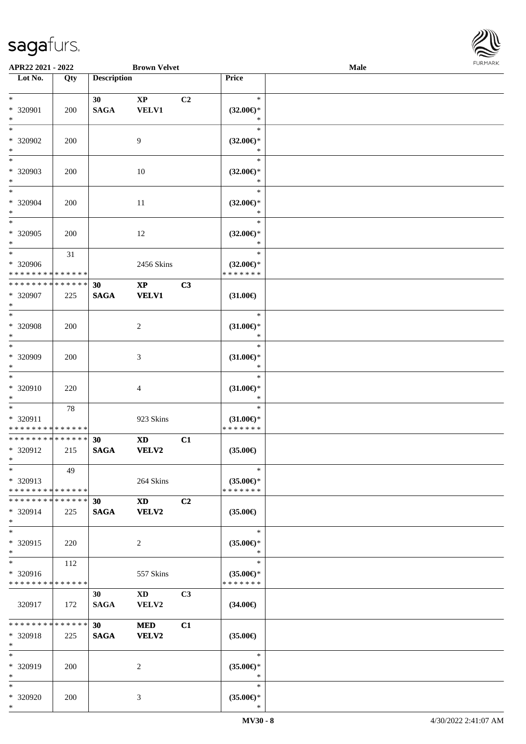

| APR22 2021 - 2022                                                    |     |                    | <b>Brown Velvet</b>                                                                                                                                                                                                                            |                |                                                | <b>Male</b> |  |
|----------------------------------------------------------------------|-----|--------------------|------------------------------------------------------------------------------------------------------------------------------------------------------------------------------------------------------------------------------------------------|----------------|------------------------------------------------|-------------|--|
| Lot No.                                                              | Qty | <b>Description</b> |                                                                                                                                                                                                                                                |                | Price                                          |             |  |
| $*$<br>* 320901<br>$*$                                               | 200 | 30<br><b>SAGA</b>  | $\mathbf{X}\mathbf{P}$<br><b>VELV1</b>                                                                                                                                                                                                         | C2             | $\ast$<br>$(32.00\epsilon)$ *<br>$\ast$        |             |  |
| $\overline{\ast}$<br>* 320902<br>$\ast$                              | 200 |                    | 9                                                                                                                                                                                                                                              |                | $\ast$<br>$(32.00\epsilon)$ *<br>$\ast$        |             |  |
| * 320903<br>$\ast$                                                   | 200 |                    | 10                                                                                                                                                                                                                                             |                | $\ast$<br>$(32.00\epsilon)$ *<br>$\ast$        |             |  |
| $*$<br>* 320904<br>$*$                                               | 200 |                    | 11                                                                                                                                                                                                                                             |                | $\ast$<br>$(32.00\epsilon)$ *<br>$\ast$        |             |  |
| * 320905<br>$\ast$                                                   | 200 |                    | 12                                                                                                                                                                                                                                             |                | $\ast$<br>$(32.00\epsilon)$ *<br>$\ast$        |             |  |
| $\ast$<br>* 320906<br>* * * * * * * * <mark>* * * * * *</mark>       | 31  |                    | 2456 Skins                                                                                                                                                                                                                                     |                | $\ast$<br>$(32.00\epsilon)$ *<br>* * * * * * * |             |  |
| * * * * * * * * * * * * * *<br>* 320907<br>$\ast$                    | 225 | 30<br><b>SAGA</b>  | $\mathbf{X}\mathbf{P}$<br><b>VELV1</b>                                                                                                                                                                                                         | C3             | $(31.00\epsilon)$                              |             |  |
| $\overline{\ast}$<br>* 320908<br>$\ast$                              | 200 |                    | 2                                                                                                                                                                                                                                              |                | $\ast$<br>$(31.00\epsilon)$ *<br>$\ast$        |             |  |
| $*$<br>* 320909<br>$\ast$                                            | 200 |                    | 3                                                                                                                                                                                                                                              |                | $\ast$<br>$(31.00\epsilon)$ *<br>$\ast$        |             |  |
| $\ast$<br>* 320910<br>$*$                                            | 220 |                    | $\overline{4}$                                                                                                                                                                                                                                 |                | $\ast$<br>$(31.00\epsilon)$ *<br>$\ast$        |             |  |
| $\ddot{x}$<br>* 320911<br>* * * * * * * * <mark>* * * * * * *</mark> | 78  |                    | 923 Skins                                                                                                                                                                                                                                      |                | $\ast$<br>$(31.00\epsilon)$ *<br>* * * * * * * |             |  |
| * * * * * * * * <mark>* * * * * * *</mark><br>* 320912<br>$*$ $-$    | 215 | 30<br><b>SAGA</b>  | $\mathbf{X}\mathbf{D}$<br><b>VELV2</b>                                                                                                                                                                                                         | C1             | $(35.00\epsilon)$                              |             |  |
| $\ast$<br>* 320913<br>* * * * * * * * <mark>* * * * * *</mark>       | 49  |                    | 264 Skins                                                                                                                                                                                                                                      |                | $\ast$<br>$(35.00\epsilon)$ *<br>* * * * * * * |             |  |
| * * * * * * * * * * * * * * *<br>* 320914<br>$\ast$                  | 225 | 30<br><b>SAGA</b>  | XD and the set of the set of the set of the set of the set of the set of the set of the set of the set of the set of the set of the set of the set of the set of the set of the set of the set of the set of the set of the se<br><b>VELV2</b> | C2             | $(35.00\epsilon)$                              |             |  |
| $\ast$<br>* 320915<br>$\ast$                                         | 220 |                    | 2                                                                                                                                                                                                                                              |                | $\ast$<br>$(35.00\epsilon)$ *<br>$\ast$        |             |  |
| $\ast$<br>* 320916<br>* * * * * * * * * * * * * * *                  | 112 |                    | 557 Skins                                                                                                                                                                                                                                      |                | $\ast$<br>$(35.00\epsilon)$ *<br>* * * * * * * |             |  |
| 320917                                                               | 172 | 30<br><b>SAGA</b>  | $\boldsymbol{\mathrm{X}}\boldsymbol{\mathrm{D}}$<br><b>VELV2</b>                                                                                                                                                                               | C <sub>3</sub> | $(34.00\epsilon)$                              |             |  |
| * * * * * * * * * * * * * * <mark>*</mark><br>* 320918<br>$\ast$     | 225 | 30<br><b>SAGA</b>  | <b>MED</b><br><b>VELV2</b>                                                                                                                                                                                                                     | C1             | $(35.00\epsilon)$                              |             |  |
| $\ast$<br>* 320919<br>$\ast$                                         | 200 |                    | 2                                                                                                                                                                                                                                              |                | $\ast$<br>$(35.00\epsilon)$ *<br>$\ast$        |             |  |
| $\ast$<br>* 320920<br>$\ast$                                         | 200 |                    | 3                                                                                                                                                                                                                                              |                | $\ast$<br>$(35.00\epsilon)$ *<br>$\ast$        |             |  |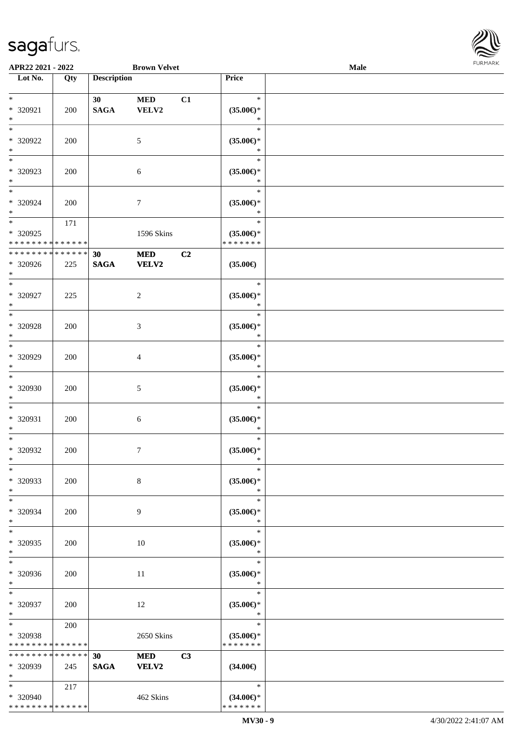

| APR22 2021 - 2022           |     |                    | <b>Brown Velvet</b> |    |                                | Male |  |
|-----------------------------|-----|--------------------|---------------------|----|--------------------------------|------|--|
| Lot No.                     | Qty | <b>Description</b> |                     |    | Price                          |      |  |
|                             |     |                    |                     |    |                                |      |  |
| $\ast$                      |     | 30 <sup>°</sup>    | <b>MED</b>          | C1 | $\ast$                         |      |  |
| * 320921                    | 200 | <b>SAGA</b>        | VELV2               |    | $(35.00\epsilon)$ *            |      |  |
| $\ast$                      |     |                    |                     |    | $\ast$                         |      |  |
| $\ast$                      |     |                    |                     |    | $\ast$                         |      |  |
| * 320922                    | 200 |                    | $\mathfrak{S}$      |    | $(35.00\mathnormal{\infty})^*$ |      |  |
| $\ast$                      |     |                    |                     |    | $\ast$                         |      |  |
| $\overline{\phantom{1}}$    |     |                    |                     |    | $\ast$                         |      |  |
| * 320923                    | 200 |                    | 6                   |    | $(35.00\epsilon)$ *            |      |  |
| $\ast$                      |     |                    |                     |    | $\ast$                         |      |  |
| $\overline{\ast}$           |     |                    |                     |    | $\ast$                         |      |  |
|                             |     |                    |                     |    |                                |      |  |
| * 320924                    | 200 |                    | $\tau$              |    | $(35.00\epsilon)$ *            |      |  |
| $\ast$<br>$\overline{\ast}$ |     |                    |                     |    | $\ast$<br>$\ast$               |      |  |
|                             | 171 |                    |                     |    |                                |      |  |
| $*320925$                   |     |                    | 1596 Skins          |    | $(35.00\epsilon)$ *            |      |  |
| * * * * * * * * * * * * * * |     |                    |                     |    | * * * * * * *                  |      |  |
| * * * * * * * * * * * * * * |     | 30                 | <b>MED</b>          | C2 |                                |      |  |
| * 320926                    | 225 | <b>SAGA</b>        | VELV2               |    | $(35.00\epsilon)$              |      |  |
| $\ast$                      |     |                    |                     |    |                                |      |  |
| $\ast$                      |     |                    |                     |    | $\ast$                         |      |  |
| $* 320927$                  | 225 |                    | $\overline{c}$      |    | $(35.00\epsilon)$ *            |      |  |
| $\ast$                      |     |                    |                     |    | $\ast$                         |      |  |
| $\ast$                      |     |                    |                     |    | $\ast$                         |      |  |
| $* 320928$                  | 200 |                    | $\mathfrak{Z}$      |    | $(35.00\epsilon)$ *            |      |  |
| $\ast$                      |     |                    |                     |    | $\ast$                         |      |  |
| $\ast$                      |     |                    |                     |    | $\ast$                         |      |  |
| * 320929                    | 200 |                    | 4                   |    | $(35.00\epsilon)$ *            |      |  |
| $\ast$                      |     |                    |                     |    | $\ast$                         |      |  |
| $\overline{\ast}$           |     |                    |                     |    | $\ast$                         |      |  |
| * 320930                    | 200 |                    | $5\,$               |    | $(35.00\epsilon)$ *            |      |  |
| $\ast$                      |     |                    |                     |    | $\ast$                         |      |  |
| $\ast$                      |     |                    |                     |    | $\ast$                         |      |  |
|                             |     |                    |                     |    |                                |      |  |
| * 320931                    | 200 |                    | $\sqrt{6}$          |    | $(35.00\epsilon)$ *            |      |  |
| $\ast$                      |     |                    |                     |    | $\ast$                         |      |  |
| $\ast$                      |     |                    |                     |    | $\ast$                         |      |  |
| $*320932$                   | 200 |                    | $7\phantom{.0}$     |    | $(35.00\epsilon)$ *            |      |  |
| $*$                         |     |                    |                     |    | $\ast$                         |      |  |
| $\ast$                      |     |                    |                     |    | $\ast$                         |      |  |
| * 320933                    | 200 |                    | 8                   |    | $(35.00\epsilon)$ *            |      |  |
| $\ast$                      |     |                    |                     |    | $\ast$                         |      |  |
| $\ast$                      |     |                    |                     |    | $\ast$                         |      |  |
| * 320934                    | 200 |                    | 9                   |    | $(35.00\epsilon)$ *            |      |  |
| $\ast$                      |     |                    |                     |    | $\ast$                         |      |  |
| $\ast$                      |     |                    |                     |    | $\ast$                         |      |  |
| * 320935                    | 200 |                    | 10                  |    | $(35.00\epsilon)$ *            |      |  |
| $\ast$                      |     |                    |                     |    | $\ast$                         |      |  |
| $\ast$                      |     |                    |                     |    | $\ast$                         |      |  |
| * 320936                    | 200 |                    | 11                  |    | $(35.00\epsilon)$ *            |      |  |
| $*$                         |     |                    |                     |    | $\ast$                         |      |  |
| $*$                         |     |                    |                     |    | $\ast$                         |      |  |
| * 320937                    | 200 |                    | 12                  |    | $(35.00\epsilon)$ *            |      |  |
| $*$                         |     |                    |                     |    | $\ast$                         |      |  |
| $\ast$                      | 200 |                    |                     |    | $\ast$                         |      |  |
| * 320938                    |     |                    | 2650 Skins          |    | $(35.00\epsilon)$ *            |      |  |
| * * * * * * * * * * * * * * |     |                    |                     |    | * * * * * * *                  |      |  |
| * * * * * * * * * * * * * * |     | 30                 | <b>MED</b>          | C3 |                                |      |  |
|                             |     |                    |                     |    |                                |      |  |
| * 320939                    | 245 | <b>SAGA</b>        | VELV2               |    | $(34.00\epsilon)$              |      |  |
| $*$                         |     |                    |                     |    |                                |      |  |
| $*$                         | 217 |                    |                     |    | $\ast$                         |      |  |
| * 320940                    |     |                    | 462 Skins           |    | $(34.00\epsilon)$ *            |      |  |
| * * * * * * * * * * * * * * |     |                    |                     |    | * * * * * * *                  |      |  |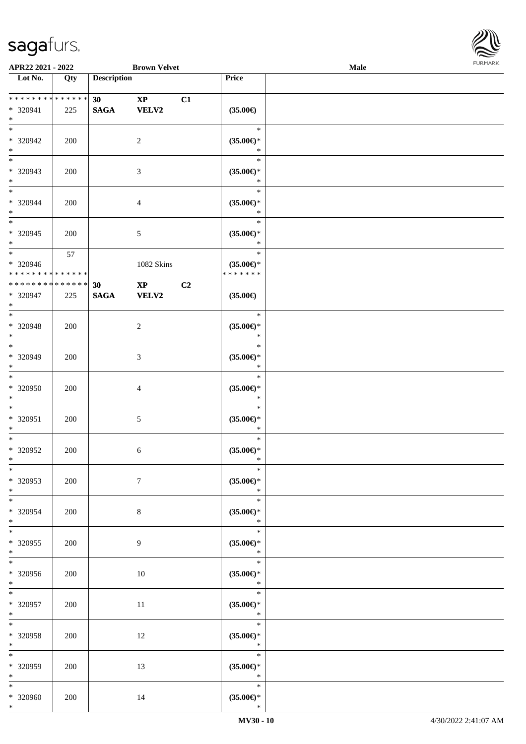

| APR22 2021 - 2022                                   |     |                                | <b>Brown Velvet</b>           |    |                                                | Male |  |
|-----------------------------------------------------|-----|--------------------------------|-------------------------------|----|------------------------------------------------|------|--|
| Lot No.                                             | Qty | <b>Description</b>             |                               |    | Price                                          |      |  |
|                                                     |     |                                |                               |    |                                                |      |  |
| * * * * * * * * * * * * * *<br>* 320941<br>$*$      | 225 | 30 <sup>°</sup><br><b>SAGA</b> | $\bold{XP}$<br><b>VELV2</b>   | C1 | $(35.00\in)$                                   |      |  |
| $*$<br>* 320942<br>$\ast$                           | 200 |                                | $\overline{2}$                |    | $\ast$<br>$(35.00\epsilon)$ *<br>$\ast$        |      |  |
| $\overline{\phantom{0}}$<br>* 320943<br>$*$         | 200 |                                | $\mathfrak{Z}$                |    | $\ast$<br>$(35.00\epsilon)$ *<br>$\ast$        |      |  |
| $*$<br>* 320944<br>$*$                              | 200 |                                | $\overline{4}$                |    | $\ast$<br>$(35.00\epsilon)$ *<br>$\ast$        |      |  |
| $\overline{\ast}$<br>$*320945$<br>$*$               | 200 |                                | $5\,$                         |    | $\ast$<br>$(35.00\epsilon)$ *<br>$\ast$        |      |  |
| $\ast$<br>$* 320946$<br>* * * * * * * * * * * * * * | 57  |                                | 1082 Skins                    |    | $\ast$<br>$(35.00\epsilon)$ *<br>* * * * * * * |      |  |
| * * * * * * * * * * * * * *<br>* 320947<br>$*$      | 225 | 30<br><b>SAGA</b>              | $\mathbf{XP}$<br><b>VELV2</b> | C2 | $(35.00\in)$                                   |      |  |
| $\overline{\ast}$<br>* 320948<br>$*$                | 200 |                                | $\overline{c}$                |    | $\ast$<br>$(35.00\epsilon)$ *<br>$\ast$        |      |  |
| $*$<br>* 320949<br>$*$                              | 200 |                                | 3                             |    | $\ast$<br>$(35.00\epsilon)$ *<br>$\ast$        |      |  |
| $*$<br>$* 320950$<br>$*$                            | 200 |                                | $\overline{4}$                |    | $\ast$<br>$(35.00\epsilon)$ *<br>$\ast$        |      |  |
| $*$<br>* 320951<br>$*$                              | 200 |                                | $\mathfrak{S}$                |    | $\ast$<br>$(35.00\epsilon)$ *<br>$\ast$        |      |  |
| $*$<br>$* 320952$<br>$*$                            | 200 |                                | 6                             |    | $\ast$<br>$(35.00\epsilon)$ *<br>$\ast$        |      |  |
| $\ast$<br>* 320953<br>$*$                           | 200 |                                | $7\phantom{.0}$               |    | $\ast$<br>$(35.00\epsilon)$ *<br>$\ast$        |      |  |
| $*$<br>* 320954<br>$*$                              | 200 |                                | 8                             |    | $\ast$<br>$(35.00\epsilon)$ *<br>$\ast$        |      |  |
| $*$<br>* 320955<br>$*$                              | 200 |                                | 9                             |    | $\ast$<br>$(35.00\epsilon)$ *<br>$\ast$        |      |  |
| $\overline{\ast}$<br>* 320956<br>$*$ $-$            | 200 |                                | 10                            |    | $\ast$<br>$(35.00\epsilon)$ *<br>$\ast$        |      |  |
| $*$<br>* 320957<br>$*$                              | 200 |                                | $11\,$                        |    | $\ast$<br>$(35.00\epsilon)$ *<br>$\ast$        |      |  |
| $*$<br>* 320958<br>$*$ $-$                          | 200 |                                | 12                            |    | $\ast$<br>$(35.00\epsilon)$ *<br>$\ast$        |      |  |
| $*$<br>* 320959<br>$*$                              | 200 |                                | 13                            |    | $\ast$<br>$(35.00\epsilon)$ *<br>$\ast$        |      |  |
| $*$<br>* 320960<br>$*$                              | 200 |                                | 14                            |    | $\ast$<br>$(35.00\epsilon)$ *<br>$\ast$        |      |  |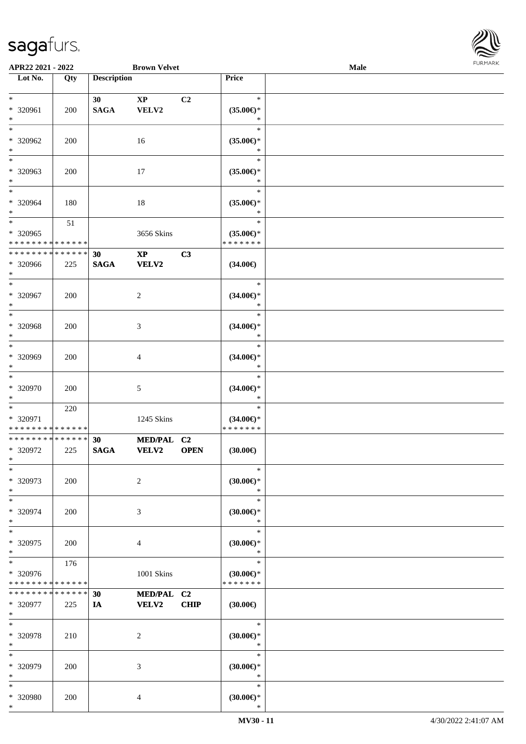| <b>FURMARK</b> |
|----------------|

| APR22 2021 - 2022                                   |                    |                                    | <b>Brown Velvet</b>             |             |                                                 | Male | <b>FURMARK</b> |
|-----------------------------------------------------|--------------------|------------------------------------|---------------------------------|-------------|-------------------------------------------------|------|----------------|
| Lot No.                                             | Qty                | <b>Description</b>                 |                                 |             | Price                                           |      |                |
| $\ast$<br>* 320961<br>$*$                           | 200                | 30 <sup>1</sup><br>$\mathbf{SAGA}$ | $\mathbf{X}\mathbf{P}$<br>VELV2 | C2          | $\ast$<br>$(35.00\epsilon)$ *<br>$\ast$         |      |                |
| $*$<br>* 320962<br>$*$                              | 200                |                                    | 16                              |             | $\ast$<br>$(35.00\epsilon)$ *<br>$\ast$         |      |                |
| $*$<br>* 320963<br>$*$                              | 200                |                                    | 17                              |             | $\ast$<br>$(35.00\epsilon)$ *<br>$\ast$         |      |                |
| $*$<br>* 320964<br>$*$                              | 180                |                                    | 18                              |             | $\ast$<br>$(35.00\epsilon)$ *<br>$\ast$         |      |                |
| $*$<br>* 320965<br>* * * * * * * * * * * * * *      | 51                 |                                    | 3656 Skins                      |             | $\ast$<br>$(35.00\epsilon)$ *<br>* * * * * * *  |      |                |
| * * * * * * * * * * * * * * *<br>* 320966<br>$*$    | 225                | 30<br><b>SAGA</b>                  | $\mathbf{XP}$<br><b>VELV2</b>   | C3          | $(34.00\epsilon)$                               |      |                |
| $*$<br>* 320967<br>$*$                              | 200                |                                    | $\overline{c}$                  |             | $\ast$<br>$(34.00\epsilon)$ *<br>$\ast$         |      |                |
| $\overline{\ast}$<br>* 320968<br>$\ast$             | 200                |                                    | 3                               |             | $\ast$<br>$(34.00\epsilon)$ *<br>$\ast$         |      |                |
| $*$<br>* 320969<br>$*$                              | 200                |                                    | 4                               |             | $\ast$<br>$(34.00\epsilon)$ *<br>$\ast$         |      |                |
| $\ast$<br>* 320970<br>$*$                           | 200                |                                    | 5                               |             | $\ast$<br>$(34.00\epsilon)$ *<br>$\ast$         |      |                |
| $*$<br>* 320971<br>* * * * * * * * * * * * * *      | 220                |                                    | 1245 Skins                      |             | $\ast$<br>$(34.00\epsilon)$ *<br>* * * * * * *  |      |                |
| * * * * * * * * * * * * * * *<br>* 320972<br>$\ast$ | 225                | 30<br><b>SAGA</b>                  | MED/PAL C2<br><b>VELV2</b>      | <b>OPEN</b> | (30.00)                                         |      |                |
| * 320973<br>$*$<br>$\ast$                           | 200                |                                    | $\overline{c}$                  |             | $\ast$<br>(30.00)<br>$\ast$<br>$\ast$           |      |                |
| $* 320974$<br>$*$<br>$*$                            | 200                |                                    | 3                               |             | $(30.00\epsilon)$ *<br>$\ast$<br>$\ast$         |      |                |
| $* 320975$<br>$*$<br>$\ast$                         | 200                |                                    | 4                               |             | $(30.00\epsilon)$ *<br>$\ast$<br>$\ast$         |      |                |
| * 320976<br>* * * * * * * *                         | 176<br>* * * * * * |                                    | 1001 Skins                      |             | $(30.00\epsilon)$ *<br>* * * * * * *            |      |                |
| * * * * * * * *<br>* 320977<br>$*$                  | * * * * * *<br>225 | 30<br>IA                           | MED/PAL C2<br><b>VELV2</b>      | CHIP        | $(30.00\epsilon)$                               |      |                |
| $*$<br>* 320978<br>$*$<br>$*$                       | 210                |                                    | $\overline{c}$                  |             | $\ast$<br>$(30.00\in)^\ast$<br>$\ast$           |      |                |
| * 320979<br>$*$                                     | 200                |                                    | 3                               |             | $\ast$<br>$(30.00\in)^\ast$<br>$\ast$<br>$\ast$ |      |                |
| $\ast$<br>* 320980<br>$*$                           | 200                |                                    | 4                               |             | $(30.00\in)^\ast$<br>$\ast$                     |      |                |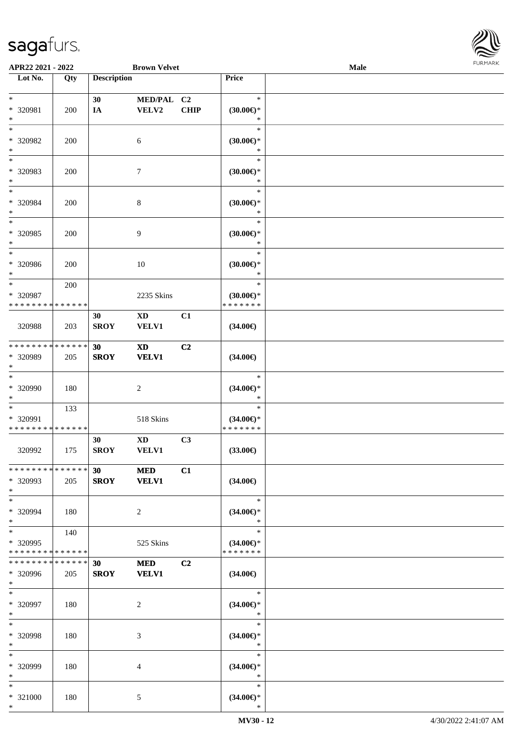

| APR22 2021 - 2022                       |               |                    | <b>Brown Velvet</b>    |                |                                      | Male |  |
|-----------------------------------------|---------------|--------------------|------------------------|----------------|--------------------------------------|------|--|
| Lot No.                                 | Qty           | <b>Description</b> |                        |                | Price                                |      |  |
|                                         |               |                    |                        |                |                                      |      |  |
| $*$                                     |               | 30                 | MED/PAL C2             |                | $\ast$                               |      |  |
| * 320981                                | 200           | $I\!\!A$           | VELV2                  | <b>CHIP</b>    | $(30.00\epsilon)$ *                  |      |  |
| $\ast$                                  |               |                    |                        |                | $\ast$                               |      |  |
| $*$                                     |               |                    |                        |                | $\ast$                               |      |  |
| * 320982                                | 200           |                    | 6                      |                | $(30.00\epsilon)$ *                  |      |  |
| $\ast$                                  |               |                    |                        |                | *                                    |      |  |
| $*$                                     |               |                    |                        |                | $\ast$                               |      |  |
| * 320983                                | 200           |                    | $\tau$                 |                | $(30.00\epsilon)$ *                  |      |  |
| $*$                                     |               |                    |                        |                | $\ast$                               |      |  |
| $*$                                     |               |                    |                        |                | $\ast$                               |      |  |
| * 320984                                | 200           |                    | $\,8\,$                |                | (30.00)                              |      |  |
| $\ast$                                  |               |                    |                        |                | $\ast$                               |      |  |
| $\ast$                                  |               |                    |                        |                | $\ast$                               |      |  |
| $* 320985$                              | 200           |                    | 9                      |                | $(30.00\epsilon)$ *                  |      |  |
| $\ast$                                  |               |                    |                        |                | $\ast$                               |      |  |
| $\ast$                                  |               |                    |                        |                | $\ast$                               |      |  |
| $* 320986$                              | 200           |                    | 10                     |                | $(30.00\epsilon)$ *                  |      |  |
| $*$                                     |               |                    |                        |                | $\ast$                               |      |  |
| $\ast$                                  | 200           |                    |                        |                | $\ast$                               |      |  |
| * 320987<br>* * * * * * * * * * * * * * |               |                    | 2235 Skins             |                | $(30.00\epsilon)$ *<br>* * * * * * * |      |  |
|                                         |               |                    |                        |                |                                      |      |  |
|                                         |               | 30                 | $\mathbf{X}\mathbf{D}$ | C1             |                                      |      |  |
| 320988                                  | 203           | <b>SROY</b>        | <b>VELV1</b>           |                | $(34.00\epsilon)$                    |      |  |
| * * * * * * * *                         | * * * * * *   | 30                 | <b>XD</b>              | C2             |                                      |      |  |
| * 320989                                | 205           | <b>SROY</b>        | <b>VELV1</b>           |                | $(34.00\epsilon)$                    |      |  |
| $*$                                     |               |                    |                        |                |                                      |      |  |
| $\ast$                                  |               |                    |                        |                | $\ast$                               |      |  |
| * 320990                                | 180           |                    | $\sqrt{2}$             |                | $(34.00\epsilon)$ *                  |      |  |
| $*$                                     |               |                    |                        |                | $\ast$                               |      |  |
| $*$                                     | 133           |                    |                        |                | $\ast$                               |      |  |
| * 320991                                |               |                    | 518 Skins              |                | $(34.00\epsilon)$ *                  |      |  |
| * * * * * * * * * * * * * *             |               |                    |                        |                | * * * * * * *                        |      |  |
|                                         |               | 30                 | $\mathbf{X}\mathbf{D}$ | C3             |                                      |      |  |
| 320992                                  | 175           | <b>SROY</b>        | <b>VELV1</b>           |                | $(33.00\epsilon)$                    |      |  |
|                                         |               |                    |                        |                |                                      |      |  |
| * * * * * * * * * * * * * * *           |               | 30                 | <b>MED</b>             | C1             |                                      |      |  |
| * 320993                                | 205           | <b>SROY</b>        | <b>VELV1</b>           |                | $(34.00\epsilon)$                    |      |  |
| $*$                                     |               |                    |                        |                |                                      |      |  |
| $*$                                     |               |                    |                        |                | $\ast$                               |      |  |
| * 320994                                | 180           |                    | $\overline{2}$         |                | $(34.00\epsilon)$ *                  |      |  |
| $*$                                     |               |                    |                        |                | $\ast$                               |      |  |
| $*$                                     | 140           |                    |                        |                | $\ast$                               |      |  |
| $* 320995$                              |               |                    | 525 Skins              |                | $(34.00\epsilon)$ *                  |      |  |
| * * * * * * * *                         | * * * * * *   |                    |                        |                | * * * * * * *                        |      |  |
| * * * * * * * *                         | * * * * * * * | 30                 | <b>MED</b>             | C <sub>2</sub> |                                      |      |  |
| * 320996                                | 205           | <b>SROY</b>        | <b>VELV1</b>           |                | $(34.00\epsilon)$                    |      |  |
| $*$                                     |               |                    |                        |                |                                      |      |  |
| $*$                                     |               |                    |                        |                | $\ast$                               |      |  |
| * 320997                                | 180           |                    | 2                      |                | $(34.00\epsilon)$ *                  |      |  |
| $*$                                     |               |                    |                        |                | $\ast$                               |      |  |
| $*$                                     |               |                    |                        |                | $\ast$                               |      |  |
| * 320998                                | 180           |                    | 3                      |                | $(34.00\epsilon)$ *<br>$\ast$        |      |  |
| $*$<br>$*$                              |               |                    |                        |                | $\ast$                               |      |  |
|                                         |               |                    |                        |                |                                      |      |  |
| * 320999<br>$*$                         | 180           |                    | 4                      |                | $(34.00\epsilon)$ *<br>$\ast$        |      |  |
| $*$                                     |               |                    |                        |                | $\ast$                               |      |  |
| * 321000                                | 180           |                    | 5                      |                | $(34.00\epsilon)$ *                  |      |  |
| $\ast$                                  |               |                    |                        |                | $\ast$                               |      |  |
|                                         |               |                    |                        |                |                                      |      |  |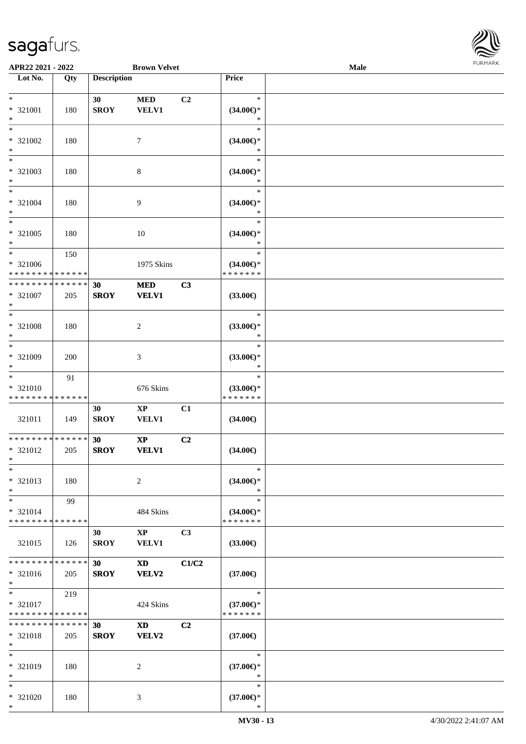

| APR22 2021 - 2022                                          |     |                    | <b>Brown Velvet</b>    |                |                                      | Male |  |
|------------------------------------------------------------|-----|--------------------|------------------------|----------------|--------------------------------------|------|--|
| Lot No.                                                    | Qty | <b>Description</b> |                        |                | Price                                |      |  |
|                                                            |     |                    |                        |                |                                      |      |  |
| $\ast$                                                     |     | 30                 | <b>MED</b>             | C <sub>2</sub> | $\ast$                               |      |  |
| * 321001                                                   | 180 | <b>SROY</b>        | <b>VELV1</b>           |                | $(34.00\epsilon)$ *                  |      |  |
| $*$                                                        |     |                    |                        |                | ∗                                    |      |  |
| $*$                                                        |     |                    |                        |                | $\ast$                               |      |  |
| * 321002                                                   | 180 |                    | 7                      |                | $(34.00\epsilon)$ *                  |      |  |
| $*$                                                        |     |                    |                        |                | *                                    |      |  |
|                                                            |     |                    |                        |                | $\ast$                               |      |  |
| * 321003                                                   | 180 |                    | 8                      |                | $(34.00\epsilon)$ *                  |      |  |
| $\ast$                                                     |     |                    |                        |                | *                                    |      |  |
| $*$                                                        |     |                    |                        |                | $\ast$                               |      |  |
| * 321004                                                   | 180 |                    | 9                      |                | $(34.00\epsilon)$ *                  |      |  |
| $*$                                                        |     |                    |                        |                | $\ast$                               |      |  |
| $*$                                                        |     |                    |                        |                | $\ast$                               |      |  |
| $* 321005$                                                 | 180 |                    | 10                     |                | $(34.00\epsilon)$ *                  |      |  |
| $*$                                                        |     |                    |                        |                | $\ast$                               |      |  |
| $*$                                                        | 150 |                    |                        |                | $\ast$                               |      |  |
| * 321006                                                   |     |                    | 1975 Skins             |                | $(34.00\epsilon)$ *<br>* * * * * * * |      |  |
| * * * * * * * * * * * * * *<br>* * * * * * * * * * * * * * |     |                    |                        |                |                                      |      |  |
|                                                            |     | 30                 | <b>MED</b>             | C3             |                                      |      |  |
| $* 321007$<br>$*$                                          | 205 | <b>SROY</b>        | <b>VELV1</b>           |                | $(33.00\epsilon)$                    |      |  |
| $*$                                                        |     |                    |                        |                | $\ast$                               |      |  |
|                                                            |     |                    |                        |                |                                      |      |  |
| * 321008<br>$*$                                            | 180 |                    | 2                      |                | $(33.00\epsilon)$ *<br>$\ast$        |      |  |
| $*$                                                        |     |                    |                        |                | $\ast$                               |      |  |
| * 321009                                                   | 200 |                    | 3                      |                | $(33.00\epsilon)$ *                  |      |  |
| $*$                                                        |     |                    |                        |                | *                                    |      |  |
| $*$                                                        | 91  |                    |                        |                | $\ast$                               |      |  |
| * 321010                                                   |     |                    | 676 Skins              |                | $(33.00\epsilon)$ *                  |      |  |
| * * * * * * * * * * * * * *                                |     |                    |                        |                | * * * * * * *                        |      |  |
|                                                            |     | 30                 | $\mathbf{X}\mathbf{P}$ | C1             |                                      |      |  |
| 321011                                                     | 149 | <b>SROY</b>        | VELV1                  |                | $(34.00\epsilon)$                    |      |  |
|                                                            |     |                    |                        |                |                                      |      |  |
| * * * * * * * * * * * * * * *                              |     | 30                 | $\mathbf{X}\mathbf{P}$ | C2             |                                      |      |  |
| * 321012                                                   | 205 | <b>SROY</b>        | <b>VELV1</b>           |                | $(34.00\epsilon)$                    |      |  |
| $*$                                                        |     |                    |                        |                |                                      |      |  |
| $*$                                                        |     |                    |                        |                | $\ast$                               |      |  |
| * 321013                                                   | 180 |                    | 2                      |                | $(34.00\epsilon)$ *                  |      |  |
| $*$                                                        |     |                    |                        |                | $\ast$                               |      |  |
| $*$                                                        | 99  |                    |                        |                | $\ast$                               |      |  |
| * 321014                                                   |     |                    | 484 Skins              |                | $(34.00\epsilon)$ *                  |      |  |
| * * * * * * * * * * * * * *                                |     |                    |                        |                | * * * * * * *                        |      |  |
|                                                            |     | 30                 | $\mathbf{X}\mathbf{P}$ | C <sub>3</sub> |                                      |      |  |
| 321015                                                     | 126 | <b>SROY</b>        | VELV1                  |                | $(33.00\epsilon)$                    |      |  |
|                                                            |     |                    |                        |                |                                      |      |  |
| * * * * * * * * * * * * * * *                              |     | 30 <sup>1</sup>    | $\mathbf{X}\mathbf{D}$ | C1/C2          |                                      |      |  |
| * 321016                                                   | 205 | <b>SROY</b>        | VELV2                  |                | $(37.00\epsilon)$                    |      |  |
| $*$ $*$                                                    |     |                    |                        |                |                                      |      |  |
| $*$ $*$                                                    | 219 |                    |                        |                | $\ast$                               |      |  |
| * 321017                                                   |     |                    | 424 Skins              |                | $(37.00\epsilon)$ *                  |      |  |
| * * * * * * * * * * * * * *                                |     |                    |                        |                | * * * * * * *                        |      |  |
| * * * * * * * * * * * * * * *                              |     | 30                 | <b>XD</b>              | C2             |                                      |      |  |
| $* 321018$<br>$*$                                          | 205 | <b>SROY</b>        | <b>VELV2</b>           |                | $(37.00\epsilon)$                    |      |  |
| $*$                                                        |     |                    |                        |                | $\ast$                               |      |  |
| * 321019                                                   | 180 |                    | 2                      |                | $(37.00\epsilon)$ *                  |      |  |
| $*$                                                        |     |                    |                        |                | $\ast$                               |      |  |
| $*$                                                        |     |                    |                        |                | $\ast$                               |      |  |
| * 321020                                                   | 180 |                    | 3                      |                | $(37.00\epsilon)$ *                  |      |  |
| $*$                                                        |     |                    |                        |                | *                                    |      |  |
|                                                            |     |                    |                        |                |                                      |      |  |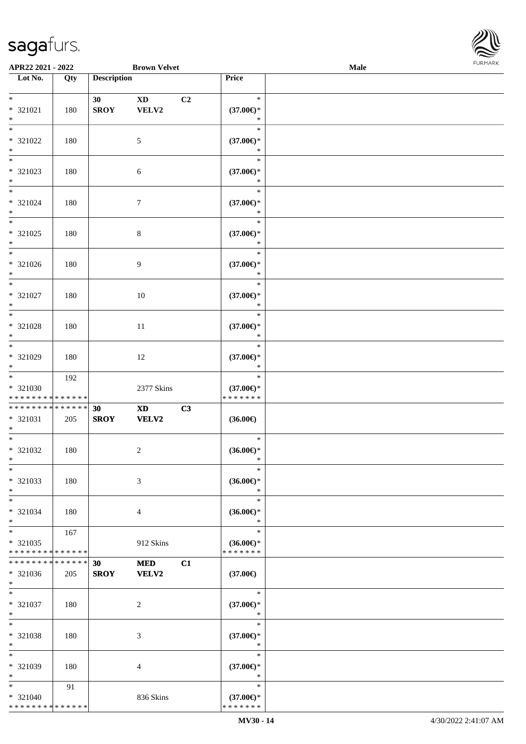

| APR22 2021 - 2022                                                            |     |                    | <b>Brown Velvet</b>                    |    |                                                | <b>Male</b> |  |
|------------------------------------------------------------------------------|-----|--------------------|----------------------------------------|----|------------------------------------------------|-------------|--|
| Lot No.                                                                      | Qty | <b>Description</b> |                                        |    | Price                                          |             |  |
| $\ast$<br>$* 321021$<br>$\ast$                                               | 180 | 30<br><b>SROY</b>  | $\mathbf{X}\mathbf{D}$<br>VELV2        | C2 | $\ast$<br>$(37.00\epsilon)$ *<br>$\ast$        |             |  |
| $\overline{\ }$<br>* 321022<br>$\ast$                                        | 180 |                    | $\sqrt{5}$                             |    | $\ast$<br>$(37.00\epsilon)$ *<br>$\ast$        |             |  |
| $\overline{\phantom{a}^*}$<br>* 321023<br>$\ast$                             | 180 |                    | $\sqrt{6}$                             |    | $\ast$<br>$(37.00\epsilon)$ *<br>$\ast$        |             |  |
| $\ast$<br>* 321024<br>$\ast$                                                 | 180 |                    | $\boldsymbol{7}$                       |    | $\ast$<br>$(37.00\epsilon)$ *<br>$\ast$        |             |  |
| $*$<br>$* 321025$<br>$\ast$                                                  | 180 |                    | $\,8\,$                                |    | $\ast$<br>$(37.00\epsilon)$ *<br>$\ast$        |             |  |
| $\overline{\phantom{1}}$<br>* 321026<br>$\ast$                               | 180 |                    | $\overline{9}$                         |    | $\ast$<br>$(37.00\epsilon)$ *<br>$\ast$        |             |  |
| $\ast$<br>* 321027<br>$\ast$                                                 | 180 |                    | 10                                     |    | $\ast$<br>$(37.00\epsilon)$ *<br>$\ast$        |             |  |
| $\ast$<br>$* 321028$<br>$\ast$                                               | 180 |                    | $11\,$                                 |    | $\ast$<br>$(37.00\epsilon)$ *<br>$\ast$        |             |  |
| $\overline{\phantom{a}^*}$<br>* 321029<br>$\ast$<br>$\overline{\phantom{0}}$ | 180 |                    | 12                                     |    | $\ast$<br>$(37.00\epsilon)$ *<br>$\ast$        |             |  |
| $* 321030$<br>* * * * * * * * * * * * * *                                    | 192 |                    | 2377 Skins                             |    | $\ast$<br>$(37.00\epsilon)$ *<br>* * * * * * * |             |  |
| * * * * * * * * * * * * * *<br>$* 321031$<br>$\ast$                          | 205 | 30<br><b>SROY</b>  | $\mathbf{X}\mathbf{D}$<br><b>VELV2</b> | C3 | $(36.00\epsilon)$                              |             |  |
| $*$<br>* 321032<br>$*$                                                       | 180 |                    | $\sqrt{2}$                             |    | $\ast$<br>$(36.00\epsilon)$ *<br>$\ast$        |             |  |
| $\ast$<br>* 321033<br>$\ast$                                                 | 180 |                    | 3                                      |    | $\ast$<br>$(36.00\epsilon)$ *<br>$\ast$        |             |  |
| $\ast$<br>* 321034<br>$\ast$                                                 | 180 |                    | $\overline{4}$                         |    | $\ast$<br>$(36.00\epsilon)$ *<br>$\ast$        |             |  |
| $\ast$<br>* 321035<br>* * * * * * * * * * * * * *                            | 167 |                    | 912 Skins                              |    | $\ast$<br>$(36.00\epsilon)$ *<br>* * * * * * * |             |  |
| * * * * * * * * * * * * * *<br>* 321036<br>$*$                               | 205 | 30<br><b>SROY</b>  | <b>MED</b><br>VELV2                    | C1 | $(37.00\epsilon)$                              |             |  |
| $*$<br>* 321037<br>$\ast$                                                    | 180 |                    | $\sqrt{2}$                             |    | $\ast$<br>$(37.00\epsilon)$ *<br>$\ast$        |             |  |
| $\ast$<br>* 321038<br>$\ast$                                                 | 180 |                    | 3                                      |    | $\ast$<br>$(37.00\epsilon)$ *<br>$\ast$        |             |  |
| $\ast$<br>* 321039<br>$\ast$                                                 | 180 |                    | 4                                      |    | $\ast$<br>$(37.00\epsilon)$ *<br>$\ast$        |             |  |
| $*$<br>$* 321040$<br>* * * * * * * * * * * * * *                             | 91  |                    | 836 Skins                              |    | $\ast$<br>$(37.00\epsilon)$ *<br>* * * * * * * |             |  |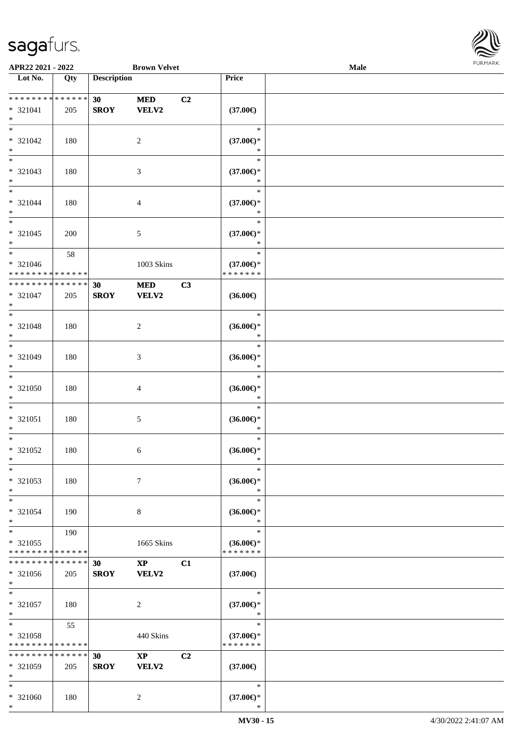\*



| APR22 2021 - 2022           |                   |                    | <b>Brown Velvet</b>          |                     | Male |  |
|-----------------------------|-------------------|--------------------|------------------------------|---------------------|------|--|
| Lot No.                     | $\overline{Q}$ ty | <b>Description</b> |                              | Price               |      |  |
|                             |                   |                    |                              |                     |      |  |
| * * * * * * * * * * * * * * |                   | 30                 | C2<br><b>MED</b>             |                     |      |  |
| * 321041                    | 205               | <b>SROY</b>        | <b>VELV2</b>                 | $(37.00\epsilon)$   |      |  |
| $\ast$                      |                   |                    |                              |                     |      |  |
| $\ast$                      |                   |                    |                              | $\ast$              |      |  |
| * 321042                    |                   |                    | $\overline{2}$               | $(37.00\epsilon)$ * |      |  |
| $\ast$                      | 180               |                    |                              |                     |      |  |
| $\overline{\ast}$           |                   |                    |                              | *                   |      |  |
|                             |                   |                    |                              | $\ast$              |      |  |
| * 321043                    | 180               |                    | $\mathfrak{Z}$               | $(37.00\epsilon)$ * |      |  |
| $*$                         |                   |                    |                              | $\ast$              |      |  |
| $*$                         |                   |                    |                              | $\ast$              |      |  |
| $* 321044$                  | 180               |                    | $\overline{4}$               | $(37.00\epsilon)$ * |      |  |
| $\ast$                      |                   |                    |                              | $\ast$              |      |  |
| $\ast$                      |                   |                    |                              | $\ast$              |      |  |
| $* 321045$                  | 200               |                    | $\mathfrak{S}$               | $(37.00\epsilon)$ * |      |  |
| $\ast$                      |                   |                    |                              | $\ast$              |      |  |
| $\ast$                      |                   |                    |                              | $\ast$              |      |  |
|                             | 58                |                    |                              |                     |      |  |
| $* 321046$                  |                   |                    | 1003 Skins                   | $(37.00\epsilon)$ * |      |  |
| * * * * * * * * * * * * * * |                   |                    |                              | * * * * * * *       |      |  |
| * * * * * * * * * * * * * * |                   | 30                 | $\bf MED$<br>C3              |                     |      |  |
| * 321047                    | 205               | <b>SROY</b>        | <b>VELV2</b>                 | $(36.00\epsilon)$   |      |  |
| $*$                         |                   |                    |                              |                     |      |  |
| $*$                         |                   |                    |                              | $\ast$              |      |  |
| * 321048                    | 180               |                    | $\overline{c}$               | $(36.00\epsilon)$ * |      |  |
| $\ast$                      |                   |                    |                              | $\ast$              |      |  |
| $*$                         |                   |                    |                              | $\ast$              |      |  |
| * 321049                    | 180               |                    | $\mathfrak{Z}$               | $(36.00\epsilon)$ * |      |  |
| $\ast$                      |                   |                    |                              | $\ast$              |      |  |
| $\ast$                      |                   |                    |                              |                     |      |  |
|                             |                   |                    |                              | $\ast$              |      |  |
| $* 321050$                  | 180               |                    | $\overline{4}$               | $(36.00\epsilon)$ * |      |  |
| $\ast$                      |                   |                    |                              | $\ast$              |      |  |
| $*$                         |                   |                    |                              | $\ast$              |      |  |
| $* 321051$                  | 180               |                    | $5\,$                        | $(36.00\epsilon)$ * |      |  |
| $\ast$                      |                   |                    |                              | $\ast$              |      |  |
| $\ast$                      |                   |                    |                              | $\ast$              |      |  |
| $* 321052$                  | 180               |                    | 6                            | $(36.00\epsilon)$ * |      |  |
| $*$                         |                   |                    |                              | $\ast$              |      |  |
| $\ast$                      |                   |                    |                              | $\ast$              |      |  |
|                             |                   |                    |                              |                     |      |  |
| $* 321053$                  | 180               |                    | $\tau$                       | $(36.00\epsilon)$ * |      |  |
| $\ast$                      |                   |                    |                              | $\ast$              |      |  |
| $\ast$                      |                   |                    |                              | $\ast$              |      |  |
| * 321054                    | 190               |                    | 8                            | $(36.00\epsilon)$ * |      |  |
| $*$                         |                   |                    |                              | $\ast$              |      |  |
| $\ast$                      | 190               |                    |                              | $\ast$              |      |  |
| * 321055                    |                   |                    | 1665 Skins                   | $(36.00\epsilon)$ * |      |  |
| * * * * * * * * * * * * * * |                   |                    |                              | * * * * * * *       |      |  |
| **************              |                   | 30                 | C1<br>$\mathbf{X}\mathbf{P}$ |                     |      |  |
| * 321056                    | 205               | <b>SROY</b>        | VELV2                        | $(37.00\epsilon)$   |      |  |
| $*$                         |                   |                    |                              |                     |      |  |
| $*$                         |                   |                    |                              | $\ast$              |      |  |
|                             |                   |                    |                              |                     |      |  |
| $* 321057$                  | 180               |                    | $\overline{c}$               | $(37.00\epsilon)$ * |      |  |
| $*$                         |                   |                    |                              | $\ast$              |      |  |
| $*$                         | 55                |                    |                              | $\ast$              |      |  |
| $* 321058$                  |                   |                    | 440 Skins                    | $(37.00\epsilon)$ * |      |  |
| * * * * * * * * * * * * * * |                   |                    |                              | * * * * * * *       |      |  |
| * * * * * * * * * * * * * * |                   | 30                 | C2<br>$\mathbf{XP}$          |                     |      |  |
| * 321059                    | 205               | <b>SROY</b>        | <b>VELV2</b>                 | $(37.00\epsilon)$   |      |  |
| $\ast$                      |                   |                    |                              |                     |      |  |
| $\ast$                      |                   |                    |                              | $\ast$              |      |  |
| * 321060                    | 180               |                    | 2                            | $(37.00\epsilon)$ * |      |  |
|                             |                   |                    |                              |                     |      |  |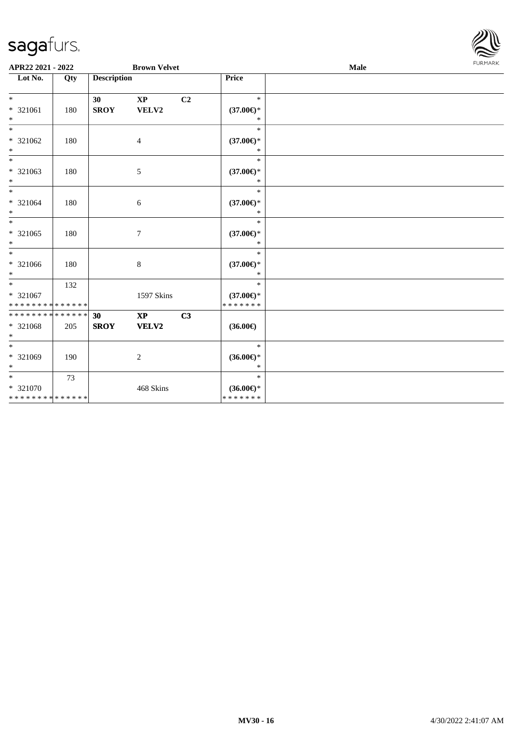

| APR22 2021 - 2022                                            |     |                    | <b>Brown Velvet</b>             |                |                                                | Male | <b>FURMARK</b> |
|--------------------------------------------------------------|-----|--------------------|---------------------------------|----------------|------------------------------------------------|------|----------------|
| Lot No.                                                      | Qty | <b>Description</b> |                                 |                | Price                                          |      |                |
| $*$<br>* 321061<br>$*$                                       | 180 | 30<br><b>SROY</b>  | $\mathbf{X}\mathbf{P}$<br>VELV2 | C <sub>2</sub> | $\ast$<br>$(37.00\epsilon)$ *<br>$\ast$        |      |                |
| $\ast$<br>* 321062<br>$*$                                    | 180 |                    | $\overline{4}$                  |                | $\ast$<br>$(37.00\epsilon)$ *<br>$\ast$        |      |                |
| $*$<br>* 321063<br>$*$                                       | 180 |                    | $\mathfrak{S}$                  |                | $\ast$<br>$(37.00\epsilon)$ *<br>$\ast$        |      |                |
| $*$<br>* 321064<br>$*$                                       | 180 |                    | $\sqrt{6}$                      |                | $\ast$<br>$(37.00\epsilon)$ *<br>$\ast$        |      |                |
| $\ast$<br>* 321065<br>$*$                                    | 180 |                    | $\tau$                          |                | $\ast$<br>$(37.00\epsilon)$ *<br>$\ast$        |      |                |
| $\overline{\ast}$<br>* 321066<br>$*$                         | 180 |                    | 8                               |                | $\ast$<br>$(37.00\epsilon)$ *<br>$\ast$        |      |                |
| $\overline{\ast}$<br>* 321067<br>* * * * * * * * * * * * * * | 132 |                    | 1597 Skins                      |                | $\ast$<br>$(37.00\epsilon)$ *<br>* * * * * * * |      |                |
| * * * * * * * * * * * * * * *<br>* 321068<br>$*$             | 205 | 30<br><b>SROY</b>  | $\mathbf{X}\mathbf{P}$<br>VELV2 | C3             | $(36.00\epsilon)$                              |      |                |
| $\overline{\phantom{0}}$<br>* 321069<br>$*$                  | 190 |                    | 2                               |                | $\ast$<br>$(36.00\epsilon)$ *<br>$\ast$        |      |                |
| $*$ $-$<br>* 321070<br>* * * * * * * * * * * * * *           | 73  |                    | 468 Skins                       |                | $\ast$<br>$(36.00\epsilon)$ *<br>*******       |      |                |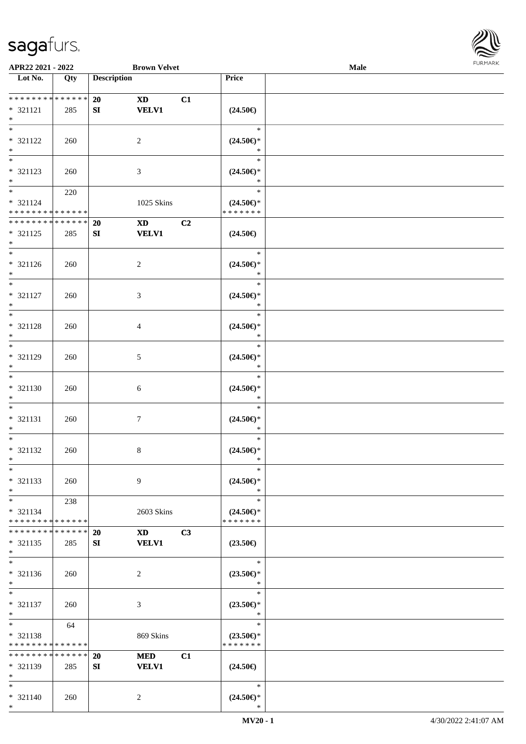

| APR22 2021 - 2022             |                   |                    | <b>Brown Velvet</b>          |                                                    | Male |  |
|-------------------------------|-------------------|--------------------|------------------------------|----------------------------------------------------|------|--|
| Lot No.                       | $\overline{Q}$ ty | <b>Description</b> |                              | Price                                              |      |  |
|                               |                   |                    |                              |                                                    |      |  |
| ******** <mark>******</mark>  |                   | 20                 | C1<br><b>XD</b>              |                                                    |      |  |
| $* 321121$                    | 285               | SI                 | <b>VELV1</b>                 | $(24.50\epsilon)$                                  |      |  |
| $\ast$                        |                   |                    |                              |                                                    |      |  |
| $\overline{\phantom{0}}$      |                   |                    |                              | $\ast$                                             |      |  |
| * 321122                      | 260               |                    | $\overline{2}$               | $(24.50\epsilon)$ *                                |      |  |
| $\ast$                        |                   |                    |                              | $\ast$                                             |      |  |
| $\overline{\phantom{0}}$      |                   |                    |                              | $\ast$                                             |      |  |
| * 321123                      | 260               |                    | $\mathfrak{Z}$               | $(24.50\mathnormal{\in}\mathcal{)^{\! \! \times}}$ |      |  |
| $*$                           |                   |                    |                              | $\ast$                                             |      |  |
|                               |                   |                    |                              | $\ast$                                             |      |  |
|                               | 220               |                    |                              |                                                    |      |  |
| $* 321124$                    |                   |                    | 1025 Skins                   | $(24.50\epsilon)$ *<br>* * * * * * *               |      |  |
| * * * * * * * * * * * * * * * |                   |                    |                              |                                                    |      |  |
| * * * * * * * * * * * * * *   |                   | 20                 | C2<br>$\mathbf{X}\mathbf{D}$ |                                                    |      |  |
| * 321125                      | 285               | SI                 | <b>VELV1</b>                 | $(24.50\epsilon)$                                  |      |  |
| $*$                           |                   |                    |                              |                                                    |      |  |
| $\ast$                        |                   |                    |                              | $\ast$                                             |      |  |
| $* 321126$                    | 260               |                    | $\overline{c}$               | $(24.50\epsilon)$ *                                |      |  |
| $*$                           |                   |                    |                              | $\ast$                                             |      |  |
| $\overline{\ast}$             |                   |                    |                              | $\ast$                                             |      |  |
| $* 321127$                    | 260               |                    | 3                            | $(24.50\epsilon)$ *                                |      |  |
| $*$                           |                   |                    |                              | $\ast$                                             |      |  |
| $*$                           |                   |                    |                              | $\ast$                                             |      |  |
| * 321128                      | 260               |                    | 4                            | $(24.50\epsilon)$ *                                |      |  |
| $\ast$                        |                   |                    |                              | $\ast$                                             |      |  |
| $\ast$                        |                   |                    |                              | $\ast$                                             |      |  |
| $* 321129$                    | 260               |                    | 5                            | $(24.50\mathnormal{\in}\mathcal{)^{\! \! \times}}$ |      |  |
| $*$                           |                   |                    |                              | $\ast$                                             |      |  |
| $\overline{\phantom{0}}$      |                   |                    |                              | $\ast$                                             |      |  |
|                               |                   |                    |                              |                                                    |      |  |
| $* 321130$                    | 260               |                    | $\sqrt{6}$                   | $(24.50\epsilon)$ *                                |      |  |
| $*$                           |                   |                    |                              | $\ast$                                             |      |  |
| $*$                           |                   |                    |                              | $\ast$                                             |      |  |
| $* 321131$                    | 260               |                    | $\boldsymbol{7}$             | $(24.50\epsilon)$ *                                |      |  |
| $*$                           |                   |                    |                              | $\ast$                                             |      |  |
| $*$                           |                   |                    |                              | $\ast$                                             |      |  |
| $* 321132$                    | 260               |                    | 8                            | $(24.50\epsilon)$ *                                |      |  |
| $*$                           |                   |                    |                              | $\ast$                                             |      |  |
| $\ast$                        |                   |                    |                              | $\ast$                                             |      |  |
| * 321133                      | 260               |                    | 9                            | $(24.50\epsilon)$ *                                |      |  |
| $\ast$                        |                   |                    |                              | $\ast$                                             |      |  |
| $*$                           | 238               |                    |                              | $\ast$                                             |      |  |
| * 321134                      |                   |                    | 2603 Skins                   | $(24.50\epsilon)$ *                                |      |  |
| * * * * * * * * * * * * * *   |                   |                    |                              | * * * * * * *                                      |      |  |
| * * * * * * * *               | * * * * * *       | 20                 | C3<br><b>XD</b>              |                                                    |      |  |
| * 321135                      | 285               | SI                 | <b>VELV1</b>                 | $(23.50\epsilon)$                                  |      |  |
| $*$                           |                   |                    |                              |                                                    |      |  |
| $\overline{\phantom{a}^*}$    |                   |                    |                              | $\ast$                                             |      |  |
| $* 321136$                    |                   |                    | $\overline{c}$               |                                                    |      |  |
| $*$                           | 260               |                    |                              | $(23.50\epsilon)$ *<br>$\ast$                      |      |  |
| $\ast$                        |                   |                    |                              | $\ast$                                             |      |  |
|                               |                   |                    |                              |                                                    |      |  |
| $* 321137$                    | 260               |                    | $\mathfrak{Z}$               | $(23.50\epsilon)$ *                                |      |  |
| $*$                           |                   |                    |                              | $\ast$                                             |      |  |
| $*$                           | 64                |                    |                              | $\ast$                                             |      |  |
| $* 321138$                    |                   |                    | 869 Skins                    | $(23.50\epsilon)$ *                                |      |  |
| * * * * * * * * * * * * * *   |                   |                    |                              | * * * * * * *                                      |      |  |
| * * * * * * * *               | * * * * * *       | 20                 | <b>MED</b><br>C1             |                                                    |      |  |
| * 321139                      | 285               | SI                 | <b>VELV1</b>                 | $(24.50\epsilon)$                                  |      |  |
| $*$                           |                   |                    |                              |                                                    |      |  |
| $*$                           |                   |                    |                              | $\ast$                                             |      |  |
| * 321140                      | 260               |                    | $\overline{2}$               | $(24.50\epsilon)$ *                                |      |  |
| $*$                           |                   |                    |                              | ∗                                                  |      |  |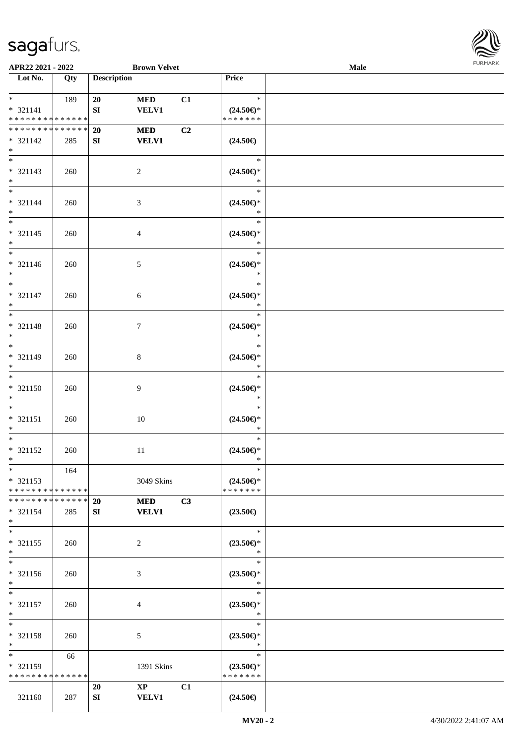

| APR22 2021 - 2022                                                     |     |                        | <b>Brown Velvet</b>         |    |                                                | Male | <b>FURMARK</b> |
|-----------------------------------------------------------------------|-----|------------------------|-----------------------------|----|------------------------------------------------|------|----------------|
| $\overline{\phantom{1}}$ Lot No.                                      | Qty | <b>Description</b>     |                             |    | Price                                          |      |                |
| $*$ and $*$<br>$* 321141$<br>******** <mark>******</mark>             | 189 | 20<br>SI               | <b>MED</b><br><b>VELV1</b>  | C1 | $\ast$<br>$(24.50\epsilon)$ *<br>*******       |      |                |
| * * * * * * * * * * * * * *<br>$* 321142$<br>$*$                      | 285 | 20<br>${\bf S}{\bf I}$ | $\bf MED$<br><b>VELV1</b>   | C2 | $(24.50\epsilon)$                              |      |                |
| $_{\ast}^{-}$<br>$* 321143$<br>$*$                                    | 260 |                        | $\overline{c}$              |    | $\ast$<br>$(24.50\epsilon)$ *<br>$\ast$        |      |                |
| $\ast$<br>$* 321144$<br>$*$                                           | 260 |                        | $\mathfrak{Z}$              |    | $\ast$<br>$(24.50\epsilon)$ *<br>$\ast$        |      |                |
| $\overline{\ast}$<br>$* 321145$<br>$*$                                | 260 |                        | $\overline{4}$              |    | $\ast$<br>$(24.50\epsilon)$ *<br>$\ast$        |      |                |
| $\overline{\phantom{0}}$<br>$* 321146$<br>$*$                         | 260 |                        | $\sqrt{5}$                  |    | $\ast$<br>$(24.50\epsilon)$ *<br>$\ast$        |      |                |
| $\overline{\ast}$<br>$* 321147$<br>$\ast$                             | 260 |                        | $\sqrt{6}$                  |    | $\ast$<br>$(24.50\epsilon)$ *<br>$\ast$        |      |                |
| $\overline{\phantom{a}^*}$<br>* 321148<br>$\ast$                      | 260 |                        | $\boldsymbol{7}$            |    | $\ast$<br>$(24.50\epsilon)$ *<br>$\ast$        |      |                |
| $\overline{\phantom{0}}$<br>$* 321149$<br>$\ast$                      | 260 |                        | $\,8\,$                     |    | $\ast$<br>$(24.50\epsilon)$ *<br>$\ast$        |      |                |
| $\overline{\ast}$<br>$* 321150$<br>$\ast$                             | 260 |                        | 9                           |    | $\ast$<br>$(24.50\epsilon)$ *<br>$\ast$        |      |                |
| $\ast$<br>$* 321151$<br>$\ast$                                        | 260 |                        | 10                          |    | $\ast$<br>$(24.50\epsilon)$ *<br>$\ast$        |      |                |
| $\overline{\phantom{0}}$<br>$* 321152$<br>$\ast$                      | 260 |                        | 11                          |    | $\ast$<br>$(24.50\epsilon)$ *<br>$\ast$        |      |                |
| $\overline{\phantom{0}}$<br>$* 321153$<br>* * * * * * * * * * * * * * | 164 |                        | 3049 Skins                  |    | $\ast$<br>$(24.50\epsilon)$ *<br>* * * * * * * |      |                |
| * * * * * * * * * * * * * *<br>$* 321154$<br>$\ast$                   | 285 | <b>20</b><br>SI        | <b>MED</b><br><b>VELV1</b>  | C3 | $(23.50\epsilon)$                              |      |                |
| $\overline{\phantom{0}}$<br>$* 321155$<br>$\ast$                      | 260 |                        | $\sqrt{2}$                  |    | $\ast$<br>$(23.50\epsilon)$ *<br>$\ast$        |      |                |
| $\overline{\ast}$<br>$* 321156$<br>$\ast$                             | 260 |                        | $\mathfrak{Z}$              |    | $\ast$<br>$(23.50\epsilon)$ *<br>$\ast$        |      |                |
| $\ast$<br>$* 321157$<br>$\ast$                                        | 260 |                        | $\overline{4}$              |    | $\ast$<br>$(23.50\epsilon)$ *<br>$\ast$        |      |                |
| $\overline{\phantom{a}^*}$<br>* 321158<br>$\ast$                      | 260 |                        | 5                           |    | $\ast$<br>$(23.50\epsilon)$ *<br>$\ast$        |      |                |
| $\ast$<br>$* 321159$<br>* * * * * * * * * * * * * *                   | 66  |                        | 1391 Skins                  |    | $\ast$<br>$(23.50\epsilon)$ *<br>* * * * * * * |      |                |
| 321160                                                                | 287 | 20<br>${\bf SI}$       | $\bold{XP}$<br><b>VELV1</b> | C1 | $(24.50\epsilon)$                              |      |                |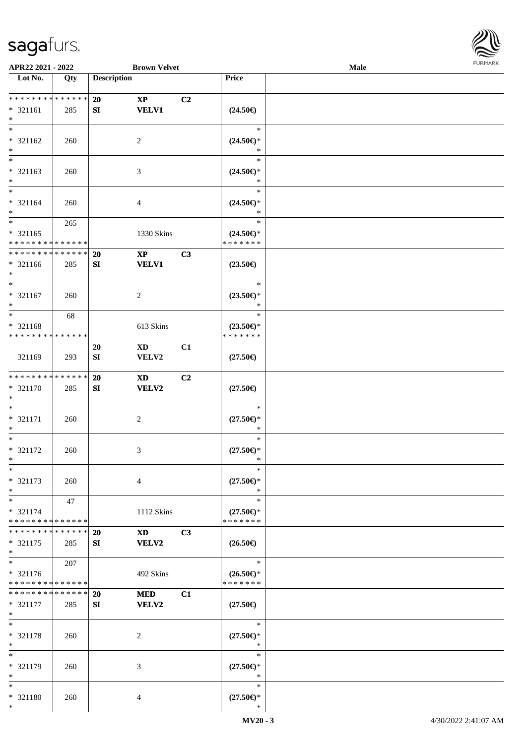

| APR22 2021 - 2022                          |     |                    | <b>Brown Velvet</b>        |                |                                                    | Male |  |
|--------------------------------------------|-----|--------------------|----------------------------|----------------|----------------------------------------------------|------|--|
| Lot No.                                    | Qty | <b>Description</b> |                            |                | Price                                              |      |  |
|                                            |     |                    |                            |                |                                                    |      |  |
| ******** <mark>******</mark>               |     | 20                 | $\boldsymbol{\mathrm{XP}}$ | C <sub>2</sub> |                                                    |      |  |
| * 321161                                   | 285 | SI                 | <b>VELV1</b>               |                | $(24.50\epsilon)$                                  |      |  |
| $\ast$                                     |     |                    |                            |                |                                                    |      |  |
|                                            |     |                    |                            |                | $\ast$                                             |      |  |
| * 321162                                   | 260 |                    | 2                          |                | $(24.50\epsilon)$ *                                |      |  |
| $*$                                        |     |                    |                            |                | ∗                                                  |      |  |
|                                            |     |                    |                            |                | $\ast$                                             |      |  |
| * 321163                                   |     |                    |                            |                |                                                    |      |  |
| $*$                                        | 260 |                    | 3                          |                | $(24.50\epsilon)$ *<br>$\ast$                      |      |  |
| $*$                                        |     |                    |                            |                |                                                    |      |  |
|                                            |     |                    |                            |                | $\ast$                                             |      |  |
| * 321164                                   | 260 |                    | 4                          |                | $(24.50\epsilon)$ *                                |      |  |
| $*$                                        |     |                    |                            |                | $\ast$                                             |      |  |
| $*$                                        | 265 |                    |                            |                | $\ast$                                             |      |  |
| $* 321165$                                 |     |                    | 1330 Skins                 |                | $(24.50\epsilon)$ *                                |      |  |
| * * * * * * * * * * * * * *                |     |                    |                            |                | * * * * * * *                                      |      |  |
| * * * * * * * * <mark>* * * * * * *</mark> |     | 20                 | $\mathbf{X}\mathbf{P}$     | C3             |                                                    |      |  |
| * 321166                                   | 285 | SI                 | <b>VELV1</b>               |                | $(23.50\epsilon)$                                  |      |  |
| $*$                                        |     |                    |                            |                |                                                    |      |  |
| $*$                                        |     |                    |                            |                | $\ast$                                             |      |  |
| $* 321167$                                 | 260 |                    | 2                          |                | $(23.50\epsilon)$ *                                |      |  |
| $*$                                        |     |                    |                            |                | $\ast$                                             |      |  |
| $*$                                        | 68  |                    |                            |                | $\ast$                                             |      |  |
| * 321168                                   |     |                    | 613 Skins                  |                | $(23.50\epsilon)$ *                                |      |  |
| * * * * * * * * * * * * * *                |     |                    |                            |                | * * * * * * *                                      |      |  |
|                                            |     | 20                 | XD                         | C1             |                                                    |      |  |
|                                            |     |                    |                            |                |                                                    |      |  |
| 321169                                     | 293 | SI                 | VELV2                      |                | $(27.50\epsilon)$                                  |      |  |
| * * * * * * * * * * * * * *                |     |                    |                            |                |                                                    |      |  |
|                                            |     | 20                 | XD                         | C <sub>2</sub> |                                                    |      |  |
| $* 321170$                                 | 285 | SI                 | VELV2                      |                | $(27.50\epsilon)$                                  |      |  |
| $*$                                        |     |                    |                            |                |                                                    |      |  |
| $*$                                        |     |                    |                            |                | $\ast$                                             |      |  |
| * 321171                                   | 260 |                    | $\overline{c}$             |                | $(27.50\epsilon)$ *                                |      |  |
| $*$                                        |     |                    |                            |                | $\ast$                                             |      |  |
| $*$                                        |     |                    |                            |                | $\ast$                                             |      |  |
| * 321172                                   | 260 |                    | 3                          |                | $(27.50\epsilon)$ *                                |      |  |
| $*$                                        |     |                    |                            |                | $\ast$                                             |      |  |
| $*$                                        |     |                    |                            |                | $\ast$                                             |      |  |
| * 321173                                   | 260 |                    | $\overline{4}$             |                | $(27.50\epsilon)$ *                                |      |  |
| $*$                                        |     |                    |                            |                | ∗                                                  |      |  |
| $*$                                        | 47  |                    |                            |                | $\ast$                                             |      |  |
| * 321174                                   |     |                    | 1112 Skins                 |                | $(27.50\epsilon)$ *                                |      |  |
| * * * * * * * * * * * * * *                |     |                    |                            |                | * * * * * * *                                      |      |  |
| * * * * * * * * * * * * * * *              |     | <b>20</b>          | XD <b>Santa</b>            | C3             |                                                    |      |  |
| * 321175                                   | 285 | SI                 | VELV2                      |                | $(26.50\epsilon)$                                  |      |  |
| $*$                                        |     |                    |                            |                |                                                    |      |  |
| $\overline{\ast}$                          |     |                    |                            |                | $\ast$                                             |      |  |
|                                            | 207 |                    |                            |                |                                                    |      |  |
| * 321176                                   |     |                    | 492 Skins                  |                | $(26.50\epsilon)$ *<br>* * * * * * *               |      |  |
| * * * * * * * * * * * * * *                |     |                    |                            |                |                                                    |      |  |
| * * * * * * * * * * * * * * *              |     | 20                 | <b>MED</b>                 | C1             |                                                    |      |  |
| * 321177                                   | 285 | SI                 | <b>VELV2</b>               |                | $(27.50\epsilon)$                                  |      |  |
| $*$                                        |     |                    |                            |                |                                                    |      |  |
| $*$                                        |     |                    |                            |                | $\ast$                                             |      |  |
| * 321178                                   | 260 |                    | 2                          |                | $(27.50\mathnormal{\in}\mathcal{)^{\! \! \times}}$ |      |  |
| $*$                                        |     |                    |                            |                | $\ast$                                             |      |  |
| $*$                                        |     |                    |                            |                | $\ast$                                             |      |  |
| * 321179                                   | 260 |                    | 3                          |                | $(27.50\epsilon)$ *                                |      |  |
| $*$                                        |     |                    |                            |                | $\ast$                                             |      |  |
| $*$                                        |     |                    |                            |                | $\ast$                                             |      |  |
| * 321180                                   | 260 |                    | 4                          |                | $(27.50\epsilon)$ *                                |      |  |
| $*$                                        |     |                    |                            |                | ∗                                                  |      |  |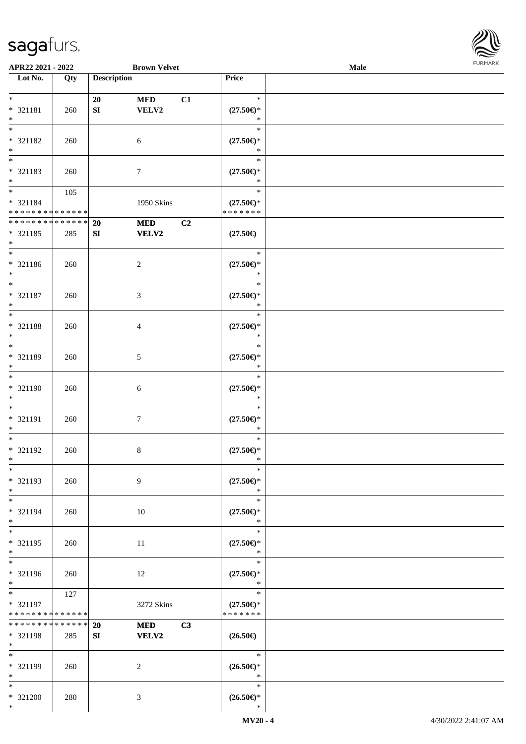

| Lot No.<br>Qty  | <b>Description</b>                                                                                                                                          |                                                                                                                                      | Price                                                                                                         |                                                                                                                                                                                                                                                                                                                                                                                                                                                                                                                                                                                            |  |
|-----------------|-------------------------------------------------------------------------------------------------------------------------------------------------------------|--------------------------------------------------------------------------------------------------------------------------------------|---------------------------------------------------------------------------------------------------------------|--------------------------------------------------------------------------------------------------------------------------------------------------------------------------------------------------------------------------------------------------------------------------------------------------------------------------------------------------------------------------------------------------------------------------------------------------------------------------------------------------------------------------------------------------------------------------------------------|--|
|                 |                                                                                                                                                             |                                                                                                                                      |                                                                                                               |                                                                                                                                                                                                                                                                                                                                                                                                                                                                                                                                                                                            |  |
|                 |                                                                                                                                                             |                                                                                                                                      |                                                                                                               |                                                                                                                                                                                                                                                                                                                                                                                                                                                                                                                                                                                            |  |
|                 | 20                                                                                                                                                          | <b>MED</b><br>C1                                                                                                                     | $\ast$                                                                                                        |                                                                                                                                                                                                                                                                                                                                                                                                                                                                                                                                                                                            |  |
| * 321181<br>260 | ${\bf S}{\bf I}$                                                                                                                                            | VELV2                                                                                                                                |                                                                                                               |                                                                                                                                                                                                                                                                                                                                                                                                                                                                                                                                                                                            |  |
|                 |                                                                                                                                                             |                                                                                                                                      | $\ast$                                                                                                        |                                                                                                                                                                                                                                                                                                                                                                                                                                                                                                                                                                                            |  |
|                 |                                                                                                                                                             |                                                                                                                                      | $\ast$                                                                                                        |                                                                                                                                                                                                                                                                                                                                                                                                                                                                                                                                                                                            |  |
| * 321182<br>260 |                                                                                                                                                             | 6                                                                                                                                    |                                                                                                               |                                                                                                                                                                                                                                                                                                                                                                                                                                                                                                                                                                                            |  |
|                 |                                                                                                                                                             |                                                                                                                                      | $\ast$                                                                                                        |                                                                                                                                                                                                                                                                                                                                                                                                                                                                                                                                                                                            |  |
|                 |                                                                                                                                                             |                                                                                                                                      | $\ast$                                                                                                        |                                                                                                                                                                                                                                                                                                                                                                                                                                                                                                                                                                                            |  |
| * 321183<br>260 |                                                                                                                                                             | $\tau$                                                                                                                               |                                                                                                               |                                                                                                                                                                                                                                                                                                                                                                                                                                                                                                                                                                                            |  |
|                 |                                                                                                                                                             |                                                                                                                                      | *                                                                                                             |                                                                                                                                                                                                                                                                                                                                                                                                                                                                                                                                                                                            |  |
| 105             |                                                                                                                                                             |                                                                                                                                      | $\ast$                                                                                                        |                                                                                                                                                                                                                                                                                                                                                                                                                                                                                                                                                                                            |  |
| * 321184        |                                                                                                                                                             | 1950 Skins                                                                                                                           | $(27.50\epsilon)$ *                                                                                           |                                                                                                                                                                                                                                                                                                                                                                                                                                                                                                                                                                                            |  |
|                 |                                                                                                                                                             |                                                                                                                                      | * * * * * * *                                                                                                 |                                                                                                                                                                                                                                                                                                                                                                                                                                                                                                                                                                                            |  |
|                 | 20                                                                                                                                                          | C2<br><b>MED</b>                                                                                                                     |                                                                                                               |                                                                                                                                                                                                                                                                                                                                                                                                                                                                                                                                                                                            |  |
| * 321185<br>285 | SI                                                                                                                                                          | <b>VELV2</b>                                                                                                                         | $(27.50\epsilon)$                                                                                             |                                                                                                                                                                                                                                                                                                                                                                                                                                                                                                                                                                                            |  |
|                 |                                                                                                                                                             |                                                                                                                                      |                                                                                                               |                                                                                                                                                                                                                                                                                                                                                                                                                                                                                                                                                                                            |  |
|                 |                                                                                                                                                             |                                                                                                                                      | $\ast$                                                                                                        |                                                                                                                                                                                                                                                                                                                                                                                                                                                                                                                                                                                            |  |
| * 321186<br>260 |                                                                                                                                                             | 2                                                                                                                                    | $(27.50\epsilon)$ *                                                                                           |                                                                                                                                                                                                                                                                                                                                                                                                                                                                                                                                                                                            |  |
|                 |                                                                                                                                                             |                                                                                                                                      | $\ast$                                                                                                        |                                                                                                                                                                                                                                                                                                                                                                                                                                                                                                                                                                                            |  |
|                 |                                                                                                                                                             |                                                                                                                                      | $\ast$                                                                                                        |                                                                                                                                                                                                                                                                                                                                                                                                                                                                                                                                                                                            |  |
| * 321187<br>260 |                                                                                                                                                             | 3                                                                                                                                    | $(27.50\epsilon)$ *                                                                                           |                                                                                                                                                                                                                                                                                                                                                                                                                                                                                                                                                                                            |  |
|                 |                                                                                                                                                             |                                                                                                                                      | $\ast$                                                                                                        |                                                                                                                                                                                                                                                                                                                                                                                                                                                                                                                                                                                            |  |
|                 |                                                                                                                                                             |                                                                                                                                      | $\ast$                                                                                                        |                                                                                                                                                                                                                                                                                                                                                                                                                                                                                                                                                                                            |  |
| * 321188<br>260 |                                                                                                                                                             | 4                                                                                                                                    | $(27.50\epsilon)$ *                                                                                           |                                                                                                                                                                                                                                                                                                                                                                                                                                                                                                                                                                                            |  |
|                 |                                                                                                                                                             |                                                                                                                                      | $\ast$                                                                                                        |                                                                                                                                                                                                                                                                                                                                                                                                                                                                                                                                                                                            |  |
|                 |                                                                                                                                                             |                                                                                                                                      | $\ast$                                                                                                        |                                                                                                                                                                                                                                                                                                                                                                                                                                                                                                                                                                                            |  |
| * 321189<br>260 |                                                                                                                                                             |                                                                                                                                      |                                                                                                               |                                                                                                                                                                                                                                                                                                                                                                                                                                                                                                                                                                                            |  |
|                 |                                                                                                                                                             |                                                                                                                                      | $\ast$                                                                                                        |                                                                                                                                                                                                                                                                                                                                                                                                                                                                                                                                                                                            |  |
|                 |                                                                                                                                                             |                                                                                                                                      | $\ast$                                                                                                        |                                                                                                                                                                                                                                                                                                                                                                                                                                                                                                                                                                                            |  |
| * 321190<br>260 |                                                                                                                                                             | 6                                                                                                                                    |                                                                                                               |                                                                                                                                                                                                                                                                                                                                                                                                                                                                                                                                                                                            |  |
|                 |                                                                                                                                                             |                                                                                                                                      | $\ast$                                                                                                        |                                                                                                                                                                                                                                                                                                                                                                                                                                                                                                                                                                                            |  |
|                 |                                                                                                                                                             |                                                                                                                                      |                                                                                                               |                                                                                                                                                                                                                                                                                                                                                                                                                                                                                                                                                                                            |  |
| * 321191<br>260 |                                                                                                                                                             |                                                                                                                                      |                                                                                                               |                                                                                                                                                                                                                                                                                                                                                                                                                                                                                                                                                                                            |  |
|                 |                                                                                                                                                             |                                                                                                                                      |                                                                                                               |                                                                                                                                                                                                                                                                                                                                                                                                                                                                                                                                                                                            |  |
|                 |                                                                                                                                                             |                                                                                                                                      |                                                                                                               |                                                                                                                                                                                                                                                                                                                                                                                                                                                                                                                                                                                            |  |
| * 321192        |                                                                                                                                                             |                                                                                                                                      |                                                                                                               |                                                                                                                                                                                                                                                                                                                                                                                                                                                                                                                                                                                            |  |
|                 |                                                                                                                                                             |                                                                                                                                      |                                                                                                               |                                                                                                                                                                                                                                                                                                                                                                                                                                                                                                                                                                                            |  |
|                 |                                                                                                                                                             |                                                                                                                                      |                                                                                                               |                                                                                                                                                                                                                                                                                                                                                                                                                                                                                                                                                                                            |  |
|                 |                                                                                                                                                             |                                                                                                                                      |                                                                                                               |                                                                                                                                                                                                                                                                                                                                                                                                                                                                                                                                                                                            |  |
|                 |                                                                                                                                                             |                                                                                                                                      |                                                                                                               |                                                                                                                                                                                                                                                                                                                                                                                                                                                                                                                                                                                            |  |
|                 |                                                                                                                                                             |                                                                                                                                      |                                                                                                               |                                                                                                                                                                                                                                                                                                                                                                                                                                                                                                                                                                                            |  |
|                 |                                                                                                                                                             |                                                                                                                                      |                                                                                                               |                                                                                                                                                                                                                                                                                                                                                                                                                                                                                                                                                                                            |  |
|                 |                                                                                                                                                             |                                                                                                                                      |                                                                                                               |                                                                                                                                                                                                                                                                                                                                                                                                                                                                                                                                                                                            |  |
|                 |                                                                                                                                                             |                                                                                                                                      |                                                                                                               |                                                                                                                                                                                                                                                                                                                                                                                                                                                                                                                                                                                            |  |
|                 |                                                                                                                                                             |                                                                                                                                      |                                                                                                               |                                                                                                                                                                                                                                                                                                                                                                                                                                                                                                                                                                                            |  |
|                 |                                                                                                                                                             |                                                                                                                                      |                                                                                                               |                                                                                                                                                                                                                                                                                                                                                                                                                                                                                                                                                                                            |  |
|                 |                                                                                                                                                             |                                                                                                                                      |                                                                                                               |                                                                                                                                                                                                                                                                                                                                                                                                                                                                                                                                                                                            |  |
|                 |                                                                                                                                                             |                                                                                                                                      |                                                                                                               |                                                                                                                                                                                                                                                                                                                                                                                                                                                                                                                                                                                            |  |
|                 |                                                                                                                                                             |                                                                                                                                      |                                                                                                               |                                                                                                                                                                                                                                                                                                                                                                                                                                                                                                                                                                                            |  |
|                 |                                                                                                                                                             |                                                                                                                                      |                                                                                                               |                                                                                                                                                                                                                                                                                                                                                                                                                                                                                                                                                                                            |  |
|                 |                                                                                                                                                             |                                                                                                                                      |                                                                                                               |                                                                                                                                                                                                                                                                                                                                                                                                                                                                                                                                                                                            |  |
|                 |                                                                                                                                                             |                                                                                                                                      |                                                                                                               |                                                                                                                                                                                                                                                                                                                                                                                                                                                                                                                                                                                            |  |
|                 |                                                                                                                                                             |                                                                                                                                      |                                                                                                               |                                                                                                                                                                                                                                                                                                                                                                                                                                                                                                                                                                                            |  |
|                 |                                                                                                                                                             |                                                                                                                                      |                                                                                                               |                                                                                                                                                                                                                                                                                                                                                                                                                                                                                                                                                                                            |  |
|                 |                                                                                                                                                             |                                                                                                                                      | $\ast$                                                                                                        |                                                                                                                                                                                                                                                                                                                                                                                                                                                                                                                                                                                            |  |
|                 |                                                                                                                                                             |                                                                                                                                      |                                                                                                               |                                                                                                                                                                                                                                                                                                                                                                                                                                                                                                                                                                                            |  |
|                 |                                                                                                                                                             |                                                                                                                                      |                                                                                                               |                                                                                                                                                                                                                                                                                                                                                                                                                                                                                                                                                                                            |  |
|                 |                                                                                                                                                             |                                                                                                                                      |                                                                                                               |                                                                                                                                                                                                                                                                                                                                                                                                                                                                                                                                                                                            |  |
|                 |                                                                                                                                                             |                                                                                                                                      |                                                                                                               |                                                                                                                                                                                                                                                                                                                                                                                                                                                                                                                                                                                            |  |
|                 |                                                                                                                                                             |                                                                                                                                      | $\ast$                                                                                                        |                                                                                                                                                                                                                                                                                                                                                                                                                                                                                                                                                                                            |  |
|                 | 260<br>* 321193<br>260<br>* 321194<br>260<br>* 321195<br>260<br>* 321196<br>260<br>127<br>* 321197<br>* 321198<br>285<br>* 321199<br>260<br>* 321200<br>280 | * * * * * * * * * * * * * *<br>* * * * * * * * * * * * * *<br>* * * * * * * * * * * * * *<br>* * * * * * * * * * * * * *<br>20<br>SI | $\mathfrak{S}$<br>$\tau$<br>$8\,$<br>9<br>10<br>11<br>12<br>3272 Skins<br>C3<br><b>MED</b><br>VELV2<br>2<br>3 | $(27.50\mathnormal{\infty})^*$<br>$(27.50\epsilon)$ *<br>$(27.50\mathnormal{\infty})^*$<br>$(27.50\mathnormal{\in}\mathcal{)^{\! \! \times}}$<br>$(27.50\epsilon)$ *<br>$\ast$<br>$(27.50\epsilon)$ *<br>$\ast$<br>$\ast$<br>$(27.50\mathnormal{\infty})^*$<br>$\ast$<br>$\ast$<br>$(27.50\epsilon)$ *<br>$\ast$<br>$\ast$<br>$(27.50\epsilon)$ *<br>$\ast$<br>$\ast$<br>$(27.50\epsilon)$ *<br>$\ast$<br>$\ast$<br>$(27.50\epsilon)$ *<br>$\ast$<br>$\ast$<br>$(27.50\epsilon)$ *<br>* * * * * * *<br>$(26.50\epsilon)$<br>$(26.50\epsilon)$ *<br>$\ast$<br>$\ast$<br>$(26.50\epsilon)$ * |  |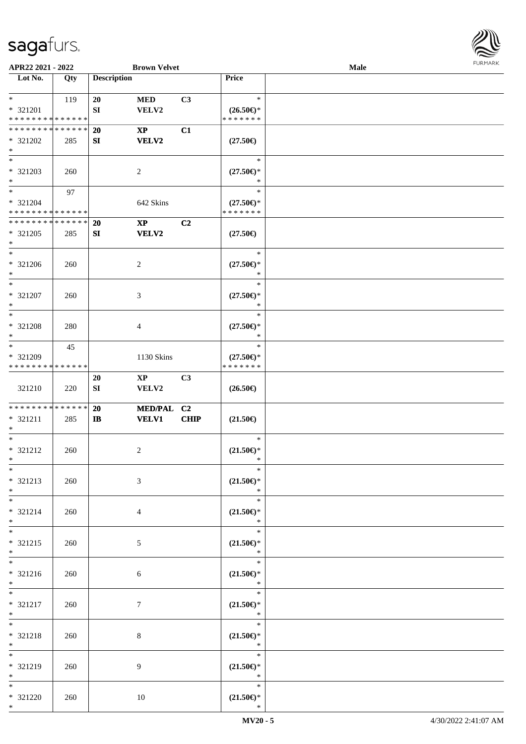

| APR22 2021 - 2022                  |     |                    | <b>Brown Velvet</b>    |                |                                                     | Male |  |
|------------------------------------|-----|--------------------|------------------------|----------------|-----------------------------------------------------|------|--|
| Lot No.                            | Qty | <b>Description</b> |                        |                | Price                                               |      |  |
|                                    |     |                    |                        |                |                                                     |      |  |
| $\ast$                             | 119 | 20                 | $\bf MED$              | C3             | $\ast$                                              |      |  |
| * 321201                           |     | SI                 | VELV2                  |                | $(26.50\epsilon)$ *                                 |      |  |
| * * * * * * * * * * * * * *        |     |                    |                        |                | * * * * * * *                                       |      |  |
| * * * * * * * * * * * * * *        |     | 20                 | $\mathbf{X}\mathbf{P}$ | C1             |                                                     |      |  |
|                                    |     |                    |                        |                |                                                     |      |  |
| * 321202                           | 285 | SI                 | <b>VELV2</b>           |                | $(27.50\epsilon)$                                   |      |  |
| $\ast$<br>$\overline{\phantom{0}}$ |     |                    |                        |                |                                                     |      |  |
|                                    |     |                    |                        |                | $\ast$                                              |      |  |
| * 321203                           | 260 |                    | $\overline{2}$         |                | $(27.50\epsilon)$ *                                 |      |  |
| $\ast$                             |     |                    |                        |                | $\ast$                                              |      |  |
| $\overline{\ast}$                  | 97  |                    |                        |                | $\ast$                                              |      |  |
| * 321204                           |     |                    | 642 Skins              |                | $(27.50\epsilon)$ *                                 |      |  |
| * * * * * * * * * * * * * *        |     |                    |                        |                | * * * * * * *                                       |      |  |
| **************                     |     | <b>20</b>          | $\mathbf{X}\mathbf{P}$ | C2             |                                                     |      |  |
| * 321205                           | 285 | SI                 | <b>VELV2</b>           |                | $(27.50\epsilon)$                                   |      |  |
| $\ast$                             |     |                    |                        |                |                                                     |      |  |
| $\overline{\phantom{a}^*}$         |     |                    |                        |                | $\ast$                                              |      |  |
|                                    |     |                    |                        |                |                                                     |      |  |
| $* 321206$                         | 260 |                    | $\sqrt{2}$             |                | $(27.50\epsilon)$ *                                 |      |  |
| $\ast$                             |     |                    |                        |                | $\ast$                                              |      |  |
| $\ast$                             |     |                    |                        |                | $\ast$                                              |      |  |
| * 321207                           | 260 |                    | 3                      |                | $(27.50\epsilon)$ *                                 |      |  |
| $\ast$                             |     |                    |                        |                | $\ast$                                              |      |  |
| $\ast$                             |     |                    |                        |                | $\ast$                                              |      |  |
| * 321208                           | 280 |                    | $\overline{4}$         |                | $(27.50\epsilon)$ *                                 |      |  |
| $\ast$                             |     |                    |                        |                | $\ast$                                              |      |  |
| $\ast$                             | 45  |                    |                        |                | $\ast$                                              |      |  |
| * 321209                           |     |                    | 1130 Skins             |                | $(27.50\epsilon)$ *                                 |      |  |
| * * * * * * * * * * * * * *        |     |                    |                        |                | * * * * * * *                                       |      |  |
|                                    |     |                    |                        | C <sub>3</sub> |                                                     |      |  |
|                                    |     | 20                 | $\mathbf{X}\mathbf{P}$ |                |                                                     |      |  |
| 321210                             | 220 | SI                 | VELV2                  |                | $(26.50\epsilon)$                                   |      |  |
| **************                     |     |                    |                        |                |                                                     |      |  |
|                                    |     | 20                 | MED/PAL C2             |                |                                                     |      |  |
| * 321211                           | 285 | $\mathbf{I}$       | <b>VELV1</b>           | <b>CHIP</b>    | $(21.50\epsilon)$                                   |      |  |
| $\ast$<br>$\ast$                   |     |                    |                        |                | $\ast$                                              |      |  |
|                                    |     |                    |                        |                |                                                     |      |  |
| $* 321212$                         | 260 |                    | $\overline{c}$         |                | $(21.50\epsilon)$ *                                 |      |  |
| $*$                                |     |                    |                        |                | $\ast$                                              |      |  |
| $*$                                |     |                    |                        |                | $\ast$                                              |      |  |
| $* 321213$                         | 260 |                    | 3                      |                | $(21.50\epsilon)$ *                                 |      |  |
| $*$                                |     |                    |                        |                | $\ast$                                              |      |  |
| $*$                                |     |                    |                        |                | $\ast$                                              |      |  |
| $* 321214$                         | 260 |                    | 4                      |                | $(21.50\epsilon)$ *                                 |      |  |
| $*$                                |     |                    |                        |                | $\ast$                                              |      |  |
| $\overline{\ast}$                  |     |                    |                        |                | $\ast$                                              |      |  |
| $* 321215$                         | 260 |                    | $5\overline{)}$        |                | $(21.50\mathnormal{\in }\mathcal{)^{\! \! \times}}$ |      |  |
| $*$                                |     |                    |                        |                | $\ast$                                              |      |  |
| $\overline{\phantom{a}^*}$         |     |                    |                        |                | $\ast$                                              |      |  |
|                                    |     |                    |                        |                |                                                     |      |  |
| * 321216<br>$*$                    | 260 |                    | 6                      |                | $(21.50\epsilon)$ *<br>$\ast$                       |      |  |
| $*$                                |     |                    |                        |                | $\overline{\phantom{0}}$<br>$\ast$                  |      |  |
|                                    |     |                    |                        |                |                                                     |      |  |
| $* 321217$                         | 260 |                    | $\tau$                 |                | $(21.50\epsilon)$ *                                 |      |  |
| $*$                                |     |                    |                        |                | $\ast$                                              |      |  |
| $\ast$                             |     |                    |                        |                | $\ast$                                              |      |  |
| * 321218                           | 260 |                    | 8                      |                | $(21.50\epsilon)$ *                                 |      |  |
| $*$                                |     |                    |                        |                | $\ast$                                              |      |  |
| $\ast$                             |     |                    |                        |                | $\ast$                                              |      |  |
| * 321219                           | 260 |                    | 9                      |                | $(21.50\epsilon)$ *                                 |      |  |
| $*$                                |     |                    |                        |                | $\ast$                                              |      |  |
| $*$                                |     |                    |                        |                | $\ast$                                              |      |  |
| * 321220                           | 260 |                    | 10                     |                | $(21.50\epsilon)$ *                                 |      |  |
| $*$                                |     |                    |                        |                | $\ast$                                              |      |  |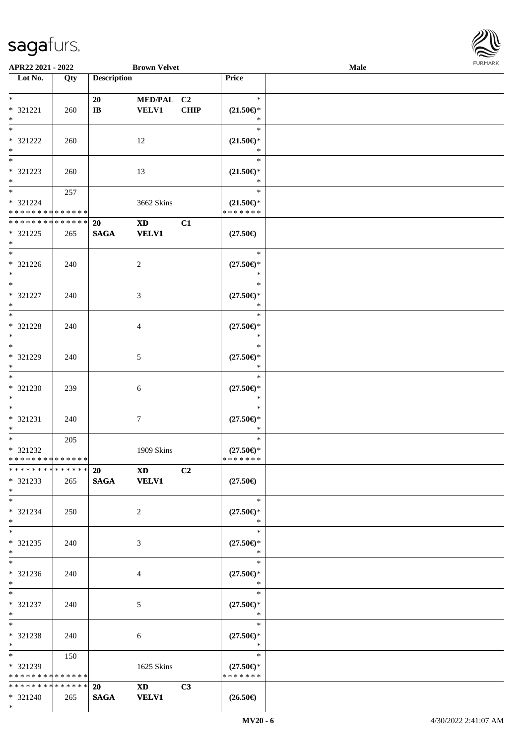

| APR22 2021 - 2022                          |                   |                        | <b>Brown Velvet</b>                                                                                                                                                                                                            |             |                                                             | Male |  |
|--------------------------------------------|-------------------|------------------------|--------------------------------------------------------------------------------------------------------------------------------------------------------------------------------------------------------------------------------|-------------|-------------------------------------------------------------|------|--|
| Lot No.                                    | $\overline{Q}$ ty | <b>Description</b>     |                                                                                                                                                                                                                                |             | Price                                                       |      |  |
|                                            |                   |                        |                                                                                                                                                                                                                                |             |                                                             |      |  |
| $\ast$                                     |                   | 20                     | MED/PAL C2                                                                                                                                                                                                                     |             | $\ast$                                                      |      |  |
| * 321221                                   | 260               | $\mathbf{I}\mathbf{B}$ | <b>VELV1</b>                                                                                                                                                                                                                   | <b>CHIP</b> | $(21.50\epsilon)$ *                                         |      |  |
| $\ast$                                     |                   |                        |                                                                                                                                                                                                                                |             | $\ast$                                                      |      |  |
| $*$                                        |                   |                        |                                                                                                                                                                                                                                |             | $\ast$                                                      |      |  |
| * 321222                                   | 260               |                        | 12                                                                                                                                                                                                                             |             | $(21.50\epsilon)$ *                                         |      |  |
| $\ast$                                     |                   |                        |                                                                                                                                                                                                                                |             | $\ast$                                                      |      |  |
| $\overline{\phantom{0}}$                   |                   |                        |                                                                                                                                                                                                                                |             | $\ast$                                                      |      |  |
| * 321223                                   | 260               |                        | 13                                                                                                                                                                                                                             |             | $(21.50\mathnormal{\in }\mathcal{)^{\! \! \times}}$         |      |  |
| $\ast$                                     |                   |                        |                                                                                                                                                                                                                                |             | $\ast$                                                      |      |  |
| $\ast$                                     |                   |                        |                                                                                                                                                                                                                                |             | $\ast$                                                      |      |  |
|                                            | 257               |                        |                                                                                                                                                                                                                                |             |                                                             |      |  |
| * 321224<br>* * * * * * * * * * * * * * *  |                   |                        | 3662 Skins                                                                                                                                                                                                                     |             | $(21.50\epsilon)$ *<br>* * * * * * *                        |      |  |
|                                            |                   |                        |                                                                                                                                                                                                                                |             |                                                             |      |  |
| * * * * * * * * * * * * * *                |                   | 20                     | $\mathbf{X}\mathbf{D}$                                                                                                                                                                                                         | C1          |                                                             |      |  |
| $* 321225$                                 | 265               | <b>SAGA</b>            | <b>VELV1</b>                                                                                                                                                                                                                   |             | $(27.50\epsilon)$                                           |      |  |
| $\ast$                                     |                   |                        |                                                                                                                                                                                                                                |             |                                                             |      |  |
| $\overline{\phantom{a}^*}$                 |                   |                        |                                                                                                                                                                                                                                |             | $\ast$                                                      |      |  |
| $* 321226$                                 | 240               |                        | $\overline{2}$                                                                                                                                                                                                                 |             | $(27.50\epsilon)$ *                                         |      |  |
| $\ast$                                     |                   |                        |                                                                                                                                                                                                                                |             | $\ast$                                                      |      |  |
| $_{\ast}$                                  |                   |                        |                                                                                                                                                                                                                                |             | $\ast$                                                      |      |  |
| $* 321227$                                 | 240               |                        | 3                                                                                                                                                                                                                              |             | $(27.50\epsilon)$ *                                         |      |  |
| $\ast$                                     |                   |                        |                                                                                                                                                                                                                                |             | $\ast$                                                      |      |  |
| $\ast$                                     |                   |                        |                                                                                                                                                                                                                                |             | $\ast$                                                      |      |  |
| $* 321228$                                 | 240               |                        | 4                                                                                                                                                                                                                              |             | $(27.50\epsilon)$ *                                         |      |  |
| $\ast$                                     |                   |                        |                                                                                                                                                                                                                                |             | $\ast$                                                      |      |  |
| $\overline{\phantom{1}}$                   |                   |                        |                                                                                                                                                                                                                                |             | $\ast$                                                      |      |  |
| * 321229                                   | 240               |                        | 5                                                                                                                                                                                                                              |             | $(27.50\epsilon)$ *                                         |      |  |
| $\ast$                                     |                   |                        |                                                                                                                                                                                                                                |             | *                                                           |      |  |
| $\overline{\phantom{a}^*}$                 |                   |                        |                                                                                                                                                                                                                                |             | $\ast$                                                      |      |  |
|                                            |                   |                        |                                                                                                                                                                                                                                |             |                                                             |      |  |
| * 321230                                   | 239               |                        | $\sqrt{6}$                                                                                                                                                                                                                     |             | $(27.50\epsilon)$ *                                         |      |  |
| $\ast$<br>$\ast$                           |                   |                        |                                                                                                                                                                                                                                |             | $\ast$                                                      |      |  |
|                                            |                   |                        |                                                                                                                                                                                                                                |             | $\ast$                                                      |      |  |
| $* 321231$                                 | 240               |                        | $\tau$                                                                                                                                                                                                                         |             | $(27.50\mathnormal{\in}\mathcal{)^{\! \! \circ}}$           |      |  |
| $\ast$                                     |                   |                        |                                                                                                                                                                                                                                |             | $\ast$                                                      |      |  |
| $\ast$                                     | 205               |                        |                                                                                                                                                                                                                                |             | $\ast$                                                      |      |  |
| $* 321232$                                 |                   |                        | 1909 Skins                                                                                                                                                                                                                     |             | $(27.50\epsilon)$ *                                         |      |  |
| **************                             |                   |                        |                                                                                                                                                                                                                                |             | * * * * * * *                                               |      |  |
| * * * * * * * * * * * * * * *              |                   | 20 XD                  |                                                                                                                                                                                                                                | C2          |                                                             |      |  |
| * 321233                                   | 265               | SAGA VELV1             |                                                                                                                                                                                                                                |             | $(27.50\epsilon)$                                           |      |  |
| $*$                                        |                   |                        |                                                                                                                                                                                                                                |             |                                                             |      |  |
| $*$                                        |                   |                        |                                                                                                                                                                                                                                |             | $\ast$                                                      |      |  |
| * 321234                                   | 250               |                        | 2                                                                                                                                                                                                                              |             | $(27.50\epsilon)$ *                                         |      |  |
| $*$                                        |                   |                        |                                                                                                                                                                                                                                |             | ∗                                                           |      |  |
| $\overline{\ast}$                          |                   |                        |                                                                                                                                                                                                                                |             | $\ast$                                                      |      |  |
| $* 321235$                                 | 240               |                        | 3                                                                                                                                                                                                                              |             | $(27.50\epsilon)$ *                                         |      |  |
| $*$                                        |                   |                        |                                                                                                                                                                                                                                |             | $\ast$                                                      |      |  |
| $\overline{\ast}$                          |                   |                        |                                                                                                                                                                                                                                |             | $\ast$                                                      |      |  |
| * 321236                                   |                   |                        |                                                                                                                                                                                                                                |             |                                                             |      |  |
| $*$                                        | 240               |                        | $\overline{4}$                                                                                                                                                                                                                 |             | $(27.50\mathnormal{\in}\mathcal{)^{\! \! \circ}}$<br>$\ast$ |      |  |
| $*$                                        |                   |                        |                                                                                                                                                                                                                                |             | $\ast$                                                      |      |  |
|                                            |                   |                        |                                                                                                                                                                                                                                |             |                                                             |      |  |
| * 321237                                   | 240               |                        | 5                                                                                                                                                                                                                              |             | $(27.50\mathnormal{\in}\mathcal{)^{\! \! \circ}}$           |      |  |
| $*$                                        |                   |                        |                                                                                                                                                                                                                                |             | $\ast$                                                      |      |  |
| $\ast$                                     |                   |                        |                                                                                                                                                                                                                                |             | $\ast$                                                      |      |  |
| * 321238                                   | 240               |                        | 6                                                                                                                                                                                                                              |             | $(27.50\epsilon)$ *                                         |      |  |
| $*$                                        |                   |                        |                                                                                                                                                                                                                                |             | $\ast$                                                      |      |  |
|                                            | 150               |                        |                                                                                                                                                                                                                                |             | $\ast$                                                      |      |  |
| * 321239                                   |                   |                        | 1625 Skins                                                                                                                                                                                                                     |             | $(27.50\epsilon)$ *                                         |      |  |
| * * * * * * * * * * * * * *                |                   |                        |                                                                                                                                                                                                                                |             | * * * * * * *                                               |      |  |
| * * * * * * * * <mark>* * * * * * *</mark> |                   | 20                     | XD and the set of the set of the set of the set of the set of the set of the set of the set of the set of the set of the set of the set of the set of the set of the set of the set of the set of the set of the set of the se | C3          |                                                             |      |  |
| * 321240                                   | 265               | <b>SAGA</b>            | <b>VELV1</b>                                                                                                                                                                                                                   |             | $(26.50\epsilon)$                                           |      |  |
| $*$                                        |                   |                        |                                                                                                                                                                                                                                |             |                                                             |      |  |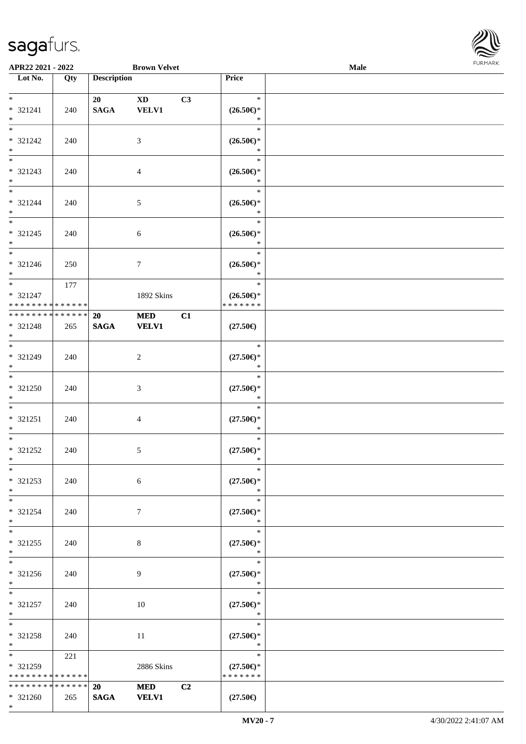

| APR22 2021 - 2022                          |     |                    | <b>Brown Velvet</b> |                |                                | Male |  |
|--------------------------------------------|-----|--------------------|---------------------|----------------|--------------------------------|------|--|
| Lot No.                                    | Qty | <b>Description</b> |                     |                | Price                          |      |  |
|                                            |     |                    |                     |                |                                |      |  |
| $*$                                        |     | 20                 | <b>XD</b>           | C3             | $\ast$                         |      |  |
| * 321241                                   | 240 | <b>SAGA</b>        | <b>VELV1</b>        |                | $(26.50\epsilon)$ *            |      |  |
| $*$                                        |     |                    |                     |                | $\ast$                         |      |  |
|                                            |     |                    |                     |                | $\ast$                         |      |  |
| * 321242                                   | 240 |                    | 3                   |                | $(26.50\epsilon)$ *            |      |  |
| $*$                                        |     |                    |                     |                | $\ast$                         |      |  |
|                                            |     |                    |                     |                | $\ast$                         |      |  |
| * 321243                                   | 240 |                    | $\overline{4}$      |                | $(26.50\mathnormal{\infty})^*$ |      |  |
| $*$                                        |     |                    |                     |                | $\ast$                         |      |  |
| $*$                                        |     |                    |                     |                | $\ast$                         |      |  |
| * 321244                                   | 240 |                    | 5                   |                | $(26.50\epsilon)$ *            |      |  |
| $*$                                        |     |                    |                     |                | $\ast$                         |      |  |
|                                            |     |                    |                     |                | $\ast$                         |      |  |
|                                            |     |                    |                     |                |                                |      |  |
| * 321245                                   | 240 |                    | $\sqrt{6}$          |                | $(26.50\epsilon)$ *<br>$\ast$  |      |  |
| $*$<br>$\overline{\ast}$                   |     |                    |                     |                |                                |      |  |
|                                            |     |                    |                     |                | $\ast$                         |      |  |
| $* 321246$                                 | 250 |                    | $\tau$              |                | $(26.50\epsilon)$ *            |      |  |
| $*$                                        |     |                    |                     |                | $\ast$                         |      |  |
|                                            | 177 |                    |                     |                | $\ast$                         |      |  |
| $* 321247$                                 |     |                    | 1892 Skins          |                | $(26.50\epsilon)$ *            |      |  |
| * * * * * * * * * * * * * *                |     |                    |                     |                | * * * * * * *                  |      |  |
| * * * * * * * * * * * * * *                |     | 20                 | <b>MED</b>          | C1             |                                |      |  |
| * 321248                                   | 265 | <b>SAGA</b>        | <b>VELV1</b>        |                | $(27.50\epsilon)$              |      |  |
| $*$                                        |     |                    |                     |                |                                |      |  |
| $\overline{\ast}$                          |     |                    |                     |                | $\ast$                         |      |  |
| * 321249                                   | 240 |                    | $\overline{c}$      |                | $(27.50\epsilon)$ *            |      |  |
| $*$                                        |     |                    |                     |                | $\ast$                         |      |  |
| $*$                                        |     |                    |                     |                | $\ast$                         |      |  |
| * 321250                                   | 240 |                    | 3                   |                | $(27.50\epsilon)$ *            |      |  |
| $*$                                        |     |                    |                     |                | $\ast$                         |      |  |
| $*$                                        |     |                    |                     |                | $\ast$                         |      |  |
| * 321251                                   | 240 |                    | 4                   |                | $(27.50\epsilon)$ *            |      |  |
| $*$                                        |     |                    |                     |                | $\ast$                         |      |  |
| $*$                                        |     |                    |                     |                | $\ast$                         |      |  |
| * 321252                                   | 240 |                    | $\mathfrak{S}$      |                | $(27.50\epsilon)$ *            |      |  |
| $*$ $-$                                    |     |                    |                     |                | $\ast$                         |      |  |
| $*$                                        |     |                    |                     |                | $\ast$                         |      |  |
| * 321253                                   | 240 |                    | $\sqrt{6}$          |                | $(27.50\epsilon)$ *            |      |  |
| $*$                                        |     |                    |                     |                | $\ast$                         |      |  |
| $*$                                        |     |                    |                     |                | $\ast$                         |      |  |
| * 321254                                   |     |                    | $7\phantom{.0}$     |                | $(27.50\epsilon)$ *            |      |  |
| $*$                                        | 240 |                    |                     |                | $\ast$                         |      |  |
| $*$ $-$                                    |     |                    |                     |                | $\ast$                         |      |  |
|                                            |     |                    |                     |                |                                |      |  |
| * 321255                                   | 240 |                    | 8                   |                | $(27.50\epsilon)$ *<br>$\ast$  |      |  |
| $*$                                        |     |                    |                     |                |                                |      |  |
|                                            |     |                    |                     |                | $\ast$                         |      |  |
| * 321256                                   | 240 |                    | 9                   |                | $(27.50\epsilon)$ *            |      |  |
| $*$                                        |     |                    |                     |                | $\ast$                         |      |  |
| $*$ $*$                                    |     |                    |                     |                | $\ast$                         |      |  |
| * 321257                                   | 240 |                    | 10                  |                | $(27.50\epsilon)$ *            |      |  |
| $*$                                        |     |                    |                     |                | $\ast$                         |      |  |
| $*$ $-$                                    |     |                    |                     |                | $\ast$                         |      |  |
| * 321258                                   | 240 |                    | 11                  |                | $(27.50\epsilon)$ *            |      |  |
| $*$                                        |     |                    |                     |                | $\ast$                         |      |  |
| $*$ and $*$                                | 221 |                    |                     |                | $\ast$                         |      |  |
| * 321259                                   |     |                    | 2886 Skins          |                | $(27.50\epsilon)$ *            |      |  |
| * * * * * * * * * * * * * *                |     |                    |                     |                | * * * * * * *                  |      |  |
| * * * * * * * * * * * * * * <mark>*</mark> |     | 20                 | <b>MED</b>          | C <sub>2</sub> |                                |      |  |
| $* 321260$                                 | 265 | <b>SAGA</b>        | <b>VELV1</b>        |                | $(27.50\epsilon)$              |      |  |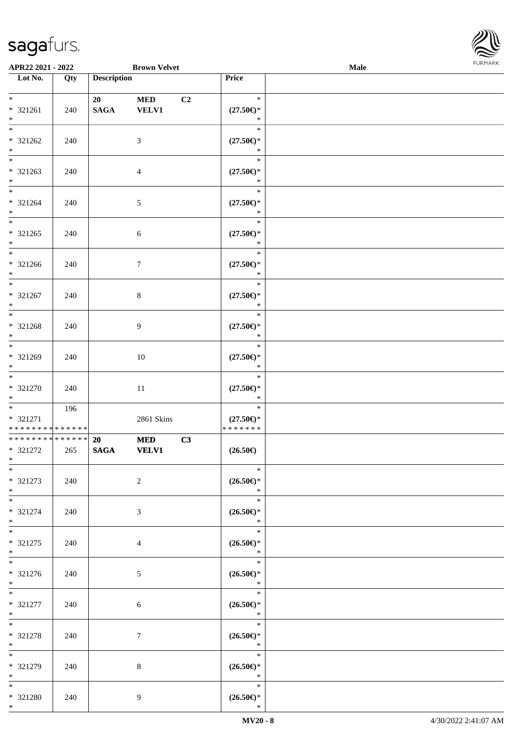

| APR22 2021 - 2022                          |     |                    | <b>Brown Velvet</b> |                |                                                    | Male |  |
|--------------------------------------------|-----|--------------------|---------------------|----------------|----------------------------------------------------|------|--|
| Lot No.                                    | Qty | <b>Description</b> |                     |                | Price                                              |      |  |
|                                            |     |                    |                     |                |                                                    |      |  |
| $*$                                        |     | 20                 | <b>MED</b>          | C <sub>2</sub> | $\ast$                                             |      |  |
| * 321261                                   | 240 | <b>SAGA</b>        | <b>VELV1</b>        |                | $(27.50\mathnormal{\infty})^*$                     |      |  |
| $*$                                        |     |                    |                     |                | $\ast$                                             |      |  |
|                                            |     |                    |                     |                | $\ast$                                             |      |  |
| * 321262                                   | 240 |                    | 3                   |                | $(27.50\epsilon)$ *                                |      |  |
| $*$                                        |     |                    |                     |                | $\ast$                                             |      |  |
|                                            |     |                    |                     |                | $\ast$                                             |      |  |
| * 321263                                   | 240 |                    | $\overline{4}$      |                | $(27.50\mathnormal{\infty})^*$                     |      |  |
| $*$                                        |     |                    |                     |                | $\ast$                                             |      |  |
| $*$                                        |     |                    |                     |                | $\ast$                                             |      |  |
| * 321264                                   | 240 |                    | 5                   |                | $(27.50\epsilon)$ *                                |      |  |
| $*$                                        |     |                    |                     |                | $\ast$                                             |      |  |
|                                            |     |                    |                     |                | $\ast$                                             |      |  |
| * 321265                                   | 240 |                    | 6                   |                | $(27.50\epsilon)$ *                                |      |  |
| $*$<br>$\overline{\phantom{0}}$            |     |                    |                     |                | $\ast$                                             |      |  |
|                                            |     |                    |                     |                | $\ast$                                             |      |  |
| * 321266                                   | 240 |                    | $\tau$              |                | $(27.50\epsilon)$ *                                |      |  |
| $*$                                        |     |                    |                     |                | $\ast$<br>$\ast$                                   |      |  |
|                                            |     |                    |                     |                |                                                    |      |  |
| * 321267<br>$*$                            | 240 |                    | 8                   |                | $(27.50\epsilon)$ *<br>$\ast$                      |      |  |
|                                            |     |                    |                     |                | $\ast$                                             |      |  |
| * 321268                                   | 240 |                    | 9                   |                | $(27.50\epsilon)$ *                                |      |  |
| $*$                                        |     |                    |                     |                | $\ast$                                             |      |  |
| $\overline{\ast}$                          |     |                    |                     |                | $\ast$                                             |      |  |
| * 321269                                   | 240 |                    | 10                  |                | $(27.50\epsilon)$ *                                |      |  |
| $*$                                        |     |                    |                     |                | $\ast$                                             |      |  |
| $*$                                        |     |                    |                     |                | $\ast$                                             |      |  |
| * 321270                                   | 240 |                    | 11                  |                | $(27.50\epsilon)$ *                                |      |  |
| $*$                                        |     |                    |                     |                | $\ast$                                             |      |  |
| $*$                                        | 196 |                    |                     |                | $\ast$                                             |      |  |
| * 321271                                   |     |                    | 2861 Skins          |                | $(27.50\epsilon)$ *                                |      |  |
| * * * * * * * * * * * * * *                |     |                    |                     |                | * * * * * * *                                      |      |  |
| * * * * * * * * <mark>* * * * * * *</mark> |     | <b>20</b>          | <b>MED</b>          | C3             |                                                    |      |  |
| * 321272                                   | 265 | <b>SAGA</b>        | VELV1               |                | $(26.50\epsilon)$                                  |      |  |
| $*$ $\qquad$                               |     |                    |                     |                |                                                    |      |  |
| $*$                                        |     |                    |                     |                | $\ast$                                             |      |  |
| * 321273                                   | 240 |                    | 2                   |                | $(26.50\epsilon)$ *                                |      |  |
| $*$                                        |     |                    |                     |                | $\ast$                                             |      |  |
| $*$ $*$                                    |     |                    |                     |                | $\ast$                                             |      |  |
| * 321274<br>$*$                            | 240 |                    | 3                   |                | $(26.50\epsilon)$ *<br>$\ast$                      |      |  |
| $*$                                        |     |                    |                     |                | $\ast$                                             |      |  |
| * 321275                                   |     |                    |                     |                | $(26.50\mathnormal{\in}\mathcal{)^{\! \! \times}}$ |      |  |
| $*$                                        | 240 |                    | $\overline{4}$      |                | $\ast$                                             |      |  |
|                                            |     |                    |                     |                | $\ast$                                             |      |  |
| * 321276                                   | 240 |                    | 5                   |                | $(26.50\epsilon)$ *                                |      |  |
| $*$                                        |     |                    |                     |                | $\ast$                                             |      |  |
| $*$                                        |     |                    |                     |                | $\ast$                                             |      |  |
| * 321277                                   | 240 |                    | 6                   |                | $(26.50\epsilon)$ *                                |      |  |
| $*$                                        |     |                    |                     |                | $\ast$                                             |      |  |
| $*$ $-$                                    |     |                    |                     |                | $\ast$                                             |      |  |
| * 321278                                   | 240 |                    | $\tau$              |                | $(26.50\epsilon)$ *                                |      |  |
| $*$                                        |     |                    |                     |                | $\ast$                                             |      |  |
| $*$                                        |     |                    |                     |                | $\ast$                                             |      |  |
| * 321279                                   | 240 |                    | 8                   |                | $(26.50\epsilon)$ *                                |      |  |
| $*$                                        |     |                    |                     |                | $\ast$                                             |      |  |
| $*$                                        |     |                    |                     |                | $\ast$                                             |      |  |
| * 321280<br>$*$ $-$                        | 240 |                    | 9                   |                | $(26.50\epsilon)$ *<br>$\ast$                      |      |  |
|                                            |     |                    |                     |                |                                                    |      |  |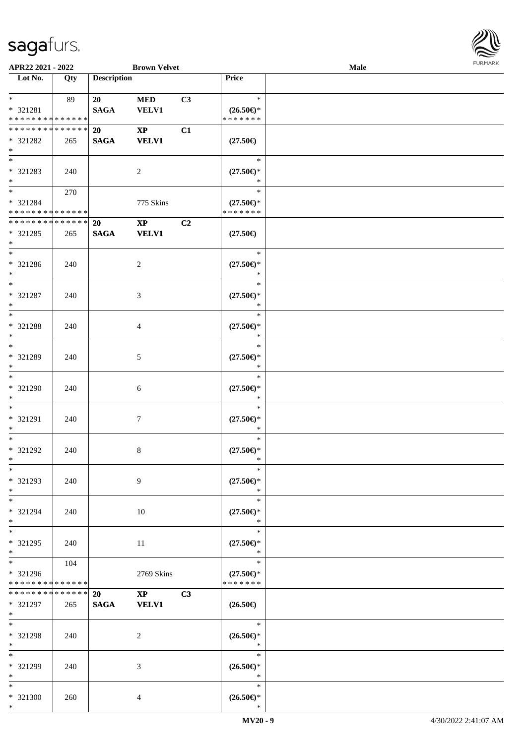

| APR22 2021 - 2022                                                   |     |                    | <b>Brown Velvet</b>                    |    |                                                | Male |  |
|---------------------------------------------------------------------|-----|--------------------|----------------------------------------|----|------------------------------------------------|------|--|
| Lot No.                                                             | Qty | <b>Description</b> |                                        |    | Price                                          |      |  |
| $*$<br>* 321281                                                     | 89  | 20<br><b>SAGA</b>  | <b>MED</b><br><b>VELV1</b>             | C3 | $\ast$<br>$(26.50\epsilon)$ *                  |      |  |
| * * * * * * * * * * * * * *                                         |     |                    |                                        |    | * * * * * * *                                  |      |  |
| * * * * * * * * * * * * * *<br>* 321282<br>$*$                      | 265 | 20<br><b>SAGA</b>  | $\mathbf{X}\mathbf{P}$<br><b>VELV1</b> | C1 | $(27.50\epsilon)$                              |      |  |
| $\overline{\phantom{0}}$<br>* 321283<br>$*$<br>$*$                  | 240 |                    | $\overline{2}$                         |    | $\ast$<br>$(27.50\mathnormal{\infty})^*$       |      |  |
| * 321284<br>* * * * * * * * * * * * * *                             | 270 |                    | 775 Skins                              |    | $\ast$<br>$(27.50\epsilon)$ *<br>* * * * * * * |      |  |
| * * * * * * * * * * * * * *<br>* 321285<br>$*$                      | 265 | 20<br><b>SAGA</b>  | $\mathbf{X}\mathbf{P}$<br><b>VELV1</b> | C2 | $(27.50\epsilon)$                              |      |  |
| $\ast$<br>* 321286<br>$*$                                           | 240 |                    | $\overline{2}$                         |    | $\ast$<br>$(27.50\epsilon)$ *<br>$\ast$        |      |  |
| $\ast$<br>$* 321287$<br>$\ast$                                      | 240 |                    | $\mathfrak{Z}$                         |    | $\ast$<br>$(27.50\epsilon)$ *<br>$\ast$        |      |  |
| $*$<br>* 321288<br>$*$                                              | 240 |                    | $\overline{4}$                         |    | $\ast$<br>$(27.50\epsilon)$ *<br>$\ast$        |      |  |
| $*$<br>* 321289<br>$*$                                              | 240 |                    | 5                                      |    | $\ast$<br>$(27.50\epsilon)$ *<br>$\ast$        |      |  |
| $\overline{\phantom{0}}$<br>$* 321290$<br>$*$                       | 240 |                    | 6                                      |    | $\ast$<br>$(27.50\epsilon)$ *<br>$\ast$        |      |  |
| $*$<br>* 321291<br>$*$                                              | 240 |                    | 7                                      |    | $\ast$<br>$(27.50\epsilon)$ *<br>$\ast$        |      |  |
| $*$<br>$* 321292$<br>$*$                                            | 240 |                    | $\,8\,$                                |    | $\ast$<br>$(27.50\epsilon)$ *<br>$\ast$        |      |  |
| $\ast$<br>* 321293<br>$*$                                           | 240 |                    | 9                                      |    | $\ast$<br>$(27.50\epsilon)$ *<br>$\ast$        |      |  |
| $*$<br>* 321294<br>$*$                                              | 240 |                    | 10                                     |    | $\ast$<br>$(27.50\epsilon)$ *<br>$\ast$        |      |  |
| $*$<br>* 321295<br>$*$                                              | 240 |                    | 11                                     |    | $\ast$<br>$(27.50\epsilon)$ *<br>$\ast$        |      |  |
| $\overline{\phantom{0}}$<br>* 321296<br>* * * * * * * * * * * * * * | 104 |                    | 2769 Skins                             |    | $\ast$<br>$(27.50\epsilon)$ *<br>* * * * * * * |      |  |
| * * * * * * * * * * * * * *<br>* 321297<br>$*$                      | 265 | 20<br><b>SAGA</b>  | $\mathbf{X}\mathbf{P}$<br><b>VELV1</b> | C3 | $(26.50\epsilon)$                              |      |  |
| $*$<br>* 321298<br>$*$                                              | 240 |                    | 2                                      |    | $\ast$<br>$(26.50\epsilon)$ *<br>$\ast$        |      |  |
| $\ast$<br>* 321299<br>$*$                                           | 240 |                    | 3                                      |    | $\ast$<br>$(26.50\epsilon)$ *<br>$\ast$        |      |  |
| $*$<br>* 321300<br>$*$                                              | 260 |                    | 4                                      |    | $\ast$<br>$(26.50\epsilon)$ *<br>$\ast$        |      |  |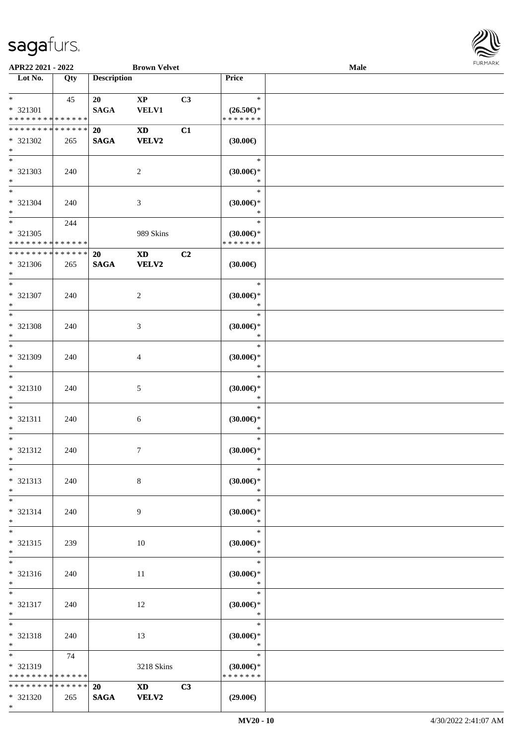

| APR22 2021 - 2022                |     |                    | <b>Brown Velvet</b>                                                                                                                                                                                                            |    |                     | Male |  |
|----------------------------------|-----|--------------------|--------------------------------------------------------------------------------------------------------------------------------------------------------------------------------------------------------------------------------|----|---------------------|------|--|
| $\overline{\phantom{1}}$ Lot No. | Qty | <b>Description</b> |                                                                                                                                                                                                                                |    | Price               |      |  |
|                                  |     |                    |                                                                                                                                                                                                                                |    |                     |      |  |
| $*$ $*$                          | 45  | 20                 | $\mathbf{X}\mathbf{P}$                                                                                                                                                                                                         | C3 | $\ast$              |      |  |
| * 321301                         |     | <b>SAGA</b>        | <b>VELV1</b>                                                                                                                                                                                                                   |    | $(26.50\epsilon)$ * |      |  |
| * * * * * * * * * * * * * *      |     |                    |                                                                                                                                                                                                                                |    | * * * * * * *       |      |  |
| * * * * * * * * * * * * * *      |     | <b>20</b>          | $\mathbf{X}\mathbf{D}$                                                                                                                                                                                                         | C1 |                     |      |  |
| * 321302                         | 265 | <b>SAGA</b>        | <b>VELV2</b>                                                                                                                                                                                                                   |    | (30.00)             |      |  |
| $\ast$                           |     |                    |                                                                                                                                                                                                                                |    |                     |      |  |
| $\overline{\phantom{0}}$         |     |                    |                                                                                                                                                                                                                                |    | $\ast$              |      |  |
| * 321303                         | 240 |                    | $\overline{c}$                                                                                                                                                                                                                 |    | (30.00)             |      |  |
| $\ast$                           |     |                    |                                                                                                                                                                                                                                |    | $\ast$              |      |  |
| $\overline{\phantom{a}^*}$       |     |                    |                                                                                                                                                                                                                                |    | $\ast$              |      |  |
| * 321304                         | 240 |                    | $\mathfrak{Z}$                                                                                                                                                                                                                 |    | (30.00)             |      |  |
| $\ast$                           |     |                    |                                                                                                                                                                                                                                |    | $\ast$              |      |  |
| $\ast$                           | 244 |                    |                                                                                                                                                                                                                                |    | $\ast$              |      |  |
| * 321305                         |     |                    | 989 Skins                                                                                                                                                                                                                      |    | $(30.00\epsilon)$ * |      |  |
| * * * * * * * * * * * * * *      |     |                    |                                                                                                                                                                                                                                |    | * * * * * * *       |      |  |
| ******** <mark>******</mark>     |     | <b>20</b>          | XD and the set of the set of the set of the set of the set of the set of the set of the set of the set of the set of the set of the set of the set of the set of the set of the set of the set of the set of the set of the se | C2 |                     |      |  |
| * 321306                         | 265 | <b>SAGA</b>        | <b>VELV2</b>                                                                                                                                                                                                                   |    | $(30.00\epsilon)$   |      |  |
| $*$                              |     |                    |                                                                                                                                                                                                                                |    |                     |      |  |
| $\ast$                           |     |                    |                                                                                                                                                                                                                                |    | $\ast$              |      |  |
| * 321307                         | 240 |                    | $\overline{c}$                                                                                                                                                                                                                 |    | $(30.00\epsilon)$ * |      |  |
| $\ast$                           |     |                    |                                                                                                                                                                                                                                |    | $\ast$              |      |  |
| $\ast$                           |     |                    |                                                                                                                                                                                                                                |    | $\ast$              |      |  |
| * 321308                         | 240 |                    | $\mathfrak{Z}$                                                                                                                                                                                                                 |    | $(30.00\epsilon)$ * |      |  |
| $\ast$                           |     |                    |                                                                                                                                                                                                                                |    | $\ast$              |      |  |
| $\ast$                           |     |                    |                                                                                                                                                                                                                                |    | $\ast$              |      |  |
| * 321309                         | 240 |                    | $\overline{4}$                                                                                                                                                                                                                 |    | $(30.00\epsilon)$ * |      |  |
| $\ast$                           |     |                    |                                                                                                                                                                                                                                |    | $\ast$              |      |  |
| $\overline{\ast}$                |     |                    |                                                                                                                                                                                                                                |    | $\ast$              |      |  |
| $* 321310$                       | 240 |                    | $\mathfrak{S}$                                                                                                                                                                                                                 |    | $(30.00\epsilon)$ * |      |  |
| $\ast$                           |     |                    |                                                                                                                                                                                                                                |    | $\ast$              |      |  |
| $\ast$                           |     |                    |                                                                                                                                                                                                                                |    | $\ast$              |      |  |
| * 321311                         | 240 |                    | $6\,$                                                                                                                                                                                                                          |    | $(30.00\epsilon)$ * |      |  |
| $\ast$                           |     |                    |                                                                                                                                                                                                                                |    | $\ast$              |      |  |
| $\ast$                           |     |                    |                                                                                                                                                                                                                                |    | $\ast$              |      |  |
| * 321312                         | 240 |                    | $\boldsymbol{7}$                                                                                                                                                                                                               |    | $(30.00 \in )^*$    |      |  |
| $*$                              |     |                    |                                                                                                                                                                                                                                |    | $\ast$              |      |  |
| $*$                              |     |                    |                                                                                                                                                                                                                                |    | $\ast$              |      |  |
| $* 321313$                       | 240 |                    | $8\,$                                                                                                                                                                                                                          |    | $(30.00\epsilon)$ * |      |  |
| $*$                              |     |                    |                                                                                                                                                                                                                                |    | $\ast$              |      |  |
| $*$                              |     |                    |                                                                                                                                                                                                                                |    | $\ast$              |      |  |
| $* 321314$                       | 240 |                    | 9                                                                                                                                                                                                                              |    | $(30.00 \in )$ *    |      |  |
| $*$                              |     |                    |                                                                                                                                                                                                                                |    | $\ast$              |      |  |
| $\overline{\phantom{0}}$         |     |                    |                                                                                                                                                                                                                                |    | $\ast$              |      |  |
| * 321315                         | 239 |                    | 10                                                                                                                                                                                                                             |    | $(30.00\epsilon)$ * |      |  |
| $*$                              |     |                    |                                                                                                                                                                                                                                |    | $\ast$              |      |  |
| $\overline{\phantom{0}}$         |     |                    |                                                                                                                                                                                                                                |    | $\ast$              |      |  |
| * 321316                         | 240 |                    | 11                                                                                                                                                                                                                             |    | $(30.00\epsilon)$ * |      |  |
| $*$ $*$                          |     |                    |                                                                                                                                                                                                                                |    | $\ast$              |      |  |
| $*$                              |     |                    |                                                                                                                                                                                                                                |    | $\ast$              |      |  |
| * 321317                         | 240 |                    | 12                                                                                                                                                                                                                             |    | $(30.00\epsilon)$ * |      |  |
| $*$ $*$                          |     |                    |                                                                                                                                                                                                                                |    | $\ast$              |      |  |
| $\ast$                           |     |                    |                                                                                                                                                                                                                                |    | $\ast$              |      |  |
| * 321318                         | 240 |                    | 13                                                                                                                                                                                                                             |    | $(30.00\epsilon)$ * |      |  |
| $*$                              |     |                    |                                                                                                                                                                                                                                |    | $\ast$              |      |  |
| $*$                              | 74  |                    |                                                                                                                                                                                                                                |    | $\ast$              |      |  |
| $* 321319$                       |     |                    | 3218 Skins                                                                                                                                                                                                                     |    | $(30.00\epsilon)$ * |      |  |
| * * * * * * * * * * * * * *      |     |                    |                                                                                                                                                                                                                                |    | * * * * * * *       |      |  |
| ******** <mark>******</mark>     |     | <b>20</b>          | XD <sub>2</sub>                                                                                                                                                                                                                | C3 |                     |      |  |
| $* 321320$                       | 265 | <b>SAGA</b>        | <b>VELV2</b>                                                                                                                                                                                                                   |    | $(29.00\epsilon)$   |      |  |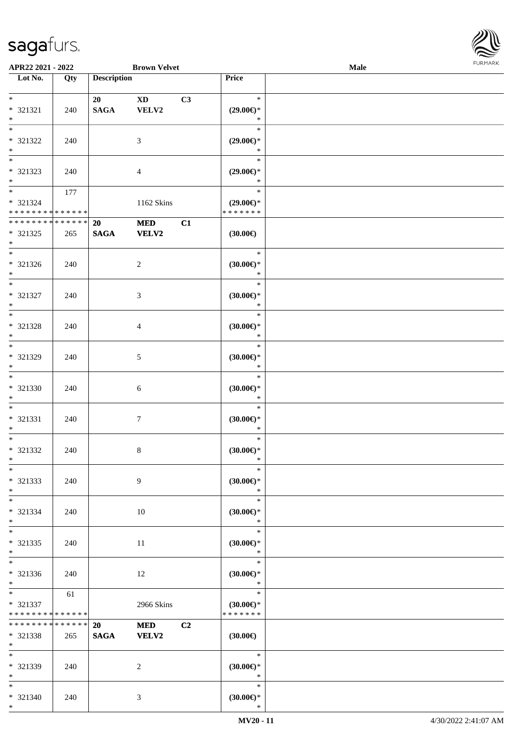

| APR22 2021 - 2022                                                     |     |                       | <b>Brown Velvet</b>             |    |                                                | Male |  |
|-----------------------------------------------------------------------|-----|-----------------------|---------------------------------|----|------------------------------------------------|------|--|
| Lot No.                                                               | Qty | <b>Description</b>    |                                 |    | Price                                          |      |  |
| $\ast$<br>* 321321<br>$\ast$                                          | 240 | 20<br>$\mathbf{SAGA}$ | $\mathbf{X}\mathbf{D}$<br>VELV2 | C3 | $\ast$<br>$(29.00\epsilon)$ *<br>$\ast$        |      |  |
| $\overline{\ast}$<br>* 321322<br>$\ast$<br>$\overline{\phantom{0}}$   | 240 |                       | $\mathfrak{Z}$                  |    | $\ast$<br>$(29.00\epsilon)$ *<br>$\ast$        |      |  |
| * 321323<br>$*$                                                       | 240 |                       | $\overline{4}$                  |    | $\ast$<br>$(29.00\epsilon)$ *<br>$\ast$        |      |  |
| $\overline{\phantom{0}}$<br>* 321324<br>* * * * * * * * * * * * * * * | 177 |                       | 1162 Skins                      |    | $\ast$<br>$(29.00\epsilon)$ *<br>* * * * * * * |      |  |
| ******** <mark>******</mark><br>$* 321325$<br>$\ast$                  | 265 | 20<br><b>SAGA</b>     | <b>MED</b><br><b>VELV2</b>      | C1 | $(30.00\epsilon)$                              |      |  |
| $\overline{\phantom{1}}$<br>$* 321326$<br>$*$                         | 240 |                       | $\overline{c}$                  |    | $\ast$<br>(30.00)<br>$\ast$                    |      |  |
| $\overline{\ast}$<br>* 321327<br>$\ast$                               | 240 |                       | 3                               |    | $\ast$<br>$(30.00\epsilon)$ *<br>$\ast$        |      |  |
| $\ast$<br>* 321328<br>$\ast$                                          | 240 |                       | $\overline{4}$                  |    | $\ast$<br>$(30.00\epsilon)$ *<br>$\ast$        |      |  |
| $\overline{\phantom{0}}$<br>* 321329<br>$\ast$                        | 240 |                       | $\sqrt{5}$                      |    | $\ast$<br>$(30.00\in)^\ast$<br>$\ast$          |      |  |
| $\overline{\ast}$<br>* 321330<br>$\ast$                               | 240 |                       | $\sqrt{6}$                      |    | $\ast$<br>(30.00)<br>$\ast$                    |      |  |
| $\ast$<br>$* 321331$<br>$\ast$                                        | 240 |                       | $\boldsymbol{7}$                |    | $\ast$<br>(30.00)<br>$\ast$                    |      |  |
| $\ast$<br>* 321332<br>$*$                                             | 240 |                       | $\,8\,$                         |    | $\ast$<br>(30.00)<br>$\ast$                    |      |  |
| $\ast$<br>* 321333<br>$\ast$                                          | 240 |                       | 9                               |    | $\ast$<br>(30.00)<br>$\ast$                    |      |  |
| $\ast$<br>$* 321334$<br>$\ast$                                        | 240 |                       | 10                              |    | $\ast$<br>$(30.00\epsilon)$ *<br>$\ast$        |      |  |
| $\ast$<br>$* 321335$<br>$*$                                           | 240 |                       | 11                              |    | $\ast$<br>$(30.00\in)^\ast$<br>$\ast$          |      |  |
| $\overline{\phantom{1}}$<br>* 321336<br>$*$                           | 240 |                       | 12                              |    | $\ast$<br>(30.00)<br>$\ast$                    |      |  |
| $*$<br>* 321337<br>* * * * * * * * * * * * * *                        | 61  |                       | 2966 Skins                      |    | $\ast$<br>$(30.00\epsilon)$ *<br>* * * * * * * |      |  |
| * * * * * * * * * * * * * *<br>* 321338<br>$*$                        | 265 | 20<br>$\mathbf{SAGA}$ | <b>MED</b><br><b>VELV2</b>      | C2 | (30.00)                                        |      |  |
| $\ast$<br>* 321339<br>$\ast$                                          | 240 |                       | $\overline{c}$                  |    | $\ast$<br>$(30.00\epsilon)$ *<br>$\ast$        |      |  |
| $*$<br>* 321340<br>$*$                                                | 240 |                       | 3                               |    | $\ast$<br>(30.00)<br>$\ast$                    |      |  |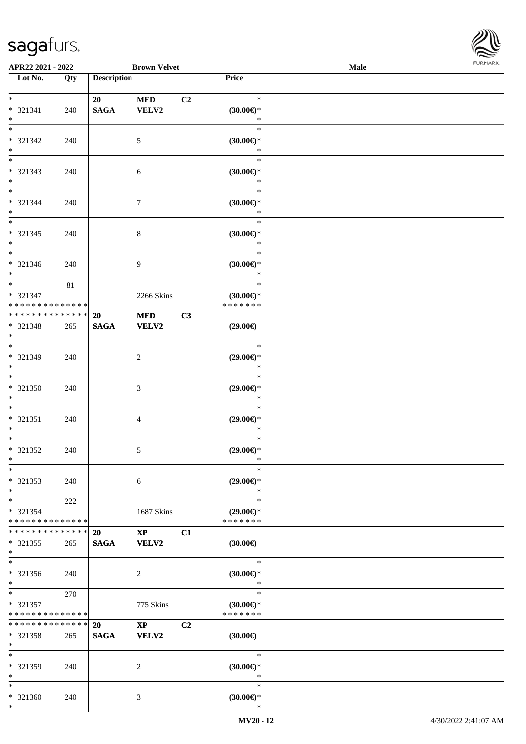

| APR22 2021 - 2022                                      |                    |                          | <b>Brown Velvet</b>           |                |                                                | Male |  |
|--------------------------------------------------------|--------------------|--------------------------|-------------------------------|----------------|------------------------------------------------|------|--|
| Lot No.                                                | Qty                | <b>Description</b>       |                               |                | Price                                          |      |  |
| $*$<br>* 321341<br>$*$                                 | 240                | 20<br><b>SAGA</b>        | <b>MED</b><br>VELV2           | C <sub>2</sub> | $\ast$<br>$(30.00\epsilon)$ *<br>$\ast$        |      |  |
| $*$<br>* 321342<br>$*$                                 | 240                |                          | $5\phantom{.0}$               |                | $\ast$<br>$(30.00\epsilon)$ *<br>$\ast$        |      |  |
| * 321343<br>$*$                                        | 240                |                          | $\sqrt{6}$                    |                | $\ast$<br>(30.00)<br>$\ast$                    |      |  |
| $*$<br>$* 321344$<br>$*$                               | 240                |                          | $\tau$                        |                | $\ast$<br>(30.00)<br>$\ast$                    |      |  |
| $*$<br>* 321345<br>$*$                                 | 240                |                          | $\,8\,$                       |                | $\ast$<br>$(30.00\epsilon)$ *<br>$\ast$        |      |  |
| $*$<br>* 321346<br>$*$                                 | 240                |                          | 9                             |                | $\ast$<br>$(30.00\epsilon)$ *<br>$\ast$        |      |  |
| $*$<br>* 321347<br>* * * * * * * * * * * * * *         | 81                 |                          | 2266 Skins                    |                | $\ast$<br>$(30.00\epsilon)$ *<br>* * * * * * * |      |  |
| * * * * * * * * * * * * * *<br>* 321348<br>$*$         | 265                | 20<br><b>SAGA</b>        | <b>MED</b><br><b>VELV2</b>    | C3             | $(29.00\epsilon)$                              |      |  |
| $*$<br>* 321349<br>$*$                                 | 240                |                          | $\overline{2}$                |                | $\ast$<br>$(29.00\epsilon)$ *<br>$\ast$        |      |  |
| $*$<br>$* 321350$<br>$*$                               | 240                |                          | $\mathfrak{Z}$                |                | $\ast$<br>$(29.00\epsilon)$ *<br>$\ast$        |      |  |
| $*$<br>$* 321351$<br>$*$                               | 240                |                          | $\overline{4}$                |                | $\ast$<br>$(29.00\epsilon)$ *<br>$\ast$        |      |  |
| $*$<br>$* 321352$<br>$*$                               | 240                |                          | 5                             |                | $\ast$<br>$(29.00\epsilon)$ *<br>$\ast$        |      |  |
| $\ast$<br>* 321353<br>$*$                              | 240                |                          | 6                             |                | $\ast$<br>$(29.00\epsilon)$ *<br>$\ast$        |      |  |
| $*$<br>* 321354<br>* * * * * * * * * * * * * *         | 222                |                          | 1687 Skins                    |                | $\ast$<br>$(29.00\epsilon)$ *<br>* * * * * * * |      |  |
| * * * * * * * *<br>* 321355<br>$*$<br>$*$              | * * * * * *<br>265 | <b>20</b><br><b>SAGA</b> | $\mathbf{XP}$<br>VELV2        | C1             | $(30.00\in)$                                   |      |  |
| * 321356<br>$*$                                        | 240                |                          | $\overline{2}$                |                | $\ast$<br>$(30.00\epsilon)$ *<br>$\ast$        |      |  |
| $*$ and $*$<br>* 321357<br>* * * * * * * * * * * * * * | 270                |                          | 775 Skins                     |                | $\ast$<br>$(30.00\epsilon)$ *<br>* * * * * * * |      |  |
| * * * * * * * *<br>$* 321358$<br>$*$                   | * * * * * *<br>265 | 20<br><b>SAGA</b>        | $\mathbf{XP}$<br><b>VELV2</b> | C2             | (30.00)                                        |      |  |
| $*$<br>* 321359<br>$*$                                 | 240                |                          | 2                             |                | $\ast$<br>$(30.00\varepsilon)$ *<br>$\ast$     |      |  |
| $*$<br>* 321360<br>$*$                                 | 240                |                          | 3                             |                | $\ast$<br>$(30.00\epsilon)$ *<br>$\ast$        |      |  |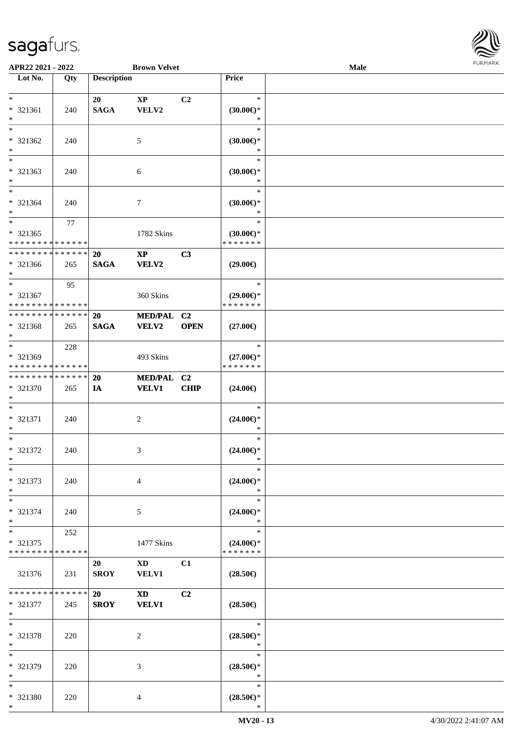

| APR22 2021 - 2022                          |     |                    | <b>Brown Velvet</b>    |                |                                      | Male |  |
|--------------------------------------------|-----|--------------------|------------------------|----------------|--------------------------------------|------|--|
| Lot No.                                    | Qty | <b>Description</b> |                        |                | Price                                |      |  |
|                                            |     |                    |                        |                |                                      |      |  |
| $*$                                        |     | 20                 | $\mathbf{X}\mathbf{P}$ | C <sub>2</sub> | $\ast$                               |      |  |
| * 321361                                   | 240 | <b>SAGA</b>        | VELV2                  |                | $(30.00\epsilon)$ *                  |      |  |
| $*$                                        |     |                    |                        |                | $\ast$                               |      |  |
| $*$                                        |     |                    |                        |                | $\ast$                               |      |  |
| * 321362                                   | 240 |                    | 5                      |                | $(30.00\epsilon)$ *                  |      |  |
| $*$                                        |     |                    |                        |                | $\ast$                               |      |  |
|                                            |     |                    |                        |                | $\ast$                               |      |  |
| * 321363                                   | 240 |                    | 6                      |                | $(30.00\epsilon)$ *                  |      |  |
| $*$                                        |     |                    |                        |                | $\ast$                               |      |  |
| $*$                                        |     |                    |                        |                | $\ast$                               |      |  |
| * 321364                                   | 240 |                    | 7                      |                | (30.00)                              |      |  |
| $*$                                        |     |                    |                        |                | $\ast$                               |      |  |
| $*$                                        | 77  |                    |                        |                | $\ast$                               |      |  |
|                                            |     |                    |                        |                |                                      |      |  |
| * 321365                                   |     |                    | 1782 Skins             |                | $(30.00\epsilon)$ *<br>* * * * * * * |      |  |
| * * * * * * * * * * * * * *                |     |                    |                        |                |                                      |      |  |
| * * * * * * * * * * * * * *                |     | <b>20</b>          | $\mathbf{X}\mathbf{P}$ | C3             |                                      |      |  |
| * 321366                                   | 265 | <b>SAGA</b>        | VELV2                  |                | $(29.00\epsilon)$                    |      |  |
| $*$                                        |     |                    |                        |                |                                      |      |  |
| $*$                                        | 95  |                    |                        |                | $\ast$                               |      |  |
| * 321367                                   |     |                    | 360 Skins              |                | $(29.00\epsilon)$ *                  |      |  |
| * * * * * * * * * * * * * *                |     |                    |                        |                | * * * * * * *                        |      |  |
| * * * * * * * * * * * * * *                |     | <b>20</b>          | MED/PAL C2             |                |                                      |      |  |
| * 321368                                   | 265 | <b>SAGA</b>        | <b>VELV2</b>           | <b>OPEN</b>    | $(27.00\epsilon)$                    |      |  |
| $*$                                        |     |                    |                        |                |                                      |      |  |
| $\overline{\ast}$                          | 228 |                    |                        |                | $\ast$                               |      |  |
| * 321369                                   |     |                    | 493 Skins              |                | $(27.00\epsilon)$ *                  |      |  |
| * * * * * * * * * * * * * *                |     |                    |                        |                | * * * * * * *                        |      |  |
| * * * * * * * * * * * * * *                |     | 20                 | MED/PAL C2             |                |                                      |      |  |
| * 321370                                   | 265 | IA                 | <b>VELV1</b>           | CHIP           | $(24.00\epsilon)$                    |      |  |
| $*$                                        |     |                    |                        |                |                                      |      |  |
| $*$                                        |     |                    |                        |                | $\ast$                               |      |  |
| * 321371                                   | 240 |                    | 2                      |                | $(24.00\epsilon)$ *                  |      |  |
| $\ast$                                     |     |                    |                        |                | $\ast$                               |      |  |
| $*$                                        |     |                    |                        |                | $\ast$                               |      |  |
| * 321372                                   | 240 |                    | 3                      |                | $(24.00\epsilon)$ *                  |      |  |
| $*$                                        |     |                    |                        |                | *                                    |      |  |
| $\ast$                                     |     |                    |                        |                | $\ast$                               |      |  |
| * 321373                                   | 240 |                    | $\overline{4}$         |                | $(24.00\epsilon)$ *                  |      |  |
| $*$                                        |     |                    |                        |                | $\ast$                               |      |  |
| $*$                                        |     |                    |                        |                | $\ast$                               |      |  |
| * 321374                                   | 240 |                    | 5                      |                | $(24.00\epsilon)$ *                  |      |  |
| $\ast$                                     |     |                    |                        |                | $\ast$                               |      |  |
| $*$ $-$                                    | 252 |                    |                        |                | $\ast$                               |      |  |
| * 321375                                   |     |                    | 1477 Skins             |                | $(24.00\epsilon)$ *                  |      |  |
| * * * * * * * * <mark>* * * * * * *</mark> |     |                    |                        |                | * * * * * * *                        |      |  |
|                                            |     | 20                 | $\mathbf{X}\mathbf{D}$ | C1             |                                      |      |  |
| 321376                                     | 231 | <b>SROY</b>        | <b>VELV1</b>           |                | $(28.50\epsilon)$                    |      |  |
|                                            |     |                    |                        |                |                                      |      |  |
| * * * * * * * * <mark>* * * * * *</mark>   |     | 20                 | $\mathbf{X}\mathbf{D}$ | C2             |                                      |      |  |
| * 321377                                   | 245 | <b>SROY</b>        | <b>VELV1</b>           |                | $(28.50\epsilon)$                    |      |  |
| $*$                                        |     |                    |                        |                |                                      |      |  |
| $*$                                        |     |                    |                        |                | $\ast$                               |      |  |
| * 321378                                   |     |                    | 2                      |                | $(28.50\epsilon)$ *                  |      |  |
| $*$                                        | 220 |                    |                        |                | $\ast$                               |      |  |
| $*$                                        |     |                    |                        |                | $\ast$                               |      |  |
|                                            |     |                    |                        |                |                                      |      |  |
| * 321379<br>$*$                            | 220 |                    | 3                      |                | $(28.50\epsilon)$ *<br>$\ast$        |      |  |
| $*$                                        |     |                    |                        |                | $\ast$                               |      |  |
|                                            |     |                    |                        |                |                                      |      |  |
| * 321380                                   | 220 |                    | 4                      |                | $(28.50\epsilon)$ *                  |      |  |
| $\ast$                                     |     |                    |                        |                | $\ast$                               |      |  |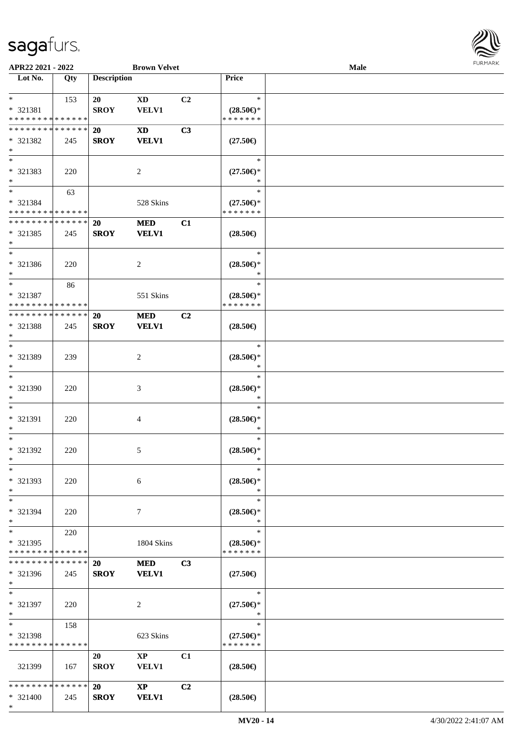

| APR22 2021 - 2022             |     |                    | <b>Brown Velvet</b>    |                |                                                   | Male |  |
|-------------------------------|-----|--------------------|------------------------|----------------|---------------------------------------------------|------|--|
| Lot No.                       | Qty | <b>Description</b> |                        |                | Price                                             |      |  |
|                               |     |                    |                        |                |                                                   |      |  |
| $\ast$                        | 153 | 20                 | <b>XD</b>              | C2             | $\ast$                                            |      |  |
| * 321381                      |     | <b>SROY</b>        | <b>VELV1</b>           |                | $(28.50\epsilon)$ *                               |      |  |
| * * * * * * * * * * * * * *   |     |                    |                        |                | * * * * * * *                                     |      |  |
| * * * * * * * * * * * * * *   |     | <b>20</b>          | <b>XD</b>              | C3             |                                                   |      |  |
|                               |     |                    |                        |                |                                                   |      |  |
| * 321382                      | 245 | <b>SROY</b>        | <b>VELV1</b>           |                | $(27.50\epsilon)$                                 |      |  |
| $\ast$                        |     |                    |                        |                |                                                   |      |  |
| $\overline{\ast}$             |     |                    |                        |                | $\ast$                                            |      |  |
| * 321383                      | 220 |                    | $\sqrt{2}$             |                | $(27.50\epsilon)$ *                               |      |  |
| $\ast$                        |     |                    |                        |                |                                                   |      |  |
| $\overline{\ast}$             | 63  |                    |                        |                | $\ast$                                            |      |  |
| * 321384                      |     |                    | 528 Skins              |                | $(27.50\epsilon)$ *                               |      |  |
| * * * * * * * * * * * * * *   |     |                    |                        |                | * * * * * * *                                     |      |  |
| **************                |     |                    |                        |                |                                                   |      |  |
|                               |     | 20                 | <b>MED</b>             | C1             |                                                   |      |  |
| * 321385                      | 245 | <b>SROY</b>        | <b>VELV1</b>           |                | $(28.50\epsilon)$                                 |      |  |
| $\ast$                        |     |                    |                        |                |                                                   |      |  |
| $\ast$                        |     |                    |                        |                | $\ast$                                            |      |  |
| * 321386                      | 220 |                    | $\boldsymbol{2}$       |                | $(28.50\epsilon)$ *                               |      |  |
| $\ast$                        |     |                    |                        |                | $\ast$                                            |      |  |
| $\ast$                        | 86  |                    |                        |                | $\ast$                                            |      |  |
| * 321387                      |     |                    | 551 Skins              |                | $(28.50\epsilon)$ *                               |      |  |
| * * * * * * * * * * * * * *   |     |                    |                        |                | * * * * * * *                                     |      |  |
|                               |     |                    |                        |                |                                                   |      |  |
| * * * * * * * * * * * * * *   |     | 20                 | <b>MED</b>             | C <sub>2</sub> |                                                   |      |  |
| * 321388                      | 245 | <b>SROY</b>        | <b>VELV1</b>           |                | $(28.50\epsilon)$                                 |      |  |
| $\ast$                        |     |                    |                        |                |                                                   |      |  |
| $\ast$                        |     |                    |                        |                | $\ast$                                            |      |  |
| * 321389                      | 239 |                    | $\boldsymbol{2}$       |                | $(28.50\epsilon)$ *                               |      |  |
| $\ast$                        |     |                    |                        |                | $\ast$                                            |      |  |
| $\ast$                        |     |                    |                        |                | $\ast$                                            |      |  |
| * 321390                      |     |                    |                        |                |                                                   |      |  |
|                               | 220 |                    | $\mathfrak{Z}$         |                | $(28.50\mathnormal{\in}\mathcal{)^{\! \! \circ}}$ |      |  |
| $\ast$                        |     |                    |                        |                | $\ast$                                            |      |  |
| $\ast$                        |     |                    |                        |                | $\ast$                                            |      |  |
| * 321391                      | 220 |                    | $\overline{4}$         |                | $(28.50\epsilon)$ *                               |      |  |
| $\ast$                        |     |                    |                        |                | $\ast$                                            |      |  |
| $\ast$                        |     |                    |                        |                | $\ast$                                            |      |  |
| * 321392                      | 220 |                    | 5                      |                | $(28.50\epsilon)$ *                               |      |  |
| $*$                           |     |                    |                        |                | $\ast$                                            |      |  |
| $\ast$                        |     |                    |                        |                | $\ast$                                            |      |  |
| * 321393                      |     |                    |                        |                | $(28.50\epsilon)$ *                               |      |  |
|                               | 220 |                    | $\sqrt{6}$             |                |                                                   |      |  |
| $\ast$                        |     |                    |                        |                | $\ast$                                            |      |  |
| $\ast$                        |     |                    |                        |                | $\ast$                                            |      |  |
| * 321394                      | 220 |                    | $\tau$                 |                | $(28.50\epsilon)$ *                               |      |  |
| $\ast$                        |     |                    |                        |                | $\ast$                                            |      |  |
| $\ast$                        | 220 |                    |                        |                | $\ast$                                            |      |  |
| * 321395                      |     |                    | 1804 Skins             |                | $(28.50\epsilon)$ *                               |      |  |
| * * * * * * * * * * * * * *   |     |                    |                        |                | * * * * * * *                                     |      |  |
| * * * * * * * * * * * * * *   |     | <b>20</b>          | <b>MED</b>             | C3             |                                                   |      |  |
| * 321396                      | 245 | <b>SROY</b>        | <b>VELV1</b>           |                | $(27.50\epsilon)$                                 |      |  |
| $*$                           |     |                    |                        |                |                                                   |      |  |
| $*$                           |     |                    |                        |                | $\ast$                                            |      |  |
|                               |     |                    |                        |                |                                                   |      |  |
| * 321397                      | 220 |                    | 2                      |                | $(27.50\epsilon)$ *                               |      |  |
| $*$                           |     |                    |                        |                | $\ast$                                            |      |  |
| $\ast$                        | 158 |                    |                        |                | $\ast$                                            |      |  |
| * 321398                      |     |                    | 623 Skins              |                | $(27.50\epsilon)$ *                               |      |  |
| * * * * * * * * * * * * * *   |     |                    |                        |                | * * * * * * *                                     |      |  |
|                               |     | 20                 | $\mathbf{XP}$          | C1             |                                                   |      |  |
| 321399                        | 167 | <b>SROY</b>        | VELV1                  |                | $(28.50\epsilon)$                                 |      |  |
|                               |     |                    |                        |                |                                                   |      |  |
| * * * * * * * * * * * * * * * |     |                    |                        |                |                                                   |      |  |
|                               |     | <b>20</b>          | $\mathbf{X}\mathbf{P}$ | C2             |                                                   |      |  |
| * 321400                      | 245 | <b>SROY</b>        | <b>VELV1</b>           |                | $(28.50\epsilon)$                                 |      |  |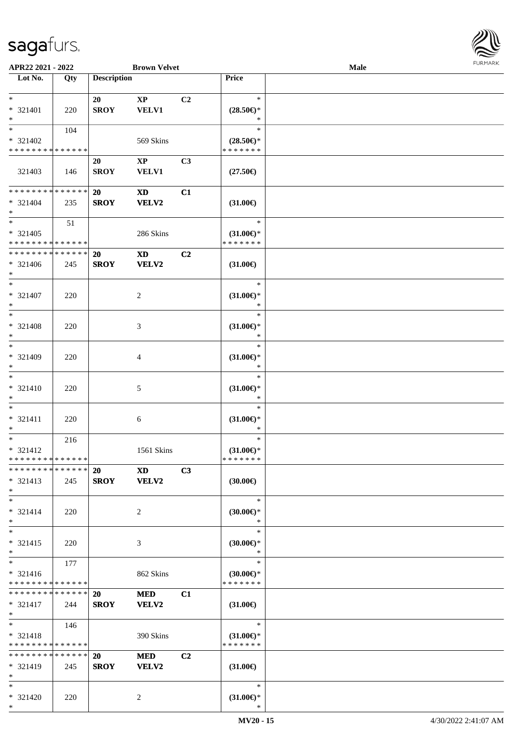

| APR22 2021 - 2022           |     |                    | <b>Brown Velvet</b>    |                |                                      | <b>Male</b> |  |
|-----------------------------|-----|--------------------|------------------------|----------------|--------------------------------------|-------------|--|
| Lot No.                     | Qty | <b>Description</b> |                        |                | Price                                |             |  |
|                             |     |                    |                        |                |                                      |             |  |
| $*$                         |     | 20                 | $\mathbf{XP}$          | C2             | $\ast$                               |             |  |
| * 321401                    | 220 | <b>SROY</b>        | <b>VELV1</b>           |                | $(28.50\epsilon)$ *                  |             |  |
| $*$                         |     |                    |                        |                | $\ast$                               |             |  |
| $\overline{\ast}$           | 104 |                    |                        |                | $\ast$                               |             |  |
| * 321402                    |     |                    | 569 Skins              |                |                                      |             |  |
| * * * * * * * * * * * * * * |     |                    |                        |                | $(28.50\epsilon)$ *<br>* * * * * * * |             |  |
|                             |     |                    |                        |                |                                      |             |  |
|                             |     | 20                 | $\mathbf{X}\mathbf{P}$ | C <sub>3</sub> |                                      |             |  |
| 321403                      | 146 | <b>SROY</b>        | <b>VELV1</b>           |                | $(27.50\epsilon)$                    |             |  |
|                             |     |                    |                        |                |                                      |             |  |
| * * * * * * * * * * * * * * |     | 20                 | <b>XD</b>              | C1             |                                      |             |  |
| $* 321404$                  | 235 | <b>SROY</b>        | <b>VELV2</b>           |                | $(31.00\epsilon)$                    |             |  |
| $*$                         |     |                    |                        |                |                                      |             |  |
| $*$                         | 51  |                    |                        |                | $\ast$                               |             |  |
| $* 321405$                  |     |                    | 286 Skins              |                | $(31.00\epsilon)$ *                  |             |  |
| * * * * * * * * * * * * * * |     |                    |                        |                | * * * * * * *                        |             |  |
| * * * * * * * * * * * * * * |     | 20                 | $\mathbf{X}\mathbf{D}$ | C2             |                                      |             |  |
| $* 321406$                  |     |                    | VELV2                  |                |                                      |             |  |
| $*$                         | 245 | <b>SROY</b>        |                        |                | $(31.00\epsilon)$                    |             |  |
| $*$                         |     |                    |                        |                |                                      |             |  |
|                             |     |                    |                        |                | $\ast$                               |             |  |
| * 321407                    | 220 |                    | 2                      |                | $(31.00\epsilon)$ *                  |             |  |
| $*$                         |     |                    |                        |                | $\ast$                               |             |  |
| $\overline{\ast}$           |     |                    |                        |                | $\ast$                               |             |  |
| * 321408                    | 220 |                    | 3                      |                | $(31.00\epsilon)$ *                  |             |  |
| $*$                         |     |                    |                        |                | $\ast$                               |             |  |
| $*$                         |     |                    |                        |                | $\ast$                               |             |  |
| * 321409                    | 220 |                    | 4                      |                | $(31.00\epsilon)$ *                  |             |  |
| $*$                         |     |                    |                        |                | $\ast$                               |             |  |
| $*$                         |     |                    |                        |                | $\ast$                               |             |  |
|                             |     |                    |                        |                |                                      |             |  |
| $* 321410$                  | 220 |                    | 5                      |                | $(31.00\epsilon)$ *                  |             |  |
| $*$                         |     |                    |                        |                | $\ast$                               |             |  |
| $*$                         |     |                    |                        |                | $\ast$                               |             |  |
| $* 321411$                  | 220 |                    | 6                      |                | $(31.00\epsilon)$ *                  |             |  |
| $*$                         |     |                    |                        |                | $\ast$                               |             |  |
| $*$                         | 216 |                    |                        |                | $\ast$                               |             |  |
| $* 321412$                  |     |                    | 1561 Skins             |                | $(31.00\epsilon)$ *                  |             |  |
| * * * * * * * * * * * * * * |     |                    |                        |                | * * * * * * *                        |             |  |
| * * * * * * * * * * * * * * |     | <b>20</b>          | <b>XD</b>              | C3             |                                      |             |  |
| $* 321413$                  | 245 | <b>SROY</b>        | <b>VELV2</b>           |                | (30.00)                              |             |  |
| $*$                         |     |                    |                        |                |                                      |             |  |
| $*$                         |     |                    |                        |                | $\ast$                               |             |  |
| $* 321414$                  | 220 |                    | $\overline{2}$         |                | $(30.00\varepsilon)$ *               |             |  |
| $*$                         |     |                    |                        |                | $\ast$                               |             |  |
| $*$                         |     |                    |                        |                | $\ast$                               |             |  |
|                             |     |                    |                        |                |                                      |             |  |
| $* 321415$                  | 220 |                    | 3                      |                | $(30.00\epsilon)$ *                  |             |  |
| $*$                         |     |                    |                        |                | $\ast$                               |             |  |
| $*$                         | 177 |                    |                        |                | $\ast$                               |             |  |
| $* 321416$                  |     |                    | 862 Skins              |                | $(30.00\epsilon)$ *                  |             |  |
| * * * * * * * * * * * * * * |     |                    |                        |                | * * * * * * *                        |             |  |
| * * * * * * * * * * * * * * |     | 20                 | <b>MED</b>             | C1             |                                      |             |  |
| $* 321417$                  | 244 | <b>SROY</b>        | VELV2                  |                | $(31.00\in)$                         |             |  |
| $*$                         |     |                    |                        |                |                                      |             |  |
| $*$ $-$                     | 146 |                    |                        |                | $\ast$                               |             |  |
| * 321418                    |     |                    | 390 Skins              |                | $(31.00\epsilon)$ *                  |             |  |
| * * * * * * * * * * * * * * |     |                    |                        |                | * * * * * * *                        |             |  |
|                             |     |                    |                        |                |                                      |             |  |
| * * * * * * * * * * * * * * |     | 20                 | <b>MED</b>             | C2             |                                      |             |  |
| $* 321419$                  | 245 | <b>SROY</b>        | <b>VELV2</b>           |                | $(31.00\epsilon)$                    |             |  |
| $*$                         |     |                    |                        |                |                                      |             |  |
| $*$                         |     |                    |                        |                | $\ast$                               |             |  |
| * 321420                    | 220 |                    | 2                      |                | $(31.00\epsilon)$ *                  |             |  |
| $*$                         |     |                    |                        |                | $\ast$                               |             |  |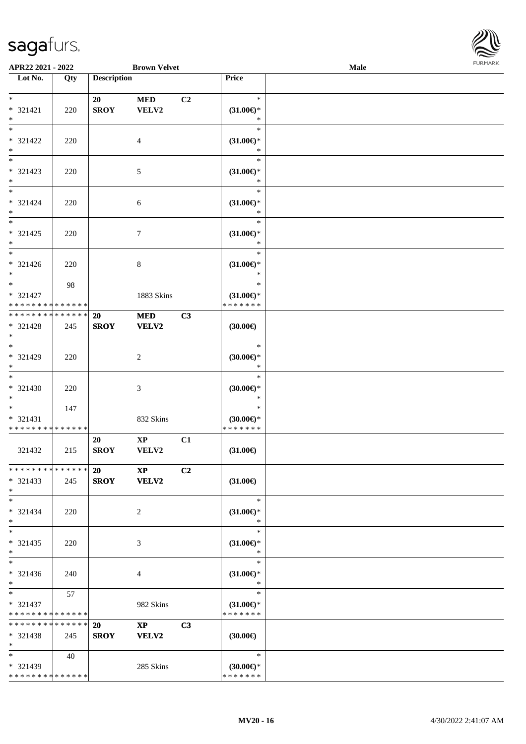

| APR22 2021 - 2022                                                       |     |                          | <b>Brown Velvet</b>                   |    |                                                   | Male |  |
|-------------------------------------------------------------------------|-----|--------------------------|---------------------------------------|----|---------------------------------------------------|------|--|
| Lot No.                                                                 | Qty | <b>Description</b>       |                                       |    | <b>Price</b>                                      |      |  |
| $*$<br>* 321421<br>$\ast$                                               | 220 | 20<br><b>SROY</b>        | <b>MED</b><br>VELV2                   | C2 | $\ast$<br>$(31.00\epsilon)$ *<br>$\ast$           |      |  |
| $\overline{\ast}$<br>* 321422<br>$\ast$                                 | 220 |                          | 4                                     |    | $\ast$<br>$(31.00\epsilon)$ *<br>$\ast$           |      |  |
| $\overline{\phantom{a}^*}$<br>$* 321423$<br>$\ast$<br>$\overline{\ast}$ | 220 |                          | $5\,$                                 |    | $\ast$<br>$(31.00\epsilon)$ *<br>$\ast$           |      |  |
| $* 321424$<br>$\ast$<br>$\overline{\phantom{a}^*}$                      | 220 |                          | $\sqrt{6}$                            |    | $\ast$<br>$(31.00\epsilon)$ *<br>$\ast$<br>$\ast$ |      |  |
| $* 321425$<br>$\ast$                                                    | 220 |                          | $\tau$                                |    | $(31.00\epsilon)$ *<br>$\ast$                     |      |  |
| $\overline{\phantom{1}}$<br>$* 321426$<br>$*$                           | 220 |                          | $8\,$                                 |    | $\ast$<br>$(31.00\epsilon)$ *<br>$\ast$           |      |  |
| $\overline{\ast}$<br>* 321427<br>* * * * * * * * * * * * * *            | 98  |                          | 1883 Skins                            |    | $\ast$<br>$(31.00\epsilon)$ *<br>* * * * * * *    |      |  |
| **************<br>* 321428<br>$*$                                       | 245 | 20<br><b>SROY</b>        | <b>MED</b><br><b>VELV2</b>            | C3 | (30.00)                                           |      |  |
| $\overline{\phantom{0}}$<br>* 321429<br>$\ast$                          | 220 |                          | $\sqrt{2}$                            |    | $\ast$<br>(30.00)<br>$\ast$                       |      |  |
| $\overline{\phantom{a}^*}$<br>$* 321430$<br>$\ast$                      | 220 |                          | $\mathfrak{Z}$                        |    | $\ast$<br>(30.00)<br>$\ast$                       |      |  |
| $*$<br>$* 321431$<br>* * * * * * * * * * * * * *                        | 147 |                          | 832 Skins                             |    | $\ast$<br>$(30.00\epsilon)$ *<br>* * * * * * *    |      |  |
| 321432                                                                  | 215 | 20<br><b>SROY</b>        | $\mathbf{XP}$<br>VELV2                | C1 | $(31.00\epsilon)$                                 |      |  |
| * * * * * * * * * * * * * *<br>$* 321433$<br>$*$                        | 245 | <b>20</b>                | $\mathbf{X} \mathbf{P}$<br>SROY VELV2 | C2 | $(31.00\epsilon)$                                 |      |  |
| $*$<br>$* 321434$<br>$*$                                                | 220 |                          | 2                                     |    | $\ast$<br>$(31.00\epsilon)$ *<br>$\ast$           |      |  |
| $\overline{\phantom{1}}$<br>$* 321435$<br>$*$                           | 220 |                          | 3                                     |    | $\ast$<br>$(31.00\epsilon)$ *<br>$\ast$           |      |  |
| $\ast$<br>* 321436<br>$*$                                               | 240 |                          | $\overline{4}$                        |    | $\ast$<br>$(31.00\epsilon)$ *<br>$\ast$           |      |  |
| $*$<br>* 321437<br>* * * * * * * * * * * * * *                          | 57  |                          | 982 Skins                             |    | $\ast$<br>$(31.00\epsilon)$ *<br>* * * * * * *    |      |  |
| * * * * * * * * * * * * * *<br>$* 321438$<br>$*$                        | 245 | <b>20</b><br><b>SROY</b> | $\mathbf{XP}$<br>VELV2                | C3 | $(30.00\epsilon)$                                 |      |  |
| $*$<br>* 321439<br>**************                                       | 40  |                          | 285 Skins                             |    | $\ast$<br>$(30.00\epsilon)$ *<br>* * * * * * *    |      |  |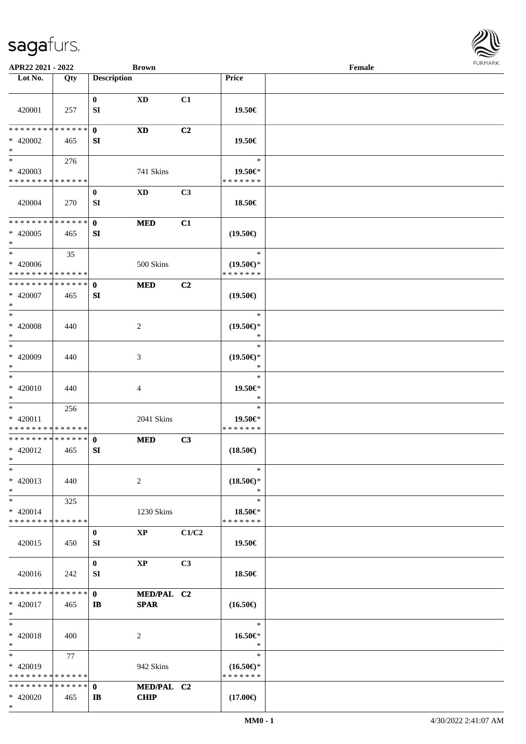

| APR22 2021 - 2022             |             |                    | <b>Brown</b>           |       |                     | Female |
|-------------------------------|-------------|--------------------|------------------------|-------|---------------------|--------|
| Lot No.                       | Qty         | <b>Description</b> |                        |       | Price               |        |
|                               |             |                    |                        |       |                     |        |
| 420001                        | 257         | $\bf{0}$<br>SI     | $\mathbf{X}\mathbf{D}$ | C1    | 19.50€              |        |
|                               |             |                    |                        |       |                     |        |
| ********                      | * * * * * * | $\mathbf 0$        | $\mathbf{X}\mathbf{D}$ | C2    |                     |        |
| * 420002                      | 465         | SI                 |                        |       | 19.50€              |        |
| $\ast$                        |             |                    |                        |       |                     |        |
| $\overline{\phantom{0}}$      | 276         |                    |                        |       | $\ast$              |        |
| $* 420003$                    |             |                    | 741 Skins              |       | 19.50€*             |        |
| * * * * * * * * * * * * * *   |             |                    |                        |       | * * * * * * *       |        |
|                               |             |                    |                        |       |                     |        |
| 420004                        | 270         | $\bf{0}$<br>SI     | $\mathbf{X}\mathbf{D}$ | C3    | 18.50€              |        |
|                               |             |                    |                        |       |                     |        |
| * * * * * * * * * * * * * *   |             | $\mathbf{0}$       |                        | C1    |                     |        |
|                               |             |                    | <b>MED</b>             |       |                     |        |
| $* 420005$                    | 465         | SI                 |                        |       | $(19.50\epsilon)$   |        |
| $\ast$<br>$\ast$              |             |                    |                        |       |                     |        |
|                               | 35          |                    |                        |       | $\ast$              |        |
| $* 420006$                    |             |                    | 500 Skins              |       | $(19.50\epsilon)$ * |        |
| * * * * * * * * * * * * * *   |             |                    |                        |       | * * * * * * *       |        |
| * * * * * * * * * * * * * *   |             | $\mathbf{0}$       | <b>MED</b>             | C2    |                     |        |
| $* 420007$                    | 465         | SI                 |                        |       | $(19.50\epsilon)$   |        |
| $\ast$                        |             |                    |                        |       |                     |        |
| $\ast$                        |             |                    |                        |       | $\ast$              |        |
| $* 420008$                    | 440         |                    | $\overline{c}$         |       | $(19.50\epsilon)$ * |        |
| $\ast$                        |             |                    |                        |       | ∗                   |        |
| $\ast$                        |             |                    |                        |       | $\ast$              |        |
| $* 420009$                    | 440         |                    | 3                      |       | $(19.50\epsilon)$ * |        |
| $\ast$                        |             |                    |                        |       | *                   |        |
| $\ast$                        |             |                    |                        |       | $\ast$              |        |
| * 420010                      | 440         |                    | 4                      |       | 19.50€*             |        |
| $\ast$                        |             |                    |                        |       | $\ast$              |        |
| $\ast$                        | 256         |                    |                        |       | $\ast$              |        |
| $* 420011$                    |             |                    | 2041 Skins             |       | 19.50€*             |        |
| * * * * * * * * * * * * * *   |             |                    |                        |       | * * * * * * *       |        |
| ******** <mark>******</mark>  |             | $\mathbf 0$        | <b>MED</b>             | C3    |                     |        |
| * 420012                      | 465         | SI                 |                        |       | $(18.50\epsilon)$   |        |
| $*$                           |             |                    |                        |       |                     |        |
| $\ast$                        |             |                    |                        |       | $\ast$              |        |
|                               |             |                    |                        |       |                     |        |
| $* 420013$                    | 440         |                    | 2                      |       | $(18.50\epsilon)$ * |        |
| $\ast$                        |             |                    |                        |       | $\ast$              |        |
| $\ast$                        | 325         |                    |                        |       | $\ast$              |        |
| * 420014                      |             |                    | 1230 Skins             |       | 18.50€*             |        |
| * * * * * * * * * * * * * *   |             |                    |                        |       | * * * * * * *       |        |
|                               |             | $\bf{0}$           | $\bold{XP}$            | C1/C2 |                     |        |
| 420015                        | 450         | SI                 |                        |       | 19.50€              |        |
|                               |             |                    |                        |       |                     |        |
|                               |             | $\bf{0}$           | $\mathbf{X}\mathbf{P}$ | C3    |                     |        |
| 420016                        | 242         | SI                 |                        |       | 18.50€              |        |
|                               |             |                    |                        |       |                     |        |
| * * * * * * * * * * * * * * * |             | $\mathbf{0}$       | MED/PAL C2             |       |                     |        |
| $* 420017$                    | 465         | IB                 | <b>SPAR</b>            |       | $(16.50\epsilon)$   |        |
| $\ast$                        |             |                    |                        |       |                     |        |
| $\ast$                        |             |                    |                        |       | $\ast$              |        |
| * 420018                      | 400         |                    | 2                      |       | 16.50€*             |        |
| $*$                           |             |                    |                        |       | $\ast$              |        |
| $\ast$                        | 77          |                    |                        |       | $\ast$              |        |
| $* 420019$                    |             |                    | 942 Skins              |       | $(16.50\epsilon)$ * |        |
| * * * * * * * * * * * * * *   |             |                    |                        |       | * * * * * * *       |        |
| * * * * * * * * * * * * * * * |             | $\mathbf{0}$       | MED/PAL C2             |       |                     |        |
| $* 420020$                    | 465         | IB                 | <b>CHIP</b>            |       | $(17.00\epsilon)$   |        |
| $*$                           |             |                    |                        |       |                     |        |
|                               |             |                    |                        |       |                     |        |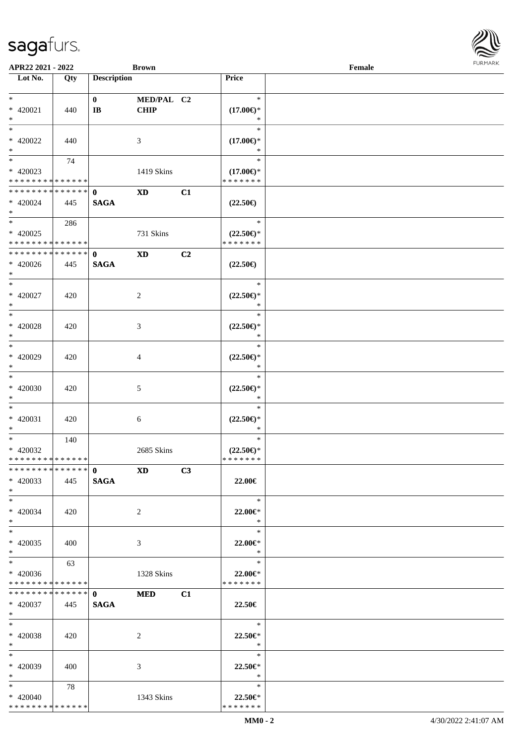| APR22 2021 - 2022               |       |                       | <b>Brown</b>            |    |                               | Female |  |
|---------------------------------|-------|-----------------------|-------------------------|----|-------------------------------|--------|--|
| Lot No.                         | Qty   | <b>Description</b>    |                         |    | Price                         |        |  |
|                                 |       |                       |                         |    |                               |        |  |
| $*$                             |       | $\mathbf{0}$          | MED/PAL C2              |    | $\ast$                        |        |  |
| $* 420021$                      | 440   | $\mathbf{I}$ <b>B</b> | <b>CHIP</b>             |    | $(17.00\epsilon)$ *           |        |  |
| $*$                             |       |                       |                         |    | $\ast$                        |        |  |
|                                 |       |                       |                         |    | $\ast$                        |        |  |
| $* 420022$                      | 440   |                       | 3                       |    | $(17.00\epsilon)$ *           |        |  |
| $*$                             |       |                       |                         |    | $\ast$                        |        |  |
|                                 | 74    |                       |                         |    | $\ast$                        |        |  |
| $* 420023$                      |       |                       | 1419 Skins              |    | $(17.00\epsilon)$ *           |        |  |
| * * * * * * * * * * * * * *     |       |                       |                         |    | * * * * * * *                 |        |  |
| * * * * * * * * * * * * * *     |       | $\mathbf{0}$          | $\mathbf{X}\mathbf{D}$  | C1 |                               |        |  |
| $* 420024$                      | 445   | <b>SAGA</b>           |                         |    | $(22.50\epsilon)$             |        |  |
| $*$                             |       |                       |                         |    |                               |        |  |
| $*$                             | 286   |                       |                         |    | $\ast$                        |        |  |
| $* 420025$                      |       |                       | 731 Skins               |    | $(22.50\epsilon)$ *           |        |  |
| * * * * * * * * * * * * * *     |       |                       |                         |    | * * * * * * *                 |        |  |
| * * * * * * * * * * * * * *     |       | $\mathbf{0}$          | $\mathbf{X}\mathbf{D}$  | C2 |                               |        |  |
| $* 420026$                      | 445   | <b>SAGA</b>           |                         |    | $(22.50\epsilon)$             |        |  |
| $*$                             |       |                       |                         |    |                               |        |  |
| $*$                             |       |                       |                         |    | $\ast$                        |        |  |
| $* 420027$                      | 420   |                       | 2                       |    | $(22.50\epsilon)$ *           |        |  |
| $*$<br>$\overline{\phantom{0}}$ |       |                       |                         |    | $\ast$                        |        |  |
|                                 |       |                       |                         |    | $\ast$                        |        |  |
| $* 420028$                      | 420   |                       | 3                       |    | $(22.50\epsilon)$ *           |        |  |
| $*$<br>$\overline{\phantom{0}}$ |       |                       |                         |    | $\ast$                        |        |  |
|                                 |       |                       |                         |    | $\ast$                        |        |  |
| $* 420029$                      | 420   |                       | 4                       |    | $(22.50\epsilon)$ *           |        |  |
| $*$<br>$\overline{\phantom{0}}$ |       |                       |                         |    | $\ast$<br>$\ast$              |        |  |
|                                 |       |                       |                         |    |                               |        |  |
| $* 420030$                      | 420   |                       | 5                       |    | $(22.50\epsilon)$ *<br>$\ast$ |        |  |
| $*$<br>$*$                      |       |                       |                         |    | $\ast$                        |        |  |
|                                 |       |                       |                         |    |                               |        |  |
| $* 420031$<br>$*$               | 420   |                       | $6\phantom{.}6$         |    | $(22.50\epsilon)$ *<br>$\ast$ |        |  |
| $*$                             | 140   |                       |                         |    | $\ast$                        |        |  |
| * 420032                        |       |                       | 2685 Skins              |    | $(22.50\epsilon)$ *           |        |  |
| * * * * * * * * * * * * * *     |       |                       |                         |    | * * * * * * *                 |        |  |
| * * * * * * * * * * * * * * *   |       | $\mathbf{0}$          | $\mathbf{X} \mathbf{D}$ | C3 |                               |        |  |
| $* 420033$                      | 445   | <b>SAGA</b>           |                         |    | 22.00€                        |        |  |
| $*$                             |       |                       |                         |    |                               |        |  |
| $*$                             |       |                       |                         |    | $\ast$                        |        |  |
| $* 420034$                      | 420   |                       | 2                       |    | 22.00€*                       |        |  |
| $*$                             |       |                       |                         |    | $\ast$                        |        |  |
| $*$                             |       |                       |                         |    | $\ast$                        |        |  |
| $* 420035$                      | 400   |                       | 3                       |    | 22.00€*                       |        |  |
| $*$                             |       |                       |                         |    | $\ast$                        |        |  |
| $*$                             | 63    |                       |                         |    | $\ast$                        |        |  |
| $* 420036$                      |       |                       | 1328 Skins              |    | 22.00€*                       |        |  |
| * * * * * * * * * * * * * *     |       |                       |                         |    | * * * * * * *                 |        |  |
| * * * * * * * * * * * * * * *   |       | $\mathbf{0}$          | <b>MED</b>              | C1 |                               |        |  |
| $* 420037$                      | - 445 | <b>SAGA</b>           |                         |    | 22.50€                        |        |  |
| $*$ $*$                         |       |                       |                         |    |                               |        |  |
| $*$                             |       |                       |                         |    | $\ast$                        |        |  |
| $* 420038$                      | 420   |                       | 2                       |    | $22.50 \in$                   |        |  |
| $*$ $*$                         |       |                       |                         |    | $\ast$                        |        |  |
| $*$                             |       |                       |                         |    | $\ast$                        |        |  |
| * 420039                        | 400   |                       | 3                       |    | 22.50 $\in$ *                 |        |  |
| $*$ $-$                         |       |                       |                         |    | $\ast$                        |        |  |
| $*$ and $*$                     | 78    |                       |                         |    | $\ast$                        |        |  |
| * 420040                        |       |                       | 1343 Skins              |    | 22.50€*                       |        |  |
| * * * * * * * * * * * * * *     |       |                       |                         |    | * * * * * * *                 |        |  |

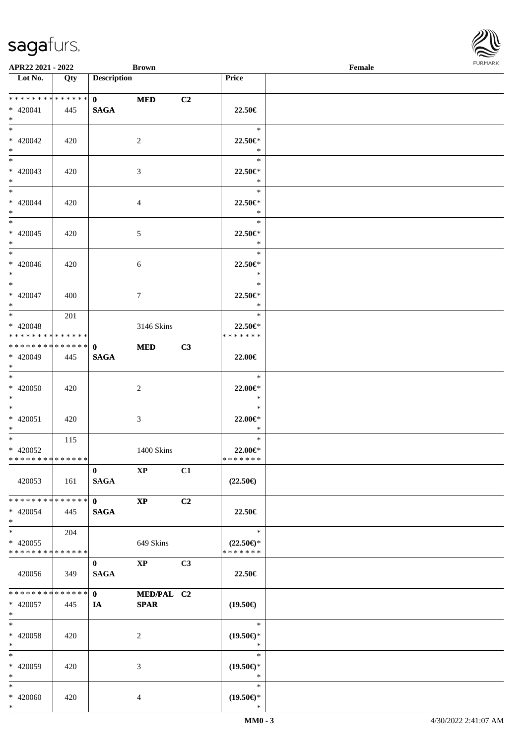\*

| APR22 2021 - 2022                                                              |     |                             | <b>Brown</b>              |    |                                                | Female | <b>FURMAR</b> |
|--------------------------------------------------------------------------------|-----|-----------------------------|---------------------------|----|------------------------------------------------|--------|---------------|
| $\overline{\phantom{1}}$ Lot No.                                               | Qty | <b>Description</b>          |                           |    | Price                                          |        |               |
| **************<br>* 420041<br>$*$                                              | 445 | $\mathbf{0}$<br><b>SAGA</b> | <b>MED</b>                | C2 | 22.50€                                         |        |               |
| $\overline{\phantom{a}^*}$<br>$* 420042$<br>$\ast$<br>$\overline{\phantom{0}}$ | 420 |                             | $\overline{c}$            |    | $\ast$<br>22.50€*<br>$*$                       |        |               |
| $* 420043$<br>$*$                                                              | 420 |                             | $\mathfrak{Z}$            |    | $\ast$<br>$22.50 \in$ *<br>$\bullet$ $\bullet$ |        |               |
| $*$<br>$* 420044$<br>$*$                                                       | 420 |                             | $\overline{4}$            |    | $\ast$<br>22.50€*<br>$\ast$                    |        |               |
| $*$<br>$* 420045$<br>$*$                                                       | 420 |                             | $\mathfrak{S}$            |    | $\ast$<br>22.50€*<br>$\ast$                    |        |               |
| $*$<br>$* 420046$<br>$*$                                                       | 420 |                             | $\sqrt{6}$                |    | $\ast$<br>$22.50 \in$<br>$\ast$                |        |               |
| $\ast$<br>$* 420047$<br>$*$                                                    | 400 |                             | $\tau$                    |    | $\ast$<br>22.50€*<br>$\ast$                    |        |               |
| $* 420048$<br>* * * * * * * * * * * * * *                                      | 201 |                             | 3146 Skins                |    | $\ast$<br>$22.50 \in$<br>* * * * * * *         |        |               |
| **************<br>$* 420049$<br>$*$                                            | 445 | $\mathbf{0}$<br><b>SAGA</b> | <b>MED</b>                | C3 | 22.00€                                         |        |               |
| $*$<br>$* 420050$<br>$*$                                                       | 420 |                             | $\sqrt{2}$                |    | $\ast$<br>22.00€*<br>$\ast$                    |        |               |
| $\overline{\phantom{0}}$<br>$* 420051$<br>$*$                                  | 420 |                             | 3                         |    | $\ast$<br>22.00€*<br>$\ast$                    |        |               |
| $\overline{\ast}$<br>* 420052<br>* * * * * * * * * * * * * *                   | 115 |                             | 1400 Skins                |    | $\ast$<br>22.00€*<br>* * * * * * *             |        |               |
| 420053                                                                         | 161 | $\bf{0}$<br><b>SAGA</b>     | $\mathbf{X}\mathbf{P}$    | C1 | $(22.50\epsilon)$                              |        |               |
| * * * * * * * * * * * * * *<br>$* 420054$<br>$\ast$                            | 445 | $\mathbf{0}$<br><b>SAGA</b> | $\bold{XP}$               | C2 | 22.50€                                         |        |               |
| $\ast$<br>$* 420055$<br>* * * * * * * * * * * * * *                            | 204 |                             | 649 Skins                 |    | $\ast$<br>$(22.50\epsilon)$ *<br>* * * * * * * |        |               |
| 420056                                                                         | 349 | $\mathbf{0}$<br><b>SAGA</b> | $\mathbf{X}\mathbf{P}$    | C3 | 22.50€                                         |        |               |
| * * * * * * * * * * * * * *<br>$* 420057$<br>$\ast$                            | 445 | $\mathbf{0}$<br>IA          | MED/PAL C2<br><b>SPAR</b> |    | $(19.50\epsilon)$                              |        |               |
| $\ast$<br>$* 420058$<br>$\ast$                                                 | 420 |                             | 2                         |    | $\ast$<br>$(19.50\epsilon)$ *<br>$\ast$        |        |               |
| $\ast$<br>* 420059<br>$\ast$                                                   | 420 |                             | 3                         |    | $\ast$<br>$(19.50\epsilon)$ *<br>$\ast$        |        |               |
| $\ast$<br>* 420060<br>$*$                                                      | 420 |                             | 4                         |    | $\ast$<br>$(19.50\epsilon)$ *<br>$\ast$        |        |               |

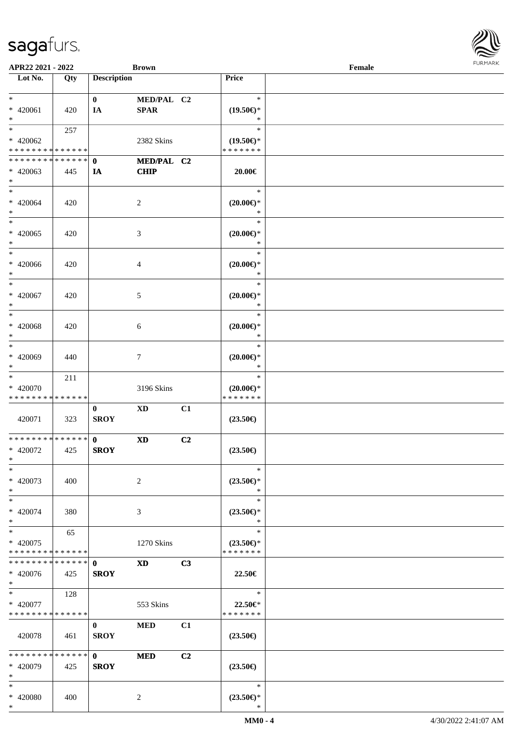| APR22 2021 - 2022                                    |     |                             | <b>Brown</b>               |    |                                                | Female |  |
|------------------------------------------------------|-----|-----------------------------|----------------------------|----|------------------------------------------------|--------|--|
| Lot No.                                              | Qty | <b>Description</b>          |                            |    | Price                                          |        |  |
| $*$<br>* 420061<br>$*$                               | 420 | $\mathbf{0}$<br>IA          | MED/PAL C2<br><b>SPAR</b>  |    | $\ast$<br>$(19.50\epsilon)$ *<br>$\ast$        |        |  |
| $*$<br>$* 420062$<br>* * * * * * * * * * * * * *     | 257 |                             | 2382 Skins                 |    | $\ast$<br>$(19.50\epsilon)$ *<br>* * * * * * * |        |  |
| * * * * * * * * * * * * * * *<br>$* 420063$<br>$*$   | 445 | $\mathbf{0}$<br>IA          | MED/PAL C2<br><b>CHIP</b>  |    | $20.00 \in$                                    |        |  |
| $*$<br>$* 420064$<br>$*$                             | 420 |                             | $\overline{c}$             |    | $\ast$<br>$(20.00\epsilon)$ *<br>$\ast$        |        |  |
| $\overline{\phantom{0}}$<br>$* 420065$<br>$*$        | 420 |                             | $\mathfrak{Z}$             |    | $\ast$<br>$(20.00\epsilon)$ *<br>$\ast$        |        |  |
| $*$<br>$* 420066$<br>$*$                             | 420 |                             | $\overline{4}$             |    | $\ast$<br>$(20.00\epsilon)$ *<br>$\ast$        |        |  |
| $*$<br>$* 420067$<br>$*$                             | 420 |                             | 5                          |    | $\ast$<br>$(20.00\epsilon)$ *<br>$\ast$        |        |  |
| $\ast$<br>$* 420068$<br>$*$                          | 420 |                             | 6                          |    | $\ast$<br>$(20.00\epsilon)$ *<br>$\ast$        |        |  |
| $*$<br>$* 420069$<br>$*$                             | 440 |                             | $\tau$                     |    | $\ast$<br>$(20.00\epsilon)$ *<br>$\ast$        |        |  |
| $*$<br>* 420070<br>* * * * * * * * * * * * * *       | 211 |                             | 3196 Skins                 |    | $\ast$<br>$(20.00\epsilon)$ *<br>* * * * * * * |        |  |
| 420071                                               | 323 | $\bf{0}$<br><b>SROY</b>     | <b>XD</b>                  | C1 | $(23.50\epsilon)$                              |        |  |
| * * * * * * * * * * * * * *<br>$* 420072$<br>$*$ $-$ | 425 | $\mathbf{0}$<br><b>SROY</b> | $\boldsymbol{\mathrm{XD}}$ | C2 | $(23.50\epsilon)$                              |        |  |
| $*$<br>* 420073<br>$*$                               | 400 |                             | $\overline{c}$             |    | $\ast$<br>$(23.50\epsilon)$ *<br>$\ast$        |        |  |
| $\ast$<br>$* 420074$<br>$*$                          | 380 |                             | 3                          |    | $\ast$<br>$(23.50\epsilon)$ *<br>$\ast$        |        |  |
| $*$<br>* 420075<br>* * * * * * * * * * * * * *       | 65  |                             | 1270 Skins                 |    | $\ast$<br>$(23.50\epsilon)$ *<br>* * * * * * * |        |  |
| * * * * * * * * * * * * * * *<br>* 420076<br>$*$     | 425 | $\mathbf{0}$<br><b>SROY</b> | $\mathbf{X}\mathbf{D}$     | C3 | 22.50€                                         |        |  |
| $*$<br>* 420077<br>* * * * * * * * * * * * * *       | 128 |                             | 553 Skins                  |    | $\ast$<br>22.50€*<br>* * * * * * *             |        |  |
| 420078                                               | 461 | $\bf{0}$<br><b>SROY</b>     | <b>MED</b>                 | C1 | $(23.50\epsilon)$                              |        |  |
| * * * * * * * * * * * * * * *<br>* 420079<br>$*$     | 425 | $\mathbf{0}$<br><b>SROY</b> | <b>MED</b>                 | C2 | $(23.50\epsilon)$                              |        |  |
| $*$<br>* 420080<br>$*$                               | 400 |                             | 2                          |    | $\ast$<br>$(23.50\epsilon)$ *<br>$\ast$        |        |  |

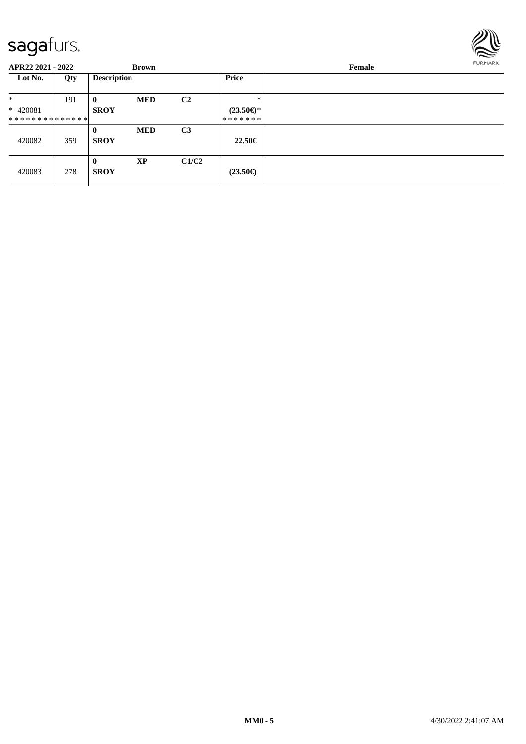

| APR22 2021 - 2022             |     |                         | <b>Brown</b> |                |                     | Female | <b>FURMARK</b> |
|-------------------------------|-----|-------------------------|--------------|----------------|---------------------|--------|----------------|
| Lot No.                       | Qty | <b>Description</b>      |              |                | Price               |        |                |
| $\ast$                        | 191 | $\mathbf{0}$            | <b>MED</b>   | C <sub>2</sub> | $\ast$              |        |                |
| $* 420081$                    |     | <b>SROY</b>             |              |                | $(23.50\epsilon)$ * |        |                |
| * * * * * * * * * * * * * * * |     |                         |              |                | *******             |        |                |
|                               |     | $\mathbf{0}$            | <b>MED</b>   | C <sub>3</sub> |                     |        |                |
| 420082                        | 359 | <b>SROY</b>             |              |                | 22.50€              |        |                |
| 420083                        | 278 | $\bf{0}$<br><b>SROY</b> | <b>XP</b>    | C1/C2          | $(23.50\epsilon)$   |        |                |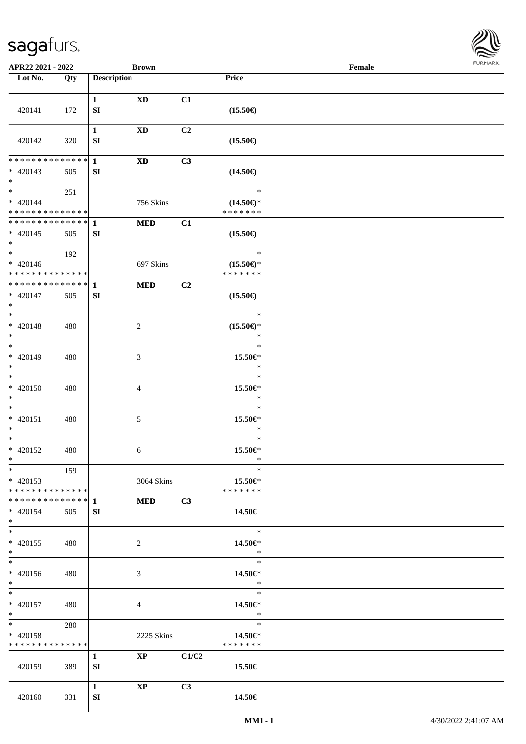

| APR22 2021 - 2022                                               |                    | <b>Brown</b>                                  |       |                                                | Female |  |
|-----------------------------------------------------------------|--------------------|-----------------------------------------------|-------|------------------------------------------------|--------|--|
| Lot No.                                                         | Qty                | <b>Description</b>                            |       | Price                                          |        |  |
| 420141                                                          | 172                | $\mathbf{1}$<br><b>XD</b><br>${\bf S}{\bf I}$ | C1    | $(15.50\epsilon)$                              |        |  |
| 420142                                                          | 320                | $\mathbf{1}$<br>$\mathbf{X}\mathbf{D}$<br>SI  | C2    | $(15.50\epsilon)$                              |        |  |
| * * * * * * * *<br>$* 420143$<br>$*$                            | * * * * * *<br>505 | $\mathbf{1}$<br><b>XD</b><br>${\bf SI}$       | C3    | $(14.50\epsilon)$                              |        |  |
| $*$<br>$* 420144$<br>* * * * * * * * <mark>* * * * * * *</mark> | 251                | 756 Skins                                     |       | $\ast$<br>$(14.50\epsilon)$ *<br>* * * * * * * |        |  |
| ******** <mark>******</mark><br>$* 420145$<br>$*$               | 505                | $\mathbf{1}$<br><b>MED</b><br>SI              | C1    | $(15.50\epsilon)$                              |        |  |
| $*$<br>$* 420146$<br>* * * * * * * * * * * * * *                | 192                | 697 Skins                                     |       | $\ast$<br>$(15.50\epsilon)$ *<br>* * * * * * * |        |  |
| * * * * * * * * * * * * * *<br>$* 420147$<br>$*$                | 505                | <b>MED</b><br>1<br>${\bf SI}$                 | C2    | $(15.50\epsilon)$                              |        |  |
| $\overline{\ }$<br>$* 420148$<br>$*$                            | 480                | $\sqrt{2}$                                    |       | $\ast$<br>$(15.50\epsilon)$ *<br>$\ast$        |        |  |
| $*$<br>$* 420149$<br>$*$                                        | 480                | 3                                             |       | $\ast$<br>15.50€*<br>$\ast$                    |        |  |
| $*$<br>$* 420150$<br>$*$                                        | 480                | 4                                             |       | $\ast$<br>15.50€*<br>$\ast$                    |        |  |
| $*$<br>$* 420151$<br>$*$                                        | 480                | $\mathfrak{S}$                                |       | $\ast$<br>15.50€*<br>$\ast$                    |        |  |
| $*$<br>$* 420152$<br>$*$                                        | 480                | 6                                             |       | $\ast$<br>15.50€*<br>$\ast$                    |        |  |
| $*$<br>$* 420153$<br>* * * * * * * * * * * * * * *              | 159                | 3064 Skins                                    |       | $\ast$<br>15.50€*<br>* * * * * * *             |        |  |
| * 420154<br>$*$                                                 | 505                | <b>MED</b><br>SI                              | C3    | 14.50€                                         |        |  |
| $*$<br>$* 420155$<br>$*$                                        | 480                | $\overline{2}$                                |       | $\ast$<br>14.50€*<br>$\rightarrow$             |        |  |
| $*$<br>* 420156<br>$*$ $*$                                      | 480                | 3                                             |       | $\ast$<br>14.50€*<br>$*$                       |        |  |
| $*$ $*$<br>$* 420157$<br>$*$ $*$                                | 480                | 4                                             |       | $\ast$<br>14.50€*<br>$\ast$                    |        |  |
| $*$ and $*$<br>* 420158<br>* * * * * * * * * * * * * *          | 280                | 2225 Skins                                    |       | $\ast$<br>14.50€*<br>* * * * * * *             |        |  |
| 420159                                                          | 389                | $\mathbf{X}\mathbf{P}$<br>$\mathbf{1}$<br>SI  | C1/C2 | 15.50€                                         |        |  |
| 420160                                                          | 331                | $\mathbf{1}$<br>$\bold{XP}$<br>SI             | C3    | 14.50€                                         |        |  |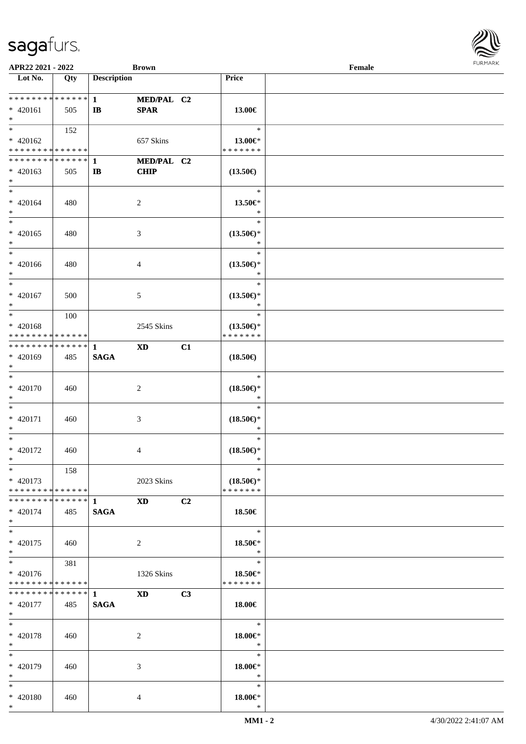| APR22 2021 - 2022                          |     |                    | <b>Brown</b>   |                |                               | Female | $1.9151$ <i>W</i> $11.915$ |
|--------------------------------------------|-----|--------------------|----------------|----------------|-------------------------------|--------|----------------------------|
| Lot No.                                    | Qty | <b>Description</b> |                |                | Price                         |        |                            |
|                                            |     |                    |                |                |                               |        |                            |
| ******** <mark>******</mark>               |     | $\mathbf{1}$       | MED/PAL C2     |                |                               |        |                            |
| $* 420161$                                 | 505 | $\mathbf{I}$       | <b>SPAR</b>    |                | 13.00€                        |        |                            |
| $*$                                        |     |                    |                |                |                               |        |                            |
| $*$                                        | 152 |                    |                |                | $\ast$                        |        |                            |
| $* 420162$                                 |     |                    | 657 Skins      |                | 13.00€*<br>* * * * * * *      |        |                            |
| * * * * * * * * <mark>* * * * * *</mark>   |     |                    |                |                |                               |        |                            |
|                                            |     |                    | MED/PAL C2     |                |                               |        |                            |
| $* 420163$<br>$\ast$                       | 505 | $\mathbf{I}$       | <b>CHIP</b>    |                | $(13.50\epsilon)$             |        |                            |
| $*$                                        |     |                    |                |                | $\ast$                        |        |                            |
|                                            |     |                    |                |                |                               |        |                            |
| $* 420164$<br>$*$                          | 480 |                    | 2              |                | 13.50€*<br>$\ast$             |        |                            |
| $\overline{\ast}$                          |     |                    |                |                | $\ast$                        |        |                            |
| $* 420165$                                 | 480 |                    |                |                |                               |        |                            |
| $*$                                        |     |                    | 3              |                | $(13.50\epsilon)$ *<br>$\ast$ |        |                            |
| $\ast$                                     |     |                    |                |                | $\ast$                        |        |                            |
| * 420166                                   | 480 |                    | 4              |                | $(13.50\epsilon)$ *           |        |                            |
| $\ast$                                     |     |                    |                |                | $\ast$                        |        |                            |
| $*$                                        |     |                    |                |                | $\ast$                        |        |                            |
| * 420167                                   | 500 |                    | 5              |                | $(13.50\epsilon)$ *           |        |                            |
| $*$                                        |     |                    |                |                | $\ast$                        |        |                            |
|                                            | 100 |                    |                |                | $\ast$                        |        |                            |
| $* 420168$                                 |     |                    | 2545 Skins     |                | $(13.50\epsilon)$ *           |        |                            |
| * * * * * * * * <mark>* * * * * *</mark>   |     |                    |                |                | * * * * * * *                 |        |                            |
|                                            |     |                    | <b>XD</b>      | C1             |                               |        |                            |
| * 420169                                   | 485 | <b>SAGA</b>        |                |                | $(18.50\epsilon)$             |        |                            |
| $\ast$                                     |     |                    |                |                |                               |        |                            |
| $\overline{\ast}$                          |     |                    |                |                | $\ast$                        |        |                            |
| * 420170                                   | 460 |                    | $\overline{c}$ |                | $(18.50\epsilon)$ *           |        |                            |
| $\ast$                                     |     |                    |                |                | $\ast$                        |        |                            |
| $*$                                        |     |                    |                |                | $\ast$                        |        |                            |
| * 420171                                   | 460 |                    | 3              |                | $(18.50\epsilon)$ *           |        |                            |
| $\ast$                                     |     |                    |                |                | $\ast$                        |        |                            |
| $\ast$                                     |     |                    |                |                | $\ast$                        |        |                            |
| * 420172                                   | 460 |                    | 4              |                | $(18.50\epsilon)$ *           |        |                            |
| $\ast$                                     |     |                    |                |                | $\ast$                        |        |                            |
| $*$                                        | 158 |                    |                |                | $\ast$                        |        |                            |
| $* 420173$                                 |     |                    | 2023 Skins     |                | $(18.50\epsilon)$ *           |        |                            |
| * * * * * * * * <mark>* * * * * * *</mark> |     |                    |                |                | * * * * * * *                 |        |                            |
|                                            |     |                    | <b>XD</b>      | C <sub>2</sub> |                               |        |                            |
| $* 420174$                                 | 485 | <b>SAGA</b>        |                |                | 18.50€                        |        |                            |
| $\ast$                                     |     |                    |                |                |                               |        |                            |
| $*$ $-$                                    |     |                    |                |                | $\ast$                        |        |                            |
| * 420175                                   | 460 |                    | 2              |                | 18.50€*                       |        |                            |
| $*$                                        |     |                    |                |                | $*$                           |        |                            |
| $*$                                        | 381 |                    |                |                | $\ast$                        |        |                            |
| * 420176                                   |     |                    | 1326 Skins     |                | 18.50€*                       |        |                            |
| * * * * * * * * <mark>* * * * * *</mark>   |     |                    |                |                | * * * * * * *                 |        |                            |
|                                            |     |                    | <b>XD</b>      | C3             |                               |        |                            |
| * 420177                                   | 485 | <b>SAGA</b>        |                |                | 18.00€                        |        |                            |
| $*$ $-$                                    |     |                    |                |                |                               |        |                            |
| $*$ $*$                                    |     |                    |                |                | $\ast$                        |        |                            |
| * 420178                                   | 460 |                    | 2              |                | 18.00€*                       |        |                            |
| $*$<br>$\overline{\mathbf{r}}$             |     |                    |                |                | $*$                           |        |                            |
|                                            |     |                    |                |                | $\ast$                        |        |                            |
| * 420179                                   | 460 |                    | 3              |                | 18.00€*                       |        |                            |
| $*$                                        |     |                    |                |                | $\ast$                        |        |                            |
| $\ast$                                     |     |                    |                |                | $\ast$                        |        |                            |
| * 420180                                   | 460 |                    | 4              |                | 18.00€*                       |        |                            |
| $\ast$                                     |     |                    |                |                | $\ast$                        |        |                            |

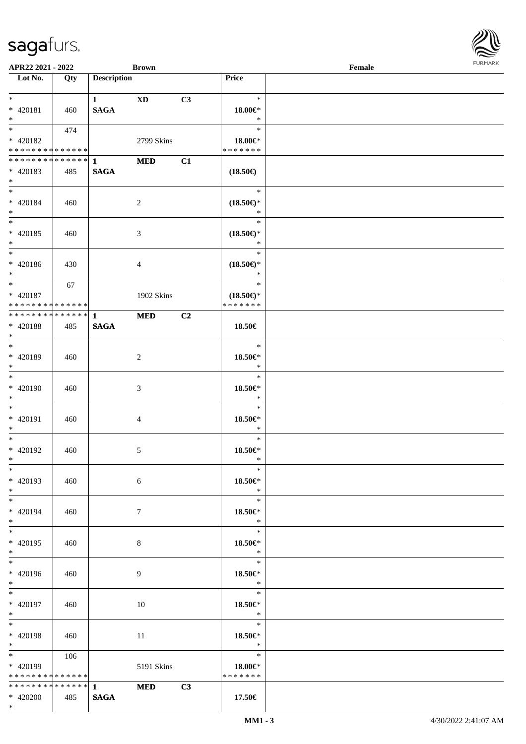| APR22 2021 - 2022                          |     |                    | <b>Brown</b>    |                |                               | Female |  |
|--------------------------------------------|-----|--------------------|-----------------|----------------|-------------------------------|--------|--|
| Lot No.                                    | Qty | <b>Description</b> |                 |                | Price                         |        |  |
| $*$                                        |     |                    |                 |                |                               |        |  |
| $* 420181$                                 |     | $1$ and $\sim$     | XD              | C3             | $\ast$<br>18.00€*             |        |  |
| $*$                                        | 460 | <b>SAGA</b>        |                 |                | $\ast$                        |        |  |
| $\overline{\mathbf{r}}$                    | 474 |                    |                 |                | $\ast$                        |        |  |
| * 420182                                   |     |                    | 2799 Skins      |                | $18.00 \in$ *                 |        |  |
| * * * * * * * * <mark>* * * * * *</mark>   |     |                    |                 |                | * * * * * * *                 |        |  |
|                                            |     |                    | <b>MED</b>      | C1             |                               |        |  |
| * 420183                                   | 485 | <b>SAGA</b>        |                 |                | $(18.50\epsilon)$             |        |  |
| $\ast$                                     |     |                    |                 |                |                               |        |  |
| $*$                                        |     |                    |                 |                | $\ast$                        |        |  |
| * 420184                                   | 460 |                    | $\overline{2}$  |                | $(18.50\epsilon)$ *           |        |  |
| $*$                                        |     |                    |                 |                | $\ast$                        |        |  |
| $\overline{\ast}$                          |     |                    |                 |                | $\ast$                        |        |  |
| $* 420185$                                 | 460 |                    | 3               |                | $(18.50\epsilon)$ *           |        |  |
| $*$                                        |     |                    |                 |                | $\ast$<br>$\ast$              |        |  |
|                                            |     |                    |                 |                |                               |        |  |
| * 420186<br>$*$                            | 430 |                    | 4               |                | $(18.50\epsilon)$ *<br>$\ast$ |        |  |
| $\overline{\ast}$                          | 67  |                    |                 |                | $\ast$                        |        |  |
| * 420187                                   |     |                    | 1902 Skins      |                | $(18.50\epsilon)$ *           |        |  |
| * * * * * * * * <mark>* * * * * *</mark>   |     |                    |                 |                | * * * * * * *                 |        |  |
| * * * * * * * * * * * * * * *              |     | $\mathbf{1}$       | <b>MED</b>      | C <sub>2</sub> |                               |        |  |
| * 420188                                   | 485 | <b>SAGA</b>        |                 |                | 18.50€                        |        |  |
| $*$                                        |     |                    |                 |                |                               |        |  |
|                                            |     |                    |                 |                | $\ast$                        |        |  |
| * 420189                                   | 460 |                    | 2               |                | 18.50€*                       |        |  |
| $\ast$                                     |     |                    |                 |                | $\ast$                        |        |  |
| $\ddot{x}$                                 |     |                    |                 |                | $\ast$                        |        |  |
| * 420190                                   | 460 |                    | 3               |                | 18.50€*                       |        |  |
| $\ddot{\mathbf{x}}$                        |     |                    |                 |                | $\ast$                        |        |  |
| $*$ $*$                                    |     |                    |                 |                | $\ast$                        |        |  |
| * 420191<br>$*$                            | 460 |                    | 4               |                | 18.50€*<br>$\ast$             |        |  |
| $\ddot{x}$                                 |     |                    |                 |                | $\ast$                        |        |  |
| * 420192                                   | 460 |                    | 5               |                | 18.50€*                       |        |  |
| $*$ $-$                                    |     |                    |                 |                | $\ast$                        |        |  |
| $\ast$                                     |     |                    |                 |                | $\ast$                        |        |  |
| * 420193                                   | 460 |                    | 6               |                | 18.50€*                       |        |  |
| $*$                                        |     |                    |                 |                | $*$                           |        |  |
| $*$ $-$                                    |     |                    |                 |                | $\ast$                        |        |  |
| * 420194                                   | 460 |                    | $7\phantom{.0}$ |                | 18.50€*                       |        |  |
| $*$                                        |     |                    |                 |                | $*$                           |        |  |
| $*$                                        |     |                    |                 |                | $\ast$                        |        |  |
| * 420195                                   | 460 |                    | 8               |                | 18.50€*<br>$\ast$             |        |  |
| $*$<br>$*$                                 |     |                    |                 |                | $\ast$                        |        |  |
| * 420196                                   | 460 |                    | 9               |                | 18.50€*                       |        |  |
| $*$                                        |     |                    |                 |                | $\mathbb{R}^2$                |        |  |
| $*$                                        |     |                    |                 |                | $-$                           |        |  |
| * 420197                                   | 460 |                    | 10              |                | 18.50€*                       |        |  |
| $*$                                        |     |                    |                 |                | $\ast$                        |        |  |
| $*$ $-$                                    |     |                    |                 |                | $\ast$                        |        |  |
| * 420198                                   | 460 |                    | 11              |                | 18.50€*                       |        |  |
| $*$                                        |     |                    |                 |                | $\mathbb{R}^n$                |        |  |
|                                            | 106 |                    |                 |                | $\ast$                        |        |  |
| * 420199                                   |     |                    | 5191 Skins      |                | 18.00€*                       |        |  |
| * * * * * * * * <mark>* * * * * *</mark> * |     |                    |                 |                | * * * * * * *                 |        |  |
| * * * * * * * * <mark>* * * * * *</mark> * |     | $1 \qquad \qquad$  | MED C3          |                |                               |        |  |
| * 420200                                   | 485 | <b>SAGA</b>        |                 |                | 17.50€                        |        |  |

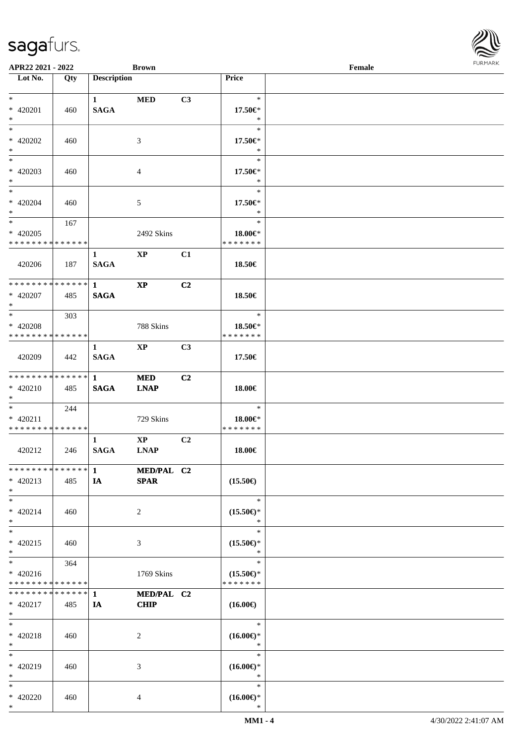| APR22 2021 - 2022                                        |     |                    | <b>Brown</b>              |                |                                      | Female |  |
|----------------------------------------------------------|-----|--------------------|---------------------------|----------------|--------------------------------------|--------|--|
| Lot No.                                                  | Qty | <b>Description</b> |                           |                | Price                                |        |  |
|                                                          |     |                    |                           |                |                                      |        |  |
| $*$                                                      |     | $\mathbf{1}$       | <b>MED</b>                | C3             | $\ast$                               |        |  |
| * 420201<br>$*$                                          | 460 | <b>SAGA</b>        |                           |                | 17.50€*<br>$\ast$                    |        |  |
| $\ast$                                                   |     |                    |                           |                | $\ast$                               |        |  |
| * 420202                                                 | 460 |                    |                           |                | 17.50€*                              |        |  |
| $\ast$                                                   |     |                    | 3                         |                | $\ast$                               |        |  |
| $*$                                                      |     |                    |                           |                | $\ast$                               |        |  |
| * 420203                                                 | 460 |                    | 4                         |                | 17.50€*                              |        |  |
| $\ast$                                                   |     |                    |                           |                | $\ast$                               |        |  |
| $\ddot{x}$                                               |     |                    |                           |                | $\ast$                               |        |  |
| * 420204                                                 | 460 |                    | 5                         |                | 17.50€*                              |        |  |
| $*$                                                      |     |                    |                           |                | $\ast$                               |        |  |
| $*$                                                      | 167 |                    |                           |                | $\ast$                               |        |  |
| $* 420205$                                               |     |                    | 2492 Skins                |                | 18.00€*                              |        |  |
| * * * * * * * * <mark>* * * * * *</mark>                 |     |                    |                           |                | * * * * * * *                        |        |  |
|                                                          |     | $\mathbf{1}$       | $\mathbf{X}\mathbf{P}$    | C1             |                                      |        |  |
| 420206                                                   | 187 | <b>SAGA</b>        |                           |                | 18.50€                               |        |  |
|                                                          |     |                    |                           |                |                                      |        |  |
| * * * * * * * * <mark>* * * * * * *</mark>               |     | $\mathbf{1}$       | $\mathbf{XP}$             | C <sub>2</sub> |                                      |        |  |
| * 420207                                                 | 485 | <b>SAGA</b>        |                           |                | 18.50€                               |        |  |
| $\ast$                                                   |     |                    |                           |                |                                      |        |  |
| $*$                                                      | 303 |                    |                           |                | $\ast$                               |        |  |
| * 420208                                                 |     |                    | 788 Skins                 |                | 18.50€*                              |        |  |
| * * * * * * * * <mark>* * * * * *</mark>                 |     |                    |                           |                | * * * * * * *                        |        |  |
|                                                          |     | 1                  | $\bold{XP}$               | C3             |                                      |        |  |
| 420209                                                   | 442 | <b>SAGA</b>        |                           |                | 17.50€                               |        |  |
| * * * * * * * * <mark>* * * * * * *</mark>               |     | $\mathbf{1}$       |                           | C2             |                                      |        |  |
| $* 420210$                                               | 485 | <b>SAGA</b>        | <b>MED</b><br><b>LNAP</b> |                | 18.00€                               |        |  |
| $*$                                                      |     |                    |                           |                |                                      |        |  |
| $*$ $*$                                                  | 244 |                    |                           |                | $\ast$                               |        |  |
| $* 420211$                                               |     |                    | 729 Skins                 |                | 18.00€*                              |        |  |
| * * * * * * * * * * * * * * *                            |     |                    |                           |                | * * * * * * *                        |        |  |
|                                                          |     | $\mathbf{1}$       | $\mathbf{X}\mathbf{P}$    | C2             |                                      |        |  |
| 420212                                                   | 246 | <b>SAGA</b>        | <b>LNAP</b>               |                | 18.00€                               |        |  |
|                                                          |     |                    |                           |                |                                      |        |  |
| * * * * * * * * * * * * * * *                            |     | $\mathbf{1}$       | MED/PAL C2                |                |                                      |        |  |
| $* 420213$                                               | 485 | IA                 | <b>SPAR</b>               |                | $(15.50\epsilon)$                    |        |  |
| $*$                                                      |     |                    |                           |                |                                      |        |  |
| $*$ $-$                                                  |     |                    |                           |                | $\ast$                               |        |  |
| $* 420214$                                               | 460 |                    | 2                         |                | $(15.50\epsilon)$ *                  |        |  |
| $\ast$                                                   |     |                    |                           |                | $\ast$                               |        |  |
| $*$                                                      |     |                    |                           |                | $\ast$                               |        |  |
| $* 420215$                                               | 460 |                    | 3                         |                | $(15.50\epsilon)$ *                  |        |  |
| $\ast$<br>$\overline{\mathbf{r}}$                        |     |                    |                           |                | *<br>$\ast$                          |        |  |
|                                                          | 364 |                    |                           |                |                                      |        |  |
| $* 420216$<br>* * * * * * * * <mark>* * * * * * *</mark> |     |                    | 1769 Skins                |                | $(15.50\epsilon)$ *<br>* * * * * * * |        |  |
| * * * * * * * * * * * * * * <mark>*</mark>               |     | $\mathbf{1}$       | MED/PAL C2                |                |                                      |        |  |
| * 420217                                                 | 485 | IA                 | <b>CHIP</b>               |                | $(16.00\epsilon)$                    |        |  |
| $*$                                                      |     |                    |                           |                |                                      |        |  |
| $\ddot{x}$                                               |     |                    |                           |                | $\ast$                               |        |  |
| $* 420218$                                               | 460 |                    | 2                         |                | $(16.00\epsilon)$ *                  |        |  |
| $\ast$                                                   |     |                    |                           |                | $\ast$                               |        |  |
| $*$                                                      |     |                    |                           |                | $\ast$                               |        |  |
| * 420219                                                 | 460 |                    | 3                         |                | $(16.00\epsilon)$ *                  |        |  |
| $\ast$                                                   |     |                    |                           |                | $\ast$                               |        |  |
| $\ddot{x}$                                               |     |                    |                           |                | $\ast$                               |        |  |
| * 420220                                                 | 460 |                    | 4                         |                | $(16.00\epsilon)$ *                  |        |  |
| $*$                                                      |     |                    |                           |                | $\ast$                               |        |  |

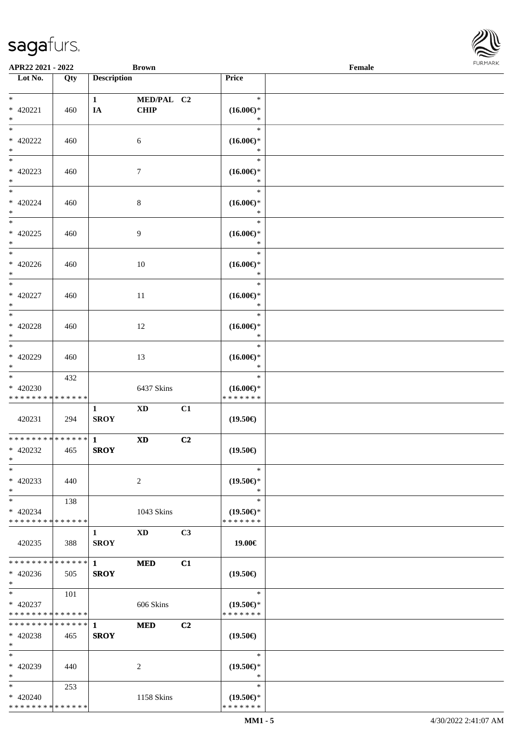

| APR22 2021 - 2022                    |                   |                    | <b>Brown</b>           |                |                               | Female |  |
|--------------------------------------|-------------------|--------------------|------------------------|----------------|-------------------------------|--------|--|
| Lot No.                              | $\overline{Q}$ ty | <b>Description</b> |                        |                | Price                         |        |  |
|                                      |                   |                    |                        |                |                               |        |  |
| $\ast$                               |                   | $\mathbf{1}$       | MED/PAL C2             |                | $\ast$                        |        |  |
| $* 420221$                           | 460               | IA                 | CHIP                   |                | $(16.00\epsilon)$ *           |        |  |
| $\ast$                               |                   |                    |                        |                | $\ast$                        |        |  |
| $\overline{\ast}$                    |                   |                    |                        |                | $\ast$                        |        |  |
| $*$ 420222                           | 460               |                    | 6                      |                | $(16.00\epsilon)$ *           |        |  |
| $\ast$                               |                   |                    |                        |                | $\ast$                        |        |  |
| $\overline{\phantom{a}^*}$           |                   |                    |                        |                | $\ast$                        |        |  |
| $* 420223$                           | 460               |                    | $\boldsymbol{7}$       |                | $(16.00\epsilon)$ *           |        |  |
| $\ast$                               |                   |                    |                        |                | $\ast$                        |        |  |
| $_{\ast}$                            |                   |                    |                        |                | $\ast$                        |        |  |
| $* 420224$                           | 460               |                    | $\,8\,$                |                | $(16.00\epsilon)$ *           |        |  |
| $\ast$<br>$\overline{\phantom{a}^*}$ |                   |                    |                        |                | $\ast$                        |        |  |
|                                      |                   |                    |                        |                | $\ast$                        |        |  |
| $* 420225$                           | 460               |                    | 9                      |                | $(16.00\epsilon)$ *           |        |  |
| $\ast$<br>$\overline{\phantom{1}}$   |                   |                    |                        |                | $\ast$<br>$\ast$              |        |  |
|                                      |                   |                    |                        |                |                               |        |  |
| $* 420226$<br>$\ast$                 | 460               |                    | 10                     |                | $(16.00\epsilon)$ *<br>$\ast$ |        |  |
| $\overline{\ast}$                    |                   |                    |                        |                | $\ast$                        |        |  |
| $* 420227$                           |                   |                    |                        |                | $(16.00\epsilon)$ *           |        |  |
| $\ast$                               | 460               |                    | 11                     |                | $\ast$                        |        |  |
| $\ast$                               |                   |                    |                        |                | $\ast$                        |        |  |
| $* 420228$                           | 460               |                    | 12                     |                | $(16.00\epsilon)$ *           |        |  |
| $\ast$                               |                   |                    |                        |                | $\ast$                        |        |  |
| $\overline{\phantom{1}}$             |                   |                    |                        |                | $\ast$                        |        |  |
| $* 420229$                           | 460               |                    | 13                     |                | $(16.00\epsilon)$ *           |        |  |
| $\ast$                               |                   |                    |                        |                | *                             |        |  |
| $_{\ast}$                            | 432               |                    |                        |                | $\ast$                        |        |  |
| * 420230                             |                   |                    | 6437 Skins             |                | $(16.00\epsilon)$ *           |        |  |
| * * * * * * * * * * * * * *          |                   |                    |                        |                | * * * * * * *                 |        |  |
|                                      |                   | $\mathbf{1}$       | $\mathbf{X}\mathbf{D}$ | C1             |                               |        |  |
| 420231                               | 294               | <b>SROY</b>        |                        |                | $(19.50\epsilon)$             |        |  |
|                                      |                   |                    |                        |                |                               |        |  |
| ******** <mark>******</mark>         |                   | $\mathbf{1}$       | $\mathbf{X}\mathbf{D}$ | C <sub>2</sub> |                               |        |  |
| $* 420232$                           | 465               | <b>SROY</b>        |                        |                | $(19.50\epsilon)$             |        |  |
| $*$                                  |                   |                    |                        |                |                               |        |  |
| $\ast$                               |                   |                    |                        |                | $\ast$                        |        |  |
| $* 420233$                           | 440               |                    | 2                      |                | $(19.50\epsilon)$ *           |        |  |
| $\ast$                               |                   |                    |                        |                | $\ast$                        |        |  |
| $\ast$                               | 138               |                    |                        |                | $\ast$                        |        |  |
| $* 420234$                           |                   |                    | 1043 Skins             |                | $(19.50\epsilon)$ *           |        |  |
| * * * * * * * * * * * * * *          |                   |                    |                        |                | * * * * * * *                 |        |  |
|                                      |                   | 1                  | XD                     | C <sub>3</sub> |                               |        |  |
| 420235                               | 388               | <b>SROY</b>        |                        |                | 19.00€                        |        |  |
| ******** <mark>******</mark>         |                   | $\mathbf{1}$       | <b>MED</b>             | C1             |                               |        |  |
| $* 420236$                           | 505               | <b>SROY</b>        |                        |                | $(19.50\epsilon)$             |        |  |
| $*$                                  |                   |                    |                        |                |                               |        |  |
| $*$                                  | 101               |                    |                        |                | $\ast$                        |        |  |
| $* 420237$                           |                   |                    | 606 Skins              |                | $(19.50\epsilon)$ *           |        |  |
| * * * * * * * * * * * * * *          |                   |                    |                        |                | * * * * * * *                 |        |  |
| * * * * * * * * * * * * * * *        |                   | $\mathbf{1}$       | <b>MED</b>             | C2             |                               |        |  |
| * 420238                             | 465               | <b>SROY</b>        |                        |                | $(19.50\epsilon)$             |        |  |
| $*$                                  |                   |                    |                        |                |                               |        |  |
| $\ast$                               |                   |                    |                        |                | $\ast$                        |        |  |
| * 420239                             | 440               |                    | 2                      |                | $(19.50\epsilon)$ *           |        |  |
| $\ast$                               |                   |                    |                        |                | $\ast$                        |        |  |
| $*$                                  | 253               |                    |                        |                | $\ast$                        |        |  |
| $* 420240$                           |                   |                    | 1158 Skins             |                | $(19.50\epsilon)$ *           |        |  |
| * * * * * * * * * * * * * *          |                   |                    |                        |                | * * * * * * *                 |        |  |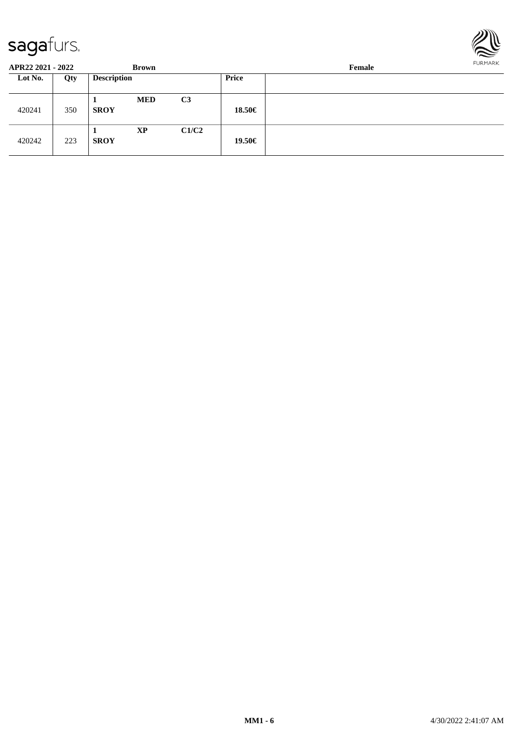

| APR22 2021 - 2022 |     | Brown              |            |                | Female       |  |  |  |
|-------------------|-----|--------------------|------------|----------------|--------------|--|--|--|
| Lot No.           | Qty | <b>Description</b> |            |                | <b>Price</b> |  |  |  |
| 420241            | 350 | - 1<br><b>SROY</b> | <b>MED</b> | C <sub>3</sub> | 18.50€       |  |  |  |
| 420242            | 223 | л<br><b>SROY</b>   | <b>XP</b>  | C1/C2          | 19.50€       |  |  |  |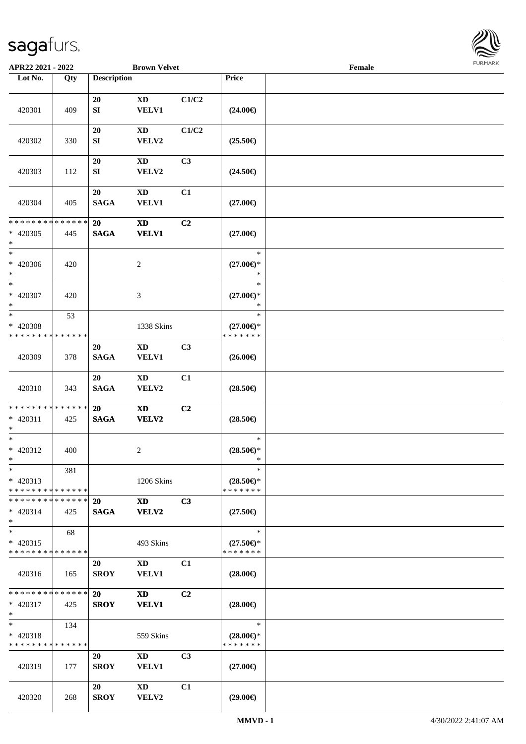

| APR22 2021 - 2022                          |     |                    | <b>Brown Velvet</b>                                                                                                                                                                                                            |                |                     | Female |  |
|--------------------------------------------|-----|--------------------|--------------------------------------------------------------------------------------------------------------------------------------------------------------------------------------------------------------------------------|----------------|---------------------|--------|--|
| Lot No.                                    | Qty | <b>Description</b> |                                                                                                                                                                                                                                |                | Price               |        |  |
|                                            |     |                    |                                                                                                                                                                                                                                |                |                     |        |  |
|                                            |     | 20                 | XD                                                                                                                                                                                                                             | C1/C2          |                     |        |  |
| 420301                                     | 409 | ${\bf S}{\bf I}$   | <b>VELV1</b>                                                                                                                                                                                                                   |                | $(24.00\epsilon)$   |        |  |
|                                            |     |                    |                                                                                                                                                                                                                                |                |                     |        |  |
|                                            |     | 20                 | XD                                                                                                                                                                                                                             | C1/C2          |                     |        |  |
| 420302                                     | 330 | SI                 | VELV2                                                                                                                                                                                                                          |                | $(25.50\epsilon)$   |        |  |
|                                            |     | 20                 | XD                                                                                                                                                                                                                             | C <sub>3</sub> |                     |        |  |
| 420303                                     | 112 | SI                 | VELV2                                                                                                                                                                                                                          |                | $(24.50\epsilon)$   |        |  |
|                                            |     |                    |                                                                                                                                                                                                                                |                |                     |        |  |
|                                            |     | 20                 | <b>XD</b>                                                                                                                                                                                                                      | C1             |                     |        |  |
| 420304                                     | 405 | <b>SAGA</b>        | <b>VELV1</b>                                                                                                                                                                                                                   |                | $(27.00\epsilon)$   |        |  |
|                                            |     |                    |                                                                                                                                                                                                                                |                |                     |        |  |
| * * * * * * * * * * * * * *                |     | 20                 | <b>XD</b>                                                                                                                                                                                                                      | C2             |                     |        |  |
| $* 420305$<br>$\ast$                       | 445 | <b>SAGA</b>        | <b>VELV1</b>                                                                                                                                                                                                                   |                | $(27.00\epsilon)$   |        |  |
| $*$                                        |     |                    |                                                                                                                                                                                                                                |                | $\ast$              |        |  |
| * 420306                                   | 420 |                    | 2                                                                                                                                                                                                                              |                | $(27.00\epsilon)$ * |        |  |
| $*$                                        |     |                    |                                                                                                                                                                                                                                |                | $\ast$              |        |  |
| $*$                                        |     |                    |                                                                                                                                                                                                                                |                | $\ast$              |        |  |
| * 420307                                   | 420 |                    | 3                                                                                                                                                                                                                              |                | $(27.00\epsilon)$ * |        |  |
| $*$                                        |     |                    |                                                                                                                                                                                                                                |                | $\ast$              |        |  |
| $*$                                        | 53  |                    |                                                                                                                                                                                                                                |                | $\ast$              |        |  |
| * 420308                                   |     |                    | 1338 Skins                                                                                                                                                                                                                     |                | $(27.00\epsilon)$ * |        |  |
| * * * * * * * * * * * * * *                |     |                    |                                                                                                                                                                                                                                |                | * * * * * * *       |        |  |
|                                            |     | 20                 | XD                                                                                                                                                                                                                             | C <sub>3</sub> |                     |        |  |
| 420309                                     | 378 | <b>SAGA</b>        | <b>VELV1</b>                                                                                                                                                                                                                   |                | $(26.00\epsilon)$   |        |  |
|                                            |     | 20                 | <b>XD</b>                                                                                                                                                                                                                      | C1             |                     |        |  |
| 420310                                     | 343 | <b>SAGA</b>        | VELV2                                                                                                                                                                                                                          |                | $(28.50\epsilon)$   |        |  |
|                                            |     |                    |                                                                                                                                                                                                                                |                |                     |        |  |
| * * * * * * * * * * * * * *                |     | 20                 | $\boldsymbol{\mathrm{XD}}$                                                                                                                                                                                                     | C2             |                     |        |  |
| $* 420311$                                 | 425 | <b>SAGA</b>        | <b>VELV2</b>                                                                                                                                                                                                                   |                | $(28.50\epsilon)$   |        |  |
| $\ast$                                     |     |                    |                                                                                                                                                                                                                                |                |                     |        |  |
| $*$                                        |     |                    |                                                                                                                                                                                                                                |                | $\ast$              |        |  |
| * 420312                                   | 400 |                    | 2                                                                                                                                                                                                                              |                | $(28.50\epsilon)$ * |        |  |
| $*$<br>$\ast$                              |     |                    |                                                                                                                                                                                                                                |                | $\ast$<br>$\ast$    |        |  |
| $* 420313$                                 | 381 |                    | 1206 Skins                                                                                                                                                                                                                     |                | $(28.50\epsilon)$ * |        |  |
| * * * * * * * * * * * * * * *              |     |                    |                                                                                                                                                                                                                                |                | * * * * * * *       |        |  |
| * * * * * * * * * * * * * * *              |     | <b>20</b>          | XD                                                                                                                                                                                                                             | C3             |                     |        |  |
| $* 420314$                                 | 425 | <b>SAGA</b>        | VELV2                                                                                                                                                                                                                          |                | $(27.50\epsilon)$   |        |  |
| $\ast$                                     |     |                    |                                                                                                                                                                                                                                |                |                     |        |  |
| $*$                                        | 68  |                    |                                                                                                                                                                                                                                |                | $\ast$              |        |  |
| $* 420315$                                 |     |                    | 493 Skins                                                                                                                                                                                                                      |                | $(27.50\epsilon)$ * |        |  |
| * * * * * * * * * * * * * *                |     |                    |                                                                                                                                                                                                                                |                | * * * * * * *       |        |  |
|                                            |     | 20                 | XD and the set of the set of the set of the set of the set of the set of the set of the set of the set of the set of the set of the set of the set of the set of the set of the set of the set of the set of the set of the se | C1             |                     |        |  |
| 420316                                     | 165 | <b>SROY</b>        | <b>VELV1</b>                                                                                                                                                                                                                   |                | $(28.00\epsilon)$   |        |  |
| * * * * * * * * <mark>* * * * * *</mark> * |     | <b>20</b>          | <b>XD</b>                                                                                                                                                                                                                      | C2             |                     |        |  |
| $* 420317$                                 | 425 | <b>SROY</b>        | <b>VELV1</b>                                                                                                                                                                                                                   |                | $(28.00\epsilon)$   |        |  |
| $*$                                        |     |                    |                                                                                                                                                                                                                                |                |                     |        |  |
| $*$ $-$                                    | 134 |                    |                                                                                                                                                                                                                                |                | $\ast$              |        |  |
| * 420318                                   |     |                    | 559 Skins                                                                                                                                                                                                                      |                | $(28.00\epsilon)$ * |        |  |
| * * * * * * * * * * * * * *                |     |                    |                                                                                                                                                                                                                                |                | * * * * * * *       |        |  |
|                                            |     | 20                 | $\mathbf{X}\mathbf{D}$                                                                                                                                                                                                         | C <sub>3</sub> |                     |        |  |
| 420319                                     | 177 | <b>SROY</b>        | <b>VELV1</b>                                                                                                                                                                                                                   |                | $(27.00\epsilon)$   |        |  |
|                                            |     |                    |                                                                                                                                                                                                                                |                |                     |        |  |
| 420320                                     | 268 | 20<br><b>SROY</b>  | XD<br>VELV2                                                                                                                                                                                                                    | C1             | $(29.00\epsilon)$   |        |  |
|                                            |     |                    |                                                                                                                                                                                                                                |                |                     |        |  |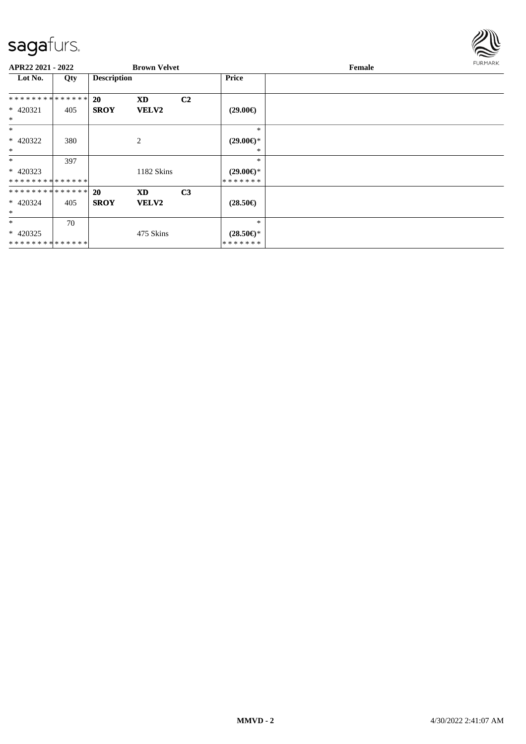

| APR22 2021 - 2022             |     |                    | <b>Brown Velvet</b> |                |                                | <b>FURMARK</b><br>Female |  |  |
|-------------------------------|-----|--------------------|---------------------|----------------|--------------------------------|--------------------------|--|--|
| Lot No.                       | Qty | <b>Description</b> |                     |                | <b>Price</b>                   |                          |  |  |
| * * * * * * * * * * * * * * * |     | 20                 | <b>XD</b>           | C <sub>2</sub> |                                |                          |  |  |
| $* 420321$<br>$\ast$          | 405 | <b>SROY</b>        | <b>VELV2</b>        |                | $(29.00\epsilon)$              |                          |  |  |
| $*$                           |     |                    |                     |                | $\ast$                         |                          |  |  |
| $* 420322$                    | 380 |                    | $\overline{2}$      |                | $(29.00\epsilon)$ *            |                          |  |  |
| $\ast$                        |     |                    |                     |                | ∗                              |                          |  |  |
| $\ast$                        | 397 |                    |                     |                | $\ast$                         |                          |  |  |
| $* 420323$                    |     |                    | 1182 Skins          |                | $(29.00\epsilon)$ *            |                          |  |  |
| **************                |     |                    |                     |                | *******                        |                          |  |  |
| * * * * * * * * * * * * * * * |     | <b>20</b>          | XD                  | C <sub>3</sub> |                                |                          |  |  |
| * 420324<br>$\ast$            | 405 | <b>SROY</b>        | <b>VELV2</b>        |                | $(28.50\epsilon)$              |                          |  |  |
| $\ast$                        | 70  |                    |                     |                | $\ast$                         |                          |  |  |
| $* 420325$<br>**************  |     |                    | 475 Skins           |                | $(28.50\epsilon)$ *<br>******* |                          |  |  |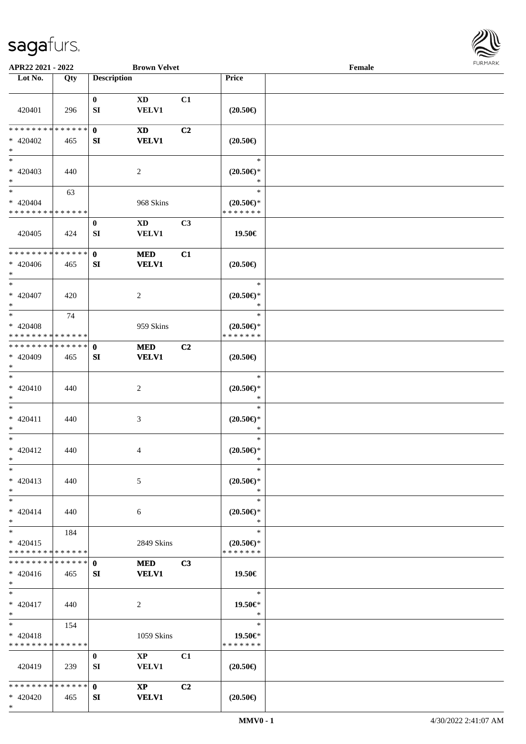\*



| APR22 2021 - 2022                         |     |                    | <b>Brown Velvet</b>    |                |                                                         | Female |  |
|-------------------------------------------|-----|--------------------|------------------------|----------------|---------------------------------------------------------|--------|--|
| Lot No.                                   | Qty | <b>Description</b> |                        |                | Price                                                   |        |  |
|                                           |     |                    |                        |                |                                                         |        |  |
|                                           |     | $\bf{0}$           | <b>XD</b>              | C1             |                                                         |        |  |
| 420401                                    | 296 | SI                 | <b>VELV1</b>           |                | $(20.50\epsilon)$                                       |        |  |
|                                           |     |                    |                        |                |                                                         |        |  |
| * * * * * * * * * * * * * *               |     | $\mathbf{0}$       | <b>XD</b>              | C <sub>2</sub> |                                                         |        |  |
| $* 420402$                                | 465 | SI                 | <b>VELV1</b>           |                | $(20.50\in)$                                            |        |  |
| $\ast$<br>$\ast$                          |     |                    |                        |                |                                                         |        |  |
|                                           |     |                    |                        |                | $\ast$                                                  |        |  |
| $* 420403$                                | 440 |                    | $\sqrt{2}$             |                | $(20.50\mathnormal{\in}\mathcal{)^{\! \! \times}}$<br>* |        |  |
| $\ast$<br>$\ast$                          |     |                    |                        |                | $\ast$                                                  |        |  |
|                                           | 63  |                    |                        |                |                                                         |        |  |
| $* 420404$<br>* * * * * * * * * * * * * * |     |                    | 968 Skins              |                | $(20.50\epsilon)$ *<br>* * * * * * *                    |        |  |
|                                           |     | $\bf{0}$           | $\mathbf{X}\mathbf{D}$ | C3             |                                                         |        |  |
| 420405                                    | 424 | SI                 | <b>VELV1</b>           |                | 19.50€                                                  |        |  |
|                                           |     |                    |                        |                |                                                         |        |  |
| * * * * * * * * * * * * * *               |     | $\mathbf{0}$       | <b>MED</b>             | C1             |                                                         |        |  |
| $* 420406$                                | 465 | SI                 | <b>VELV1</b>           |                | $(20.50\epsilon)$                                       |        |  |
| $\ast$                                    |     |                    |                        |                |                                                         |        |  |
| $\ast$                                    |     |                    |                        |                | $\ast$                                                  |        |  |
| $* 420407$                                | 420 |                    | $\overline{c}$         |                | $(20.50\epsilon)$ *                                     |        |  |
| $\ast$                                    |     |                    |                        |                | $\ast$                                                  |        |  |
| $*$                                       | 74  |                    |                        |                | $\ast$                                                  |        |  |
| * 420408                                  |     |                    | 959 Skins              |                | $(20.50\epsilon)$ *                                     |        |  |
| * * * * * * * * * * * * * *               |     |                    |                        |                | * * * * * * *                                           |        |  |
| **************                            |     | $\mathbf{0}$       | <b>MED</b>             | C <sub>2</sub> |                                                         |        |  |
| $* 420409$                                | 465 | SI                 | <b>VELV1</b>           |                | $(20.50\in)$                                            |        |  |
| $*$                                       |     |                    |                        |                |                                                         |        |  |
| $\ast$                                    |     |                    |                        |                | $\ast$                                                  |        |  |
| $* 420410$                                | 440 |                    | $\sqrt{2}$             |                | $(20.50\mathnormal{\in}\mathcal{)^{\! \! \times}}$      |        |  |
| $\ast$                                    |     |                    |                        |                | $\ast$                                                  |        |  |
| $\ast$                                    |     |                    |                        |                | $\ast$                                                  |        |  |
| $* 420411$                                | 440 |                    | 3                      |                | $(20.50\epsilon)$ *                                     |        |  |
| $\ast$                                    |     |                    |                        |                | $\ast$                                                  |        |  |
| $\ast$                                    |     |                    |                        |                | $\ast$                                                  |        |  |
| $* 420412$                                | 440 |                    | 4                      |                | $(20.50 \in )^*$                                        |        |  |
| $*$<br>$\ast$                             |     |                    |                        |                | $\ast$<br>$\ast$                                        |        |  |
|                                           |     |                    |                        |                |                                                         |        |  |
| $* 420413$<br>$*$                         | 440 |                    | 5                      |                | $(20.50 \in )^*$<br>$\ast$                              |        |  |
| $\ast$                                    |     |                    |                        |                | $\ast$                                                  |        |  |
| $* 420414$                                | 440 |                    | 6                      |                | $(20.50 \in )^*$                                        |        |  |
| $*$                                       |     |                    |                        |                | $\ast$                                                  |        |  |
| $*$                                       | 184 |                    |                        |                | $\ast$                                                  |        |  |
| $* 420415$                                |     |                    | 2849 Skins             |                | $(20.50\epsilon)$ *                                     |        |  |
| * * * * * * * * * * * * * *               |     |                    |                        |                | * * * * * * *                                           |        |  |
| * * * * * * * * * * * * * * *             |     | $\mathbf{0}$       | <b>MED</b>             | C3             |                                                         |        |  |
| $* 420416$                                | 465 | SI                 | <b>VELV1</b>           |                | 19.50€                                                  |        |  |
| $*$                                       |     |                    |                        |                |                                                         |        |  |
| $*$                                       |     |                    |                        |                | $\ast$                                                  |        |  |
| $* 420417$                                | 440 |                    | 2                      |                | 19.50€*                                                 |        |  |
| $*$                                       |     |                    |                        |                | $\ast$                                                  |        |  |
| $*$                                       | 154 |                    |                        |                | $\ast$                                                  |        |  |
| $* 420418$                                |     |                    | 1059 Skins             |                | 19.50€*                                                 |        |  |
| * * * * * * * * * * * * * *               |     |                    |                        |                | * * * * * * *                                           |        |  |
|                                           |     | $\bf{0}$           | $\mathbf{XP}$          | C1             |                                                         |        |  |
| 420419                                    | 239 | SI                 | <b>VELV1</b>           |                | $(20.50\epsilon)$                                       |        |  |
|                                           |     |                    |                        |                |                                                         |        |  |
| * * * * * * * * * * * * * * *             |     | $\mathbf{0}$       | $\mathbf{X}\mathbf{P}$ | C <sub>2</sub> |                                                         |        |  |
| $* 420420$                                | 465 | SI                 | <b>VELV1</b>           |                | $(20.50\epsilon)$                                       |        |  |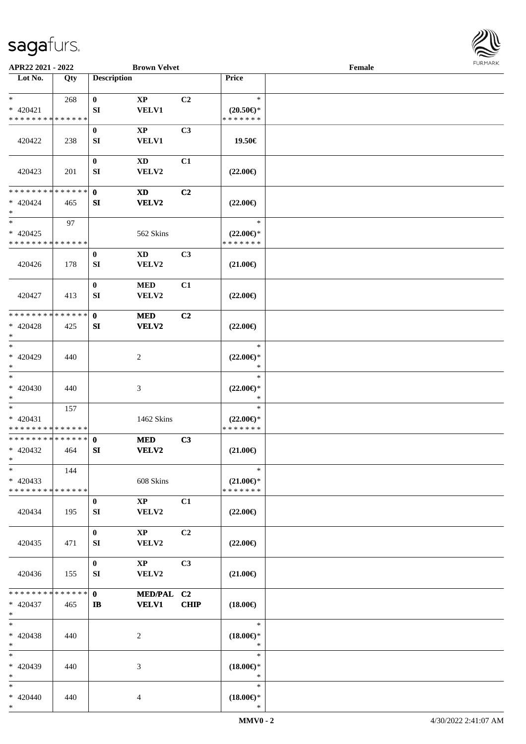

| APR22 2021 - 2022                                   |     | <b>Brown Velvet</b>                                              |             |                                                | Female |  |
|-----------------------------------------------------|-----|------------------------------------------------------------------|-------------|------------------------------------------------|--------|--|
| Lot No.                                             | Qty | <b>Description</b>                                               |             | Price                                          |        |  |
| $\ast$<br>$* 420421$<br>* * * * * * * * * * * * * * | 268 | $\bf{0}$<br>$\bold{XP}$<br><b>VELV1</b><br>SI                    | C2          | $\ast$<br>$(20.50 \in )^*$<br>* * * * * * *    |        |  |
| 420422                                              | 238 | $\boldsymbol{0}$<br>$\mathbf{X}\mathbf{P}$<br><b>VELV1</b><br>SI | C3          | 19.50€                                         |        |  |
| 420423                                              | 201 | $\boldsymbol{0}$<br><b>XD</b><br>SI<br>VELV2                     | C1          | $(22.00\epsilon)$                              |        |  |
| * * * * * * * * * * * * * *<br>$* 420424$<br>$\ast$ | 465 | $\mathbf{0}$<br>$\boldsymbol{\mathrm{XD}}$<br>SI<br><b>VELV2</b> | C2          | $(22.00\epsilon)$                              |        |  |
| $\ast$<br>$* 420425$<br>* * * * * * * * * * * * * * | 97  | 562 Skins                                                        |             | $\ast$<br>$(22.00\epsilon)$ *<br>* * * * * * * |        |  |
| 420426                                              | 178 | $\bf{0}$<br>$\mathbf{X}\mathbf{D}$<br>SI<br>VELV2                | C3          | $(21.00\epsilon)$                              |        |  |
| 420427                                              | 413 | $\pmb{0}$<br>$\bf MED$<br>SI<br>VELV2                            | C1          | $(22.00\epsilon)$                              |        |  |
| * * * * * * * * * * * * * *<br>$* 420428$<br>$\ast$ | 425 | $\mathbf 0$<br><b>MED</b><br>SI<br><b>VELV2</b>                  | C2          | $(22.00\epsilon)$                              |        |  |
| $\ast$<br>$* 420429$<br>$\ast$                      | 440 | $\boldsymbol{2}$                                                 |             | $\ast$<br>$(22.00\epsilon)$ *<br>$\ast$        |        |  |
| $\overline{\phantom{1}}$<br>$* 420430$<br>$\ast$    | 440 | $\mathfrak{Z}$                                                   |             | $\ast$<br>$(22.00\epsilon)$ *<br>$\ast$        |        |  |
| $\ast$<br>$* 420431$<br>* * * * * * * * * * * * * * | 157 | 1462 Skins                                                       |             | $\ast$<br>$(22.00\epsilon)$ *<br>* * * * * * * |        |  |
| * * * * * * * * * * * * * *<br>$* 420432$<br>$*$    | 464 | $\mathbf 0$<br><b>MED</b><br>VELV2<br>SI                         | C3          | $(21.00\epsilon)$                              |        |  |
| $\ast$<br>$* 420433$<br>* * * * * * * * * * * * * * | 144 | 608 Skins                                                        |             | $\ast$<br>$(21.00\epsilon)$ *<br>* * * * * * * |        |  |
| 420434                                              | 195 | $\mathbf{XP}$<br>$\bf{0}$<br>VELV2<br>SI                         | C1          | $(22.00\epsilon)$                              |        |  |
| 420435                                              | 471 | $\bf{0}$<br>$\mathbf{X}\mathbf{P}$<br>VELV2<br>SI                | C2          | $(22.00\epsilon)$                              |        |  |
| 420436                                              | 155 | $\bf{0}$<br>$\mathbf{X}\mathbf{P}$<br>VELV2<br>SI                | C3          | $(21.00\epsilon)$                              |        |  |
| * * * * * * * * * * * * * *<br>$* 420437$<br>$*$    | 465 | $\mathbf{0}$<br>MED/PAL C2<br><b>VELV1</b><br>$\mathbf{I}$       | <b>CHIP</b> | $(18.00\epsilon)$                              |        |  |
| $\ast$<br>$* 420438$<br>$\ast$                      | 440 | 2                                                                |             | $\ast$<br>$(18.00\epsilon)$ *<br>$\ast$        |        |  |
| $\ast$<br>* 420439<br>$\ast$                        | 440 | 3                                                                |             | $\ast$<br>$(18.00\epsilon)$ *<br>$\ast$        |        |  |
| $*$<br>$* 420440$<br>$*$                            | 440 | 4                                                                |             | $\ast$<br>$(18.00\epsilon)$ *<br>$\ast$        |        |  |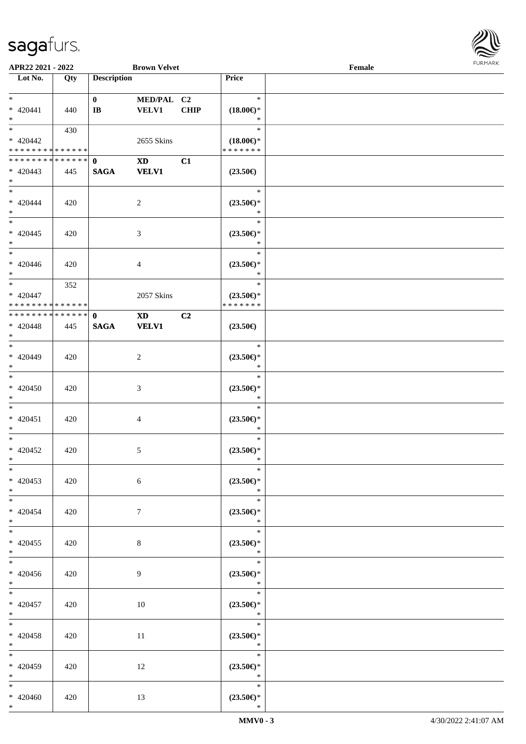

| APR22 2021 - 2022             |     |                         | <b>Brown Velvet</b> |             |                               | Female |  |
|-------------------------------|-----|-------------------------|---------------------|-------------|-------------------------------|--------|--|
| Lot No.                       | Qty | <b>Description</b>      |                     |             | Price                         |        |  |
|                               |     |                         |                     |             |                               |        |  |
| $*$                           |     | $\mathbf{0}$            | MED/PAL C2          |             | $\ast$                        |        |  |
| $* 420441$                    | 440 | $\mathbf{I} \mathbf{B}$ | <b>VELV1</b>        | <b>CHIP</b> | $(18.00\epsilon)$ *           |        |  |
| $*$                           |     |                         |                     |             | $\ast$                        |        |  |
|                               | 430 |                         |                     |             | $\ast$                        |        |  |
| $* 420442$                    |     |                         | 2655 Skins          |             | $(18.00\epsilon)$ *           |        |  |
| * * * * * * * * * * * * * *   |     |                         |                     |             | * * * * * * *                 |        |  |
| * * * * * * * * * * * * * * * |     | $\mathbf{0}$            | <b>XD</b>           | C1          |                               |        |  |
| $* 420443$                    | 445 | <b>SAGA</b>             | <b>VELV1</b>        |             | $(23.50\epsilon)$             |        |  |
| $*$                           |     |                         |                     |             |                               |        |  |
| $*$                           |     |                         |                     |             | $\ast$                        |        |  |
|                               |     |                         |                     |             |                               |        |  |
| $* 420444$                    | 420 |                         | 2                   |             | $(23.50\epsilon)$ *<br>$\ast$ |        |  |
| $*$                           |     |                         |                     |             |                               |        |  |
|                               |     |                         |                     |             | $\ast$                        |        |  |
| $* 420445$                    | 420 |                         | 3                   |             | $(23.50\epsilon)$ *           |        |  |
| $*$                           |     |                         |                     |             | $\ast$                        |        |  |
| $*$                           |     |                         |                     |             | $\ast$                        |        |  |
| $* 420446$                    | 420 |                         | 4                   |             | $(23.50\epsilon)$ *           |        |  |
| $*$                           |     |                         |                     |             | $\ast$                        |        |  |
| $*$                           | 352 |                         |                     |             | $\ast$                        |        |  |
| * 420447                      |     |                         | 2057 Skins          |             | $(23.50\epsilon)$ *           |        |  |
| * * * * * * * * * * * * * * * |     |                         |                     |             | * * * * * * *                 |        |  |
| * * * * * * * * * * * * * * * |     | $\mathbf{0}$            | <b>XD</b>           | C2          |                               |        |  |
| $* 420448$                    | 445 | <b>SAGA</b>             | <b>VELV1</b>        |             | $(23.50\epsilon)$             |        |  |
| $*$                           |     |                         |                     |             |                               |        |  |
| $*$                           |     |                         |                     |             | $\ast$                        |        |  |
| * 420449                      | 420 |                         | 2                   |             | $(23.50\epsilon)$ *           |        |  |
| $*$                           |     |                         |                     |             | $\ast$                        |        |  |
|                               |     |                         |                     |             | $\ast$                        |        |  |
| $* 420450$                    | 420 |                         | 3                   |             | $(23.50\epsilon)$ *           |        |  |
| $*$                           |     |                         |                     |             | $\ast$                        |        |  |
| $*$                           |     |                         |                     |             | $\ast$                        |        |  |
|                               |     |                         |                     |             |                               |        |  |
| $* 420451$                    | 420 |                         | $\overline{4}$      |             | $(23.50\epsilon)$ *<br>$\ast$ |        |  |
| $*$                           |     |                         |                     |             | $\ast$                        |        |  |
| $*$                           |     |                         |                     |             |                               |        |  |
| $* 420452$                    | 420 |                         | $\mathfrak{S}$      |             | $(23.50\epsilon)$ *           |        |  |
| $*$ $*$                       |     |                         |                     |             | $\ast$                        |        |  |
| $*$                           |     |                         |                     |             | $\ast$                        |        |  |
| $* 420453$                    | 420 |                         | 6                   |             | $(23.50\epsilon)$ *           |        |  |
| $*$                           |     |                         |                     |             | $\ast$                        |        |  |
| $*$                           |     |                         |                     |             | $\ast$                        |        |  |
| $* 420454$                    | 420 |                         | $7\phantom{.0}$     |             | $(23.50\epsilon)$ *           |        |  |
| $*$                           |     |                         |                     |             | $\ast$                        |        |  |
| $*$                           |     |                         |                     |             | $\ast$                        |        |  |
| $* 420455$                    | 420 |                         | 8                   |             | $(23.50\epsilon)$ *           |        |  |
| $*$                           |     |                         |                     |             | $\ast$                        |        |  |
| $*$                           |     |                         |                     |             | $\ast$                        |        |  |
| $* 420456$                    | 420 |                         | 9                   |             | $(23.50\epsilon)$ *           |        |  |
| $*$                           |     |                         |                     |             | $\ast$                        |        |  |
| $*$                           |     |                         |                     |             | $\ast$                        |        |  |
| $* 420457$                    | 420 |                         | 10                  |             | $(23.50\epsilon)$ *           |        |  |
| $*$                           |     |                         |                     |             | $\ast$                        |        |  |
| $*$                           |     |                         |                     |             | $\ast$                        |        |  |
| $* 420458$                    | 420 |                         | 11                  |             | $(23.50\epsilon)$ *           |        |  |
| $*$                           |     |                         |                     |             | $\ast$                        |        |  |
| $*$                           |     |                         |                     |             | $\ast$                        |        |  |
|                               |     |                         |                     |             |                               |        |  |
| * 420459                      | 420 |                         | 12                  |             | $(23.50\epsilon)$ *           |        |  |
| $*$                           |     |                         |                     |             | $\ast$                        |        |  |
| $*$                           |     |                         |                     |             | $\ast$                        |        |  |
| $* 420460$                    | 420 |                         | 13                  |             | $(23.50\epsilon)$ *           |        |  |
| $*$                           |     |                         |                     |             | $\ast$                        |        |  |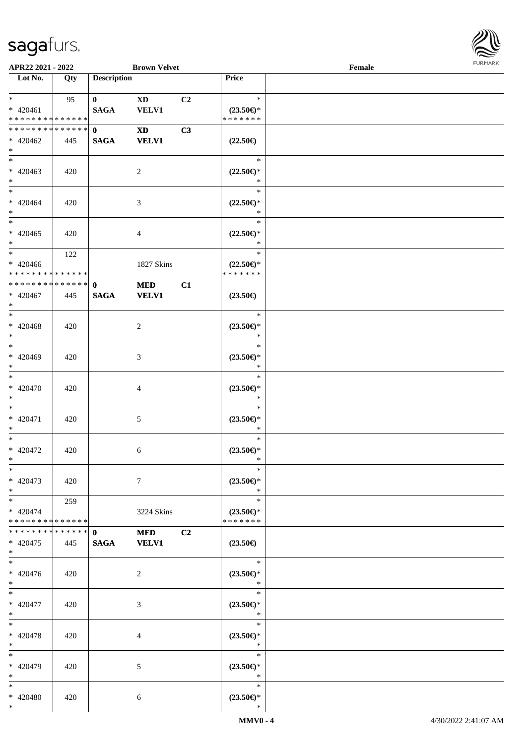

| APR22 2021 - 2022                                      |     |                             | <b>Brown Velvet</b>        |                |                                                | Female |  |
|--------------------------------------------------------|-----|-----------------------------|----------------------------|----------------|------------------------------------------------|--------|--|
| Lot No.                                                | Qty | <b>Description</b>          |                            |                | Price                                          |        |  |
| $*$ $*$<br>$* 420461$<br>* * * * * * * * * * * * * * * | 95  | $\mathbf{0}$<br><b>SAGA</b> | <b>XD</b><br>VELV1         | C <sub>2</sub> | $\ast$<br>$(23.50\epsilon)$ *<br>* * * * * * * |        |  |
| * * * * * * * * * * * * * * *<br>$* 420462$<br>$*$     | 445 | $\mathbf{0}$<br><b>SAGA</b> | <b>XD</b><br><b>VELV1</b>  | C3             | $(22.50\epsilon)$                              |        |  |
| $* 420463$<br>$*$                                      | 420 |                             | 2                          |                | $\ast$<br>$(22.50 \in )^*$<br>$\ast$           |        |  |
| $*$<br>$* 420464$<br>$*$                               | 420 |                             | 3                          |                | $\ast$<br>$(22.50\epsilon)$ *<br>$\ast$        |        |  |
| $*$<br>$* 420465$<br>$*$                               | 420 |                             | $\overline{4}$             |                | $\ast$<br>$(22.50\epsilon)$ *<br>$\ast$        |        |  |
| $*$<br>$* 420466$<br>* * * * * * * * * * * * * * *     | 122 |                             | 1827 Skins                 |                | $\ast$<br>$(22.50\epsilon)$ *<br>* * * * * * * |        |  |
| ******** <mark>******</mark><br>$* 420467$<br>$*$      | 445 | $\mathbf{0}$<br><b>SAGA</b> | <b>MED</b><br><b>VELV1</b> | C1             | $(23.50\epsilon)$                              |        |  |
| $* 420468$<br>$*$                                      | 420 |                             | 2                          |                | $\ast$<br>$(23.50\epsilon)$ *<br>$\ast$        |        |  |
| $*$<br>$* 420469$<br>$*$                               | 420 |                             | 3                          |                | $\ast$<br>$(23.50\epsilon)$ *<br>*             |        |  |
| $*$<br>$* 420470$<br>$*$                               | 420 |                             | 4                          |                | $\ast$<br>$(23.50\epsilon)$ *<br>$\ast$        |        |  |
| $*$<br>$* 420471$<br>$*$                               | 420 |                             | 5                          |                | $\ast$<br>$(23.50\epsilon)$ *<br>$\ast$        |        |  |
| $*$<br>* 420472<br>$*$ $-$                             | 420 |                             | 6                          |                | $\ast$<br>$(23.50\epsilon)$ *<br>$\ast$        |        |  |
| $*$<br>$* 420473$<br>$*$                               | 420 |                             | $\tau$                     |                | $\ast$<br>$(23.50\epsilon)$ *<br>$\ast$        |        |  |
| $*$ $-$<br>$* 420474$<br>* * * * * * * * * * * * * * * | 259 |                             | 3224 Skins                 |                | $\ast$<br>$(23.50\epsilon)$ *<br>* * * * * * * |        |  |
| * * * * * * * * * * * * * * *<br>$* 420475$<br>$*$     | 445 | $\mathbf{0}$<br><b>SAGA</b> | <b>MED</b><br><b>VELV1</b> | C2             | $(23.50\epsilon)$                              |        |  |
| $*$<br>$* 420476$<br>$*$                               | 420 |                             | 2                          |                | $\ast$<br>$(23.50\epsilon)$ *<br>$\ast$        |        |  |
| $*$<br>$* 420477$<br>$*$                               | 420 |                             | 3                          |                | $\ast$<br>$(23.50\epsilon)$ *<br>$\ast$        |        |  |
| $*$<br>$* 420478$<br>$*$                               | 420 |                             | 4                          |                | $\ast$<br>$(23.50\epsilon)$ *<br>$\ast$        |        |  |
| $*$<br>* 420479<br>$*$                                 | 420 |                             | 5                          |                | $\ast$<br>$(23.50\epsilon)$ *<br>$\ast$        |        |  |
| $*$<br>* 420480<br>$*$                                 | 420 |                             | 6                          |                | $\ast$<br>$(23.50\epsilon)$ *<br>$\ast$        |        |  |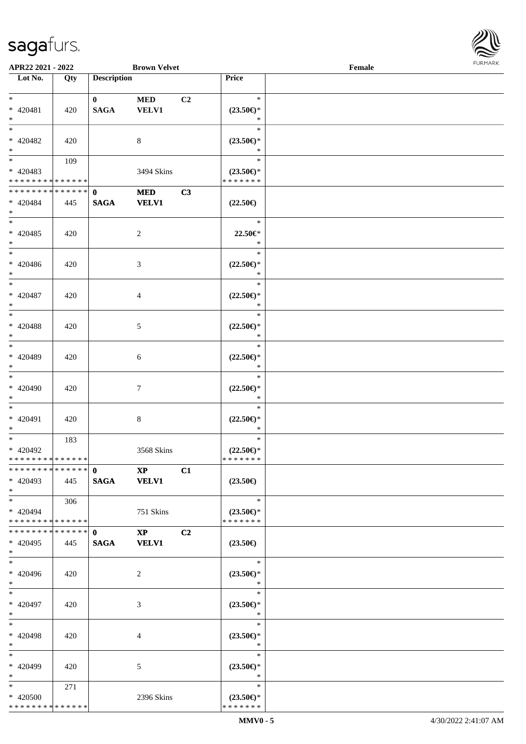

| APR22 2021 - 2022             |     |                    | <b>Brown Velvet</b>    |                |                       | Female |  |
|-------------------------------|-----|--------------------|------------------------|----------------|-----------------------|--------|--|
| Lot No.                       | Qty | <b>Description</b> |                        |                | Price                 |        |  |
|                               |     |                    |                        |                |                       |        |  |
| $*$                           |     | $\bf{0}$           | <b>MED</b>             | C <sub>2</sub> | $\ast$                |        |  |
| * 420481                      | 420 | <b>SAGA</b>        | <b>VELV1</b>           |                | $(23.50\epsilon)$ *   |        |  |
| $*$                           |     |                    |                        |                | $\ast$                |        |  |
| $*$                           |     |                    |                        |                | $\ast$                |        |  |
| * 420482                      | 420 |                    | 8                      |                | $(23.50\epsilon)$ *   |        |  |
| $*$                           |     |                    |                        |                | $\ast$                |        |  |
|                               | 109 |                    |                        |                | $\ast$                |        |  |
| * 420483                      |     |                    | 3494 Skins             |                | $(23.50\epsilon)$ *   |        |  |
| * * * * * * * * * * * * * *   |     |                    |                        |                | * * * * * * *         |        |  |
| ******** <mark>******</mark>  |     |                    |                        |                |                       |        |  |
|                               |     | $\mathbf{0}$       | <b>MED</b>             | C3             |                       |        |  |
| * 420484                      | 445 | <b>SAGA</b>        | <b>VELV1</b>           |                | $(22.50\epsilon)$     |        |  |
| $*$                           |     |                    |                        |                |                       |        |  |
| $*$                           |     |                    |                        |                | $\ast$                |        |  |
| $* 420485$                    | 420 |                    | $\overline{c}$         |                | 22.50€*               |        |  |
| $*$                           |     |                    |                        |                | $\ast$                |        |  |
| $*$                           |     |                    |                        |                | $\ast$                |        |  |
| $* 420486$                    | 420 |                    | 3                      |                | $(22.50 \in )^*$      |        |  |
| $*$                           |     |                    |                        |                | $\ast$                |        |  |
| $*$                           |     |                    |                        |                | $\ast$                |        |  |
| $* 420487$                    | 420 |                    | 4                      |                | $(22.50\epsilon)$ *   |        |  |
| $*$                           |     |                    |                        |                | $\ast$                |        |  |
| $*$                           |     |                    |                        |                | $\ast$                |        |  |
| * 420488                      | 420 |                    | 5                      |                | $(22.50\epsilon)$ *   |        |  |
| $*$                           |     |                    |                        |                | $\ast$                |        |  |
| $*$                           |     |                    |                        |                | $\ast$                |        |  |
|                               |     |                    |                        |                |                       |        |  |
| $* 420489$                    | 420 |                    | 6                      |                | $(22.50\epsilon)$ *   |        |  |
| $*$                           |     |                    |                        |                | $\ast$                |        |  |
|                               |     |                    |                        |                | $\ast$                |        |  |
| $* 420490$                    | 420 |                    | 7                      |                | $(22.50\mathbb{E})^*$ |        |  |
| $*$                           |     |                    |                        |                | $\ast$                |        |  |
| $*$                           |     |                    |                        |                | $\ast$                |        |  |
| * 420491                      | 420 |                    | 8                      |                | $(22.50\epsilon)$ *   |        |  |
| $*$                           |     |                    |                        |                | $\ast$                |        |  |
| $*$                           | 183 |                    |                        |                | $\ast$                |        |  |
| * 420492                      |     |                    | 3568 Skins             |                | $(22.50\epsilon)$ *   |        |  |
| * * * * * * * * * * * * * * * |     |                    |                        |                | *******               |        |  |
| * * * * * * * * * * * * * * * |     | $\mathbf{0}$       | $\mathbf{X}\mathbf{P}$ | C1             |                       |        |  |
| * 420493                      | 445 | <b>SAGA</b>        | <b>VELV1</b>           |                | $(23.50\epsilon)$     |        |  |
|                               |     |                    |                        |                |                       |        |  |
| $*$                           |     |                    |                        |                | $\ast$                |        |  |
| $*$                           | 306 |                    |                        |                |                       |        |  |
| * 420494                      |     |                    | 751 Skins              |                | $(23.50\epsilon)$ *   |        |  |
| * * * * * * * * * * * * * * * |     |                    |                        |                | * * * * * * *         |        |  |
| ************** 0              |     |                    | $\mathbf{XP}$          | C2             |                       |        |  |
| $* 420495$                    | 445 | <b>SAGA</b>        | <b>VELV1</b>           |                | $(23.50\epsilon)$     |        |  |
| $*$                           |     |                    |                        |                |                       |        |  |
| $*$                           |     |                    |                        |                | $\ast$                |        |  |
| $* 420496$                    | 420 |                    | 2                      |                | $(23.50\epsilon)$ *   |        |  |
| $*$                           |     |                    |                        |                | $\ast$                |        |  |
| $*$                           |     |                    |                        |                | $\ast$                |        |  |
| * 420497                      | 420 |                    | 3                      |                | $(23.50\epsilon)$ *   |        |  |
| $*$                           |     |                    |                        |                | $\ast$                |        |  |
| $*$                           |     |                    |                        |                | $\ast$                |        |  |
| $* 420498$                    |     |                    |                        |                | $(23.50\epsilon)$ *   |        |  |
| $*$                           | 420 |                    | 4                      |                | $\ast$                |        |  |
| $*$                           |     |                    |                        |                |                       |        |  |
|                               |     |                    |                        |                | $\ast$                |        |  |
| * 420499                      | 420 |                    | 5                      |                | $(23.50\epsilon)$ *   |        |  |
| $*$                           |     |                    |                        |                | $\ast$                |        |  |
| $*$ $*$                       | 271 |                    |                        |                | $\ast$                |        |  |
| * 420500                      |     |                    | 2396 Skins             |                | $(23.50\epsilon)$ *   |        |  |
| * * * * * * * * * * * * * *   |     |                    |                        |                | * * * * * * *         |        |  |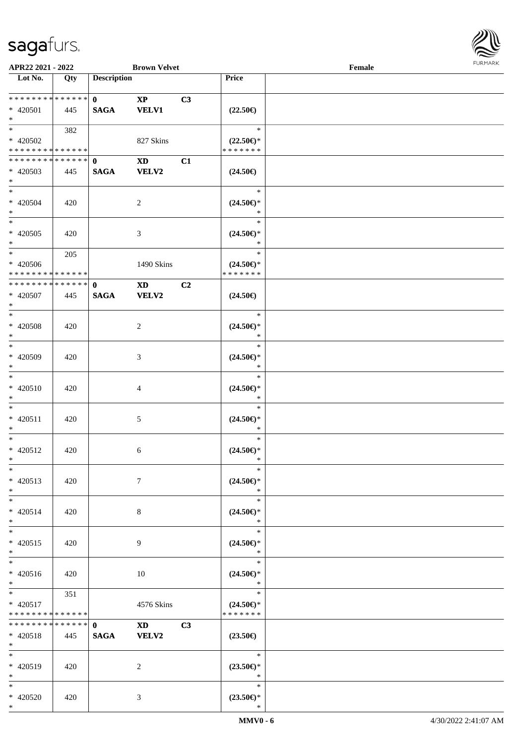\*



| APR22 2021 - 2022                          |     |                    | <b>Brown Velvet</b>                                                                                                                                                                                                            |    |                               | Female |  |
|--------------------------------------------|-----|--------------------|--------------------------------------------------------------------------------------------------------------------------------------------------------------------------------------------------------------------------------|----|-------------------------------|--------|--|
| Lot No.                                    | Qty | <b>Description</b> |                                                                                                                                                                                                                                |    | Price                         |        |  |
| * * * * * * * * * * * * * * *              |     | $\mathbf{0}$       | $\mathbf{X}\mathbf{P}$                                                                                                                                                                                                         | C3 |                               |        |  |
| * 420501                                   | 445 | <b>SAGA</b>        | <b>VELV1</b>                                                                                                                                                                                                                   |    | $(22.50\epsilon)$             |        |  |
| $*$                                        |     |                    |                                                                                                                                                                                                                                |    |                               |        |  |
| $*$                                        | 382 |                    |                                                                                                                                                                                                                                |    | $\ast$                        |        |  |
| $* 420502$                                 |     |                    | 827 Skins                                                                                                                                                                                                                      |    | $(22.50\epsilon)$ *           |        |  |
| * * * * * * * * * * * * * * *              |     |                    |                                                                                                                                                                                                                                |    | * * * * * * *                 |        |  |
| * * * * * * * * * * * * * * *              |     | $\mathbf{0}$       | <b>XD</b>                                                                                                                                                                                                                      | C1 |                               |        |  |
| * 420503                                   | 445 | <b>SAGA</b>        | <b>VELV2</b>                                                                                                                                                                                                                   |    | $(24.50\epsilon)$             |        |  |
| $*$                                        |     |                    |                                                                                                                                                                                                                                |    |                               |        |  |
| $*$                                        |     |                    |                                                                                                                                                                                                                                |    | $\ast$                        |        |  |
| $* 420504$                                 | 420 |                    | 2                                                                                                                                                                                                                              |    | $(24.50\epsilon)$ *           |        |  |
| $*$                                        |     |                    |                                                                                                                                                                                                                                |    | $\ast$                        |        |  |
| $*$                                        |     |                    |                                                                                                                                                                                                                                |    | $\ast$                        |        |  |
| $* 420505$                                 | 420 |                    | 3                                                                                                                                                                                                                              |    | $(24.50\epsilon)$ *           |        |  |
| $*$                                        |     |                    |                                                                                                                                                                                                                                |    | $\ast$                        |        |  |
| $*$                                        | 205 |                    |                                                                                                                                                                                                                                |    | $\ast$                        |        |  |
| $* 420506$                                 |     |                    | 1490 Skins                                                                                                                                                                                                                     |    | $(24.50\epsilon)$ *           |        |  |
| * * * * * * * * <mark>* * * * * * *</mark> |     |                    |                                                                                                                                                                                                                                |    | * * * * * * *                 |        |  |
| * * * * * * * * * * * * * * *              |     | $\mathbf{0}$       | <b>XD</b>                                                                                                                                                                                                                      | C2 |                               |        |  |
| $* 420507$                                 | 445 | <b>SAGA</b>        | VELV2                                                                                                                                                                                                                          |    | $(24.50\epsilon)$             |        |  |
| $*$                                        |     |                    |                                                                                                                                                                                                                                |    |                               |        |  |
| $*$                                        |     |                    |                                                                                                                                                                                                                                |    | $\ast$                        |        |  |
| $* 420508$                                 | 420 |                    | 2                                                                                                                                                                                                                              |    | $(24.50\epsilon)$ *           |        |  |
| $*$                                        |     |                    |                                                                                                                                                                                                                                |    | $\ast$                        |        |  |
| $*$                                        |     |                    |                                                                                                                                                                                                                                |    | $\ast$                        |        |  |
| * 420509                                   | 420 |                    | 3                                                                                                                                                                                                                              |    | $(24.50\epsilon)$ *           |        |  |
| $*$                                        |     |                    |                                                                                                                                                                                                                                |    | *                             |        |  |
| $*$                                        |     |                    |                                                                                                                                                                                                                                |    | $\ast$                        |        |  |
| $* 420510$                                 | 420 |                    | 4                                                                                                                                                                                                                              |    | $(24.50\epsilon)$ *           |        |  |
| $*$                                        |     |                    |                                                                                                                                                                                                                                |    | $\ast$<br>$\ast$              |        |  |
| $*$                                        |     |                    |                                                                                                                                                                                                                                |    |                               |        |  |
| $* 420511$<br>$*$                          | 420 |                    | 5                                                                                                                                                                                                                              |    | $(24.50\epsilon)$ *<br>$\ast$ |        |  |
| $*$                                        |     |                    |                                                                                                                                                                                                                                |    | $\ast$                        |        |  |
| $* 420512$                                 | 420 |                    | 6                                                                                                                                                                                                                              |    | $(24.50\epsilon)$ *           |        |  |
| $*$ $-$                                    |     |                    |                                                                                                                                                                                                                                |    | $\ast$                        |        |  |
| $\ast$                                     |     |                    |                                                                                                                                                                                                                                |    | $\ast$                        |        |  |
| $* 420513$                                 | 420 |                    | $7\phantom{.0}$                                                                                                                                                                                                                |    | $(24.50\epsilon)$ *           |        |  |
| $*$                                        |     |                    |                                                                                                                                                                                                                                |    | $\ast$                        |        |  |
| $*$                                        |     |                    |                                                                                                                                                                                                                                |    | $\ast$                        |        |  |
| * 420514                                   | 420 |                    | 8                                                                                                                                                                                                                              |    | $(24.50\epsilon)$ *           |        |  |
| $*$                                        |     |                    |                                                                                                                                                                                                                                |    | $\ast$                        |        |  |
| $*$                                        |     |                    |                                                                                                                                                                                                                                |    | $\ast$                        |        |  |
| $* 420515$                                 | 420 |                    | 9                                                                                                                                                                                                                              |    | $(24.50\epsilon)$ *           |        |  |
| $*$                                        |     |                    |                                                                                                                                                                                                                                |    | $\ast$                        |        |  |
| $*$                                        |     |                    |                                                                                                                                                                                                                                |    | $\ast$                        |        |  |
| * 420516                                   | 420 |                    | 10                                                                                                                                                                                                                             |    | $(24.50\epsilon)$ *           |        |  |
| $*$                                        |     |                    |                                                                                                                                                                                                                                |    | $\ast$                        |        |  |
| $*$                                        | 351 |                    |                                                                                                                                                                                                                                |    | $\ast$                        |        |  |
| $* 420517$                                 |     |                    | 4576 Skins                                                                                                                                                                                                                     |    | $(24.50\epsilon)$ *           |        |  |
| * * * * * * * * <mark>* * * * * * *</mark> |     |                    |                                                                                                                                                                                                                                |    | * * * * * * *                 |        |  |
| * * * * * * * * * * * * * * *              |     | $\mathbf{0}$       | XD and the set of the set of the set of the set of the set of the set of the set of the set of the set of the set of the set of the set of the set of the set of the set of the set of the set of the set of the set of the se | C3 |                               |        |  |
| $* 420518$<br>$*$                          | 445 | <b>SAGA</b>        | <b>VELV2</b>                                                                                                                                                                                                                   |    | $(23.50\epsilon)$             |        |  |
| $*$                                        |     |                    |                                                                                                                                                                                                                                |    | $\ast$                        |        |  |
| * 420519                                   | 420 |                    | 2                                                                                                                                                                                                                              |    | $(23.50\epsilon)$ *           |        |  |
| $*$                                        |     |                    |                                                                                                                                                                                                                                |    | $\ast$                        |        |  |
| $*$                                        |     |                    |                                                                                                                                                                                                                                |    | $\ast$                        |        |  |
| * 420520                                   | 420 |                    | 3                                                                                                                                                                                                                              |    | $(23.50\epsilon)$ *           |        |  |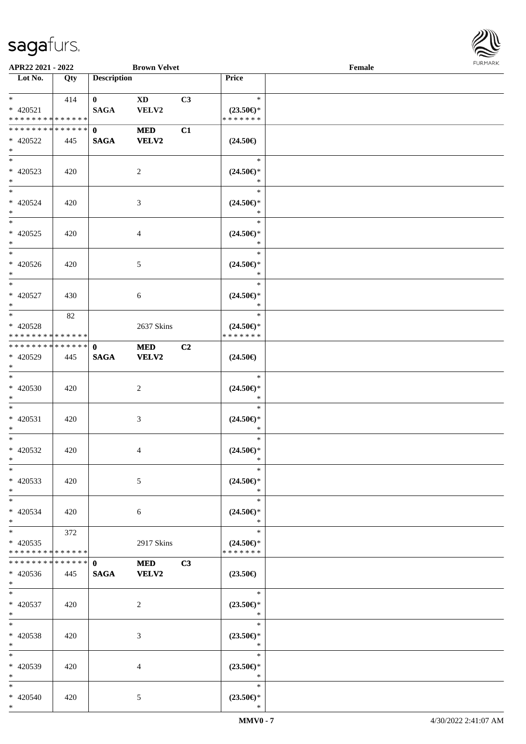\*



| APR22 2021 - 2022                                             |     |                             | <b>Brown Velvet</b>             |    |                                                | Female |  |
|---------------------------------------------------------------|-----|-----------------------------|---------------------------------|----|------------------------------------------------|--------|--|
| Lot No.                                                       | Qty | <b>Description</b>          |                                 |    | Price                                          |        |  |
| $*$<br>* 420521<br>* * * * * * * * * * * * * *                | 414 | $\mathbf{0}$<br><b>SAGA</b> | $\mathbf{X}\mathbf{D}$<br>VELV2 | C3 | $\ast$<br>$(23.50\epsilon)$ *<br>* * * * * * * |        |  |
| * * * * * * * * * * * * * * *<br>* 420522<br>$*$              | 445 | $\mathbf{0}$<br><b>SAGA</b> | <b>MED</b><br><b>VELV2</b>      | C1 | $(24.50\epsilon)$                              |        |  |
| * 420523<br>$*$                                               | 420 |                             | 2                               |    | $\ast$<br>$(24.50\epsilon)$ *<br>$\ast$        |        |  |
| $*$<br>* 420524<br>$*$                                        | 420 |                             | 3                               |    | $\ast$<br>$(24.50\epsilon)$ *<br>$\ast$        |        |  |
| $*$<br>$* 420525$<br>$*$                                      | 420 |                             | 4                               |    | $\ast$<br>$(24.50\epsilon)$ *<br>$\ast$        |        |  |
| $* 420526$<br>$*$                                             | 420 |                             | 5                               |    | $\ast$<br>$(24.50\epsilon)$ *<br>$\ast$        |        |  |
| $* 420527$<br>$*$                                             | 430 |                             | 6                               |    | $\ast$<br>$(24.50\epsilon)$ *<br>$\ast$        |        |  |
| $*$<br>$* 420528$<br>* * * * * * * * * * * * * *              | 82  |                             | 2637 Skins                      |    | $\ast$<br>$(24.50\epsilon)$ *<br>* * * * * * * |        |  |
| * * * * * * * * <mark>* * * * * * *</mark><br>* 420529<br>$*$ | 445 | $\mathbf{0}$<br><b>SAGA</b> | <b>MED</b><br><b>VELV2</b>      | C2 | $(24.50\epsilon)$                              |        |  |
| $*$<br>* 420530<br>$*$                                        | 420 |                             | 2                               |    | $\ast$<br>$(24.50\epsilon)$ *<br>$\ast$        |        |  |
| $*$<br>* 420531<br>$*$                                        | 420 |                             | 3                               |    | $\ast$<br>$(24.50\epsilon)$ *<br>$\ast$        |        |  |
| $*$<br>* 420532<br>$*$ $*$                                    | 420 |                             | 4                               |    | $\ast$<br>$(24.50\epsilon)$ *<br>$\ast$        |        |  |
| $*$<br>* 420533<br>$*$                                        | 420 |                             | 5                               |    | $\ast$<br>$(24.50\epsilon)$ *<br>$\ast$        |        |  |
| $*$<br>* 420534<br>$*$                                        | 420 |                             | 6                               |    | $\ast$<br>$(24.50\epsilon)$ *<br>$\ast$        |        |  |
| $*$ $-$<br>$* 420535$<br>* * * * * * * * * * * * * *          | 372 |                             | 2917 Skins                      |    | $\ast$<br>$(24.50\epsilon)$ *<br>* * * * * * * |        |  |
| * * * * * * * * * * * * * * *<br>$* 420536$<br>$*$            | 445 | $\mathbf{0}$<br><b>SAGA</b> | <b>MED</b><br><b>VELV2</b>      | C3 | $(23.50\epsilon)$                              |        |  |
| $*$ $-$<br>* 420537<br>$*$                                    | 420 |                             | 2                               |    | $\ast$<br>$(23.50\epsilon)$ *<br>$\ast$        |        |  |
| $*$ $-$<br>* 420538<br>$*$                                    | 420 |                             | 3                               |    | $\ast$<br>$(23.50\epsilon)$ *<br>$\ast$        |        |  |
| $*$<br>* 420539<br>$*$                                        | 420 |                             | 4                               |    | $\ast$<br>$(23.50\epsilon)$ *<br>$\ast$        |        |  |
| $*$<br>* 420540<br>$*$                                        | 420 |                             | 5                               |    | $\ast$<br>$(23.50\epsilon)$ *<br>∗             |        |  |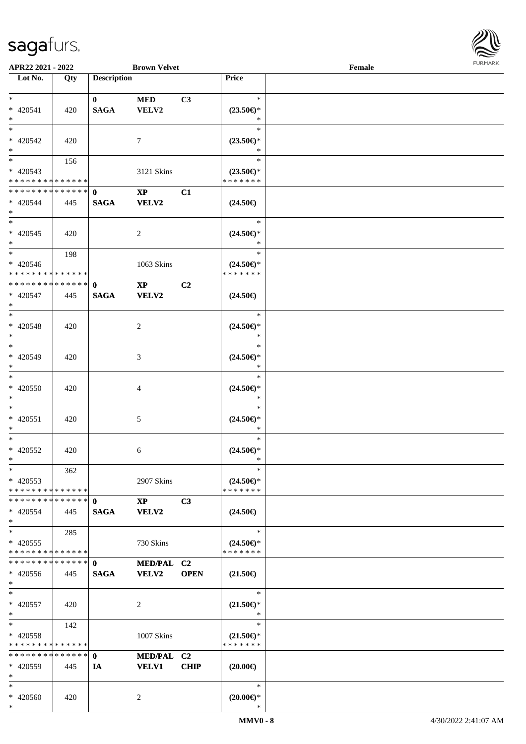

| APR22 2021 - 2022                          |     |                    | <b>Brown Velvet</b>    |             |                     | Female |  |
|--------------------------------------------|-----|--------------------|------------------------|-------------|---------------------|--------|--|
| Lot No.                                    | Qty | <b>Description</b> |                        |             | Price               |        |  |
|                                            |     |                    |                        |             |                     |        |  |
| $*$                                        |     | $\mathbf{0}$       | <b>MED</b>             | C3          | $\ast$              |        |  |
| * 420541                                   | 420 | <b>SAGA</b>        | VELV2                  |             | $(23.50\epsilon)$ * |        |  |
| $\ast$                                     |     |                    |                        |             | $\ast$              |        |  |
| $*$                                        |     |                    |                        |             | $\ast$              |        |  |
|                                            |     |                    |                        |             |                     |        |  |
| $* 420542$                                 | 420 |                    | 7                      |             | $(23.50\epsilon)$ * |        |  |
| $*$                                        |     |                    |                        |             | *                   |        |  |
|                                            | 156 |                    |                        |             | $\ast$              |        |  |
| $* 420543$                                 |     |                    | 3121 Skins             |             | $(23.50\epsilon)$ * |        |  |
| * * * * * * * * * * * * * *                |     |                    |                        |             | * * * * * * *       |        |  |
| * * * * * * * * <mark>* * * * * * *</mark> |     | $\mathbf{0}$       | $\mathbf{X}\mathbf{P}$ | C1          |                     |        |  |
|                                            |     |                    |                        |             |                     |        |  |
| * 420544                                   | 445 | <b>SAGA</b>        | <b>VELV2</b>           |             | $(24.50\epsilon)$   |        |  |
| $*$                                        |     |                    |                        |             |                     |        |  |
| $*$                                        |     |                    |                        |             | $\ast$              |        |  |
| $* 420545$                                 | 420 |                    | $\overline{c}$         |             | $(24.50\epsilon)$ * |        |  |
| $*$                                        |     |                    |                        |             | $\ast$              |        |  |
| $*$                                        | 198 |                    |                        |             | $\ast$              |        |  |
| $* 420546$                                 |     |                    | 1063 Skins             |             | $(24.50\epsilon)$ * |        |  |
| * * * * * * * * * * * * * * *              |     |                    |                        |             | * * * * * * *       |        |  |
| * * * * * * * * * * * * * * *              |     |                    |                        |             |                     |        |  |
|                                            |     | $\mathbf{0}$       | $\mathbf{X}\mathbf{P}$ | C2          |                     |        |  |
| * 420547                                   | 445 | <b>SAGA</b>        | VELV2                  |             | $(24.50\epsilon)$   |        |  |
| $*$                                        |     |                    |                        |             |                     |        |  |
| $*$                                        |     |                    |                        |             | $\ast$              |        |  |
| $* 420548$                                 | 420 |                    | 2                      |             | $(24.50\epsilon)$ * |        |  |
| $*$                                        |     |                    |                        |             | $\ast$              |        |  |
| $*$                                        |     |                    |                        |             | $\ast$              |        |  |
|                                            |     |                    |                        |             |                     |        |  |
| * 420549                                   | 420 |                    | 3                      |             | $(24.50\epsilon)$ * |        |  |
| $*$                                        |     |                    |                        |             | *                   |        |  |
| $*$                                        |     |                    |                        |             | $\ast$              |        |  |
| $* 420550$                                 | 420 |                    | 4                      |             | $(24.50\epsilon)$ * |        |  |
| $*$                                        |     |                    |                        |             | $\ast$              |        |  |
| $*$                                        |     |                    |                        |             | $\ast$              |        |  |
| $* 420551$                                 | 420 |                    | 5                      |             | $(24.50\epsilon)$ * |        |  |
| $*$                                        |     |                    |                        |             | $\ast$              |        |  |
|                                            |     |                    |                        |             | $\ast$              |        |  |
| $*$                                        |     |                    |                        |             |                     |        |  |
| $* 420552$                                 | 420 |                    | 6                      |             | $(24.50\epsilon)$ * |        |  |
| $*$ $-$                                    |     |                    |                        |             | *                   |        |  |
| $*$                                        | 362 |                    |                        |             | $\ast$              |        |  |
| $* 420553$                                 |     |                    | 2907 Skins             |             | $(24.50\epsilon)$ * |        |  |
| * * * * * * * * * * * * * * *              |     |                    |                        |             | * * * * * * *       |        |  |
| * * * * * * * * * * * * * * *              |     | $\mathbf{0}$       | $\mathbf{X}\mathbf{P}$ | C3          |                     |        |  |
|                                            |     |                    |                        |             |                     |        |  |
| * 420554                                   | 445 | <b>SAGA</b>        | VELV2                  |             | $(24.50\epsilon)$   |        |  |
| $*$                                        |     |                    |                        |             |                     |        |  |
| $*$                                        | 285 |                    |                        |             | $\ast$              |        |  |
| $* 420555$                                 |     |                    | 730 Skins              |             | $(24.50\epsilon)$ * |        |  |
| * * * * * * * * * * * * * *                |     |                    |                        |             | * * * * * * *       |        |  |
| * * * * * * * * * * * * * * *              |     | $\mathbf{0}$       | MED/PAL C2             |             |                     |        |  |
| * 420556                                   | 445 | <b>SAGA</b>        | <b>VELV2</b>           | <b>OPEN</b> | $(21.50\epsilon)$   |        |  |
| $*$                                        |     |                    |                        |             |                     |        |  |
|                                            |     |                    |                        |             |                     |        |  |
| $*$                                        |     |                    |                        |             | $\ast$              |        |  |
| * 420557                                   | 420 |                    | 2                      |             | $(21.50\epsilon)$ * |        |  |
| $*$                                        |     |                    |                        |             | $\ast$              |        |  |
| $*$ $*$                                    | 142 |                    |                        |             | $\ast$              |        |  |
| * 420558                                   |     |                    | 1007 Skins             |             | $(21.50\epsilon)$ * |        |  |
| * * * * * * * * * * * * * *                |     |                    |                        |             | * * * * * * *       |        |  |
| * * * * * * * * * * * * * * *              |     | $\mathbf{0}$       | MED/PAL C2             |             |                     |        |  |
|                                            |     |                    |                        |             |                     |        |  |
| * 420559                                   | 445 | IA                 | <b>VELV1</b>           | <b>CHIP</b> | $(20.00\epsilon)$   |        |  |
| $*$                                        |     |                    |                        |             |                     |        |  |
| $*$                                        |     |                    |                        |             | $\ast$              |        |  |
| * 420560                                   | 420 |                    | 2                      |             | $(20.00\epsilon)$ * |        |  |
| $*$                                        |     |                    |                        |             | ∗                   |        |  |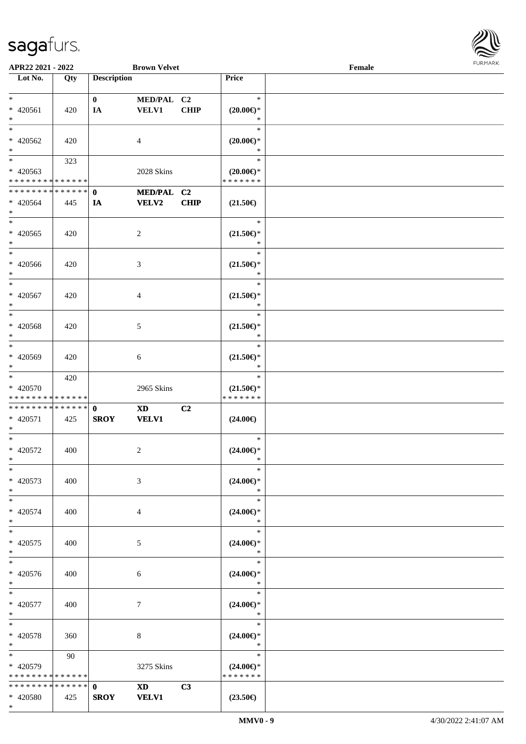

| APR22 2021 - 2022             |     |                    | <b>Brown Velvet</b>                                                                                                                                                                                                            |             |                     | Female |  |
|-------------------------------|-----|--------------------|--------------------------------------------------------------------------------------------------------------------------------------------------------------------------------------------------------------------------------|-------------|---------------------|--------|--|
| Lot No.                       | Qty | <b>Description</b> |                                                                                                                                                                                                                                |             | <b>Price</b>        |        |  |
|                               |     |                    |                                                                                                                                                                                                                                |             |                     |        |  |
| $\ast$                        |     | $\bf{0}$           | MED/PAL C2                                                                                                                                                                                                                     |             | $\ast$              |        |  |
| $* 420561$                    | 420 | IA                 | <b>VELV1</b>                                                                                                                                                                                                                   | <b>CHIP</b> | $(20.00\epsilon)$ * |        |  |
| $\ast$                        |     |                    |                                                                                                                                                                                                                                |             | $\ast$              |        |  |
| $\ast$                        |     |                    |                                                                                                                                                                                                                                |             | $\ast$              |        |  |
|                               |     |                    |                                                                                                                                                                                                                                |             |                     |        |  |
| * 420562                      | 420 |                    | 4                                                                                                                                                                                                                              |             | $(20.00\epsilon)$ * |        |  |
| $\ast$                        |     |                    |                                                                                                                                                                                                                                |             | $\ast$              |        |  |
| $\overline{\phantom{0}}$      | 323 |                    |                                                                                                                                                                                                                                |             | $\ast$              |        |  |
| $* 420563$                    |     |                    | 2028 Skins                                                                                                                                                                                                                     |             | $(20.00\epsilon)$ * |        |  |
| * * * * * * * * * * * * * *   |     |                    |                                                                                                                                                                                                                                |             | * * * * * * *       |        |  |
| * * * * * * * * * * * * * *   |     | $\mathbf{0}$       | MED/PAL C2                                                                                                                                                                                                                     |             |                     |        |  |
| $* 420564$                    | 445 | IA                 | <b>VELV2</b>                                                                                                                                                                                                                   | <b>CHIP</b> | $(21.50\in)$        |        |  |
| $\ast$                        |     |                    |                                                                                                                                                                                                                                |             |                     |        |  |
| $\ast$                        |     |                    |                                                                                                                                                                                                                                |             | $\ast$              |        |  |
|                               |     |                    |                                                                                                                                                                                                                                |             |                     |        |  |
| $* 420565$                    | 420 |                    | $\overline{c}$                                                                                                                                                                                                                 |             | $(21.50\epsilon)$ * |        |  |
| $\ast$                        |     |                    |                                                                                                                                                                                                                                |             | $\ast$              |        |  |
| $\overline{\ast}$             |     |                    |                                                                                                                                                                                                                                |             | $\ast$              |        |  |
| $* 420566$                    | 420 |                    | $\mathfrak{Z}$                                                                                                                                                                                                                 |             | $(21.50\epsilon)$ * |        |  |
| $\ast$                        |     |                    |                                                                                                                                                                                                                                |             | $\ast$              |        |  |
| $\ast$                        |     |                    |                                                                                                                                                                                                                                |             | $\ast$              |        |  |
| $* 420567$                    | 420 |                    | $\overline{4}$                                                                                                                                                                                                                 |             | $(21.50\epsilon)$ * |        |  |
| $\ast$                        |     |                    |                                                                                                                                                                                                                                |             | $\ast$              |        |  |
| $\ast$                        |     |                    |                                                                                                                                                                                                                                |             | $\ast$              |        |  |
|                               |     |                    |                                                                                                                                                                                                                                |             |                     |        |  |
| $* 420568$                    | 420 |                    | 5                                                                                                                                                                                                                              |             | $(21.50\epsilon)$ * |        |  |
| $\ast$                        |     |                    |                                                                                                                                                                                                                                |             | $\ast$              |        |  |
| $\ast$                        |     |                    |                                                                                                                                                                                                                                |             | $\ast$              |        |  |
| * 420569                      | 420 |                    | 6                                                                                                                                                                                                                              |             | $(21.50\epsilon)$ * |        |  |
| $\ast$                        |     |                    |                                                                                                                                                                                                                                |             | $\ast$              |        |  |
| $\ast$                        | 420 |                    |                                                                                                                                                                                                                                |             | $\ast$              |        |  |
| * 420570                      |     |                    | 2965 Skins                                                                                                                                                                                                                     |             | $(21.50\epsilon)$ * |        |  |
| * * * * * * * * * * * * * *   |     |                    |                                                                                                                                                                                                                                |             | * * * * * * *       |        |  |
| * * * * * * * * * * * * * * * |     | $\mathbf 0$        | $\mathbf{X}\mathbf{D}$                                                                                                                                                                                                         | C2          |                     |        |  |
|                               |     |                    |                                                                                                                                                                                                                                |             |                     |        |  |
| * 420571                      | 425 | <b>SROY</b>        | <b>VELV1</b>                                                                                                                                                                                                                   |             | $(24.00\epsilon)$   |        |  |
| $\ast$                        |     |                    |                                                                                                                                                                                                                                |             |                     |        |  |
| $\ast$                        |     |                    |                                                                                                                                                                                                                                |             | $\ast$              |        |  |
| $* 420572$                    | 400 |                    | $\overline{c}$                                                                                                                                                                                                                 |             | $(24.00\epsilon)$ * |        |  |
| $*$                           |     |                    |                                                                                                                                                                                                                                |             | $\ast$              |        |  |
| $\ast$                        |     |                    |                                                                                                                                                                                                                                |             | $\ast$              |        |  |
| * 420573                      | 400 |                    | 3                                                                                                                                                                                                                              |             | $(24.00\epsilon)$ * |        |  |
| $\ast$                        |     |                    |                                                                                                                                                                                                                                |             | $\ast$              |        |  |
| $\ast$                        |     |                    |                                                                                                                                                                                                                                |             | $\ast$              |        |  |
| $* 420574$                    | 400 |                    |                                                                                                                                                                                                                                |             | $(24.00\epsilon)$ * |        |  |
| $\ast$                        |     |                    | 4                                                                                                                                                                                                                              |             | $\ast$              |        |  |
|                               |     |                    |                                                                                                                                                                                                                                |             |                     |        |  |
| $\ast$                        |     |                    |                                                                                                                                                                                                                                |             | $\ast$              |        |  |
| $* 420575$                    | 400 |                    | 5                                                                                                                                                                                                                              |             | $(24.00\epsilon)$ * |        |  |
| $\ast$                        |     |                    |                                                                                                                                                                                                                                |             | $\ast$              |        |  |
| $\ast$                        |     |                    |                                                                                                                                                                                                                                |             | $\ast$              |        |  |
| * 420576                      | 400 |                    | 6                                                                                                                                                                                                                              |             | $(24.00\epsilon)$ * |        |  |
| $*$                           |     |                    |                                                                                                                                                                                                                                |             | $\ast$              |        |  |
| $*$                           |     |                    |                                                                                                                                                                                                                                |             | $\ast$              |        |  |
| $* 420577$                    | 400 |                    | $\tau$                                                                                                                                                                                                                         |             | $(24.00\epsilon)$ * |        |  |
| $*$                           |     |                    |                                                                                                                                                                                                                                |             | $\ast$              |        |  |
|                               |     |                    |                                                                                                                                                                                                                                |             | $\ast$              |        |  |
| $\ast$                        |     |                    |                                                                                                                                                                                                                                |             |                     |        |  |
| * 420578                      | 360 |                    | 8                                                                                                                                                                                                                              |             | $(24.00\epsilon)$ * |        |  |
| $*$                           |     |                    |                                                                                                                                                                                                                                |             | $\ast$              |        |  |
| $\ast$                        | 90  |                    |                                                                                                                                                                                                                                |             | $\ast$              |        |  |
| * 420579                      |     |                    | 3275 Skins                                                                                                                                                                                                                     |             | $(24.00\epsilon)$ * |        |  |
| * * * * * * * * * * * * * *   |     |                    |                                                                                                                                                                                                                                |             | * * * * * * *       |        |  |
| * * * * * * * * * * * * * * * |     | $\mathbf{0}$       | XD and the set of the set of the set of the set of the set of the set of the set of the set of the set of the set of the set of the set of the set of the set of the set of the set of the set of the set of the set of the se | C3          |                     |        |  |
| * 420580                      | 425 | <b>SROY</b>        | <b>VELV1</b>                                                                                                                                                                                                                   |             | $(23.50\epsilon)$   |        |  |
| $*$                           |     |                    |                                                                                                                                                                                                                                |             |                     |        |  |
|                               |     |                    |                                                                                                                                                                                                                                |             |                     |        |  |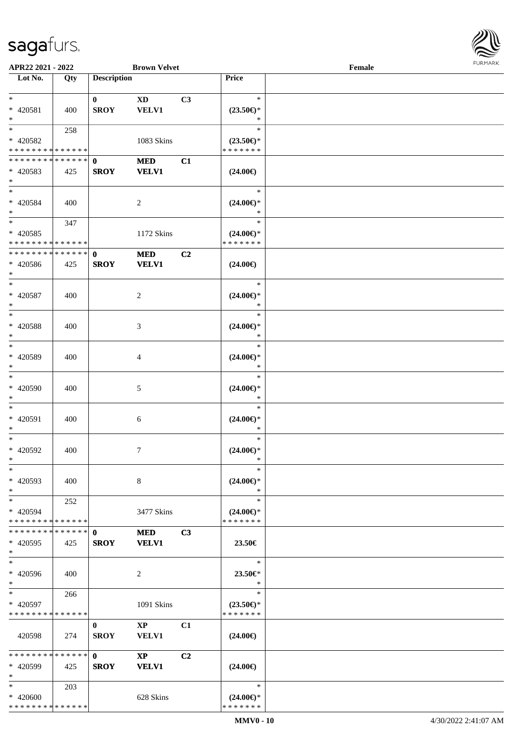

| APR22 2021 - 2022                          |     |                    | <b>Brown Velvet</b>    |    |                               | Female |  |
|--------------------------------------------|-----|--------------------|------------------------|----|-------------------------------|--------|--|
| Lot No.                                    | Qty | <b>Description</b> |                        |    | Price                         |        |  |
|                                            |     |                    |                        |    |                               |        |  |
| $*$                                        |     | $\bf{0}$           | $\mathbf{X}\mathbf{D}$ | C3 | $\ast$                        |        |  |
| * 420581                                   | 400 | <b>SROY</b>        | <b>VELV1</b>           |    | $(23.50\epsilon)$ *           |        |  |
| $\ast$                                     |     |                    |                        |    | ∗                             |        |  |
| $*$                                        | 258 |                    |                        |    | $\ast$                        |        |  |
| * 420582                                   |     |                    |                        |    |                               |        |  |
|                                            |     |                    | 1083 Skins             |    | $(23.50\epsilon)$ *           |        |  |
| * * * * * * * * <mark>* * * * * * *</mark> |     |                    |                        |    | * * * * * * *                 |        |  |
| * * * * * * * * * * * * * * *              |     | $\mathbf{0}$       | <b>MED</b>             | C1 |                               |        |  |
| * 420583                                   | 425 | <b>SROY</b>        | <b>VELV1</b>           |    | $(24.00\epsilon)$             |        |  |
| $*$                                        |     |                    |                        |    |                               |        |  |
| $*$                                        |     |                    |                        |    | $\ast$                        |        |  |
| $* 420584$                                 | 400 |                    | 2                      |    | $(24.00\epsilon)$ *           |        |  |
| $*$                                        |     |                    |                        |    | $\ast$                        |        |  |
| $*$                                        | 347 |                    |                        |    | $\ast$                        |        |  |
| $* 420585$                                 |     |                    | 1172 Skins             |    | $(24.00\epsilon)$ *           |        |  |
| * * * * * * * * * * * * * *                |     |                    |                        |    | * * * * * * *                 |        |  |
|                                            |     |                    |                        |    |                               |        |  |
| * * * * * * * * * * * * * * *              |     | $\mathbf 0$        | $\bf MED$              | C2 |                               |        |  |
| $* 420586$                                 | 425 | <b>SROY</b>        | <b>VELV1</b>           |    | $(24.00\epsilon)$             |        |  |
| $*$                                        |     |                    |                        |    |                               |        |  |
| $\ast$                                     |     |                    |                        |    | $\ast$                        |        |  |
| $* 420587$                                 | 400 |                    | 2                      |    | $(24.00\epsilon)$ *           |        |  |
| $\ast$                                     |     |                    |                        |    | $\ast$                        |        |  |
| $*$                                        |     |                    |                        |    | $\ast$                        |        |  |
| $* 420588$                                 | 400 |                    | 3                      |    | $(24.00\epsilon)$ *           |        |  |
| $\ast$                                     |     |                    |                        |    | $\ast$                        |        |  |
| $*$                                        |     |                    |                        |    | $\ast$                        |        |  |
|                                            |     |                    |                        |    |                               |        |  |
| * 420589                                   | 400 |                    | 4                      |    | $(24.00\epsilon)$ *           |        |  |
| $*$                                        |     |                    |                        |    | *                             |        |  |
| $\ast$                                     |     |                    |                        |    | $\ast$                        |        |  |
| $* 420590$                                 | 400 |                    | 5                      |    | $(24.00\in)\!\!^*$            |        |  |
| $*$                                        |     |                    |                        |    | $\ast$                        |        |  |
| $*$                                        |     |                    |                        |    | $\ast$                        |        |  |
| * 420591                                   | 400 |                    | 6                      |    | $(24.00\epsilon)$ *           |        |  |
| $*$                                        |     |                    |                        |    | $\ast$                        |        |  |
| $*$                                        |     |                    |                        |    | $\ast$                        |        |  |
| $* 420592$                                 |     |                    |                        |    |                               |        |  |
|                                            | 400 |                    | $\tau$                 |    | $(24.00\epsilon)$ *<br>$\ast$ |        |  |
| $*$                                        |     |                    |                        |    |                               |        |  |
| $*$                                        |     |                    |                        |    | $\ast$                        |        |  |
| * 420593                                   | 400 |                    | 8                      |    | $(24.00\epsilon)$ *           |        |  |
| $*$                                        |     |                    |                        |    | ∗                             |        |  |
| $*$                                        | 252 |                    |                        |    | $\ast$                        |        |  |
| * 420594                                   |     |                    | 3477 Skins             |    | $(24.00\epsilon)$ *           |        |  |
| * * * * * * * * * * * * * * *              |     |                    |                        |    | * * * * * * *                 |        |  |
| * * * * * * * * * * * * * * *              |     | $\mathbf 0$        | <b>MED</b>             | C3 |                               |        |  |
| * 420595                                   | 425 | <b>SROY</b>        | <b>VELV1</b>           |    | 23.50€                        |        |  |
| $*$                                        |     |                    |                        |    |                               |        |  |
| $\ast$                                     |     |                    |                        |    | $\ast$                        |        |  |
|                                            |     |                    |                        |    |                               |        |  |
| * 420596                                   | 400 |                    | 2                      |    | 23.50€*                       |        |  |
| $*$                                        |     |                    |                        |    | $\ast$                        |        |  |
| $*$                                        | 266 |                    |                        |    | $\ast$                        |        |  |
| * 420597                                   |     |                    | 1091 Skins             |    | $(23.50\epsilon)$ *           |        |  |
| * * * * * * * * * * * * * *                |     |                    |                        |    | * * * * * * *                 |        |  |
|                                            |     | $\bf{0}$           | $\mathbf{X}\mathbf{P}$ | C1 |                               |        |  |
| 420598                                     | 274 | <b>SROY</b>        | VELV1                  |    | $(24.00\epsilon)$             |        |  |
|                                            |     |                    |                        |    |                               |        |  |
| * * * * * * * * * * * * * * *              |     | $\mathbf{0}$       | $\mathbf{X}\mathbf{P}$ | C2 |                               |        |  |
| * 420599                                   | 425 | <b>SROY</b>        | <b>VELV1</b>           |    |                               |        |  |
| $*$                                        |     |                    |                        |    | $(24.00\epsilon)$             |        |  |
|                                            |     |                    |                        |    |                               |        |  |
| $*$                                        | 203 |                    |                        |    | $\ast$                        |        |  |
| * 420600                                   |     |                    | 628 Skins              |    | $(24.00\epsilon)$ *           |        |  |
| * * * * * * * * * * * * * *                |     |                    |                        |    | * * * * * * *                 |        |  |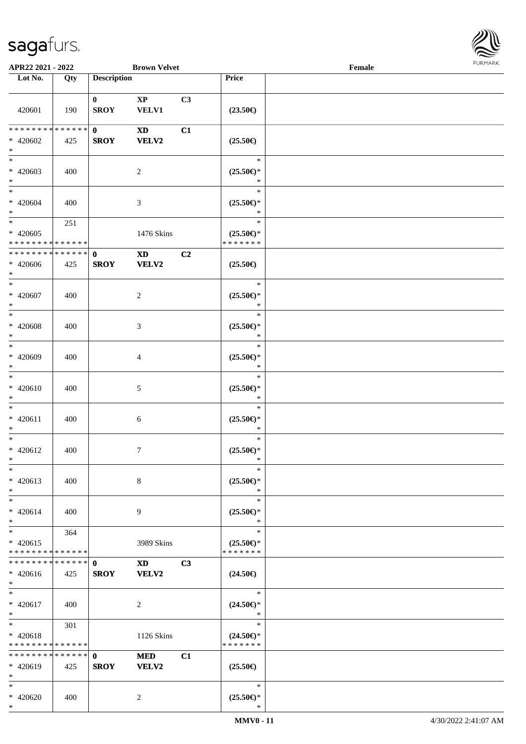

| APR22 2021 - 2022             |             |                    | <b>Brown Velvet</b>    |    |                                           | Female |  |
|-------------------------------|-------------|--------------------|------------------------|----|-------------------------------------------|--------|--|
| Lot No.                       | Qty         | <b>Description</b> |                        |    | Price                                     |        |  |
|                               |             | $\bf{0}$           | $\mathbf{XP}$          | C3 |                                           |        |  |
| 420601                        | 190         | <b>SROY</b>        | <b>VELV1</b>           |    | $(23.50\epsilon)$                         |        |  |
| * * * * * * * * * * * * * * * |             | $\mathbf{0}$       | <b>XD</b>              | C1 |                                           |        |  |
| $* 420602$<br>$\ast$          | 425         | <b>SROY</b>        | <b>VELV2</b>           |    | $(25.50\epsilon)$                         |        |  |
| $*$<br>$* 420603$<br>$*$      | 400         |                    | $\overline{2}$         |    | $\ast$<br>$(25.50\epsilon)$ *<br>$\ast$   |        |  |
| $\ast$<br>$* 420604$<br>$*$   | 400         |                    | $\mathfrak{Z}$         |    | $\ast$<br>$(25.50\mathbb{E})^*$<br>$\ast$ |        |  |
| $*$                           | 251         |                    |                        |    | $\ast$                                    |        |  |
| $* 420605$                    |             |                    | 1476 Skins             |    | $(25.50\epsilon)$ *                       |        |  |
| * * * * * * * * * * * * * *   |             |                    |                        |    | * * * * * * *                             |        |  |
| * * * * * * * * * * * * * *   |             | $\mathbf 0$        | $\mathbf{X}\mathbf{D}$ | C2 |                                           |        |  |
| $* 420606$<br>$*$             | 425         | <b>SROY</b>        | <b>VELV2</b>           |    | $(25.50\epsilon)$                         |        |  |
| $*$                           |             |                    |                        |    | $\ast$                                    |        |  |
| $* 420607$<br>$*$             | 400         |                    | $\overline{2}$         |    | $(25.50\epsilon)$ *<br>$\ast$             |        |  |
| $\ast$                        |             |                    |                        |    | $\ast$                                    |        |  |
| * 420608<br>$\ast$            | 400         |                    | $\mathfrak{Z}$         |    | $(25.50\epsilon)$ *<br>$\ast$             |        |  |
| $*$                           |             |                    |                        |    | $\ast$                                    |        |  |
| $* 420609$<br>$*$             | 400         |                    | 4                      |    | $(25.50\epsilon)$ *<br>$\ast$             |        |  |
| $*$                           |             |                    |                        |    | $\ast$                                    |        |  |
| $* 420610$<br>$*$             | 400         |                    | 5                      |    | $(25.50\mathbb{E})^*$<br>$\ast$           |        |  |
| $*$                           |             |                    |                        |    | $\ast$                                    |        |  |
| $* 420611$<br>$\ast$          | 400         |                    | 6                      |    | $(25.50\epsilon)$ *<br>$\ast$             |        |  |
| $*$                           |             |                    |                        |    | $\ast$                                    |        |  |
| $* 420612$                    | 400         |                    | $\overline{7}$         |    | $(25.50\epsilon)$ *                       |        |  |
| $*$                           |             |                    |                        |    | $\ast$                                    |        |  |
| $\ast$<br>$* 420613$          | 400         |                    | 8                      |    | $\ast$<br>$(25.50\epsilon)$ *             |        |  |
| $*$                           |             |                    |                        |    | $\ast$                                    |        |  |
| $*$                           |             |                    |                        |    | $\ast$                                    |        |  |
| $* 420614$<br>$*$             | 400         |                    | 9                      |    | $(25.50\epsilon)$ *<br>$\ast$             |        |  |
| $*$                           | 364         |                    |                        |    | $\ast$                                    |        |  |
| $* 420615$                    |             |                    | 3989 Skins             |    | $(25.50\epsilon)$ *                       |        |  |
| * * * * * * * * * * * * * *   |             |                    |                        |    | * * * * * * *                             |        |  |
| * * * * * * * *               | * * * * * * | $\mathbf 0$        | $\mathbf{X}\mathbf{D}$ | C3 |                                           |        |  |
| $* 420616$                    | 425         | <b>SROY</b>        | <b>VELV2</b>           |    | $(24.50\epsilon)$                         |        |  |
| $*$                           |             |                    |                        |    |                                           |        |  |
| $*$                           |             |                    |                        |    | $\ast$                                    |        |  |
| $* 420617$                    | 400         |                    | 2                      |    | $(24.50\epsilon)$ *                       |        |  |
| $*$                           |             |                    |                        |    | $\ast$                                    |        |  |
| $*$                           | 301         |                    |                        |    | $\ast$                                    |        |  |
| $* 420618$                    |             |                    | 1126 Skins             |    | $(24.50\epsilon)$ *                       |        |  |
| * * * * * * * * * * * * * *   |             |                    |                        |    | * * * * * * *                             |        |  |
| * * * * * * * * * * * * * *   |             | $\mathbf{0}$       | <b>MED</b>             | C1 |                                           |        |  |
| * 420619                      | 425         | <b>SROY</b>        | VELV2                  |    | $(25.50\epsilon)$                         |        |  |
| $*$                           |             |                    |                        |    |                                           |        |  |
| $*$                           |             |                    |                        |    | $\ast$                                    |        |  |
| * 420620                      | 400         |                    | 2                      |    | $(25.50\epsilon)$ *                       |        |  |
| $*$                           |             |                    |                        |    | $\ast$                                    |        |  |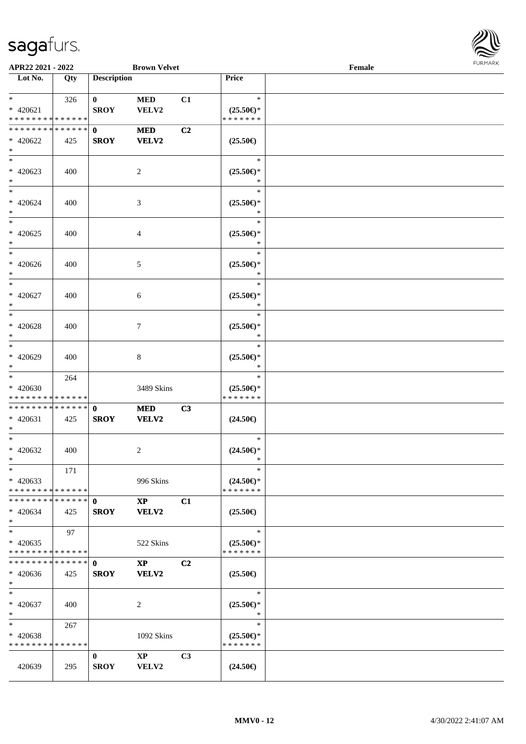

| APR22 2021 - 2022                          |     |                    | <b>Brown Velvet</b>     |                |                                      | Female |  |
|--------------------------------------------|-----|--------------------|-------------------------|----------------|--------------------------------------|--------|--|
| Lot No.                                    | Qty | <b>Description</b> |                         |                | Price                                |        |  |
|                                            |     |                    |                         |                |                                      |        |  |
| $*$                                        | 326 | $\mathbf{0}$       | <b>MED</b>              | C1             | $\ast$                               |        |  |
| $* 420621$                                 |     | <b>SROY</b>        | VELV2                   |                | $(25.50\epsilon)$ *                  |        |  |
| * * * * * * * * <mark>* * * * * *</mark>   |     |                    |                         |                | * * * * * * *                        |        |  |
| * * * * * * * * <mark>* * * * * *</mark>   |     | $\mathbf 0$        | <b>MED</b>              | C <sub>2</sub> |                                      |        |  |
| * 420622                                   | 425 | <b>SROY</b>        | <b>VELV2</b>            |                | $(25.50\epsilon)$                    |        |  |
| $*$                                        |     |                    |                         |                |                                      |        |  |
|                                            |     |                    |                         |                | $\ast$                               |        |  |
| * 420623                                   | 400 |                    | 2                       |                | $(25.50\epsilon)$ *                  |        |  |
| $*$                                        |     |                    |                         |                | *                                    |        |  |
| $*$                                        |     |                    |                         |                | $\ast$                               |        |  |
| * 420624                                   | 400 |                    | 3                       |                | $(25.50\epsilon)$ *                  |        |  |
| $*$                                        |     |                    |                         |                | $\ast$                               |        |  |
| $*$                                        |     |                    |                         |                | $\ast$                               |        |  |
| $* 420625$                                 | 400 |                    | 4                       |                | $(25.50\epsilon)$ *                  |        |  |
| $\ast$                                     |     |                    |                         |                | $\ast$                               |        |  |
| $*$                                        |     |                    |                         |                | $\ast$                               |        |  |
| $* 420626$                                 | 400 |                    | 5                       |                | $(25.50\epsilon)$ *                  |        |  |
| $\ast$                                     |     |                    |                         |                | $\ast$                               |        |  |
| $*$                                        |     |                    |                         |                | $\ast$                               |        |  |
| $* 420627$                                 | 400 |                    | 6                       |                | $(25.50\epsilon)$ *                  |        |  |
| $*$                                        |     |                    |                         |                | ∗                                    |        |  |
| $*$                                        |     |                    |                         |                | $\ast$                               |        |  |
| $* 420628$                                 | 400 |                    | 7                       |                | $(25.50\epsilon)$ *                  |        |  |
| $*$                                        |     |                    |                         |                | *                                    |        |  |
| $*$                                        |     |                    |                         |                | $\ast$                               |        |  |
|                                            |     |                    |                         |                |                                      |        |  |
| * 420629<br>$*$                            | 400 |                    | 8                       |                | $(25.50\epsilon)$ *<br>*             |        |  |
| $*$                                        |     |                    |                         |                | $\ast$                               |        |  |
|                                            | 264 |                    |                         |                |                                      |        |  |
| $* 420630$<br>* * * * * * * * * * * * * *  |     |                    | 3489 Skins              |                | $(25.50\epsilon)$ *<br>* * * * * * * |        |  |
| * * * * * * * * * * * * * * *              |     | $\mathbf{0}$       |                         | C3             |                                      |        |  |
| $* 420631$                                 |     | <b>SROY</b>        | <b>MED</b><br>VELV2     |                |                                      |        |  |
| $\ast$                                     | 425 |                    |                         |                | $(24.50\epsilon)$                    |        |  |
| $*$                                        |     |                    |                         |                | $\ast$                               |        |  |
| * 420632                                   | 400 |                    | 2                       |                | $(24.50\epsilon)$ *                  |        |  |
| $*$ $-$                                    |     |                    |                         |                | *                                    |        |  |
| $\ast$                                     | 171 |                    |                         |                | $\ast$                               |        |  |
| $* 420633$                                 |     |                    | 996 Skins               |                | $(24.50\epsilon)$ *                  |        |  |
| * * * * * * * * <mark>* * * * * *</mark>   |     |                    |                         |                | * * * * * * *                        |        |  |
|                                            |     |                    | $\mathbf{X} \mathbf{P}$ | C1             |                                      |        |  |
| $* 420634$                                 |     |                    | <b>VELV2</b>            |                | $(25.50\epsilon)$                    |        |  |
| $*$                                        | 425 | <b>SROY</b>        |                         |                |                                      |        |  |
| $*$                                        | 97  |                    |                         |                | $\ast$                               |        |  |
| $* 420635$                                 |     |                    |                         |                | $(25.50\epsilon)$ *                  |        |  |
| * * * * * * * * <mark>* * * * * * *</mark> |     |                    | 522 Skins               |                | * * * * * * *                        |        |  |
| * * * * * * * * * * * * * * *              |     |                    |                         |                |                                      |        |  |
|                                            |     | $\mathbf{0}$       | $\mathbf{XP}$           | C <sub>2</sub> |                                      |        |  |
| $* 420636$                                 | 425 | <b>SROY</b>        | <b>VELV2</b>            |                | $(25.50\epsilon)$                    |        |  |
| $*$<br>$*$                                 |     |                    |                         |                | $\ast$                               |        |  |
|                                            |     |                    |                         |                |                                      |        |  |
| $* 420637$                                 | 400 |                    | 2                       |                | $(25.50\epsilon)$ *<br>$\ast$        |        |  |
| $*$                                        |     |                    |                         |                |                                      |        |  |
| $*$ $-$                                    | 267 |                    |                         |                | $\ast$                               |        |  |
| * 420638                                   |     |                    | 1092 Skins              |                | $(25.50\epsilon)$ *                  |        |  |
| * * * * * * * * * * * * * *                |     |                    |                         |                | * * * * * * *                        |        |  |
|                                            |     | $\bf{0}$           | $\mathbf{XP}$           | C <sub>3</sub> |                                      |        |  |
| 420639                                     | 295 | <b>SROY</b>        | <b>VELV2</b>            |                | $(24.50\epsilon)$                    |        |  |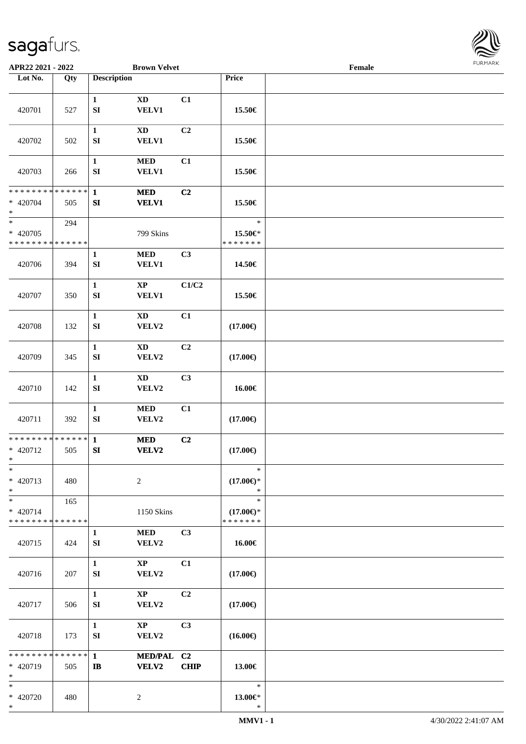

| APR22 2021 - 2022                                   |                   |                                  | <b>Brown Velvet</b>                    |                |                                                | Female |  |
|-----------------------------------------------------|-------------------|----------------------------------|----------------------------------------|----------------|------------------------------------------------|--------|--|
| Lot No.                                             | $\overline{Q}$ ty | <b>Description</b>               |                                        |                | Price                                          |        |  |
| 420701                                              | 527               | $\mathbf{1}$<br>SI               | <b>XD</b><br><b>VELV1</b>              | C1             | 15.50€                                         |        |  |
| 420702                                              | 502               | $\mathbf{1}$<br>${\bf SI}$       | $\mathbf{X}\mathbf{D}$<br><b>VELV1</b> | C <sub>2</sub> | 15.50€                                         |        |  |
| 420703                                              | 266               | $\mathbf{1}$<br>SI               | $\bf MED$<br><b>VELV1</b>              | C1             | 15.50€                                         |        |  |
| * * * * * * * * * * * * * *<br>$* 420704$<br>$\ast$ | 505               | $\mathbf{1}$<br>${\bf S}{\bf I}$ | <b>MED</b><br><b>VELV1</b>             | C2             | 15.50€                                         |        |  |
| $\ast$<br>$* 420705$<br>* * * * * * * * * * * * * * | 294               |                                  | 799 Skins                              |                | $\ast$<br>15.50€*<br>* * * * * * *             |        |  |
| 420706                                              | 394               | 1<br>SI                          | $\bf MED$<br><b>VELV1</b>              | C <sub>3</sub> | 14.50€                                         |        |  |
| 420707                                              | 350               | $\mathbf{1}$<br>SI               | $\mathbf{XP}$<br><b>VELV1</b>          | C1/C2          | 15.50€                                         |        |  |
| 420708                                              | 132               | $\mathbf{1}$<br>${\bf SI}$       | $\mathbf{X}\mathbf{D}$<br>VELV2        | C1             | $(17.00\epsilon)$                              |        |  |
| 420709                                              | 345               | $\mathbf{1}$<br>SI               | <b>XD</b><br>VELV2                     | C <sub>2</sub> | $(17.00\epsilon)$                              |        |  |
| 420710                                              | 142               | $\mathbf{1}$<br>${\bf S}{\bf I}$ | $\mathbf{X}\mathbf{D}$<br>VELV2        | C <sub>3</sub> | 16.00€                                         |        |  |
| 420711                                              | 392               | $\mathbf{1}$<br>SI               | $\bf MED$<br>VELV2                     | C1             | $(17.00\epsilon)$                              |        |  |
| **************<br>$* 420712$<br>$\ast$              | 505               | $\mathbf{1}$<br>SI               | $\bf MED$<br><b>VELV2</b>              | C <sub>2</sub> | $(17.00\epsilon)$                              |        |  |
| $\ast$<br>* 420713<br>$\ast$                        | 480               | $\overline{c}$                   |                                        |                | $\ast$<br>$(17.00\epsilon)$ *<br>$\ast$        |        |  |
| $\ast$<br>$* 420714$<br>* * * * * * * * * * * * * * | 165               |                                  | 1150 Skins                             |                | $\ast$<br>$(17.00\epsilon)$ *<br>* * * * * * * |        |  |
| 420715                                              | 424               | $\mathbf{1}$<br>${\bf SI}$       | <b>MED</b><br>VELV2                    | C <sub>3</sub> | 16.00€                                         |        |  |
| 420716                                              | 207               | $\mathbf{1}$<br>SI               | $\mathbf{X}\mathbf{P}$<br>VELV2        | C1             | $(17.00\epsilon)$                              |        |  |
| 420717                                              | 506               | $\mathbf{1}$<br>SI               | $\mathbf{X}\mathbf{P}$<br>VELV2        | C2             | $(17.00\epsilon)$                              |        |  |
| 420718                                              | 173               | $\mathbf{1}$<br>SI               | $\mathbf{X}\mathbf{P}$<br>VELV2        | C <sub>3</sub> | $(16.00\epsilon)$                              |        |  |
| * * * * * * * * * * * * * *<br>* 420719<br>$\ast$   | 505               | $\mathbf{1}$<br>$\mathbf{I}$     | MED/PAL C2<br><b>VELV2</b>             | <b>CHIP</b>    | 13.00€                                         |        |  |
| $\ast$<br>* 420720<br>$\ast$                        | 480               | $\sqrt{2}$                       |                                        |                | $\ast$<br>13.00€*<br>$\ast$                    |        |  |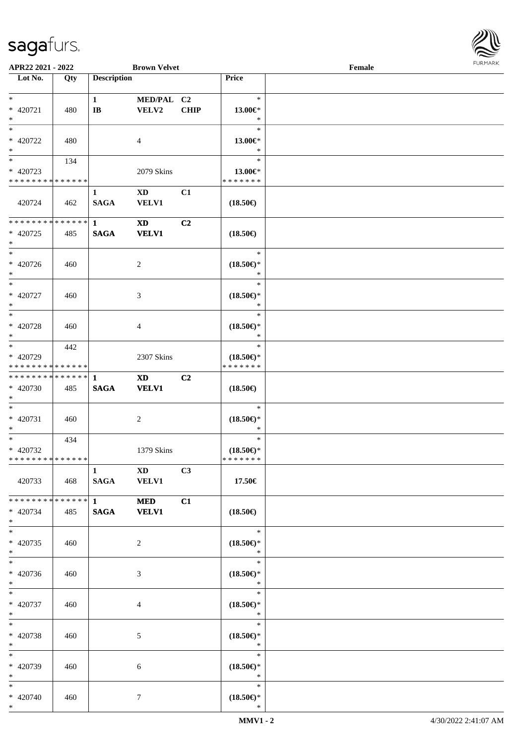

| APR22 2021 - 2022                         |     |                             | <b>Brown Velvet</b>       |             |                               | Female |
|-------------------------------------------|-----|-----------------------------|---------------------------|-------------|-------------------------------|--------|
| Lot No.                                   | Qty | <b>Description</b>          |                           |             | Price                         |        |
|                                           |     |                             |                           |             |                               |        |
| $*$                                       |     | $\mathbf{1}$                | MED/PAL C2                |             | $\ast$                        |        |
| * 420721                                  | 480 | $\mathbf{I}\mathbf{B}$      | ${\bf VELV2}$             | <b>CHIP</b> | 13.00€*                       |        |
| $\ast$                                    |     |                             |                           |             | $\ast$                        |        |
| $\ast$                                    |     |                             |                           |             | $\ast$                        |        |
| $* 420722$                                | 480 |                             | 4                         |             | 13.00€*                       |        |
| $\ast$<br>$\overline{\ast}$               |     |                             |                           |             | $\ast$                        |        |
|                                           | 134 |                             |                           |             | $\ast$                        |        |
| $* 420723$<br>* * * * * * * * * * * * * * |     |                             | 2079 Skins                |             | 13.00€*<br>* * * * * * *      |        |
|                                           |     |                             |                           |             |                               |        |
| 420724                                    | 462 | $\mathbf{1}$<br><b>SAGA</b> | <b>XD</b><br><b>VELV1</b> | C1          | $(18.50\epsilon)$             |        |
|                                           |     |                             |                           |             |                               |        |
| * * * * * * * * * * * * * *               |     | $\mathbf{1}$                | $\mathbf{X}\mathbf{D}$    | C2          |                               |        |
| * 420725                                  | 485 | <b>SAGA</b>                 | <b>VELV1</b>              |             | $(18.50\epsilon)$             |        |
| $\ast$                                    |     |                             |                           |             |                               |        |
| $\ast$                                    |     |                             |                           |             | $\ast$                        |        |
| $* 420726$                                | 460 |                             | 2                         |             | $(18.50\epsilon)$ *           |        |
| $*$                                       |     |                             |                           |             | $\ast$                        |        |
| $\ast$                                    |     |                             |                           |             | $\ast$                        |        |
| * 420727                                  | 460 |                             | 3                         |             | $(18.50\epsilon)$ *           |        |
| $*$                                       |     |                             |                           |             | $\ast$                        |        |
| $*$                                       |     |                             |                           |             | $\ast$                        |        |
| $* 420728$                                | 460 |                             | 4                         |             | $(18.50\epsilon)$ *           |        |
| $\ast$                                    |     |                             |                           |             | $\ast$                        |        |
| $\ast$                                    | 442 |                             |                           |             | $\ast$                        |        |
| * 420729                                  |     |                             | 2307 Skins                |             | $(18.50\epsilon)$ *           |        |
| * * * * * * * * * * * * * *               |     |                             |                           |             | * * * * * * *                 |        |
| * * * * * * * * * * * * * * *             |     | -1                          | <b>XD</b>                 | C2          |                               |        |
| * 420730                                  | 485 | $\mathbf{SAGA}$             | <b>VELV1</b>              |             | $(18.50\epsilon)$             |        |
| $*$<br>$*$                                |     |                             |                           |             | $\ast$                        |        |
| $* 420731$                                |     |                             |                           |             |                               |        |
| $*$                                       | 460 |                             | $\boldsymbol{2}$          |             | $(18.50\epsilon)$ *<br>$\ast$ |        |
| $*$                                       | 434 |                             |                           |             | $\ast$                        |        |
| * 420732                                  |     |                             | 1379 Skins                |             | $(18.50\epsilon)$ *           |        |
| * * * * * * * * * * * * * *               |     |                             |                           |             | *******                       |        |
|                                           |     | $\mathbf{1}$                | <b>XD</b>                 | C3          |                               |        |
| 420733                                    | 468 | SAGA                        | <b>VELV1</b>              |             | 17.50€                        |        |
|                                           |     |                             |                           |             |                               |        |
| * * * * * * * * * * * * * * *             |     | $1 \qquad \qquad$           | <b>MED</b>                | C1          |                               |        |
| * 420734                                  | 485 | <b>SAGA</b>                 | <b>VELV1</b>              |             | $(18.50\epsilon)$             |        |
| $*$                                       |     |                             |                           |             |                               |        |
| $*$                                       |     |                             |                           |             | $*$                           |        |
| $* 420735$                                | 460 |                             | 2                         |             | $(18.50\epsilon)$ *           |        |
| $*$                                       |     |                             |                           |             | $\ast$                        |        |
| $\ast$                                    |     |                             |                           |             | $\ast$                        |        |
| $* 420736$                                | 460 |                             | 3                         |             | $(18.50\epsilon)$ *           |        |
| $*$<br>$*$                                |     |                             |                           |             | $\ast$                        |        |
|                                           |     |                             |                           |             | $\ast$                        |        |
| $* 420737$<br>$*$ $-$                     | 460 |                             | 4                         |             | $(18.50\epsilon)$ *<br>$\ast$ |        |
| $*$                                       |     |                             |                           |             | $\ast$                        |        |
| * 420738                                  |     |                             |                           |             |                               |        |
| $*$                                       | 460 |                             | 5                         |             | $(18.50\epsilon)$ *<br>$\ast$ |        |
| $*$                                       |     |                             |                           |             | $\ast$                        |        |
| * 420739                                  | 460 |                             | 6                         |             | $(18.50\epsilon)$ *           |        |
| $*$                                       |     |                             |                           |             | $\ast$                        |        |
| $*$                                       |     |                             |                           |             | $\ast$                        |        |
| * 420740                                  | 460 |                             | 7                         |             | $(18.50\epsilon)$ *           |        |
| $*$                                       |     |                             |                           |             | $\ast$                        |        |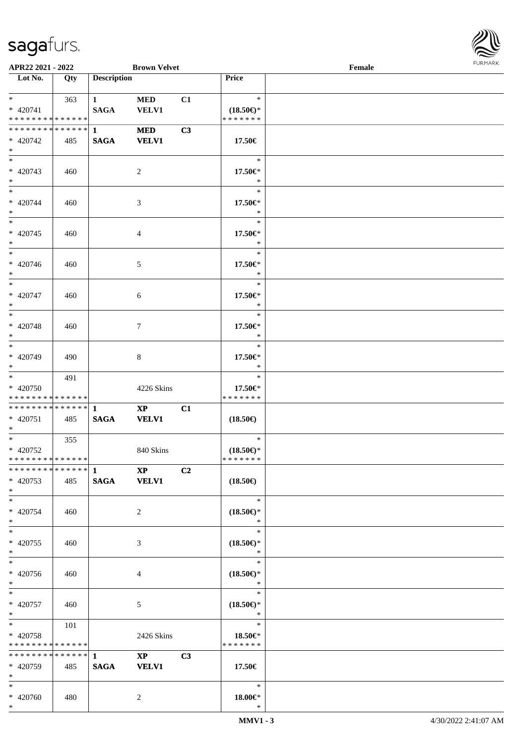

| APR22 2021 - 2022                                                   |     |                                       | <b>Brown Velvet</b>                    |                |                                                | Female |  |
|---------------------------------------------------------------------|-----|---------------------------------------|----------------------------------------|----------------|------------------------------------------------|--------|--|
| Lot No.                                                             | Qty | <b>Description</b>                    |                                        |                | Price                                          |        |  |
| $*$<br>$* 420741$<br>* * * * * * * * * * * * * * *                  | 363 | 1<br><b>SAGA</b>                      | <b>MED</b><br>VELV1                    | C1             | $\ast$<br>$(18.50\epsilon)$ *<br>* * * * * * * |        |  |
| * * * * * * * * * * * * * * <mark>*</mark><br>* 420742<br>$*$       | 485 | $1 \quad \blacksquare$<br><b>SAGA</b> | <b>MED</b><br><b>VELV1</b>             | C3             | 17.50€                                         |        |  |
| * 420743<br>$*$                                                     | 460 |                                       | 2                                      |                | $\ast$<br>17.50€*<br>$\ast$                    |        |  |
| $*$<br>* 420744<br>$*$                                              | 460 |                                       | 3                                      |                | $\ast$<br>17.50€*<br>$\ast$                    |        |  |
| $* 420745$<br>$*$                                                   | 460 |                                       | 4                                      |                | $\ast$<br>17.50€*<br>$\ast$                    |        |  |
| $* 420746$<br>$*$<br>$\overline{\ast}$                              | 460 |                                       | 5                                      |                | $\ast$<br>17.50€*<br>$\ast$                    |        |  |
| $* 420747$<br>$*$                                                   | 460 |                                       | 6                                      |                | $\ast$<br>17.50 $\in$ *<br>$\ast$              |        |  |
| $* 420748$<br>$*$<br>$\overline{\ast}$                              | 460 |                                       | $7\phantom{.0}$                        |                | $\ast$<br>17.50€*<br>$\ast$                    |        |  |
| * 420749<br>$*$                                                     | 490 |                                       | 8                                      |                | $\ast$<br>17.50€*<br>$\ast$                    |        |  |
| $*$<br>* 420750<br>* * * * * * * * <mark>* * * * * * *</mark>       | 491 |                                       | 4226 Skins                             |                | $\ast$<br>17.50€*<br>* * * * * * *             |        |  |
| * 420751<br>$*$                                                     | 485 | <b>SAGA</b>                           | $\mathbf{X}\mathbf{P}$<br><b>VELV1</b> | C1             | $(18.50\epsilon)$                              |        |  |
| $*$ $-$<br>$* 420752$<br>* * * * * * * * <mark>* * * * * * *</mark> | 355 |                                       | 840 Skins                              |                | $\ast$<br>$(18.50\epsilon)$ *<br>*******       |        |  |
| * 420753<br>$*$                                                     | 485 |                                       | $\mathbf{X} \mathbf{P}$<br>SAGA VELV1  | C <sub>2</sub> | $(18.50\epsilon)$                              |        |  |
| $*$<br>* 420754<br>$*$                                              | 460 |                                       | 2                                      |                | $\ast$<br>$(18.50\epsilon)$ *<br>$\ast$        |        |  |
| $*$ $-$<br>* 420755<br>$*$                                          | 460 |                                       | 3                                      |                | $\ast$<br>$(18.50\epsilon)$ *<br>$\ast$        |        |  |
| $*$<br>* 420756<br>$*$                                              | 460 |                                       | 4                                      |                | $\ast$<br>$(18.50\epsilon)$ *<br>$\ast$        |        |  |
| $*$ $-$<br>* 420757<br>$*$ $-$                                      | 460 |                                       | 5                                      |                | $\ast$<br>$(18.50\epsilon)$ *<br>$\ast$        |        |  |
| $*$ and $*$<br>* 420758<br>* * * * * * * * <mark>* * * * * *</mark> | 101 |                                       | 2426 Skins                             |                | $\ast$<br>18.50€*<br>* * * * * * *             |        |  |
| **************<br>* 420759<br>$*$                                   | 485 | $\mathbf{1}$<br><b>SAGA</b>           | $\mathbf{X}\mathbf{P}$<br><b>VELV1</b> | C3             | 17.50€                                         |        |  |
| $*$<br>* 420760<br>$*$                                              | 480 |                                       | 2                                      |                | $\ast$<br>$18.00 \in$ *<br>$\ast$              |        |  |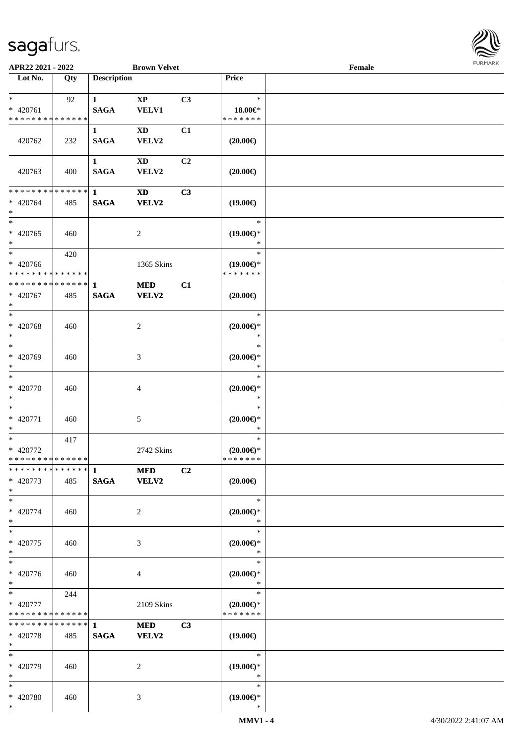

| APR22 2021 - 2022                                                |     |                             | <b>Brown Velvet</b>             |                |                                                | Female |  |
|------------------------------------------------------------------|-----|-----------------------------|---------------------------------|----------------|------------------------------------------------|--------|--|
| Lot No.                                                          | Qty | <b>Description</b>          |                                 |                | Price                                          |        |  |
| $*$<br>* 420761<br>* * * * * * * * * * * * * *                   | 92  | $\mathbf{1}$<br><b>SAGA</b> | $\mathbf{X}\mathbf{P}$<br>VELV1 | C3             | $\ast$<br>18.00€*<br>* * * * * * *             |        |  |
| 420762                                                           | 232 | $\mathbf{1}$<br><b>SAGA</b> | $\mathbf{X}\mathbf{D}$<br>VELV2 | C1             | $(20.00\epsilon)$                              |        |  |
| 420763                                                           | 400 | $\mathbf{1}$<br><b>SAGA</b> | <b>XD</b><br>VELV2              | C <sub>2</sub> | $(20.00\in)$                                   |        |  |
| * * * * * * * * * * * * * * *<br>* 420764<br>$*$                 | 485 | $\mathbf{1}$<br><b>SAGA</b> | <b>XD</b><br><b>VELV2</b>       | C3             | $(19.00\epsilon)$                              |        |  |
| $*$<br>$* 420765$<br>$*$                                         | 460 |                             | $\overline{c}$                  |                | $\ast$<br>$(19.00\epsilon)$ *<br>$\ast$        |        |  |
| $\ast$<br>* 420766<br>* * * * * * * * <mark>* * * * * * *</mark> | 420 |                             | 1365 Skins                      |                | $\ast$<br>$(19.00\epsilon)$ *<br>* * * * * * * |        |  |
| ******** <mark>******</mark><br>* 420767<br>$*$                  | 485 | $\mathbf{1}$<br><b>SAGA</b> | <b>MED</b><br><b>VELV2</b>      | C1             | $(20.00\epsilon)$                              |        |  |
| $*$<br>* 420768<br>$*$                                           | 460 |                             | 2                               |                | $\ast$<br>$(20.00\epsilon)$ *<br>$\ast$        |        |  |
| $*$<br>* 420769<br>$*$                                           | 460 |                             | 3                               |                | $\ast$<br>$(20.00\epsilon)$ *<br>*             |        |  |
| $*$<br>$* 420770$<br>$*$                                         | 460 |                             | 4                               |                | $\ast$<br>$(20.00\epsilon)$ *<br>$\ast$        |        |  |
| $*$<br>$* 420771$<br>$*$                                         | 460 |                             | 5                               |                | $\ast$<br>$(20.00\epsilon)$ *<br>$\ast$        |        |  |
| $*$<br>$* 420772$<br>* * * * * * * * * * * * * * *               | 417 |                             | 2742 Skins                      |                | $\ast$<br>$(20.00\epsilon)$ *<br>* * * * * * * |        |  |
| * 420773<br>$*$                                                  | 485 | <b>SAGA</b>                 | <b>MED</b><br><b>VELV2</b>      | C2             | $(20.00\epsilon)$                              |        |  |
| $*$<br>* 420774<br>$*$                                           | 460 |                             | 2                               |                | $\ast$<br>$(20.00\epsilon)$ *<br>$\ast$        |        |  |
| $*$<br>$* 420775$<br>$*$                                         | 460 |                             | 3                               |                | $\ast$<br>$(20.00\epsilon)$ *<br>$\ast$        |        |  |
| $*$<br>* 420776<br>$*$                                           | 460 |                             | 4                               |                | $\ast$<br>$(20.00\epsilon)$ *<br>$\ast$        |        |  |
| $*$<br>* 420777<br>* * * * * * * * * * * * * *                   | 244 |                             | 2109 Skins                      |                | $\ast$<br>$(20.00\epsilon)$ *<br>* * * * * * * |        |  |
| * * * * * * * * * * * * * * *<br>* 420778<br>$*$                 | 485 | $\mathbf{1}$<br><b>SAGA</b> | <b>MED</b><br>VELV2             | C3             | $(19.00\epsilon)$                              |        |  |
| $*$<br>* 420779<br>$*$                                           | 460 |                             | 2                               |                | $\ast$<br>$(19.00\epsilon)$ *<br>$\ast$        |        |  |
| $*$<br>* 420780<br>$*$                                           | 460 |                             | 3                               |                | $\ast$<br>$(19.00\epsilon)$ *<br>$\ast$        |        |  |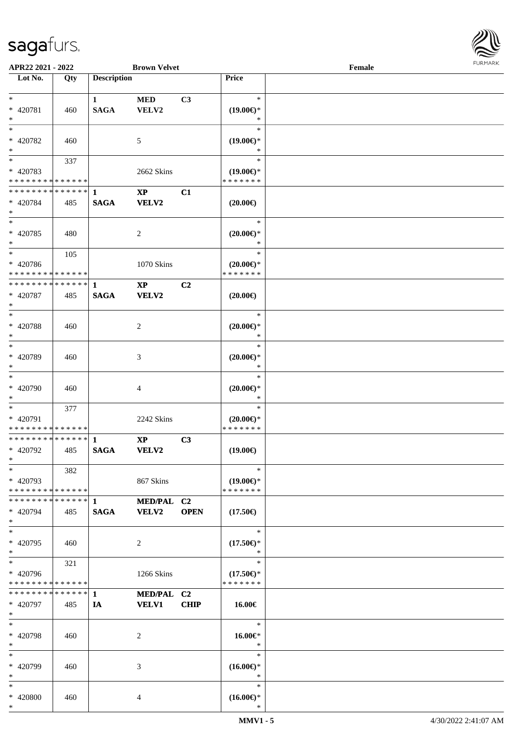

| APR22 2021 - 2022                          |     |                    | <b>Brown Velvet</b>    |             |                                      | Female |  |
|--------------------------------------------|-----|--------------------|------------------------|-------------|--------------------------------------|--------|--|
| Lot No.                                    | Qty | <b>Description</b> |                        |             | Price                                |        |  |
|                                            |     |                    |                        |             |                                      |        |  |
| $*$                                        |     | $\mathbf{1}$       | <b>MED</b>             | C3          | $\ast$                               |        |  |
| * 420781                                   | 460 | <b>SAGA</b>        | VELV2                  |             | $(19.00\epsilon)$ *                  |        |  |
| $*$                                        |     |                    |                        |             | ∗                                    |        |  |
| $*$                                        |     |                    |                        |             | $\ast$                               |        |  |
| * 420782                                   | 460 |                    | 5                      |             | $(19.00\epsilon)$ *                  |        |  |
| $*$                                        |     |                    |                        |             | ∗                                    |        |  |
|                                            | 337 |                    |                        |             | $\ast$                               |        |  |
| * 420783                                   |     |                    | 2662 Skins             |             | $(19.00\epsilon)$ *                  |        |  |
| * * * * * * * * * * * * * *                |     |                    |                        |             | * * * * * * *                        |        |  |
| * * * * * * * * <mark>* * * * * * *</mark> |     | 1                  | $\mathbf{X}\mathbf{P}$ | C1          |                                      |        |  |
| * 420784                                   | 485 | <b>SAGA</b>        | VELV2                  |             | $(20.00\epsilon)$                    |        |  |
| $*$                                        |     |                    |                        |             |                                      |        |  |
| $*$                                        |     |                    |                        |             | $\ast$                               |        |  |
| * 420785                                   | 480 |                    | 2                      |             | $(20.00\epsilon)$ *                  |        |  |
| $\ast$                                     |     |                    |                        |             | $\ast$                               |        |  |
| $*$                                        | 105 |                    |                        |             | $\ast$                               |        |  |
|                                            |     |                    |                        |             |                                      |        |  |
| * 420786<br>* * * * * * * * * * * * * *    |     |                    | 1070 Skins             |             | $(20.00\epsilon)$ *<br>* * * * * * * |        |  |
| * * * * * * * * * * * * * * *              |     |                    |                        |             |                                      |        |  |
|                                            |     | $\mathbf{1}$       | $\mathbf{X}\mathbf{P}$ | C2          |                                      |        |  |
| * 420787                                   | 485 | <b>SAGA</b>        | <b>VELV2</b>           |             | $(20.00\epsilon)$                    |        |  |
| $*$                                        |     |                    |                        |             |                                      |        |  |
|                                            |     |                    |                        |             | $\ast$                               |        |  |
| * 420788                                   | 460 |                    | 2                      |             | $(20.00\epsilon)$ *                  |        |  |
| $*$                                        |     |                    |                        |             | $\ast$                               |        |  |
| $\overline{\phantom{0}}$                   |     |                    |                        |             | $\ast$                               |        |  |
| * 420789                                   | 460 |                    | 3                      |             | $(20.00\epsilon)$ *                  |        |  |
| $*$                                        |     |                    |                        |             | $\ast$                               |        |  |
| $*$                                        |     |                    |                        |             | $\ast$                               |        |  |
| * 420790                                   | 460 |                    | 4                      |             | $(20.00\mathsf{E})^*$                |        |  |
| $*$                                        |     |                    |                        |             | $\ast$                               |        |  |
| $*$                                        | 377 |                    |                        |             | $\ast$                               |        |  |
| * 420791                                   |     |                    | 2242 Skins             |             | $(20.00\epsilon)$ *                  |        |  |
| * * * * * * * * * * * * * *                |     |                    |                        |             | * * * * * * *                        |        |  |
| * * * * * * * * <mark>* * * * * * *</mark> |     | $\mathbf{1}$       | $\mathbf{XP}$          | C3          |                                      |        |  |
| * 420792                                   | 485 | <b>SAGA</b>        | VELV2                  |             | $(19.00\epsilon)$                    |        |  |
| $*$                                        |     |                    |                        |             |                                      |        |  |
| $\ast$                                     | 382 |                    |                        |             | $\ast$                               |        |  |
| * 420793                                   |     |                    | 867 Skins              |             | $(19.00\epsilon)$ *                  |        |  |
| * * * * * * * * * * * * * *                |     |                    |                        |             | * * * * * * *                        |        |  |
| * * * * * * * * * * * * * * <mark>*</mark> |     | $\mathbf{1}$       | MED/PAL C2             |             |                                      |        |  |
| * 420794                                   | 485 | <b>SAGA</b>        | <b>VELV2</b>           | <b>OPEN</b> | $(17.50\epsilon)$                    |        |  |
| $\ast$                                     |     |                    |                        |             |                                      |        |  |
| $*$                                        |     |                    |                        |             | $\ast$                               |        |  |
| * 420795                                   | 460 |                    | 2                      |             | $(17.50\epsilon)$ *                  |        |  |
| $*$                                        |     |                    |                        |             | $\ast$                               |        |  |
| $*$                                        | 321 |                    |                        |             | $\ast$                               |        |  |
| * 420796                                   |     |                    | 1266 Skins             |             | $(17.50\epsilon)$ *                  |        |  |
| * * * * * * * * * * * * * *                |     |                    |                        |             | * * * * * * *                        |        |  |
| * * * * * * * * * * * * * * <mark>*</mark> |     | $\mathbf{1}$       | MED/PAL C2             |             |                                      |        |  |
| * 420797                                   | 485 | IA                 | <b>VELV1</b>           | <b>CHIP</b> | $16.00\in$                           |        |  |
| $*$                                        |     |                    |                        |             |                                      |        |  |
| $*$                                        |     |                    |                        |             | $\ast$                               |        |  |
| * 420798                                   | 460 |                    | 2                      |             | 16.00€*                              |        |  |
| $*$                                        |     |                    |                        |             | $\ast$                               |        |  |
| $\ast$                                     |     |                    |                        |             | $\ast$                               |        |  |
| * 420799                                   | 460 |                    | 3                      |             | $(16.00\epsilon)$ *                  |        |  |
| $*$                                        |     |                    |                        |             | $\ast$                               |        |  |
| $*$                                        |     |                    |                        |             | $\ast$                               |        |  |
| * 420800                                   | 460 |                    | 4                      |             | $(16.00\epsilon)$ *                  |        |  |
| $*$                                        |     |                    |                        |             | $\ast$                               |        |  |
|                                            |     |                    |                        |             |                                      |        |  |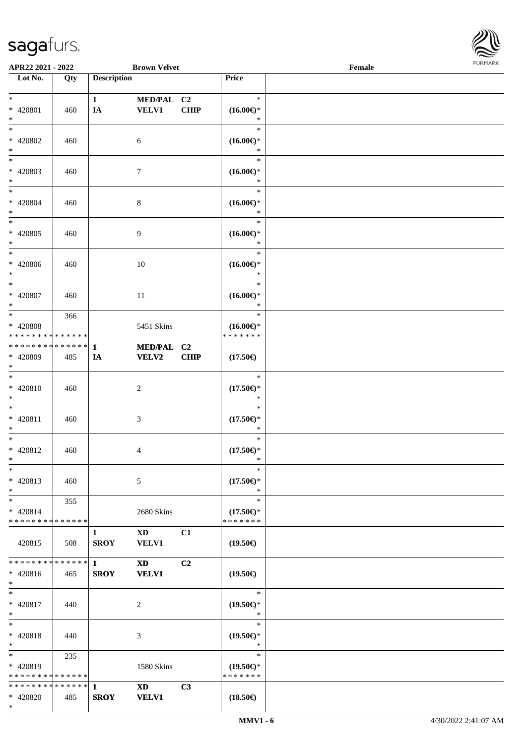

| APR22 2021 - 2022             |     |                    | <b>Brown Velvet</b>    |             |                               | Female |  |
|-------------------------------|-----|--------------------|------------------------|-------------|-------------------------------|--------|--|
| Lot No.                       | Qty | <b>Description</b> |                        |             | Price                         |        |  |
|                               |     |                    |                        |             |                               |        |  |
| $*$                           |     | $\mathbf{1}$       | MED/PAL C2             |             | $\ast$                        |        |  |
| * 420801                      | 460 | IA                 | <b>VELV1</b>           | <b>CHIP</b> | $(16.00\epsilon)$ *           |        |  |
| $*$                           |     |                    |                        |             | ∗<br>$\ast$                   |        |  |
| $*$<br>* 420802               |     |                    |                        |             |                               |        |  |
| $*$                           | 460 |                    | 6                      |             | $(16.00\epsilon)$ *<br>*      |        |  |
| $\overline{\phantom{0}}$      |     |                    |                        |             | $\ast$                        |        |  |
| * 420803                      | 460 |                    | $\tau$                 |             | $(16.00\epsilon)$ *           |        |  |
| $\ast$                        |     |                    |                        |             | *                             |        |  |
| $*$                           |     |                    |                        |             | $\ast$                        |        |  |
| * 420804                      | 460 |                    | $8\,$                  |             | $(16.00\epsilon)^\ast$        |        |  |
| $*$                           |     |                    |                        |             | $\ast$                        |        |  |
| $*$                           |     |                    |                        |             | $\ast$                        |        |  |
| $* 420805$                    | 460 |                    | 9                      |             | $(16.00\epsilon)$ *           |        |  |
| $*$<br>$*$                    |     |                    |                        |             | $\ast$<br>$\ast$              |        |  |
| $* 420806$                    |     |                    |                        |             |                               |        |  |
| $*$                           | 460 |                    | 10                     |             | $(16.00\epsilon)$ *<br>$\ast$ |        |  |
| $*$                           |     |                    |                        |             | $\ast$                        |        |  |
| $* 420807$                    | 460 |                    | 11                     |             | $(16.00\epsilon)$ *           |        |  |
| $\ast$                        |     |                    |                        |             | $\ast$                        |        |  |
| $*$                           | 366 |                    |                        |             | $\ast$                        |        |  |
| * 420808                      |     |                    | 5451 Skins             |             | $(16.00\epsilon)$ *           |        |  |
| * * * * * * * * * * * * * *   |     |                    |                        |             | * * * * * * *                 |        |  |
| * * * * * * * * * * * * * * * |     | $\mathbf{1}$       | MED/PAL C2             |             |                               |        |  |
| * 420809<br>$*$               | 485 | IA                 | VELV2                  | <b>CHIP</b> | $(17.50\epsilon)$             |        |  |
| $*$                           |     |                    |                        |             | $\ast$                        |        |  |
| $* 420810$                    | 460 |                    | $\overline{c}$         |             | $(17.50\epsilon)$ *           |        |  |
| $*$                           |     |                    |                        |             | $\ast$                        |        |  |
| $*$                           |     |                    |                        |             | $\ast$                        |        |  |
| * 420811                      | 460 |                    | 3                      |             | $(17.50\epsilon)$ *           |        |  |
| $*$                           |     |                    |                        |             | $\ast$                        |        |  |
| $*$                           |     |                    |                        |             | $\ast$                        |        |  |
| * 420812<br>$*$               | 460 |                    | 4                      |             | $(17.50\epsilon)$ *<br>$\ast$ |        |  |
| $\ast$                        |     |                    |                        |             | $\ast$                        |        |  |
| * 420813                      | 460 |                    | 5                      |             | $(17.50\epsilon)$ *           |        |  |
| $*$                           |     |                    |                        |             | ∗                             |        |  |
| $*$                           | 355 |                    |                        |             | $\ast$                        |        |  |
| $* 420814$                    |     |                    | 2680 Skins             |             | $(17.50\epsilon)$ *           |        |  |
| * * * * * * * * * * * * * *   |     |                    |                        |             | * * * * * * *                 |        |  |
|                               |     | 1                  | $\mathbf{X}\mathbf{D}$ | C1          |                               |        |  |
| 420815                        | 508 | <b>SROY</b>        | <b>VELV1</b>           |             | $(19.50\epsilon)$             |        |  |
| * * * * * * * * * * * * * * * |     | $\mathbf{1}$       | <b>XD</b>              | C2          |                               |        |  |
| $* 420816$                    | 465 | <b>SROY</b>        | <b>VELV1</b>           |             | $(19.50\epsilon)$             |        |  |
| $*$                           |     |                    |                        |             |                               |        |  |
| $*$                           |     |                    |                        |             | $\ast$                        |        |  |
| * 420817                      | 440 |                    | 2                      |             | $(19.50\epsilon)$ *           |        |  |
| $*$                           |     |                    |                        |             | $\ast$                        |        |  |
| $*$                           |     |                    |                        |             | $\ast$                        |        |  |
| * 420818<br>$*$               | 440 |                    | 3                      |             | $(19.50\epsilon)$ *<br>$\ast$ |        |  |
| $*$ $*$                       | 235 |                    |                        |             | $\ast$                        |        |  |
| * 420819                      |     |                    | 1580 Skins             |             | $(19.50\epsilon)$ *           |        |  |
| * * * * * * * * * * * * * *   |     |                    |                        |             | * * * * * * *                 |        |  |
|                               |     |                    | <b>XD</b>              | C3          |                               |        |  |
| * 420820                      | 485 | <b>SROY</b>        | <b>VELV1</b>           |             | $(18.50\epsilon)$             |        |  |
| $*$                           |     |                    |                        |             |                               |        |  |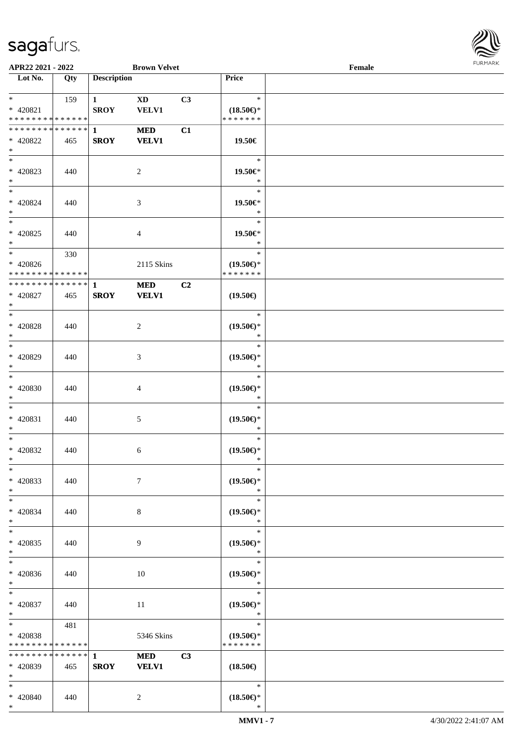

| APR22 2021 - 2022             |     |                        | <b>Brown Velvet</b> |                |                     | Female |  |
|-------------------------------|-----|------------------------|---------------------|----------------|---------------------|--------|--|
| Lot No.                       | Qty | <b>Description</b>     |                     |                | Price               |        |  |
|                               |     |                        |                     |                |                     |        |  |
| $*$ $*$                       | 159 | $1 \quad \blacksquare$ | <b>XD</b>           | C3             | $\ast$              |        |  |
| * 420821                      |     | <b>SROY</b>            | VELV1               |                | $(18.50\epsilon)$ * |        |  |
| * * * * * * * * * * * * * *   |     |                        |                     |                | * * * * * * *       |        |  |
| * * * * * * * * * * * * * * * |     | $\mathbf{1}$           | <b>MED</b>          | C1             |                     |        |  |
| * 420822                      | 465 | <b>SROY</b>            | <b>VELV1</b>        |                | 19.50€              |        |  |
| $\ast$                        |     |                        |                     |                |                     |        |  |
|                               |     |                        |                     |                | $\ast$              |        |  |
| * 420823                      | 440 |                        | 2                   |                | 19.50€*             |        |  |
| $*$                           |     |                        |                     |                | $\ast$              |        |  |
| $*$                           |     |                        |                     |                | $\ast$              |        |  |
| * 420824                      | 440 |                        | 3                   |                | 19.50€*             |        |  |
| $*$                           |     |                        |                     |                | $\ast$              |        |  |
|                               |     |                        |                     |                | $\ast$              |        |  |
| $* 420825$                    | 440 |                        | 4                   |                | 19.50€*             |        |  |
| $*$                           |     |                        |                     |                | $\ast$              |        |  |
| $*$                           | 330 |                        |                     |                | $\ast$              |        |  |
| $* 420826$                    |     |                        | 2115 Skins          |                | $(19.50\epsilon)$ * |        |  |
| * * * * * * * * * * * * * *   |     |                        |                     |                | * * * * * * *       |        |  |
| * * * * * * * * * * * * * * * |     | $\mathbf{1}$           | <b>MED</b>          | C <sub>2</sub> |                     |        |  |
| $* 420827$                    | 465 | <b>SROY</b>            | <b>VELV1</b>        |                | $(19.50\epsilon)$   |        |  |
| $*$                           |     |                        |                     |                |                     |        |  |
|                               |     |                        |                     |                | $\ast$              |        |  |
| * 420828                      | 440 |                        | 2                   |                | $(19.50\epsilon)$ * |        |  |
| $*$                           |     |                        |                     |                | $\ast$              |        |  |
| $*$                           |     |                        |                     |                | $\ast$              |        |  |
| $* 420829$                    | 440 |                        | 3                   |                | $(19.50\epsilon)$ * |        |  |
| $*$                           |     |                        |                     |                | $\ast$              |        |  |
| $*$                           |     |                        |                     |                | $\ast$              |        |  |
| $* 420830$                    | 440 |                        | 4                   |                | $(19.50\epsilon)$ * |        |  |
| $*$                           |     |                        |                     |                | $\ast$              |        |  |
| $*$                           |     |                        |                     |                | $\ast$              |        |  |
| * 420831                      | 440 |                        | 5                   |                | $(19.50\epsilon)$ * |        |  |
| $*$                           |     |                        |                     |                | $\ast$              |        |  |
| $*$                           |     |                        |                     |                | $\ast$              |        |  |
| * 420832                      | 440 |                        | 6                   |                | $(19.50\epsilon)$ * |        |  |
| $*$ $-$                       |     |                        |                     |                | $\ast$              |        |  |
| $*$                           |     |                        |                     |                | $\ast$              |        |  |
| * 420833                      | 440 |                        | 7                   |                | $(19.50\epsilon)$ * |        |  |
| $*$                           |     |                        |                     |                | $\ast$              |        |  |
| $*$                           |     |                        |                     |                | $\ast$              |        |  |
| * 420834                      | 440 |                        | 8                   |                | $(19.50\epsilon)$ * |        |  |
| $*$                           |     |                        |                     |                | $\ast$              |        |  |
| $*$                           |     |                        |                     |                | $\ast$              |        |  |
| $* 420835$                    | 440 |                        | 9                   |                | $(19.50\epsilon)$ * |        |  |
| $*$                           |     |                        |                     |                | $\ast$              |        |  |
| $*$                           |     |                        |                     |                | $\ast$              |        |  |
| * 420836                      | 440 |                        | 10                  |                | $(19.50\epsilon)$ * |        |  |
| $*$                           |     |                        |                     |                | $\ast$              |        |  |
| $*$                           |     |                        |                     |                | $\ast$              |        |  |
| $* 420837$                    | 440 |                        | 11                  |                | $(19.50\epsilon)$ * |        |  |
| $*$                           |     |                        |                     |                | $\ast$              |        |  |
| $*$ and $*$                   | 481 |                        |                     |                | $\ast$              |        |  |
| * 420838                      |     |                        | 5346 Skins          |                | $(19.50\epsilon)$ * |        |  |
| * * * * * * * * * * * * * *   |     |                        |                     |                | * * * * * * *       |        |  |
| ******** <mark>******</mark>  |     | $\mathbf{1}$           | <b>MED</b>          | C3             |                     |        |  |
| * 420839                      | 465 | <b>SROY</b>            | <b>VELV1</b>        |                | $(18.50\epsilon)$   |        |  |
| $*$                           |     |                        |                     |                |                     |        |  |
| $*$                           |     |                        |                     |                | $\ast$              |        |  |
| * 420840                      | 440 |                        | 2                   |                | $(18.50\epsilon)$ * |        |  |
| $*$                           |     |                        |                     |                | $\ast$              |        |  |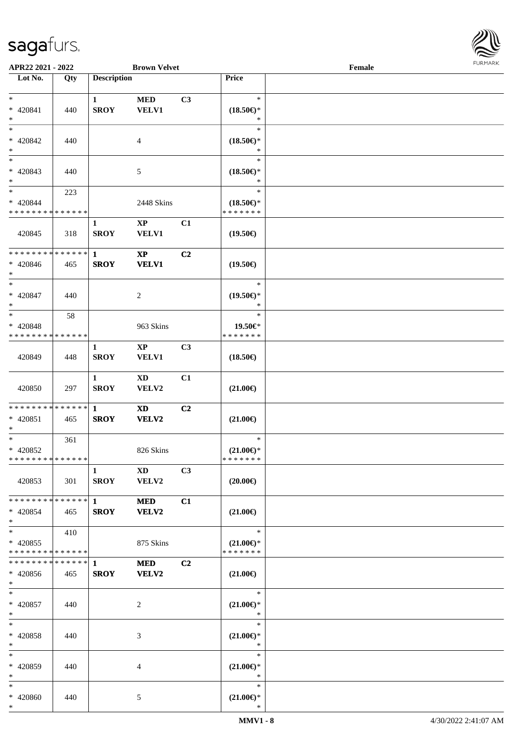

| APR22 2021 - 2022               |     |                    | <b>Brown Velvet</b>    |    |                                      | Female |  |
|---------------------------------|-----|--------------------|------------------------|----|--------------------------------------|--------|--|
| Lot No.                         | Qty | <b>Description</b> |                        |    | Price                                |        |  |
|                                 |     |                    |                        |    |                                      |        |  |
| $*$                             |     | $\mathbf{1}$       | <b>MED</b>             | C3 | $\ast$                               |        |  |
| $* 420841$                      | 440 | <b>SROY</b>        | <b>VELV1</b>           |    | $(18.50\epsilon)$ *                  |        |  |
| $*$                             |     |                    |                        |    | ∗                                    |        |  |
| $*$                             |     |                    |                        |    | $\ast$                               |        |  |
| $* 420842$                      | 440 |                    | 4                      |    | $(18.50\epsilon)$ *                  |        |  |
| $*$<br>$\overline{\phantom{0}}$ |     |                    |                        |    | ∗                                    |        |  |
|                                 |     |                    |                        |    | $\ast$                               |        |  |
| * 420843                        | 440 |                    | 5                      |    | $(18.50\epsilon)$ *                  |        |  |
| $*$<br>$*$                      |     |                    |                        |    | $\ast$<br>$\ast$                     |        |  |
| $* 420844$                      | 223 |                    |                        |    |                                      |        |  |
| * * * * * * * * * * * * * *     |     |                    | 2448 Skins             |    | $(18.50\epsilon)$ *<br>* * * * * * * |        |  |
|                                 |     | 1                  | $\mathbf{XP}$          | C1 |                                      |        |  |
| 420845                          | 318 | <b>SROY</b>        | <b>VELV1</b>           |    | $(19.50\epsilon)$                    |        |  |
|                                 |     |                    |                        |    |                                      |        |  |
| ******** <mark>******</mark>    |     | $\mathbf{1}$       | $\mathbf{X}\mathbf{P}$ | C2 |                                      |        |  |
| $* 420846$                      | 465 | <b>SROY</b>        | <b>VELV1</b>           |    | $(19.50\epsilon)$                    |        |  |
| $*$                             |     |                    |                        |    |                                      |        |  |
| $*$                             |     |                    |                        |    | $\ast$                               |        |  |
| $* 420847$                      | 440 |                    | 2                      |    | $(19.50\epsilon)$ *                  |        |  |
| $*$                             |     |                    |                        |    | $\ast$                               |        |  |
| $\ast$                          | 58  |                    |                        |    | $\ast$                               |        |  |
| * 420848                        |     |                    | 963 Skins              |    | 19.50€*                              |        |  |
| * * * * * * * * * * * * * *     |     |                    |                        |    | * * * * * * *                        |        |  |
|                                 |     | $\mathbf{1}$       | $\mathbf{X}\mathbf{P}$ | C3 |                                      |        |  |
| 420849                          | 448 | <b>SROY</b>        | <b>VELV1</b>           |    | $(18.50\epsilon)$                    |        |  |
|                                 |     |                    |                        |    |                                      |        |  |
|                                 |     | $\mathbf{1}$       | $\mathbf{X}\mathbf{D}$ | C1 |                                      |        |  |
| 420850                          | 297 | <b>SROY</b>        | VELV2                  |    | $(21.00\epsilon)$                    |        |  |
| * * * * * * * * * * * * * * *   |     | $\mathbf{1}$       |                        | C2 |                                      |        |  |
| $* 420851$                      | 465 | <b>SROY</b>        | <b>XD</b><br>VELV2     |    | $(21.00\epsilon)$                    |        |  |
| $*$                             |     |                    |                        |    |                                      |        |  |
| $*$                             | 361 |                    |                        |    | $\ast$                               |        |  |
| $* 420852$                      |     |                    | 826 Skins              |    | $(21.00\epsilon)$ *                  |        |  |
| * * * * * * * * * * * * * * *   |     |                    |                        |    | * * * * * * *                        |        |  |
|                                 |     | $\mathbf{1}$       | $\mathbf{X}\mathbf{D}$ | C3 |                                      |        |  |
| 420853                          | 301 | <b>SROY</b>        | VELV2                  |    | $(20.00\epsilon)$                    |        |  |
|                                 |     |                    |                        |    |                                      |        |  |
| * * * * * * * * * * * * * * *   |     | $\mathbf{1}$       | <b>MED</b>             | C1 |                                      |        |  |
| * 420854                        | 465 | <b>SROY</b>        | <b>VELV2</b>           |    | $(21.00\epsilon)$                    |        |  |
| $*$                             |     |                    |                        |    |                                      |        |  |
| $*$ $*$                         | 410 |                    |                        |    | $\ast$                               |        |  |
| * 420855                        |     |                    | 875 Skins              |    | $(21.00\epsilon)$ *                  |        |  |
| * * * * * * * * * * * * * * *   |     |                    |                        |    | * * * * * * *                        |        |  |
| * * * * * * * * * * * * * * *   |     | -1                 | <b>MED</b>             | C2 |                                      |        |  |
| $* 420856$                      | 465 | <b>SROY</b>        | <b>VELV2</b>           |    | $(21.00\epsilon)$                    |        |  |
| $*$<br>$*$                      |     |                    |                        |    | $\ast$                               |        |  |
|                                 |     |                    |                        |    |                                      |        |  |
| $* 420857$<br>$*$               | 440 |                    | 2                      |    | $(21.00\epsilon)$ *<br>$\ast$        |        |  |
| $*$                             |     |                    |                        |    | $\ast$                               |        |  |
| * 420858                        | 440 |                    |                        |    | $(21.00\epsilon)$ *                  |        |  |
| $*$                             |     |                    | 3                      |    | $\ast$                               |        |  |
| $*$                             |     |                    |                        |    | $\ast$                               |        |  |
| * 420859                        | 440 |                    | 4                      |    | $(21.00\mathbb{E})^*$                |        |  |
| $*$                             |     |                    |                        |    | $\ast$                               |        |  |
| $*$                             |     |                    |                        |    | $\ast$                               |        |  |
| * 420860                        | 440 |                    | 5                      |    | $(21.00\epsilon)$ *                  |        |  |
| $*$                             |     |                    |                        |    | $\ast$                               |        |  |